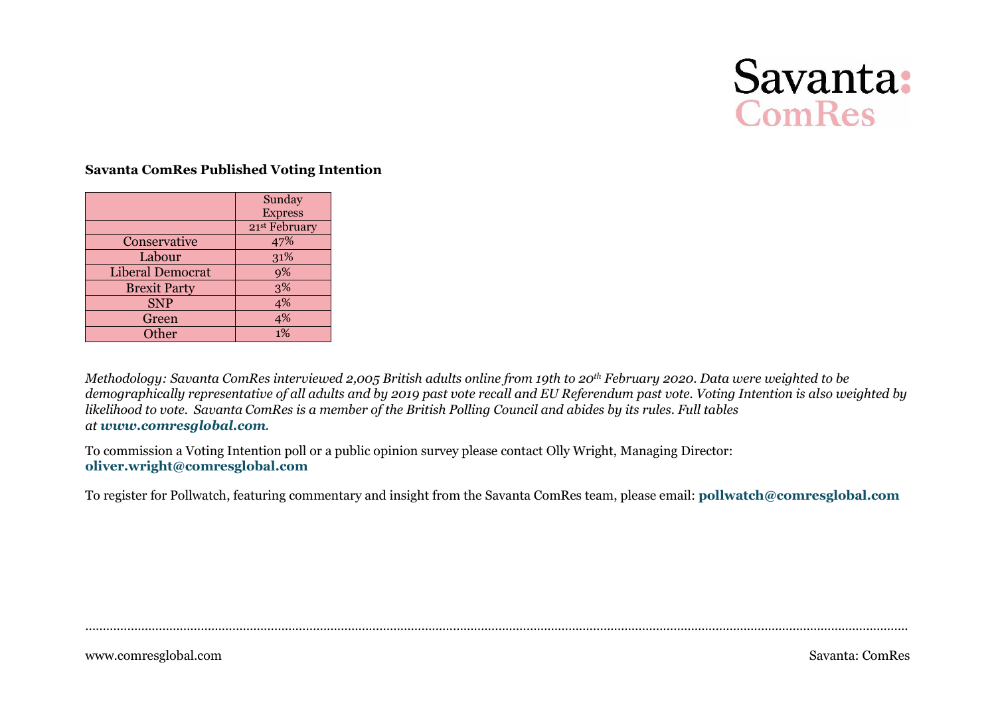

#### **Savanta ComRes Published Voting Intention**

|                     | Sunday         |
|---------------------|----------------|
|                     | <b>Express</b> |
|                     | 21st February  |
| Conservative        | 47%            |
| Labour              | 31%            |
| Liberal Democrat    | 9%             |
| <b>Brexit Party</b> | 3%             |
| <b>SNP</b>          | 4%             |
| Green               | 4%             |
| Other               | 1%             |

*Methodology: Savanta ComRes interviewed 2,005 British adults online from 19th to 20th February 2020. Data were weighted to be demographically representative of all adults and by 2019 past vote recall and EU Referendum past vote. Voting Intention is also weighted by likelihood to vote. Savanta ComRes is a member of the British Polling Council and abides by its rules. Full tables at www.comresglobal.com.*

To commission a Voting Intention poll or a public opinion survey please contact Olly Wright, Managing Director: **oliver.wright@comresglobal.com**

To register for Pollwatch, featuring commentary and insight from the Savanta ComRes team, please email: **pollwatch@comresglobal.com**

……………………………………………………………………………………………………………………………………………………………………………………………………………….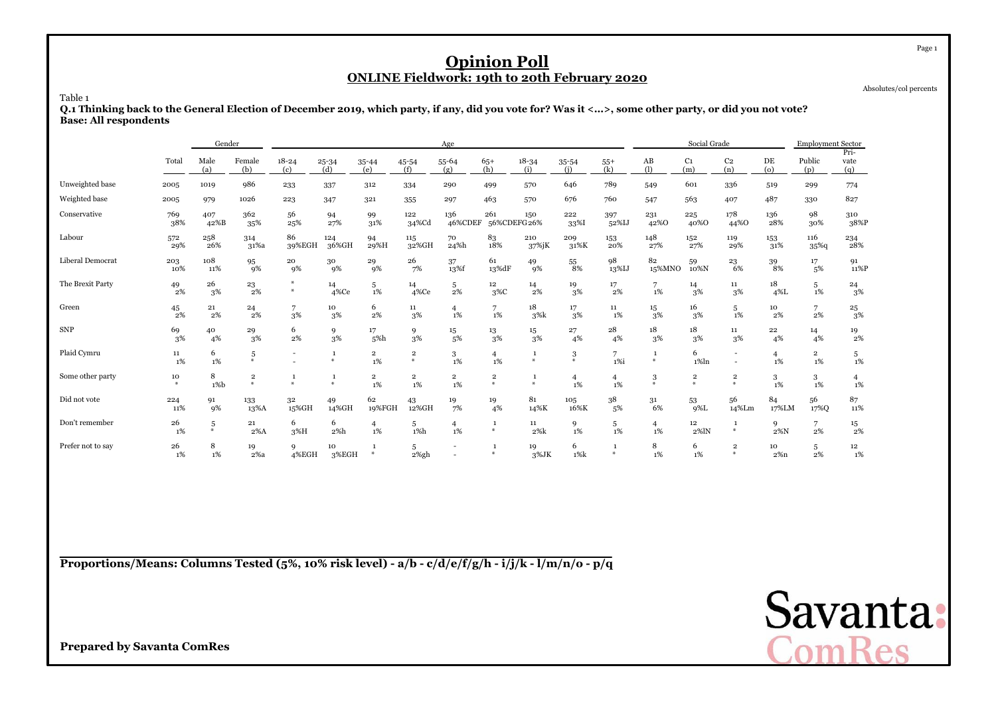Absolutes/col percents

Table 1

 **Q.1 Thinking back to the General Election of December 2019, which party, if any, did you vote for? Was it <...>, some other party, or did you not vote?Base: All respondents**

|                   |              | Gender      |                        |                          |                  |                               |                               | Age                           |                                          |                            |                      |                    |                         | Social Grade          |                                    |                         | <b>Employment Sector</b> |                          |
|-------------------|--------------|-------------|------------------------|--------------------------|------------------|-------------------------------|-------------------------------|-------------------------------|------------------------------------------|----------------------------|----------------------|--------------------|-------------------------|-----------------------|------------------------------------|-------------------------|--------------------------|--------------------------|
|                   | Total        | Male<br>(a) | Female<br>(b)          | $18 - 24$<br>(c)         | $25 - 34$<br>(d) | 35-44<br>(e)                  | 45-54<br>(f)                  | $55 - 64$<br>(g)              | $65+$<br>(h)                             | $18 - 34$<br>(i)           | 35-54<br>(i)         | $55+$<br>(k)       | AB<br>(1)               | C <sub>1</sub><br>(m) | C <sub>2</sub><br>(n)              | DE<br>(o)               | Public<br>(p)            | Pri-<br>vate<br>(q)      |
| Unweighted base   | 2005         | 1019        | 986                    | 233                      | 337              | 312                           | 334                           | 290                           | 499                                      | 570                        | 646                  | 789                | 549                     | 601                   | 336                                | 519                     | 299                      | 774                      |
| Weighted base     | 2005         | 979         | 1026                   | 223                      | 347              | 321                           | 355                           | 297                           | 463                                      | 570                        | 676                  | 760                | 547                     | 563                   | 407                                | 487                     | 330                      | 827                      |
| Conservative      | 769<br>38%   | 407<br>42%B | 362<br>35%             | 56<br>25%                | 94<br>27%        | 99<br>31%                     | 122<br>34%Cd                  | 136<br>46%CDEF                | 261<br>56%CDEFG 26%                      | 150                        | 222<br>33%I          | 397<br>52%IJ       | 231<br>42%0             | 225<br>40%0           | 178<br>44%0                        | 136<br>28%              | 98<br>30%                | 310<br>38%P              |
| Labour            | 572<br>29%   | 258<br>26%  | 314<br>31%a            | 86<br>39%EGH             | 124<br>36%GH     | 94<br>29%H                    | 115<br>32%GH                  | 70<br>24%h                    | 83<br>18%                                | 210<br>37%jK               | 209<br>31%K          | 153<br>20%         | 148<br>27%              | 152<br>27%            | 119<br>29%                         | 153<br>31%              | 116<br>$35\%$ q          | 234<br>28%               |
| Liberal Democrat  | 203<br>10%   | 108<br>11%  | 95<br>9%               | 20<br>9%                 | 30<br>9%         | 29<br>9%                      | 26<br>7%                      | 37<br>13%f                    | 61<br>13%dF                              | 49<br>9%                   | 55<br>8%             | 98<br>13%IJ        | 82<br>15%MNO            | 59<br>10%N            | 23<br>6%                           | 39<br>8%                | 17<br>5%                 | 91<br>11%P               |
| The Brexit Party  | 49<br>2%     | 26<br>3%    | 23<br>2%               | $*$<br>#                 | 14<br>4%Ce       | 5<br>$1\%$                    | 14<br>$4\%$ Ce                | 5<br>2%                       | 12<br>3%C                                | 14<br>2%                   | 19<br>3%             | 17<br>2%           | 1%                      | 14<br>3%              | $11\,$<br>3%                       | 18<br>$4\%L$            | 5<br>$1\%$               | $^{24}_{\phantom{1}3\%}$ |
| Green             | 45<br>2%     | 21<br>2%    | 24<br>2%               | 7<br>3%                  | 10<br>3%         | 6<br>2%                       | 11<br>3%                      | 4<br>1%                       | $_{1\%}^7$                               | 18<br>3%k                  | 17<br>3%             | 11<br>1%           | 15<br>3%                | 16<br>3%              | 5<br>1%                            | 10<br>2%                | 7<br>2%                  | $^{25}_{\phantom{1}3\%}$ |
| <b>SNP</b>        | 69<br>3%     | 40<br>4%    | 29<br>3%               | 6<br>2%                  | 9<br>3%          | 17<br>5%h                     | 9<br>3%                       | $15\,$<br>5%                  | 13<br>3%                                 | $15\,$<br>3%               | 27<br>4%             | 28<br>4%           | 18<br>3%                | 18<br>3%              | $11\,$<br>3%                       | $\bf{^{22}}$<br>4%      | 14<br>4%                 | 19<br>2%                 |
| Plaid Cymru       | 11<br>1%     | 6<br>1%     | 5<br>$\ast$            | $\overline{\phantom{a}}$ | ₩                | $\overline{2}$<br>1%          | $\overline{\mathbf{2}}$<br>M. | 3<br>1%                       | $\overline{4}$<br>$1\%$                  | $\mathbf{1}$<br>$\Delta L$ | $\bf{3}$<br>*        | 7<br>1%i           | $\Delta L$              | 6<br>$1\%$ ln         | $\overline{\phantom{a}}$<br>$\sim$ | $\overline{4}$<br>$1\%$ | $\overline{2}$<br>1%     | 5<br>$1\%$               |
| Some other party  | 10<br>$\ast$ | 8<br>$1\%$  | $\,2$<br>$\frac{1}{2}$ | #                        | $\ast$           | $\overline{\mathbf{2}}$<br>1% | $\overline{\mathbf{2}}$<br>1% | $\overline{\mathbf{2}}$<br>1% | $\overline{\mathbf{2}}$<br>$\frac{M}{2}$ | $\ast$                     | $\overline{4}$<br>1% | 4<br>1%            | $_{\rm *}^3$            | $_{\rm *}^2$          | $\mathbf 2$<br>$\frac{M}{2}$       | 3<br>1%                 | 3<br>1%                  | $\frac{4}{1\%}$          |
| Did not vote      | 224<br>11%   | 91<br>9%    | 133<br>13%A            | 32<br>15%GH              | 49<br>14%GH      | 62<br>19%FGH                  | 43<br>12%GH                   | 19<br>7%                      | 19<br>4%                                 | 81<br>14%K                 | 105<br>16%K          | 38<br>5%           | 31<br>6%                | 53<br>$9\%L$          | 56<br>14%Lm                        | 84<br>17%LM             | 56<br>17%Q               | 87<br>11%                |
| Don't remember    | 26<br>$1\%$  | 5<br>*      | 21<br>$2\%$ A          | 6<br>3%H                 | 6<br>2%h         | 4<br>1%                       | 5<br>1%h                      | $\overline{4}$<br>1%          | $\mathbf{1}$<br>#                        | 11<br>2%k                  | 9<br>$1\%$           | 5<br>1%            | $\overline{4}$<br>$1\%$ | 12<br>2%lN            | $\mathbf{1}$<br>条                  | 9<br>$2\%N$             | 7<br>2%                  | 15<br>2%                 |
| Prefer not to say | 26<br>1%     | 8<br>1%     | 19<br>2%a              | 9<br>4%EGH               | 10<br>3%EGH      | $\mathbf{1}$<br>$\frac{M}{N}$ | 5<br>2%gh                     |                               | $\mathbf{1}$<br>#                        | 19<br>$3\%$ JK             | 6<br>$1\%k$          | 1<br>$\frac{M}{N}$ | 8<br>1%                 | 6<br>1%               | $\overline{\mathbf{2}}$<br>条       | 10<br>$2\%n$            | 5<br>2%                  | 12<br>1%                 |

**Proportions/Means: Columns Tested (5%, 10% risk level) - a/b - c/d/e/f/g/h - i/j/k - l/m/n/o - p/q**

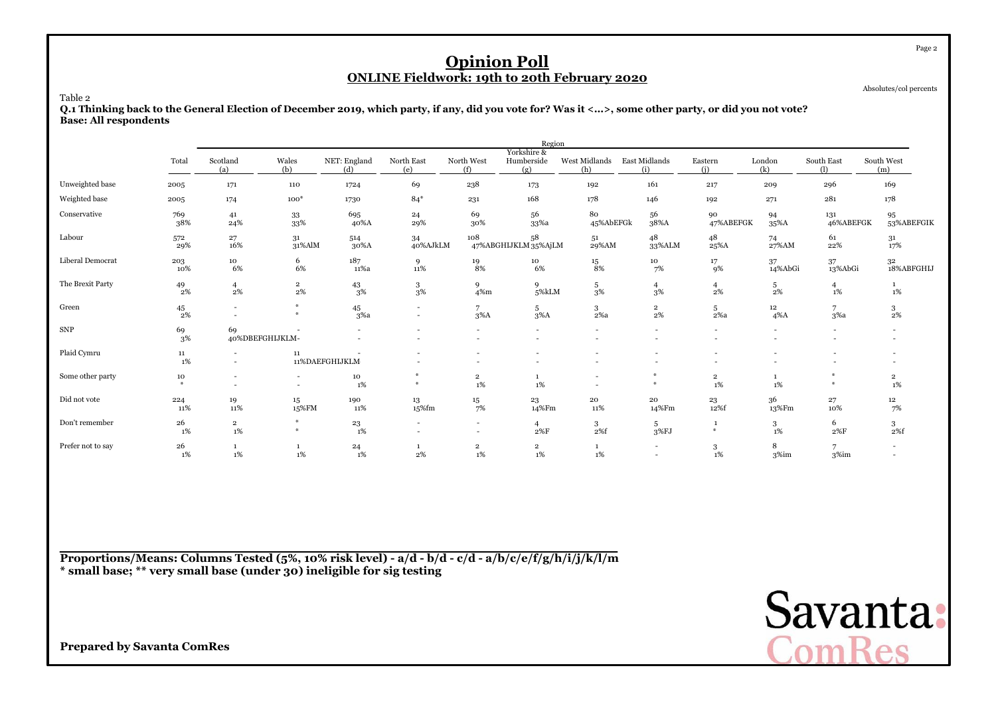| <b>Opinion Poll</b><br><b>ONLINE Fieldwork: 19th to 20th February 2020</b><br>Absolutes/col percents<br>Table 2<br>Q.1 Thinking back to the General Election of December 2019, which party, if any, did you vote for? Was it <>, some other party, or did you not vote?<br><b>Base: All respondents</b><br>Region |            |                               |                      |                     |                                  |                               |                            |                      |                             |                         |                       |                       |                      |  |
|-------------------------------------------------------------------------------------------------------------------------------------------------------------------------------------------------------------------------------------------------------------------------------------------------------------------|------------|-------------------------------|----------------------|---------------------|----------------------------------|-------------------------------|----------------------------|----------------------|-----------------------------|-------------------------|-----------------------|-----------------------|----------------------|--|
|                                                                                                                                                                                                                                                                                                                   |            |                               |                      |                     |                                  |                               | Yorkshire &                |                      |                             |                         |                       |                       |                      |  |
|                                                                                                                                                                                                                                                                                                                   | Total      | Scotland<br>(a)               | Wales<br>(b)         | NET: England<br>(d) | North East<br>(e)                | North West<br>(f)             | Humberside<br>(g)          | West Midlands<br>(h) | <b>East Midlands</b><br>(i) | Eastern<br>(i)          | London<br>(k)         | South East<br>(1)     | South West<br>(m)    |  |
| Unweighted base                                                                                                                                                                                                                                                                                                   | 2005       | 171                           | 110                  | 1724                | 69                               | 238                           | 173                        | 192                  | 161                         | 217                     | 209                   | 296                   | 169                  |  |
| Weighted base                                                                                                                                                                                                                                                                                                     | 2005       | 174                           | $100*$               | 1730                | $84*$                            | 231                           | 168                        | 178                  | 146                         | 192                     | 271                   | 281                   | 178                  |  |
| Conservative                                                                                                                                                                                                                                                                                                      | 769<br>38% | 41<br>24%                     | 33<br>33%            | 695<br>40%A         | $^{24}$<br>29%                   | 69<br>30%                     | 56<br>33%a                 | 80<br>45%AbEFGk      | 56<br>38%A                  | 90<br>47%ABEFGK         | 94<br>$35\%$ A        | 131<br>46%ABEFGK      | 95<br>53%ABEFGIK     |  |
| Labour                                                                                                                                                                                                                                                                                                            | 572<br>29% | 27<br>16%                     | 31<br>31%AlM         | 514<br>30%A         | 34<br>40%AJkLM                   | 108                           | 58<br>47%ABGHIJKLM 35%AjLM | 51<br>29%AM          | 48<br>33%ALM                | 48<br>25%A              | 74<br>27%AM           | 61<br>22%             | 31<br>17%            |  |
| Liberal Democrat                                                                                                                                                                                                                                                                                                  | 203<br>10% | 10<br>6%                      | 6<br>6%              | 187<br>11%a         | 9<br>11%                         | 19<br>8%                      | 10<br>6%                   | 15<br>8%             | 10<br>7%                    | 17<br>9%                | 37<br>14%AbGi         | 37<br>13%AbGi         | 32<br>18%ABFGHIJ     |  |
| The Brexit Party                                                                                                                                                                                                                                                                                                  | 49<br>2%   | $\overline{4}$<br>$2\%$       | $\overline{2}$<br>2% | 43<br>3%            | 3<br>3%                          | 9<br>$4\%m$                   | 9<br>5%kLM                 | 5<br>3%              | 4<br>3%                     | $\overline{4}$<br>$2\%$ | 5<br>2%               | $\overline{4}$<br>1%  | 1<br>1%              |  |
| Green                                                                                                                                                                                                                                                                                                             | 45<br>2%   |                               | $*$<br>$\Delta L$    | 45<br>3%a           | $\blacksquare$<br>$\overline{a}$ | $7^{\circ}$<br>$3\%$ A        | 5<br>$3\%$ A               | $3 -$<br>$2\%a$      | $\overline{2}$<br>2%        | 5<br>2%a                | 12<br>$4\%$ A         | $\overline{7}$<br>3%a | 3<br>2%              |  |
| <b>SNP</b>                                                                                                                                                                                                                                                                                                        | 69<br>3%   | 69<br>40%DBEFGHIJKLM-         |                      |                     |                                  |                               |                            |                      |                             |                         |                       |                       |                      |  |
| Plaid Cymru                                                                                                                                                                                                                                                                                                       | 11<br>1%   |                               | $11\,$               | 11%DAEFGHIJKLM      |                                  |                               |                            |                      |                             |                         |                       |                       |                      |  |
| Some other party                                                                                                                                                                                                                                                                                                  | 10         |                               |                      | 10<br>1%            | *                                | $\overline{\mathbf{2}}$<br>1% | $\mathbf{1}$<br>1%         |                      | *                           | $\mathbf{2}$<br>1%      | $\mathbf{1}$<br>$1\%$ | $\frac{M}{2}$         | $\overline{2}$<br>1% |  |
| Did not vote                                                                                                                                                                                                                                                                                                      | 224<br>11% | 19<br>11%                     | 15<br>15%FM          | 190<br>11%          | 13<br>15%fm                      | 15<br>7%                      | 23<br>14%Fm                | 20<br>11%            | 20<br>14%Fm                 | 23<br>12%f              | 36<br>13%Fm           | 27<br>10%             | 12<br>7%             |  |
| Don't remember                                                                                                                                                                                                                                                                                                    | 26<br>1%   | $\overline{\mathbf{2}}$<br>1% | #                    | 23<br>1%            |                                  | ٠                             | $\overline{4}$<br>2%F      | 3<br>2%f             | 5<br>3%FI                   | 1<br>$\ast$             | 3<br>1%               | 6<br>2%F              | 3<br>2%f             |  |
| Prefer not to say                                                                                                                                                                                                                                                                                                 | 26<br>1%   | $\mathbf{1}$<br>1%            | $\mathbf{1}$<br>1%   | 24<br>1%            | 1<br>2%                          | $\overline{2}$<br>1%          | $\overline{2}$<br>1%       | $\mathbf{1}$<br>1%   |                             | 3<br>1%                 | 8<br>3%im             | 7<br>3%im             |                      |  |

**Proportions/Means: Columns Tested (5%, 10% risk level) - a/d - b/d - c/d - a/b/c/e/f/g/h/i/j/k/l/m\* small base; \*\* very small base (under 30) ineligible for sig testing**

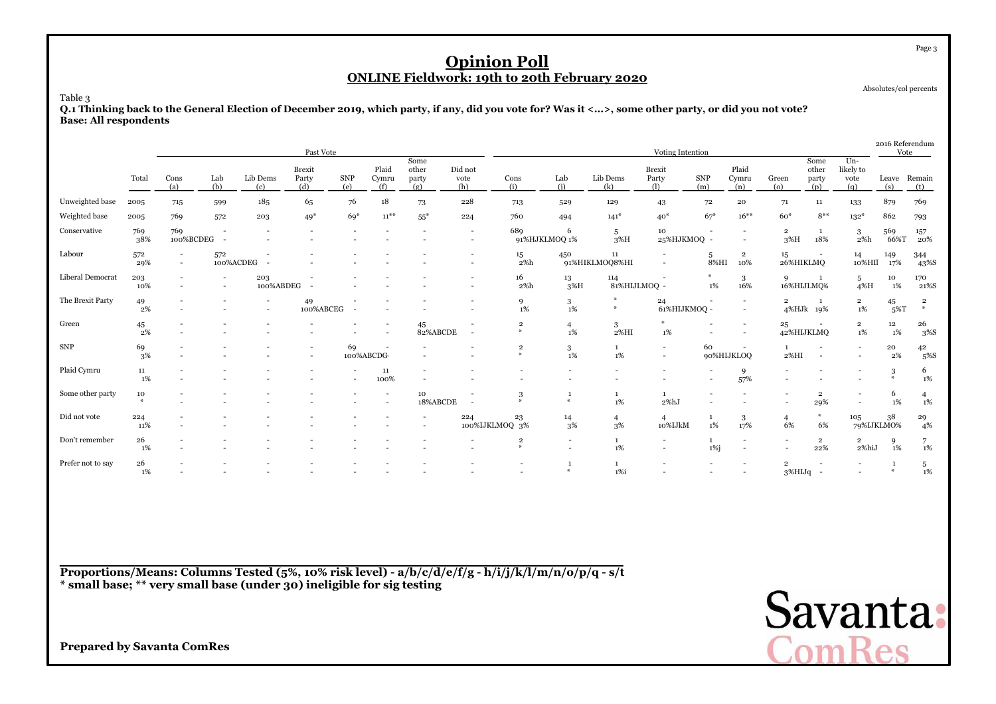Absolutes/col percents

Page 3

Table 3

 **Q.1 Thinking back to the General Election of December 2019, which party, if any, did you vote for? Was it <...>, some other party, or did you not vote?Base: All respondents**

|                   |             |                  |                  |                  | Past Vote                     |                          |                          |                               |                                                      |                              |                      |                                 | Voting Intention                           |                   |                                    |                          |                               |                                  | 2016 Referendum<br>Vote |                                            |
|-------------------|-------------|------------------|------------------|------------------|-------------------------------|--------------------------|--------------------------|-------------------------------|------------------------------------------------------|------------------------------|----------------------|---------------------------------|--------------------------------------------|-------------------|------------------------------------|--------------------------|-------------------------------|----------------------------------|-------------------------|--------------------------------------------|
|                   | Total       | Cons<br>(a)      | Lab<br>(b)       | Lib Dems<br>(c)  | <b>Brexit</b><br>Party<br>(d) | <b>SNP</b><br>(e)        | Plaid<br>Cymru<br>(f)    | Some<br>other<br>party<br>(g) | Did not<br>vote<br>(h)                               | Cons<br>(i)                  | Lab<br>(i)           | Lib Dems<br>(k)                 | <b>Brexit</b><br>Party<br>$\Omega$         | <b>SNP</b><br>(m) | Plaid<br>Cymru<br>(n)              | Green<br>$\circ$         | Some<br>other<br>party<br>(p) | Un-<br>likely to<br>vote<br>(q)  | Leave<br>(s)            | Remain<br>(t)                              |
| Unweighted base   | 2005        | 715              | 599              | 185              | 65                            | 76                       | 18                       | 73                            | 228                                                  | 713                          | 529                  | 129                             | 43                                         | 72                | 20                                 | 71                       | 11                            | 133                              | 879                     | 769                                        |
| Weighted base     | 2005        | 769              | 572              | 203              | $49*$                         | $69*$                    | $11^{**}$                | $55^*$                        | 224                                                  | 760                          | 494                  | $141*$                          | $40*$                                      | $67*$             | $16***$                            | $60*$                    | $8***$                        | $132*$                           | 862                     | 793                                        |
| Conservative      | 769<br>38%  | 769<br>100%BCDEG | $\sim$           |                  |                               |                          |                          |                               | $\overline{\phantom{a}}$<br>$\overline{\phantom{a}}$ | 689                          | -6<br>91%HJKLMOQ 1%  | 5<br>$3\%H$                     | 10<br>25%HJKMOQ -                          |                   |                                    | $\mathbf 2$<br>3%H       | -1<br>18%                     | 3<br>2%h                         | 569<br>66%T             | 157<br>20%                                 |
| Labour            | 572<br>29%  |                  | 572<br>100%ACDEG |                  |                               |                          |                          |                               | $\overline{\phantom{a}}$                             | 15<br>2%h                    | 450                  | $11\,$<br>91%HIKLMOQ8%HI        |                                            | 5<br>8%HI         | $\overline{2}$<br>10%              | 15<br>26%HIKLMQ          |                               | 14<br>10%HI                      | 149<br>17%              | 344<br>43%S                                |
| Liberal Democrat  | 203<br>10%  |                  | $\sim$           | 203<br>100%ABDEG |                               |                          |                          |                               |                                                      | 16<br>2%h                    | 13<br>3%H            | 114<br>81%HIJLMOQ -             |                                            | $1\%$             | 3<br>16%                           | 9                        | -1<br>16%HIJLMQ%              | 5<br>$4\%$ H                     | 10<br>1%                | 170<br>21%S                                |
| The Brexit Party  | 49<br>2%    |                  |                  |                  | 49<br>100%ABCEG               |                          |                          |                               |                                                      | 9<br>1%                      | 3<br>1%              | $*$<br>$\boldsymbol{\varkappa}$ | 24<br>61%HIJKMOQ -                         |                   |                                    | $\overline{2}$           | 1<br>4%HJk 19%                | $\overline{\mathbf{2}}$<br>$1\%$ | 45<br>$5\%T$            | $\overline{2}$<br>$\boldsymbol{\varkappa}$ |
| Green             | 45<br>$2\%$ |                  |                  |                  |                               |                          | $\overline{\phantom{a}}$ | 45<br>82%ABCDE                | $\overline{a}$                                       | $\mathbf 2$<br>条             | $\overline{4}$<br>1% | 3<br>$2\%$ HI                   | 1%                                         |                   | $\sim$<br>$\overline{\phantom{a}}$ | 25                       | 42%HIJKLMQ                    | $\overline{2}$<br>1%             | $12 \,$<br>1%           | 26<br>3%S                                  |
| ${\rm SNP}$       | 69<br>3%    |                  |                  |                  |                               | 69<br>100%ABCDG          |                          |                               |                                                      | $\overline{\mathbf{2}}$<br>₩ | 3<br>1%              | 1<br>$1\%$                      | $\overline{\phantom{a}}$<br>$\overline{a}$ | 60                | 90%HIJKLOQ                         | 2%HI                     | $\overline{\phantom{a}}$      | $\sim$                           | 20<br>2%                | $^{42}_{\phantom{1}5\%}{\rm S}$            |
| Plaid Cymru       | 11<br>1%    |                  |                  |                  |                               | $\overline{\phantom{a}}$ | $11\,$<br>100%           |                               |                                                      |                              |                      |                                 |                                            |                   | 9<br>57%                           | $\overline{\phantom{a}}$ |                               |                                  | 3<br>$\frac{M}{2}$      | 6<br>$1\%$                                 |
| Some other party  | 10<br>#     |                  |                  |                  |                               |                          | $\overline{\phantom{a}}$ | 10<br>18%ABCDE                | $\sim$                                               | 3<br>条                       | $\ast$               | 1<br>1%                         | 1<br>2%hJ                                  |                   |                                    | $\overline{\phantom{a}}$ | $\mathbf 2$<br>29%            |                                  | 6<br>1%                 | $\overline{4}$<br>1%                       |
| Did not vote      | 224<br>11%  |                  |                  |                  |                               |                          |                          |                               | 224<br>100%IJKLMOQ 3%                                | 23                           | 14<br>3%             | $\overline{4}$<br>3%            | $\overline{4}$<br>10%IJkM                  | 1<br>1%           | 3<br>17%                           | $\overline{4}$<br>6%     | $\ast$<br>6%                  | 105                              | 38<br>79%IJKLMO%        | $\frac{29}{4\%}$                           |
| Don't remember    | 26<br>1%    |                  |                  |                  |                               |                          |                          |                               |                                                      | $\overline{2}$<br>条          | $\overline{a}$       | $1\%$                           | $\overline{a}$                             | 1<br>1%j          |                                    |                          | $\overline{2}$<br>22%         | $\overline{\mathbf{2}}$<br>2%hiJ | 9<br>1%                 | 7<br>1%                                    |
| Prefer not to say | 26<br>1%    |                  |                  |                  |                               |                          |                          |                               |                                                      |                              | $\mathcal{H}$        | 1<br>1%i                        |                                            |                   |                                    | $\overline{2}$           | 3%HIJq -                      |                                  | $\mathcal{M}$           | $5\over 1\%$                               |

**Proportions/Means: Columns Tested (5%, 10% risk level) - a/b/c/d/e/f/g - h/i/j/k/l/m/n/o/p/q - s/t\* small base; \*\* very small base (under 30) ineligible for sig testing**

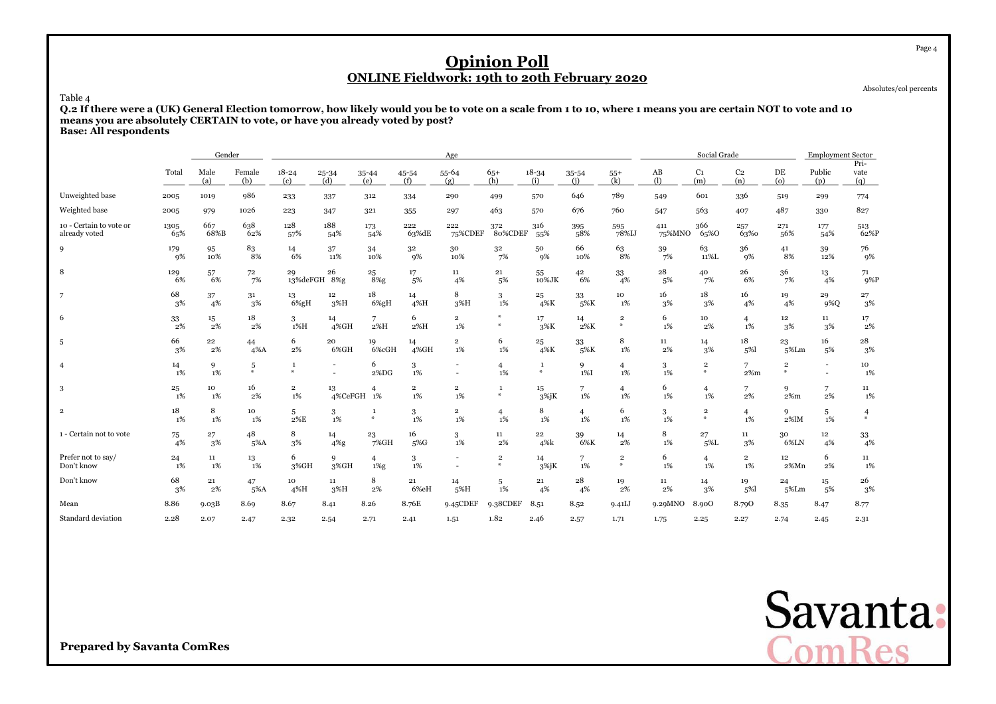Absolutes/col percents

Table 4 **Q.2 If there were a (UK) General Election tomorrow, how likely would you be to vote on a scale from 1 to 10, where 1 means you are certain NOT to vote and 10means you are absolutely CERTAIN to vote, or have you already voted by post?**

**Base: All respondents**

|                                          |             | Gender          |               |                          |                        |                           |                      | Age                                |                                            |                      |                      |                              |               | Social Grade                      |                         |                                | <b>Employment Sector</b> |                     |
|------------------------------------------|-------------|-----------------|---------------|--------------------------|------------------------|---------------------------|----------------------|------------------------------------|--------------------------------------------|----------------------|----------------------|------------------------------|---------------|-----------------------------------|-------------------------|--------------------------------|--------------------------|---------------------|
|                                          | Total       | Male<br>(a)     | Female<br>(b) | $18 - 24$<br>(c)         | 25-34<br>(d)           | $35 - 44$<br>(e)          | 45-54<br>(f)         | 55-64<br>(g)                       | $65+$<br>(h)                               | $18 - 34$<br>(i)     | 35-54<br>(i)         | $55+$<br>(k)                 | AB<br>(1)     | C <sub>1</sub><br>(m)             | C <sub>2</sub><br>(n)   | DE<br>$\omega$                 | Public<br>(p)            | Pri-<br>vate<br>(q) |
| Unweighted base                          | 2005        | 1019            | 986           | 233                      | 337                    | 312                       | 334                  | 290                                | 499                                        | 570                  | 646                  | 789                          | 549           | 601                               | 336                     | 519                            | 299                      | 774                 |
| Weighted base                            | 2005        | 979             | 1026          | 223                      | 347                    | 321                       | 355                  | 297                                | 463                                        | 570                  | 676                  | 760                          | 547           | 563                               | 407                     | 487                            | 330                      | 827                 |
| 10 - Certain to vote or<br>already voted | 1305<br>65% | 667<br>68%B     | 638<br>62%    | 128<br>57%               | 188<br>54%             | 173<br>54%                | 222<br>63%dE         | 222<br>75%CDEF                     | 372<br>80%CDEF                             | 316<br>55%           | 395<br>58%           | 595<br>78%IJ                 | 411<br>75%MNO | 366<br>65%0                       | 257<br>63%0             | 271<br>56%                     | 177<br>54%               | 513<br>62%P         |
| $\mathbf{Q}$                             | 179<br>9%   | 95<br>10%       | 83<br>8%      | 14<br>6%                 | 37<br>11%              | 34<br>10%                 | 32<br>9%             | 30<br>10%                          | 32<br>7%                                   | 50<br>9%             | 66<br>10%            | 63<br>8%                     | 39<br>7%      | 63<br>11%L                        | 36<br>9%                | 41<br>8%                       | 39<br>12%                | 76<br>9%            |
| 8                                        | 129<br>6%   | 57<br>6%        | 72<br>7%      | 29<br>13%deFGH 8%g       | 26                     | 25<br>$8\%$ g             | 17<br>5%             | 11<br>4%                           | 21<br>5%                                   | 55<br>10%JK          | 42<br>6%             | 33<br>4%                     | 28<br>5%      | 40<br>7%                          | 26<br>6%                | 36<br>7%                       | 13<br>4%                 | 71<br>9%P           |
| 7                                        | 68<br>3%    | 37<br>4%        | 31<br>3%      | 13<br>6%gH               | 12 <sup>2</sup><br>3%H | 18<br>$6\%gH$             | 14<br>4%H            | 8<br>3%H                           | 3<br>$1\%$                                 | $\bf{^{25}}$<br>4%K  | 33<br>5%K            | 10<br>1%                     | 16<br>3%      | 18<br>3%                          | 16<br>4%                | 19<br>4%                       | 29<br>9%Q                | 27<br>3%            |
| 6                                        | 33<br>2%    | $15\,$<br>$2\%$ | 18<br>$2\%$   | 3<br>1%H                 | 14<br>4%GH             | 2%H                       | 6<br>2%H             | $\overline{\mathbf{2}}$<br>$1\%$   | ₩<br>$\ast$                                | 17<br>3%K            | 14<br>2%K            | $\mathbf 2$<br>$\frac{1}{2}$ | 6<br>$1\%$    | 10<br>2%                          | $\overline{4}$<br>$1\%$ | 12<br>3%                       | 11<br>3%                 | 17<br>2%            |
| 5                                        | 66<br>3%    | 22<br>2%        | 44<br>$4\%$ A | 6<br>2%                  | 20<br>6%GH             | 19<br>6%cGH               | 14<br>4%GH           | $\overline{\mathbf{2}}$<br>1%      | 6<br>1%                                    | 25<br>4%K            | 33<br>5%K            | 8<br>1%                      | 11<br>2%      | 14<br>3%                          | 18<br>5%                | 23<br>5%Lm                     | 16<br>5%                 | 28<br>3%            |
| $\overline{4}$                           | 14<br>1%    | 9<br>1%         | 5<br>a.       | $\mathbf{1}$<br>$\omega$ | $\sim$                 | 6<br>2%DG                 | 3<br>1%              | $\overline{\phantom{a}}$<br>$\sim$ | $\overline{4}$<br>$1\%$                    | $\mathbf{1}$<br>$\#$ | 9<br>1%I             | $\overline{4}$<br>1%         | 3<br>1%       | $\,2\,$<br>$\ast$                 | 7<br>$2\%m$             | $\overline{\mathbf{2}}$<br>$*$ | $\overline{\phantom{a}}$ | 10<br>1%            |
| 3                                        | 25<br>1%    | 10<br>1%        | 16<br>2%      | $\,2\,$<br>1%            | 13<br>4%CeFGH          | $\overline{4}$<br>1%      | $\overline{2}$<br>1% | $\overline{\mathbf{2}}$<br>1%      | $\mathbf{1}$<br>$*$                        | 15<br>$3\%$ j $K$    | 7<br>1%              | $\overline{4}$<br>1%         | 6<br>1%       | $\overline{4}$<br>$1\%$           | 7<br>2%                 | 9<br>$2\%m$                    | $\overline{7}$<br>2%     | 11<br>1%            |
| $\overline{2}$                           | 18<br>1%    | 8<br>1%         | 10<br>1%      | 5<br>$2\%E$              | $\frac{3}{1\%}$        | $\ast$                    | 3<br>$1\%$           | $\overline{\mathbf{2}}$<br>$1\%$   | $\overline{4}$<br>$1\%$                    | 8<br>$1\%$           | $\overline{4}$<br>1% | 6<br>1%                      | 3<br>$1\%$    | $\overline{\mathbf{2}}$<br>$\ast$ | $\overline{4}$<br>$1\%$ | 9<br>2%lM                      | 5<br>1%                  | 4                   |
| 1 - Certain not to vote                  | 75<br>4%    | 27<br>3%        | 48<br>5%A     | 8<br>3%                  | 14<br>$4\%$ g          | 23<br>$7\%$ GH            | 16<br>5%G            | 3<br>1%                            | 11<br>2%                                   | $\bf{22}$<br>4%k     | 39<br>6%K            | 14<br>2%                     | 8<br>$1\%$    | 27<br>5%L                         | 11<br>3%                | 30<br>6%LN                     | 12<br>4%                 | $\frac{33}{4\%}$    |
| Prefer not to say/<br>Don't know         | 24<br>1%    | $11\,$<br>1%    | 13<br>1%      | 6<br>3%GH                | 9<br>3%GH              | $\overline{4}$<br>$1\%$ g | 3<br>$1\%$           |                                    | $\overline{2}$<br>$\boldsymbol{\varkappa}$ | 14<br>$3\%$ jK       | 7<br>$1\%$           | $\mathbf 2$<br>$\ast$        | 6<br>1%       | $\overline{4}$<br>$1\%$           | $\overline{2}$<br>1%    | 12<br>$2\%Mn$                  | 6<br>2%                  | 11<br>1%            |
| Don't know                               | 68<br>3%    | 21<br>2%        | 47<br>5%A     | 10<br>4%H                | 11<br>3%H              | 8<br>2%                   | 21<br>6%eH           | 14<br>5%H                          | 5<br>1%                                    | 21<br>4%             | 28<br>4%             | 19<br>2%                     | 11<br>2%      | 14<br>3%                          | 19<br>5%                | 24<br>$5\%$ Lm                 | 15<br>5%                 | 26<br>3%            |
| Mean                                     | 8.86        | 9.03B           | 8.69          | 8.67                     | 8.41                   | 8.26                      | 8.76E                | 9.45CDEF                           | 9.38CDEF                                   | 8.51                 | 8.52                 | 9.41J                        | 9.29MNO       | 8.900                             | 8.790                   | 8.35                           | 8.47                     | 8.77                |
| Standard deviation                       | 2.28        | 2.07            | 2.47          | 2.32                     | 2.54                   | 2.71                      | 2.41                 | 1.51                               | 1.82                                       | 2.46                 | 2.57                 | 1.71                         | 1.75          | 2.25                              | 2.27                    | 2.74                           | 2.45                     | 2.31                |

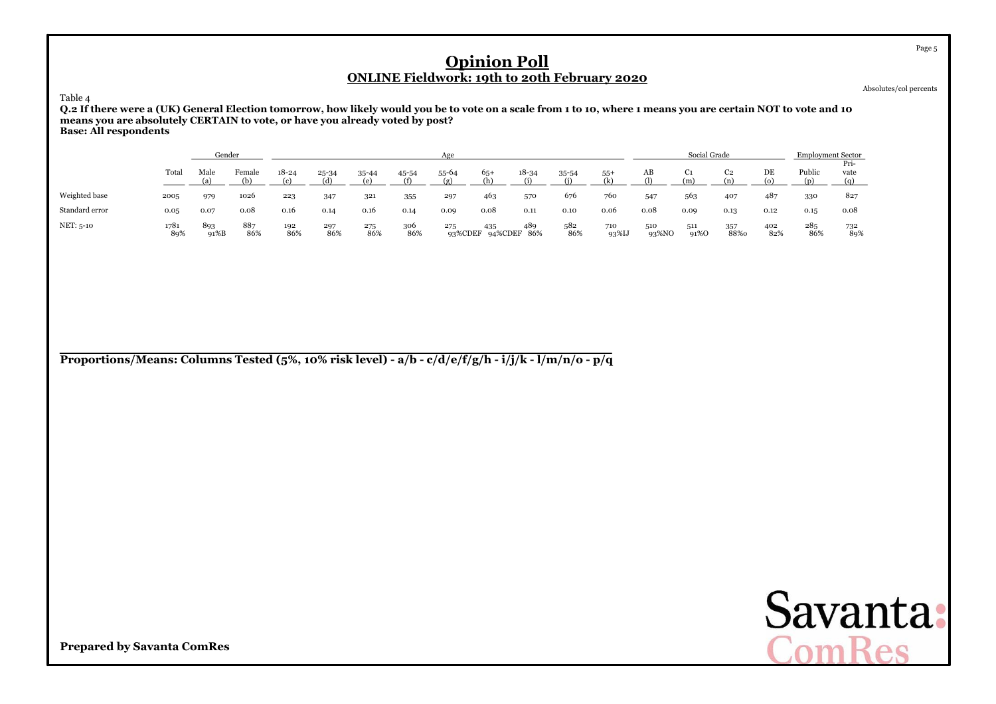Absolutes/col percents

Table 4

 **Q.2 If there were a (UK) General Election tomorrow, how likely would you be to vote on a scale from 1 to 10, where 1 means you are certain NOT to vote and 10means you are absolutely CERTAIN to vote, or have you already voted by post?Base: All respondents**

|                |             | Gender      |            |            |            |            |                     | Age   |                            |                     |            |                  |              | Social Grade         |                |            | <b>Employment Sector</b> |                     |
|----------------|-------------|-------------|------------|------------|------------|------------|---------------------|-------|----------------------------|---------------------|------------|------------------|--------------|----------------------|----------------|------------|--------------------------|---------------------|
|                | Total       | Male        | Female     | $18 - 24$  | 25-34      | 35-44      | $\frac{45-54}{(6)}$ | 55-64 | $65+$<br>$($ h             | $\frac{18-34}{(1)}$ | $35 - 54$  | $^{55+}_{\{1\}}$ | AB           | C <sub>1</sub><br>(m | C <sub>2</sub> | DE         | Public                   | Pri-<br>vate<br>(a) |
| Weighted base  | 2005        | 979         | 1026       | 223        | 347        | 321        | 355                 | 297   | 463                        | 570                 | 676        | 760              | 547          | 563                  | 407            | 487        | 330                      | 827                 |
| Standard error | 0.05        | 0.07        | 0.08       | 0.16       | 0.14       | 0.16       | 0.14                | 0.09  | 0.08                       | 0.11                | 0.10       | 0.06             | 0.08         | 0.09                 | 0.13           | 0.12       | 0.15                     | 0.08                |
| NET: 5-10      | 1781<br>89% | 893<br>91%B | 887<br>86% | 192<br>86% | 297<br>86% | 275<br>86% | 306<br>86%          | 275   | 435<br>93%CDEF 94%CDEF 86% | 489                 | 582<br>86% | 710<br>93%IJ     | 510<br>93%NO | 511<br>91%O          | 357<br>88%0    | 402<br>82% | 285<br>86%               | 732<br>89%          |

**Proportions/Means: Columns Tested (5%, 10% risk level) - a/b - c/d/e/f/g/h - i/j/k - l/m/n/o - p/q**



**Prepared by Savanta ComRes**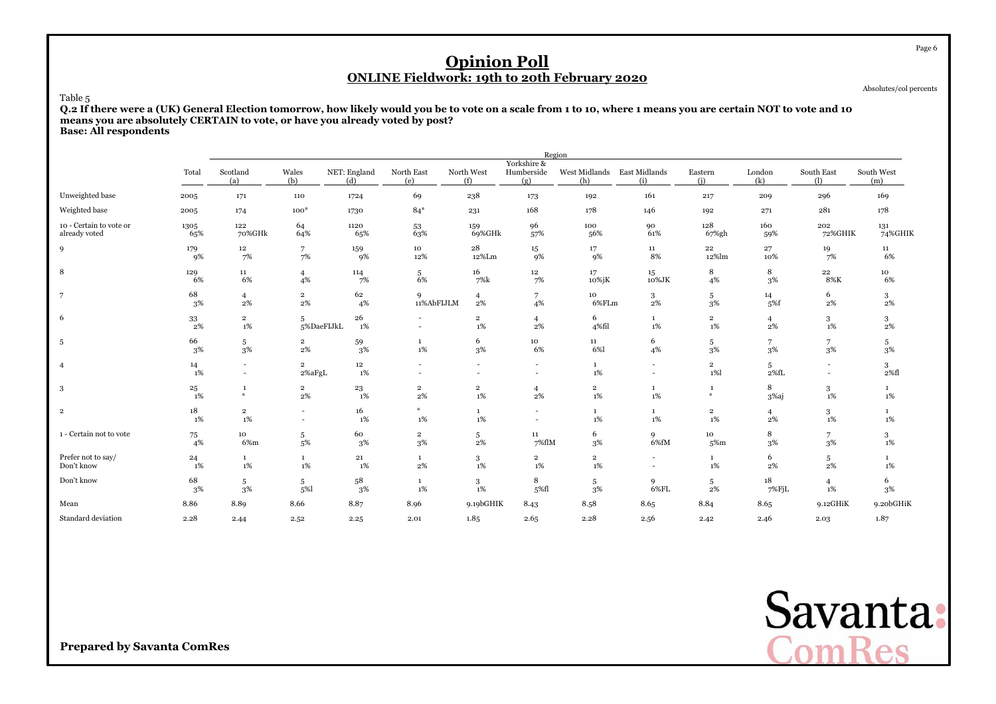Absolutes/col percents

#### Table 5

 **Q.2 If there were a (UK) General Election tomorrow, how likely would you be to vote on a scale from 1 to 10, where 1 means you are certain NOT to vote and 10means you are absolutely CERTAIN to vote, or have you already voted by post?Base: All respondents**

|                         |               |                                            |                          |                        |                      |                      |                                  | Region               |                      |                      |                         |                          |                   |
|-------------------------|---------------|--------------------------------------------|--------------------------|------------------------|----------------------|----------------------|----------------------------------|----------------------|----------------------|----------------------|-------------------------|--------------------------|-------------------|
|                         | Total         | Scotland<br>(a)                            | Wales<br>(b)             | NET: England<br>(d)    | North East<br>(e)    | North West<br>(f)    | Yorkshire &<br>Humberside<br>(g) | West Midlands<br>(h) | East Midlands<br>(i) | Eastern<br>(i)       | London<br>(k)           | South East<br>(1)        | South West<br>(m) |
| Unweighted base         | 2005          | 171                                        | 110                      | 1724                   | 69                   | 238                  | 173                              | 192                  | 161                  | 217                  | 209                     | 296                      | 169               |
| Weighted base           | 2005          | 174                                        | $100*$                   | 1730                   | $84*$                | 231                  | 168                              | 178                  | 146                  | 192                  | 271                     | 281                      | 178               |
| 10 - Certain to vote or | 1305          | 122                                        | 64                       | 1120                   | 53                   | 159                  | 96                               | 100                  | 90                   | 128                  | 160                     | 202                      | 131               |
| already voted           | 65%           | 70%GHk                                     | 64%                      | 65%                    | 63%                  | 69%GHk               | 57%                              | 56%                  | 61%                  | 67%gh                | 59%                     | 72%GHIK                  | 74%GHIK           |
| 9                       | 179           | $12\,$                                     | 7                        | 159                    | 10                   | 28                   | $15\,$                           | 17                   | 11                   | $\bf{22}$            | 27                      | 19                       | 11                |
|                         | 9%            | 7%                                         | 7%                       | 9%                     | 12%                  | 12%Lm                | 9%                               | 9%                   | 8%                   | 12%lm                | 10%                     | 7%                       | 6%                |
| 8                       | 129           | 11                                         | $\overline{4}$           | 114                    | 5                    | 16                   | $12\,$                           | 17                   | 15                   | 8                    | 8                       | $22\phantom{.0}$         | 10                |
|                         | 6%            | 6%                                         | 4%                       | 7%                     | 6%                   | 7%k                  | 7%                               | 10%jK                | 10%JK                | 4%                   | 3%                      | 8%K                      | 6%                |
| 7                       | 68            | $\overline{4}$                             | $\overline{2}$           | 62                     | 9                    | $\overline{4}$       | $\overline{7}$                   | 10                   | 3                    | 5                    | 14                      | 6                        | 3                 |
|                         | 3%            | 2%                                         | 2%                       | 4%                     | 11%AbFIJLM           | 2%                   | 4%                               | 6%FLm                | $2\%$                | 3%                   | 5%f                     | 2%                       | $2\%$             |
| 6                       | $33\,$<br>2%  | $\,2\,$<br>1%                              | 5<br>5%DaeFIJkL          | 26<br>1%               |                      | $\overline{2}$<br>1% | $\overline{4}$<br>2%             | 6<br>4%fil           | $\mathbf{1}$<br>1%   | $\overline{2}$<br>1% | $\overline{4}$<br>2%    | $\mathbf{3}$<br>1%       | 3<br>2%           |
| 5                       | 66            | 5                                          | $\overline{\mathbf{2}}$  | 59                     | $\mathbf{1}$         | 6                    | 10                               | 11                   | 6                    | 5                    | $\overline{7}$          | $\overline{7}$           | 5                 |
|                         | 3%            | 3%                                         | 2%                       | 3%                     | 1%                   | 3%                   | 6%                               | 6%l                  | 4%                   | 3%                   | 3%                      | 3%                       | $3\%$             |
| $\overline{4}$          | 14<br>1%      | $\blacksquare$<br>$\overline{\phantom{a}}$ | $\,2\,$<br>2%aFgL        | $12\phantom{.0}$<br>1% |                      | $\blacksquare$<br>۰  | ۰<br>٠                           | $\mathbf{1}$<br>1%   | $\sim$<br>$\sim$     | $\overline{2}$<br>1% | $5\overline{)}$<br>2%fL | $\overline{\phantom{a}}$ | 3<br>2%fl         |
| 3                       | 25            | -1                                         | $\overline{\mathbf{2}}$  | 23                     | $\overline{2}$       | $\overline{2}$       | $\overline{4}$                   | $\mathbf{2}$         | $\mathbf{1}$         | 1                    | 8                       | 3                        | $\mathbf{1}$      |
|                         | 1%            | $\frac{M}{2}$                              | 2%                       | 1%                     | 2%                   | 1%                   | 2%                               | 1%                   | $1\%$                | $\ast$               | 3%aj                    | 1%                       | $1\%$             |
| $\overline{2}$          | 18            | $\overline{\mathbf{2}}$                    | $\blacksquare$           | 16                     | 半                    | $\mathbf{1}$         | ۰                                | $\mathbf{1}$         | $\mathbf{1}$         | $\overline{2}$       | $\overline{4}$          | 3                        | $\mathbf{1}$      |
|                         | 1%            | 1%                                         | $\overline{\phantom{a}}$ | 1%                     | $1\%$                | $1\%$                | $\blacksquare$                   | 1%                   | $1\%$                | 1%                   | $2\%$                   | 1%                       | $1\%$             |
| 1 - Certain not to vote | $^{75}_{4\%}$ | 10<br>6%m                                  | $\frac{5}{5\%}$          | 60<br>3%               | $\overline{2}$<br>3% | $\frac{5}{2\%}$      | 11<br>7%flM                      | 6<br>3%              | 9<br>6%fM            | 10<br>$5\%m$         | 8<br>3%                 | $\frac{7}{3}$ %          | 3<br>1%           |
| Prefer not to say/      | 24            | $\mathbf{1}$                               | $\mathbf{1}$             | 21                     | $\mathbf{1}$         | 3                    | $\overline{2}$                   | $\overline{2}$       |                      | $\mathbf{1}$         | 6                       | 5                        | $\mathbf{1}$      |
| Don't know              | 1%            | 1%                                         | $1\%$                    | 1%                     | 2%                   | $1\%$                | $1\%$                            | $1\%$                |                      | 1%                   | 2%                      | 2%                       | $1\%$             |
| Don't know              | 68            | 5                                          | 5                        | 58                     | $\mathbf{1}$         | 3                    | 8                                | 5                    | 9                    | 5                    | 18                      | $\overline{4}$           | 6                 |
|                         | 3%            | 3%                                         | 5%1                      | 3%                     | $1\%$                | $1\%$                | 5%fl                             | 3%                   | $6\%$ FL             | 2%                   | 7%FjL                   | 1%                       | $3\%$             |
| Mean                    | 8.86          | 8.89                                       | 8.66                     | 8.87                   | 8.96                 | 9.19bGHIK            | 8.43                             | 8.58                 | 8.65                 | 8.84                 | 8.65                    | 9.12GHiK                 | 9.20bGHiK         |
| Standard deviation      | 2.28          | 2.44                                       | 2.52                     | 2.25                   | 2.01                 | 1.85                 | 2.65                             | 2.28                 | 2.56                 | 2.42                 | 2.46                    | 2.03                     | 1.87              |



**Prepared by Savanta ComRes**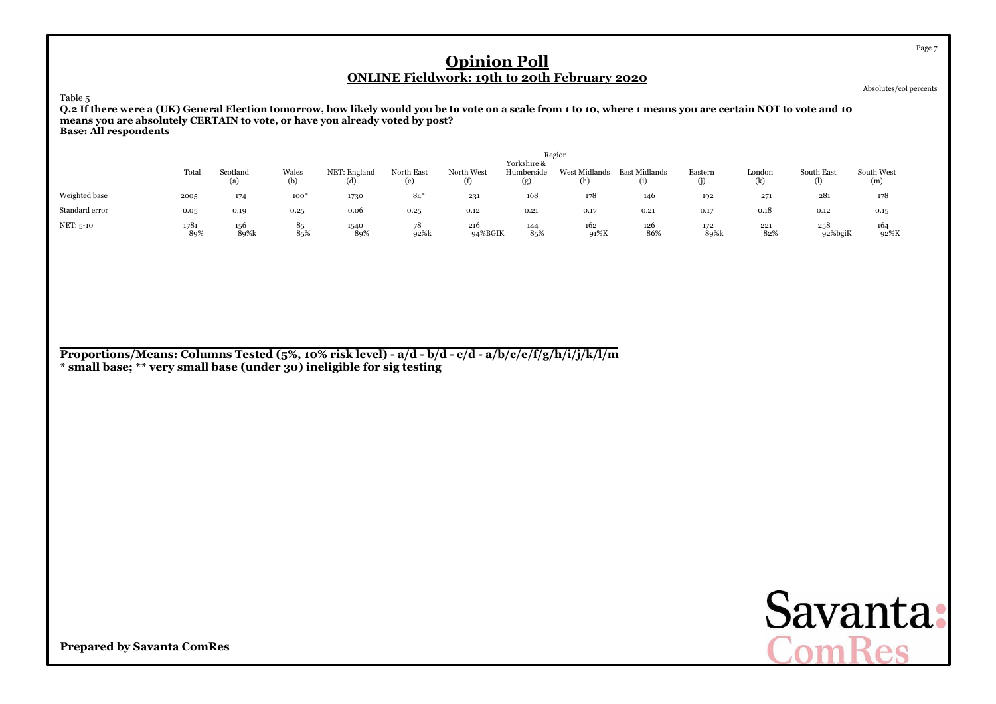Absolutes/col percents

Table 5

 **Q.2 If there were a (UK) General Election tomorrow, how likely would you be to vote on a scale from 1 to 10, where 1 means you are certain NOT to vote and 10means you are absolutely CERTAIN to vote, or have you already voted by post?Base: All respondents**

|                |             |             | Region    |                     |            |                   |             |                      |               |             |                        |                |                   |  |  |  |  |
|----------------|-------------|-------------|-----------|---------------------|------------|-------------------|-------------|----------------------|---------------|-------------|------------------------|----------------|-------------------|--|--|--|--|
|                |             |             |           |                     |            |                   | Yorkshire & |                      |               |             |                        |                |                   |  |  |  |  |
|                | Total       | Scotland    | Wales     | NET: England<br>(d) | North East | North West<br>(f) | Humberside  | West Midlands<br>(h) | East Midlands | Eastern     | London<br>$\mathbb{R}$ | South East     | South West<br>(m) |  |  |  |  |
|                |             |             |           |                     |            |                   |             |                      |               |             |                        |                |                   |  |  |  |  |
| Weighted base  | 2005        | 174         | $100*$    | 1730                | $84*$      | 231               | 168         | 178                  | 146           | 192         | 271                    | 281            | 178               |  |  |  |  |
| Standard error | 0.05        | 0.19        | 0.25      | 0.06                | 0.25       | 0.12              | 0.21        | 0.17                 | 0.21          | 0.17        | 0.18                   | 0.12           | 0.15              |  |  |  |  |
| NET: 5-10      | 1781<br>89% | 156<br>89%k | 85<br>85% | 1540<br>89%         | 78<br>92%k | 216<br>94%BGIK    | 144<br>85%  | 162<br>91%K          | 126<br>86%    | 172<br>89%k | 221<br>82%             | 258<br>92%bgiK | 164<br>92%K       |  |  |  |  |

**Proportions/Means: Columns Tested (5%, 10% risk level) - a/d - b/d - c/d - a/b/c/e/f/g/h/i/j/k/l/m\* small base; \*\* very small base (under 30) ineligible for sig testing**



**Prepared by Savanta ComRes**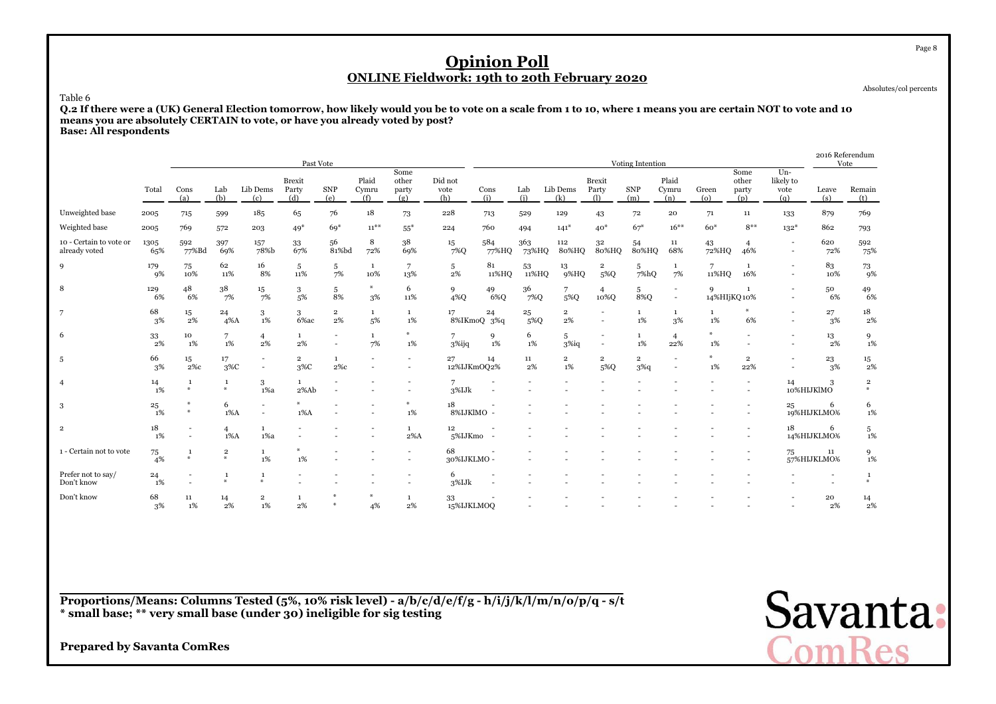Absolutes/col percents

#### Table 6

 **Q.2 If there were a (UK) General Election tomorrow, how likely would you be to vote on a scale from 1 to 10, where 1 means you are certain NOT to vote and 10means you are absolutely CERTAIN to vote, or have you already voted by post?Base: All respondents**

|                                          |             |                               |                            |                        | Past Vote                     |                               |                                    |                               |                        |                   |              |                         |                               | Voting Intention          |                                                      |                             |                               |                                                      |                          | 2016 Referendum<br>Vote        |
|------------------------------------------|-------------|-------------------------------|----------------------------|------------------------|-------------------------------|-------------------------------|------------------------------------|-------------------------------|------------------------|-------------------|--------------|-------------------------|-------------------------------|---------------------------|------------------------------------------------------|-----------------------------|-------------------------------|------------------------------------------------------|--------------------------|--------------------------------|
|                                          | Total       | Cons<br>(a)                   | Lab<br>(b)                 | Lib Dems<br>(c)        | <b>Brexit</b><br>Party<br>(d) | <b>SNP</b><br>(e)             | Plaid<br>Cymru<br>(f)              | Some<br>other<br>party<br>(g) | Did not<br>vote<br>(h) | Cons<br>(i)       | Lab<br>(i)   | Lib Dems<br>(k)         | <b>Brexit</b><br>Party<br>(1) | <b>SNP</b><br>(m)         | Plaid<br>Cymru<br>(n)                                | Green<br>$\left( 0 \right)$ | Some<br>other<br>party<br>(p) | $Un-$<br>likely to<br>vote<br>(q)                    | Leave<br>(s)             | Remain<br>(t)                  |
| Unweighted base                          | 2005        | 715                           | 599                        | 185                    | 65                            | 76                            | 18                                 | 73                            | 228                    | 713               | 529          | 129                     | 43                            | 72                        | 20                                                   | 71                          | 11                            | 133                                                  | 879                      | 769                            |
| Weighted base                            | 2005        | 769                           | 572                        | 203                    | $49*$                         | $69*$                         | $11^{**}$                          | $55*$                         | 224                    | 760               | 494          | $141*$                  | $40*$                         | $67*$                     | $16***$                                              | $60*$                       | $8***$                        | $132*$                                               | 862                      | 793                            |
| 10 - Certain to vote or<br>already voted | 1305<br>65% | 592<br>77%Bd                  | 397<br>69%                 | 157<br>78%b            | $33\,$<br>67%                 | 56<br>81%bd                   | 8<br>72%                           | 38<br>69%                     | 15<br>7%Q              | 584<br>77%HQ      | 363<br>73%HQ | 112<br>80%HQ            | 32<br>80%HQ                   | 54<br>80%HQ               | 11<br>68%                                            | 43<br>72%HQ                 | $\overline{4}$<br>46%         | $\overline{\phantom{a}}$<br>$\overline{\phantom{a}}$ | 620<br>72%               | 592<br>75%                     |
| 9                                        | 179<br>9%   | 75<br>10%                     | 62<br>11%                  | 16<br>8%               | 5<br>11%                      | 5<br>7%                       | <sup>1</sup><br>10%                | 7<br>13%                      | 5<br>2%                | 81<br>11%HO       | 53<br>11%HQ  | 13<br>9%HQ              | $\overline{2}$<br>5%Q         | 5<br>7%hQ                 | $\mathbf{1}$<br>7%                                   | $\overline{7}$<br>11%HQ     | 1<br>16%                      | $\overline{a}$<br>$\overline{\phantom{a}}$           | 83<br>10%                | $^{73}_{\ 9\%}$                |
| 8                                        | 129<br>6%   | 48<br>6%                      | 38<br>7%                   | 15<br>7%               | 3<br>5%                       | 5<br>8%                       | $\boldsymbol{\varkappa}$<br>3%     | 6<br>11%                      | 9<br>4%Q               | 49<br>6%Q         | 36<br>7%Q    | 7<br>5%Q                | $\overline{4}$<br>10%Q        | 5<br>8%Q                  | $\overline{\phantom{a}}$<br>$\sim$                   | 9<br>14%HIjKQ10%            | 1                             | $\overline{\phantom{a}}$                             | 50<br>6%                 | 49<br>6%                       |
| 7                                        | 68<br>3%    | 15<br>2%                      | 24<br>$4\%$ A              | 3<br>1%                | 3<br>6% ac                    | $\overline{\mathbf{2}}$<br>2% | <sup>1</sup><br>5%                 | $\mathbf{1}$<br>1%            | 17                     | 24<br>8%IKmoQ 3%q | 25<br>5%Q    | $\overline{2}$<br>$2\%$ |                               | 1<br>1%                   | $\mathbf{1}$<br>3%                                   | 1<br>1%                     | 6%                            | $\sim$                                               | 27<br>3%                 | 18<br>2%                       |
| 6                                        | 33<br>2%    | 10<br>1%                      | 7<br>1%                    | $\overline{4}$<br>2%   | $\mathbf{1}$<br>$2\%$         |                               | <sup>1</sup><br>7%                 | $\frac{M}{N}$<br>1%           | 3%ijq                  | 9<br>1%           | 6<br>1%      | 5<br>$3\%$ iq           | $\sim$                        | 1<br>1%                   | $\overline{4}$<br>22%                                | $*$<br>$1\%$                |                               |                                                      | 13<br>2%                 | 9<br>1%                        |
| 5                                        | 66<br>3%    | 15<br>$2\%c$                  | 17<br>$3\%C$               |                        | $\overline{2}$<br>3%C         | $\mathbf{1}$<br>$2\%c$        | $\overline{\phantom{a}}$<br>$\sim$ | $\overline{\phantom{a}}$<br>٠ | 27<br>12%IJKmOQ2%      | 14                | 11<br>2%     | $\overline{2}$<br>1%    | $\overline{2}$<br>5%Q         | $\overline{2}$<br>$3\%$ q | $\overline{\phantom{a}}$<br>$\overline{\phantom{a}}$ | $\frac{M}{N}$<br>$1\%$      | $\overline{2}$<br>22%         | $\overline{\phantom{a}}$                             | $^{23}_{\phantom{1}3\%}$ | $^{15}_{\ 2\%}$                |
| $\overline{4}$                           | 14<br>1%    | $\mathbf{1}$<br>$\ast$        | 1<br>$\frac{M}{2}$         | 3<br>$1\%a$            | $\mathbf{1}$<br>2%Ab          |                               |                                    |                               | 7<br>$3\%$ IJ $k$      |                   |              |                         |                               |                           |                                                      |                             |                               | 14                                                   | 3<br>10%HIJKlMO          | $\overline{\mathbf{2}}$<br>as. |
| 3                                        | 25<br>1%    | $\ast$                        | 6<br>$1\%$ A               |                        | $1\%$ A                       |                               |                                    | 1%                            | 18<br>8%IJKlMO -       |                   |              |                         |                               |                           |                                                      |                             |                               | 25                                                   | 6<br>19%HIJKLMO%         | 6<br>$1\%$                     |
| $\overline{\mathbf{2}}$                  | 18<br>$1\%$ | $\sim$                        | $\overline{4}$<br>$1\%$ A  | 1<br>$1\%a$            |                               |                               | $\sim$                             | $\mathbf{1}$<br>$2\%$ A       | 12<br>5%IJKmo -        |                   |              |                         |                               |                           |                                                      |                             |                               | 18                                                   | 6<br>14%HIJKLMO%         | 5<br>$1\%$                     |
| 1 - Certain not to vote                  | 75<br>4%    | <sup>1</sup><br>$\frac{1}{2}$ | $\mathbf 2$<br>$\ast$      | 1<br>$1\%$             | ₩<br>1%                       |                               |                                    |                               | 68<br>30%IJKLMO -      |                   |              |                         |                               |                           |                                                      |                             |                               | 75                                                   | 11<br>57%HIJKLMO%        | 9<br>1%                        |
| Prefer not to say/<br>Don't know         | 24<br>1%    |                               | $\mathbf{1}$<br>$\Delta L$ | $\mathbf{1}$<br>$\ast$ |                               |                               |                                    | ٠                             | 6<br>3%IJk             |                   |              |                         |                               |                           |                                                      |                             |                               |                                                      |                          | $\mathbf{1}$<br>4              |
| Don't know                               | 68<br>3%    | 11<br>1%                      | 14<br>$2\%$                | $\overline{2}$<br>1%   | $\mathbf{1}$<br>$2\%$         |                               | $*$<br>4%                          | $\mathbf{1}$<br>2%            | 33<br>15%IJKLMOQ       |                   |              |                         |                               |                           |                                                      |                             |                               |                                                      | 20<br>2%                 | 14<br>$2\%$                    |

**Proportions/Means: Columns Tested (5%, 10% risk level) - a/b/c/d/e/f/g - h/i/j/k/l/m/n/o/p/q - s/t\* small base; \*\* very small base (under 30) ineligible for sig testing**

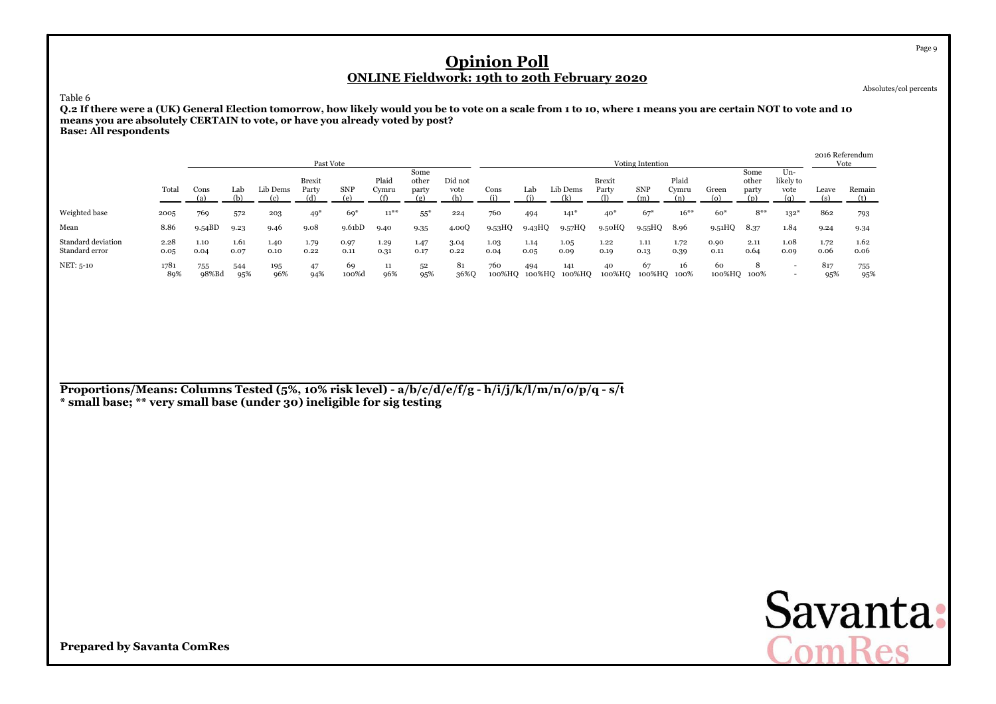Absolutes/col percents

Table 6

 **Q.2 If there were a (UK) General Election tomorrow, how likely would you be to vote on a scale from 1 to 10, where 1 means you are certain NOT to vote and 10means you are absolutely CERTAIN to vote, or have you already voted by post?Base: All respondents**

|                                      |              |              |              |              | Past Vote       |              |                |                        |                        |               |              |                      |                 | Voting Intention  |                       |                   |                        |                                   |              | 2016 Referendum<br>Vote |
|--------------------------------------|--------------|--------------|--------------|--------------|-----------------|--------------|----------------|------------------------|------------------------|---------------|--------------|----------------------|-----------------|-------------------|-----------------------|-------------------|------------------------|-----------------------------------|--------------|-------------------------|
|                                      | Total        | Cons         | Lab<br>(b)   | Lib Dems     | Brexit<br>Party | <b>SNP</b>   | Plaid<br>Cymru | Some<br>other<br>party | Did not<br>vote<br>(h) | Cons          | Lab          | Lib Dems<br>(k)      | Brexit<br>Party | <b>SNP</b><br>(m) | Plaid<br>Cvmru<br>(n) | Green<br>(O)      | Some<br>other<br>party | $Un-$<br>likely to<br>vote<br>(n) | Leave        | Remain                  |
| Weighted base                        | 2005         | 769          | 572          | 203          | $49*$           | $69*$        | $11***$        | $55*$                  | 224                    | 760           | 494          | $141^*$              | $40*$           | $67*$             | $16***$               | $60*$             | $8**$                  | $132*$                            | 862          | 793                     |
| Mean                                 | 8.86         | 9.54BD       | 9.23         | 9.46         | 9.08            | 9.61bD       | 9.40           | 9.35                   | 4.00Q                  | 9.53HQ        | 9.43HQ       | 9.57HQ               | 9.50HQ          | 9.55HQ            | 8.96                  | 9.51HQ            | 8.37                   | 1.84                              | 9.24         | 9.34                    |
| Standard deviation<br>Standard error | 2.28<br>0.05 | 1.10<br>0.04 | 1.61<br>0.07 | 1.40<br>0.10 | 1.79<br>0.22    | 0.97<br>0.11 | 1.29<br>0.31   | 1.47<br>0.17           | 3.04<br>0.22           | 1.03<br>0.04  | 1.14<br>0.05 | 1.05<br>0.09         | 1.22<br>0.19    | 1.11<br>0.13      | 1.72<br>0.39          | 0.90<br>0.11      | 2.11<br>0.64           | 1.08<br>0.09                      | 1.72<br>0.06 | 1.62<br>0.06            |
| NET: 5-10                            | 1781<br>89%  | 755<br>98%Bd | 544<br>95%   | 195<br>96%   | 47<br>94%       | 69<br>100%d  | 11<br>96%      | 52<br>95%              | 81<br>36%Q             | 760<br>100%HQ | 494          | 141<br>100%HQ 100%HQ | 40<br>100%HQ    | 67<br>100%HQ 100% | 16                    | 60<br>100%HQ 100% | 8                      | $\overline{\phantom{0}}$          | 817<br>95%   | 755<br>95%              |

**Proportions/Means: Columns Tested (5%, 10% risk level) - a/b/c/d/e/f/g - h/i/j/k/l/m/n/o/p/q - s/t\* small base; \*\* very small base (under 30) ineligible for sig testing**

Savanta:<br>ComRes

**Prepared by Savanta ComRes**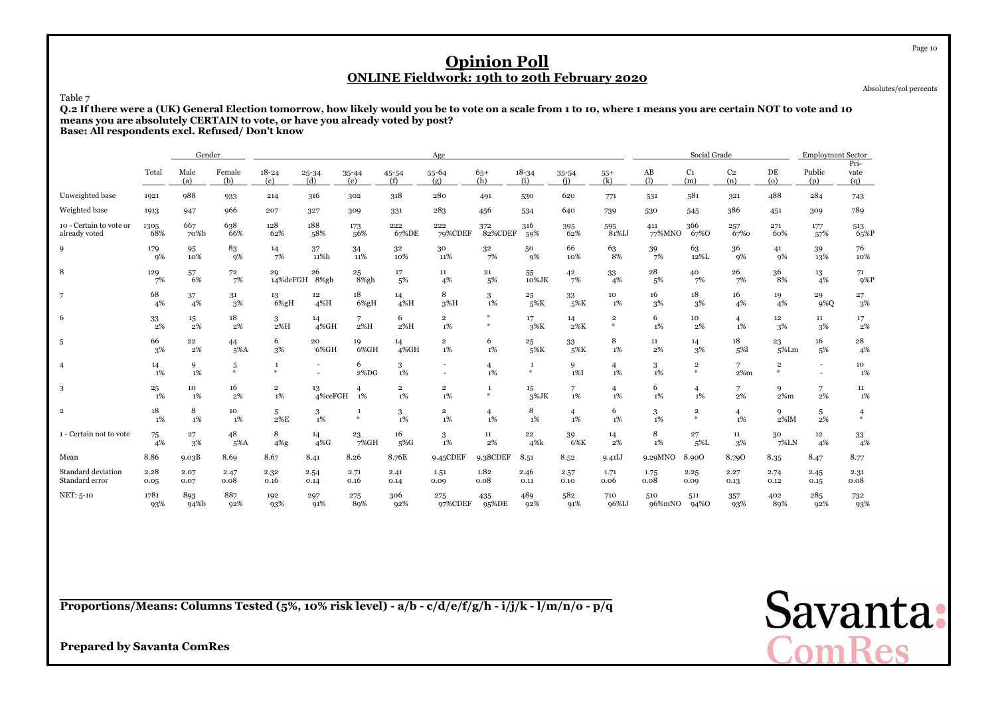Absolutes/col percents

Table 7

 **Q.2 If there were a (UK) General Election tomorrow, how likely would you be to vote on a scale from 1 to 10, where 1 means you are certain NOT to vote and 10means you are absolutely CERTAIN to vote, or have you already voted by post?Base: All respondents excl. Refused/ Don't know**

|                                          |              | Gender       |                    |                         |                        |                                          |                         | Age                     |                      |                        |                      |                      |               | Social Grade                    |                       |                      | <b>Employment Sector</b>                   |                     |
|------------------------------------------|--------------|--------------|--------------------|-------------------------|------------------------|------------------------------------------|-------------------------|-------------------------|----------------------|------------------------|----------------------|----------------------|---------------|---------------------------------|-----------------------|----------------------|--------------------------------------------|---------------------|
|                                          | Total        | Male<br>(a)  | Female<br>(b)      | $18 - 24$<br>(c)        | $25 - 34$<br>(d)       | $35 - 44$<br>(e)                         | 45-54<br>(f)            | 55-64<br>(g)            | $65+$<br>(h)         | $18 - 34$<br>(i)       | 35-54<br>(i)         | $55+$<br>(k)         | AB<br>(1)     | C <sub>1</sub><br>(m)           | C <sub>2</sub><br>(n) | DE<br>$\omega$       | Public<br>(p)                              | Pri-<br>vate<br>(a) |
| Unweighted base                          | 1921         | 988          | 933                | 214                     | 316                    | 302                                      | 318                     | 280                     | 491                  | 530                    | 620                  | 771                  | 531           | 581                             | 321                   | 488                  | 284                                        | 743                 |
| Weighted base                            | 1913         | 947          | 966                | 207                     | 327                    | 309                                      | 331                     | 283                     | 456                  | 534                    | 640                  | 739                  | 530           | 545                             | 386                   | 451                  | 309                                        | 789                 |
| 10 - Certain to vote or<br>already voted | 1305<br>68%  | 667<br>70%b  | 638<br>66%         | 128<br>62%              | 188<br>58%             | 173<br>56%                               | 222<br>67%DE            | 222<br>79%CDEF          | 372<br>82%CDEF       | 316<br>59%             | 395<br>62%           | 595<br>81%IJ         | 411<br>77%MNO | 366<br>67%O                     | 257<br>67%0           | 271<br>60%           | 177<br>57%                                 | 513<br>65%P         |
| 9                                        | 179<br>9%    | 95<br>10%    | 83<br>9%           | 14<br>7%                | 37<br>11%h             | 34<br>11%                                | 32<br>10%               | 30<br>11%               | 32<br>7%             | 50<br>9%               | 66<br>10%            | 63<br>8%             | 39<br>7%      | 63<br>12%L                      | 36<br>9%              | 41<br>9%             | 39<br>13%                                  | 76<br>10%           |
| 8                                        | 129<br>7%    | 57<br>6%     | 72<br>7%           | 29<br>14%deFGH          | 26<br>8%gh             | 25<br>8%gh                               | 17<br>5%                | 11<br>4%                | 21<br>5%             | 55<br>10%JK            | 42<br>7%             | 33<br>4%             | 28<br>5%      | 40<br>7%                        | 26<br>7%              | 36<br>8%             | 13<br>4%                                   | $\frac{71}{9\%P}$   |
| 7                                        | 68<br>4%     | 37<br>4%     | 31<br>3%           | 13<br>$6\%gH$           | 12 <sup>2</sup><br>4%H | 18<br>$6\%gH$                            | 14<br>4%H               | 8<br>3%H                | 3<br>1%              | 25<br>5%K              | 33<br>5%K            | 10<br>1%             | 16<br>3%      | 18<br>3%                        | 16<br>4%              | 19<br>4%             | 29<br>9%Q                                  | 27<br>3%            |
| 6                                        | 33<br>2%     | 15<br>2%     | 18<br>$2\%$        | 3<br>2%H                | 14<br>4%GH             | 7<br>2%H                                 | 6<br>2%H                | $\overline{2}$<br>$1\%$ | $\ast$               | 17<br>3%K              | 14<br>2%K            | $\overline{2}$<br>条  | 6<br>1%       | 10<br>2%                        | $\overline{4}$<br>1%  | 12<br>3%             | $11\,$<br>3%                               | 17<br>$2\%$         |
| 5                                        | 66<br>3%     | 22<br>2%     | 44<br>5%A          | 6<br>3%                 | 20<br>6%GH             | 19<br>6%GH                               | 14<br>4%GH              | $\overline{2}$<br>1%    | 6<br>1%              | 25<br>5%K              | 33<br>5%K            | 8<br>$1\%$           | 11<br>2%      | 14<br>3%                        | 18<br>5%1             | 23<br>5%Lm           | 16<br>5%                                   | 28<br>4%            |
| $\overline{4}$                           | 14<br>1%     | 9<br>1%      | 5<br>$\mathcal{H}$ | 1<br>$\frac{M}{2}$      |                        | 6<br>2%DG                                | 3<br>$1\%$              | $\overline{a}$          | $\overline{4}$<br>1% | <sup>1</sup><br>$\ast$ | 9<br>$1\%$ I         | $\overline{4}$<br>1% | 3<br>1%       | $\overline{2}$<br>$\frac{M}{2}$ | 7<br>$2\%$ m          | $\overline{2}$<br>M. | $\overline{\phantom{a}}$<br>$\overline{a}$ | 10<br>1%            |
| 3                                        | 25<br>1%     | 10<br>1%     | 16<br>2%           | $\overline{2}$<br>$1\%$ | 13<br>4%ceFGH          | 4<br>1%                                  | $\overline{2}$<br>$1\%$ | $\overline{2}$<br>$1\%$ | $\mathbf{1}$<br>₩    | 15<br>$3\%$ JK         | 7<br>1%              | 4<br>1%              | 6<br>1%       | 4<br>1%                         | 7<br>$2\%$            | 9<br>$2\%m$          | 7<br>2%                                    | 11<br>1%            |
| $\mathbf 2$                              | 18<br>1%     | 8<br>1%      | 10<br>1%           | 5<br>2%E                | 3<br>1%                | $\mathbf{1}$<br>$\boldsymbol{\varkappa}$ | 3<br>1%                 | $\overline{2}$<br>1%    | $\overline{4}$<br>1% | 8<br>1%                | $\overline{4}$<br>1% | 6<br>1%              | 3<br>1%       | $\overline{2}$<br>$\frac{1}{2}$ | $\overline{4}$<br>1%  | 9<br>$2\%$ lM        | 5<br>2%                                    | $\overline{4}$      |
| 1 - Certain not to vote                  | 75<br>4%     | 27<br>3%     | 48<br>5%A          | 8<br>$4\%$ g            | 14<br>$4\%$ G          | 23<br>$7\%$ GH                           | 16<br>5%G               | 3<br>$1\%$              | 11<br>2%             | $\bf{22}$<br>4%k       | 39<br>6%K            | 14<br>2%             | 8<br>$1\%$    | 27<br>$5\%$ L                   | 11<br>3%              | 30<br>7%LN           | $12\,$<br>4%                               | $\frac{33}{4\%}$    |
| Mean                                     | 8.86         | 9.03B        | 8.69               | 8.67                    | 8.41                   | 8.26                                     | 8.76E                   | 9.45CDEF                | 9.38CDEF             | 8.51                   | 8.52                 | 9.41J                | 9.29MNO       | 8.900                           | 8.790                 | 8.35                 | 8.47                                       | 8.77                |
| Standard deviation<br>Standard error     | 2.28<br>0.05 | 2.07<br>0.07 | 2.47<br>0.08       | 2.32<br>0.16            | 2.54<br>0.14           | 2.71<br>0.16                             | 2.41<br>0.14            | 1.51<br>0.09            | 1.82<br>0.08         | 2.46<br>0.11           | 2.57<br>0.10         | 1.71<br>0.06         | 1.75<br>0.08  | 2.25<br>0.09                    | 2.27<br>0.13          | 2.74<br>0.12         | 2.45<br>0.15                               | 2.31<br>0.08        |
| NET: 5-10                                | 1781<br>93%  | 893<br>94%b  | 887<br>92%         | 192<br>93%              | 297<br>91%             | 275<br>89%                               | 306<br>92%              | 275<br>97%CDEF          | 435<br>95%DE         | 489<br>92%             | 582<br>91%           | 710<br>96%IJ         | 510<br>96%mNO | 511<br>94%0                     | 357<br>93%            | 402<br>89%           | 285<br>92%                                 | 732<br>93%          |

**Proportions/Means: Columns Tested (5%, 10% risk level) - a/b - c/d/e/f/g/h - i/j/k - l/m/n/o - p/q**



**Prepared by Savanta ComRes**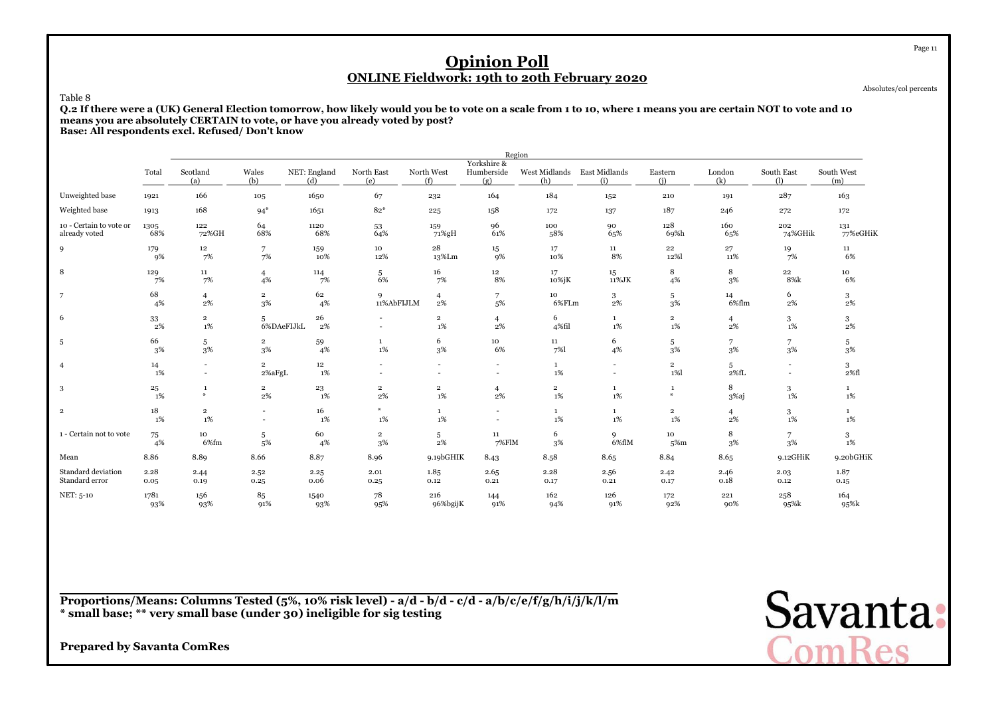Absolutes/col percents

Page 11

#### Table 8

 **Q.2 If there were a (UK) General Election tomorrow, how likely would you be to vote on a scale from 1 to 10, where 1 means you are certain NOT to vote and 10means you are absolutely CERTAIN to vote, or have you already voted by post?Base: All respondents excl. Refused/ Don't know**

|                         |              |                                    |                          |                           |                          |                               | Region                             |                         |                                  |                         |                |                          |                   |
|-------------------------|--------------|------------------------------------|--------------------------|---------------------------|--------------------------|-------------------------------|------------------------------------|-------------------------|----------------------------------|-------------------------|----------------|--------------------------|-------------------|
|                         | Total        | Scotland<br>(a)                    | Wales<br>(b)             | NET: England<br>(d)       | North East<br>(e)        | North West<br>(f)             | Yorkshire &<br>Humberside<br>(g)   | West Midlands<br>(h)    | East Midlands<br>(i)             | Eastern<br>(i)          | London<br>(k)  | South East<br>$\bigcap$  | South West<br>(m) |
| Unweighted base         | 1921         | 166                                | 105                      | 1650                      | 67                       | 232                           | 164                                | 184                     | 152                              | 210                     | 191            | 287                      | 163               |
| Weighted base           | 1913         | 168                                | $94*$                    | 1651                      | $82*$                    | 225                           | 158                                | 172                     | 137                              | 187                     | 246            | 272                      | 172               |
| 10 - Certain to vote or | 1305         | 122                                | 64                       | 1120                      | 53                       | 159                           | 96                                 | 100                     | 90                               | 128                     | 160            | 202                      | 131               |
| already voted           | 68%          | 72%GH                              | 68%                      | 68%                       | 64%                      | 71%gH                         | 61%                                | 58%                     | 65%                              | 69%h                    | 65%            | 74%GHik                  | 77%eGHiK          |
| 9                       | 179          | 12                                 | $\overline{7}$           | 159                       | 10                       | $\bf{^{28}}$                  | 15                                 | 17                      | 11                               | 22                      | 27             | 19                       | 11                |
|                         | 9%           | 7%                                 | 7%                       | 10%                       | 12%                      | 13%Lm                         | 9%                                 | 10%                     | 8%                               | 12%                     | 11%            | 7%                       | 6%                |
| 8                       | 129          | $11\,$                             | $\overline{4}$           | 114                       | 5                        | 16                            | $12 \,$                            | 17                      | $15\,$                           | 8                       | 8              | $\bf{22}$                | 10                |
|                         | 7%           | 7%                                 | 4%                       | 7%                        | 6%                       | 7%                            | 8%                                 | 10%jK                   | 11%JK                            | 4%                      | 3%             | 8%k                      | 6%                |
| 7                       | 68           | $\overline{4}$                     | $\overline{2}$           | 62                        | 9                        | 4                             | 7                                  | 10                      | 3                                | 5                       | 14             | 6                        | 3                 |
|                         | 4%           | 2%                                 | 3%                       | 4%                        | 11%AbFIJLM               | 2%                            | 5%                                 | 6%FLm                   | 2%                               | $3\%$                   | 6%flm          | $2\%$                    | $2\%$             |
| 6                       | 33<br>2%     | $\overline{2}$<br>1%               | 5<br>6%DAeFIJkL          | 26<br>2%                  |                          | $\overline{\mathbf{2}}$<br>1% | 4<br>2%                            | 6<br>4%fil              | $\mathbf{1}$<br>$1\%$            | $\overline{2}$<br>$1\%$ | 4<br>$2\%$     | 3<br>$1\%$               | 3<br>2%           |
| 5                       | 66           | 5                                  | $\overline{2}$           | 59                        | $\mathbf{1}$             | 6                             | 10                                 | $11\,$                  | 6                                | 5                       | 7              | 7                        | 5                 |
|                         | 3%           | 3%                                 | 3%                       | 4%                        | $1\%$                    | 3%                            | 6%                                 | 7%1                     | 4%                               | 3%                      | 3%             | 3%                       | 3%                |
|                         | 14<br>1%     | $\overline{\phantom{a}}$<br>$\sim$ | $\overline{2}$<br>2%aFgL | $12\phantom{.0}$<br>$1\%$ | $\overline{\phantom{a}}$ | $\sim$                        | $\overline{\phantom{a}}$<br>$\sim$ | $\mathbf{1}$<br>1%      | $\blacksquare$<br>$\overline{a}$ | $\overline{2}$<br>1%    | 5<br>$2\%$ fL  | $\overline{\phantom{a}}$ | 3<br>2%fl         |
| 3                       | $\bf{^{25}}$ | -1                                 | $\overline{2}$           | 23                        | $\overline{\mathbf{2}}$  | $\overline{\mathbf{2}}$       | 4                                  | $\overline{\mathbf{2}}$ | $\mathbf{1}$                     | $\mathbf{1}$            | 8              | 3                        | $\mathbf{1}$      |
|                         | 1%           | $\boldsymbol{\varkappa}$           | 2%                       | 1%                        | $2\%$                    | 1%                            | 2%                                 | 1%                      | $1\%$                            | $\ast$                  | 3%aj           | 1%                       | 1%                |
| $\overline{2}$          | 18           | $\overline{2}$                     | $\sim$                   | 16                        | ₩                        | $\mathbf{1}$                  | $\overline{\phantom{a}}$           | 1                       | $\mathbf{1}$                     | $\overline{2}$          | $\overline{4}$ | 3                        | $\mathbf{1}$      |
|                         | 1%           | 1%                                 | $\sim$                   | 1%                        | 1%                       | 1%                            | ÷.                                 | 1%                      | 1%                               | 1%                      | $2\%$          | 1%                       | 1%                |
| 1 - Certain not to vote | 75           | 10                                 | 5                        | 60                        | $\overline{2}$           | 5                             | $11\,$                             | 6                       | 9                                | 10                      | 8              | 7                        | 3                 |
|                         | 4%           | 6%fm                               | 5%                       | 4%                        | 3%                       | 2%                            | 7%FlM                              | 3%                      | $6\%$ flM                        | 5%m                     | 3%             | $3\%$                    | 1%                |
| Mean                    | 8.86         | 8.89                               | 8.66                     | 8.87                      | 8.96                     | 9.19bGHIK                     | 8.43                               | 8.58                    | 8.65                             | 8.84                    | 8.65           | 9.12GHiK                 | 9.20bGHiK         |
| Standard deviation      | 2.28         | 2.44                               | 2.52                     | 2.25                      | 2.01                     | 1.85                          | 2.65                               | 2.28                    | 2.56                             | 2.42                    | 2.46           | 2.03                     | 1.87              |
| Standard error          | 0.05         | 0.19                               | 0.25                     | 0.06                      | 0.25                     | 0.12                          | 0.21                               | 0.17                    | 0.21                             | 0.17                    | 0.18           | 0.12                     | 0.15              |
| NET: 5-10               | 1781         | 156                                | 85                       | 1540                      | 78                       | 216                           | 144                                | 162                     | 126                              | 172                     | 221            | 258                      | 164               |
|                         | 93%          | 93%                                | 91%                      | 93%                       | 95%                      | 96%bgijK                      | 91%                                | 94%                     | 91%                              | 92%                     | 90%            | 95%k                     | 95%k              |

**Proportions/Means: Columns Tested (5%, 10% risk level) - a/d - b/d - c/d - a/b/c/e/f/g/h/i/j/k/l/m\* small base; \*\* very small base (under 30) ineligible for sig testing**

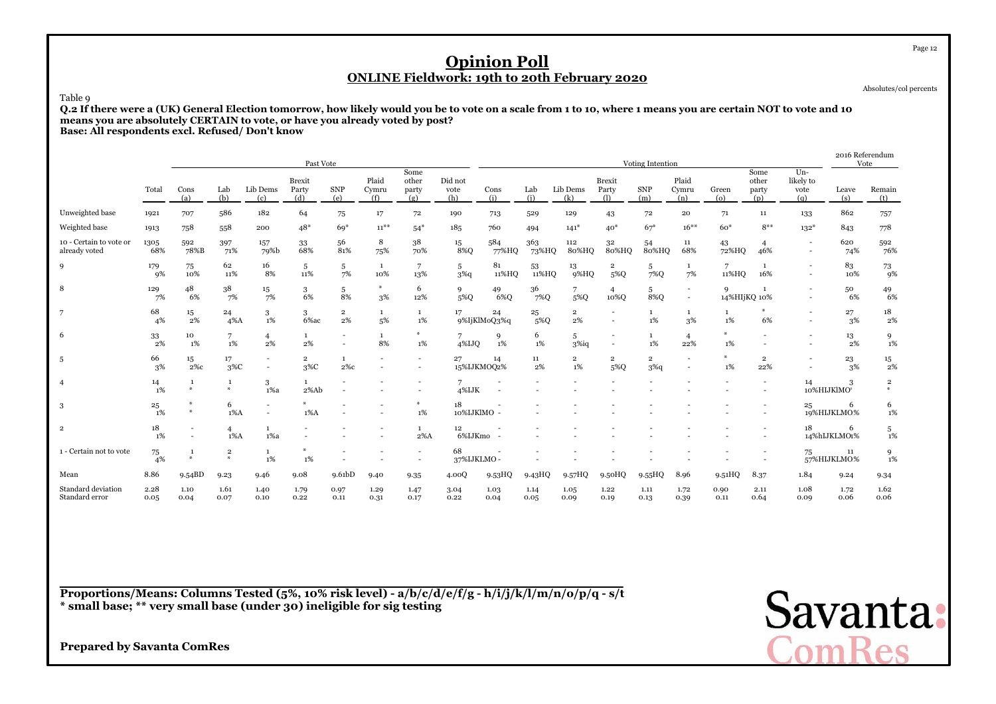Absolutes/col percents

Page 12

#### Table 9

 **Q.2 If there were a (UK) General Election tomorrow, how likely would you be to vote on a scale from 1 to 10, where 1 means you are certain NOT to vote and 10means you are absolutely CERTAIN to vote, or have you already voted by post?Base: All respondents excl. Refused/ Don't know**

|                                          |              |                                    |                              |                      | Past Vote                     |                      |                             |                                                      |                        |                    |              |                         |                                                      | Voting Intention          |                       |                   |                               |                                    | 2016 Referendum<br>Vote |                              |
|------------------------------------------|--------------|------------------------------------|------------------------------|----------------------|-------------------------------|----------------------|-----------------------------|------------------------------------------------------|------------------------|--------------------|--------------|-------------------------|------------------------------------------------------|---------------------------|-----------------------|-------------------|-------------------------------|------------------------------------|-------------------------|------------------------------|
|                                          | Total        | Cons<br>(a)                        | Lab<br>(b)                   | Lib Dems<br>(c)      | <b>Brexit</b><br>Party<br>(d) | <b>SNP</b><br>(e)    | Plaid<br>Cymru<br>(f)       | Some<br>other<br>party<br>(g)                        | Did not<br>vote<br>(h) | Cons<br>(i)        | Lab<br>(i)   | Lib Dems<br>(k)         | <b>Brexit</b><br>Party<br>(1)                        | <b>SNP</b><br>(m)         | Plaid<br>Cymru<br>(n) | Green<br>(o)      | Some<br>other<br>party<br>(p) | $Un -$<br>likely to<br>vote<br>(q) | Leave<br>(s)            | Remain<br>(t)                |
| Unweighted base                          | 1921         | 707                                | 586                          | 182                  | 64                            | 75                   | 17                          | 72                                                   | 190                    | 713                | 529          | 129                     | 43                                                   | 72                        | 20                    | 71                | $11\,$                        | 133                                | 862                     | 757                          |
| Weighted base                            | 1913         | 758                                | 558                          | 200                  | $48*$                         | $69*$                | $11^{***}$                  | $54*$                                                | 185                    | 760                | 494          | $141*$                  | $40*$                                                | $67*$                     | $16***$               | $60*$             | $8***$                        | $132*$                             | 843                     | 778                          |
| 10 - Certain to vote or<br>already voted | 1305<br>68%  | 592<br>78%B                        | 397<br>71%                   | 157<br>79%b          | 33<br>68%                     | 56<br>81%            | 8<br>75%                    | 38<br>70%                                            | 15<br>8%Q              | 584<br>77%HQ       | 363<br>73%HQ | 112<br>80%HQ            | 32<br>80%HQ                                          | 54<br>80%HQ               | 11<br>68%             | 43<br>72%HQ       | 46%                           |                                    | 620<br>74%              | 592<br>76%                   |
| 9                                        | 179<br>9%    | 75<br>10%                          | 62<br>11%                    | 16<br>8%             | 5<br>11%                      | 5<br>7%              | 1<br>10%                    | 7<br>13%                                             | -5<br>$3\%q$           | 81<br>11%HQ        | 53<br>11%HQ  | 13<br>9%HQ              | $\overline{2}$<br>5%Q                                | 5<br>7%Q                  | 1<br>7%               | 11%HQ             | 1<br>16%                      |                                    | 83<br>10%               | 73<br><b>9%</b>              |
| 8                                        | 129<br>7%    | 48<br>6%                           | 38<br>7%                     | 15<br>7%             | 3<br>6%                       | 5<br>8%              | $\boldsymbol{\omega}$<br>3% | 6<br>12%                                             | 9<br>5%Q               | 49<br>6%Q          | 36<br>7%Q    | 5%Q                     | 10%Q                                                 | 5<br>8%Q                  | $\sim$                | 9<br>14%HIjKQ 10% | $\mathbf{1}$                  |                                    | 50<br>6%                | 49<br>6%                     |
| 7                                        | 68<br>4%     | 15<br>2%                           | 24<br>$4\%$ A                | 3<br>1%              | 3<br>6%ac                     | $\overline{2}$<br>2% | $\mathbf{1}$<br>5%          | $\mathbf{1}$<br>1%                                   | 17                     | 24<br>9%IjKlMoQ3%q | 25<br>5%Q    | $\overline{2}$<br>$2\%$ |                                                      | $\mathbf{1}$<br>1%        | $\mathbf{1}$<br>3%    | 1<br>1%           | ₩<br>6%                       |                                    | 27<br>3%                | 18<br>$2\%$                  |
| 6                                        | 33<br>2%     | 10<br>1%                           | 7<br>$1\%$                   | $\overline{4}$<br>2% | $\mathbf{1}$<br>2%            | $\sim$               | $\mathbf{1}$<br>8%          | $*$<br>1%                                            | 7<br>4%IJO             | 9<br>1%            | 6<br>$1\%$   | 5<br>$3\%$ iq           | $\overline{\phantom{a}}$<br>$\overline{\phantom{a}}$ | $\mathbf{1}$<br>$1\%$     | $\overline{4}$<br>22% | $\ast$<br>1%      | $\overline{\phantom{a}}$      |                                    | 13<br>2%                | 9<br>1%                      |
| 5                                        | 66<br>3%     | 15<br>$2\%c$                       | 17<br>$3\%C$                 |                      | $\overline{2}$<br>$3\%C$      | 1<br>$2\%c$          |                             | $\overline{a}$                                       | 27<br>15%IJKMOQ2%      | 14                 | 11<br>2%     | $\overline{2}$<br>1%    | $\overline{2}$<br>5%Q                                | $\overline{2}$<br>$3\%$ q |                       | $*$<br>1%         | $\overline{2}$<br>22%         |                                    | 23<br>3%                | $^{15}_{\phantom{1}2\%}$     |
| $\overline{4}$                           | 14<br>1%     | 1<br>$\frac{M}{2}$                 | $\mathbf{1}$<br>$\mathbf{a}$ | 3<br>$1\%a$          | $\mathbf{1}$<br>2%Ab          |                      |                             |                                                      | 4%IJK                  |                    |              |                         |                                                      |                           |                       |                   |                               | 14                                 | 3<br>10%HIJKlMO*        | $\overline{\mathbf{2}}$<br>₩ |
| 3                                        | 25<br>1%     | $\ast$                             | 6<br>$1\%$ A                 |                      | $1\%$ A                       |                      |                             | $*$<br>1%                                            | 18<br>10%IJKlMO -      |                    |              |                         |                                                      |                           |                       |                   | $\overline{\phantom{a}}$      | 25                                 | 6<br>19%HIJKLMO%        | 6<br>1%                      |
| $\overline{2}$                           | 18<br>1%     | $\overline{\phantom{a}}$<br>$\sim$ | 4<br>$1\%$ A                 | $1\%a$               | $\ddot{\phantom{1}}$          |                      |                             | $\mathbf{1}$<br>$2\%$ A                              | 12<br>6%IJKmo          | $\sim$             |              |                         |                                                      |                           |                       |                   |                               | 18                                 | 6<br>14%hIJKLMO1%       | 5<br>$1\%$                   |
| 1 - Certain not to vote                  | 75<br>4%     | -1<br>$\Delta L$                   | $\mathbf 2$<br>$\Delta L$    | 1<br>1%              | *<br>$1\%$                    |                      |                             | $\overline{\phantom{a}}$<br>$\overline{\phantom{a}}$ | 68<br>37%IJKLMO-       |                    |              |                         |                                                      |                           |                       |                   |                               | 75                                 | 11<br>57%HIJKLMO%       | 9<br>1%                      |
| Mean                                     | 8.86         | 9.54BD                             | 9.23                         | 9.46                 | 9.08                          | 9.61 <sub>bD</sub>   | 9.40                        | 9.35                                                 | 4.00Q                  | 9.53HQ             | 9.43HQ       | 9.57HQ                  | 9.50HQ                                               | 9.55HQ                    | 8.96                  | 9.51HQ            | 8.37                          | 1.84                               | 9.24                    | 9.34                         |
| Standard deviation<br>Standard error     | 2.28<br>0.05 | 1.10<br>0.04                       | 1.61<br>0.07                 | 1.40<br>0.10         | 1.79<br>0.22                  | 0.97<br>0.11         | 1.29<br>0.31                | 1.47<br>0.17                                         | 3.04<br>0.22           | 1.03<br>0.04       | 1.14<br>0.05 | 1.05<br>0.09            | 1.22<br>0.19                                         | 1.11<br>0.13              | 1.72<br>0.39          | 0.90<br>0.11      | 2.11<br>0.64                  | 1.08<br>0.09                       | 1.72<br>0.06            | 1.62<br>0.06                 |

**Proportions/Means: Columns Tested (5%, 10% risk level) - a/b/c/d/e/f/g - h/i/j/k/l/m/n/o/p/q - s/t\* small base; \*\* very small base (under 30) ineligible for sig testing**

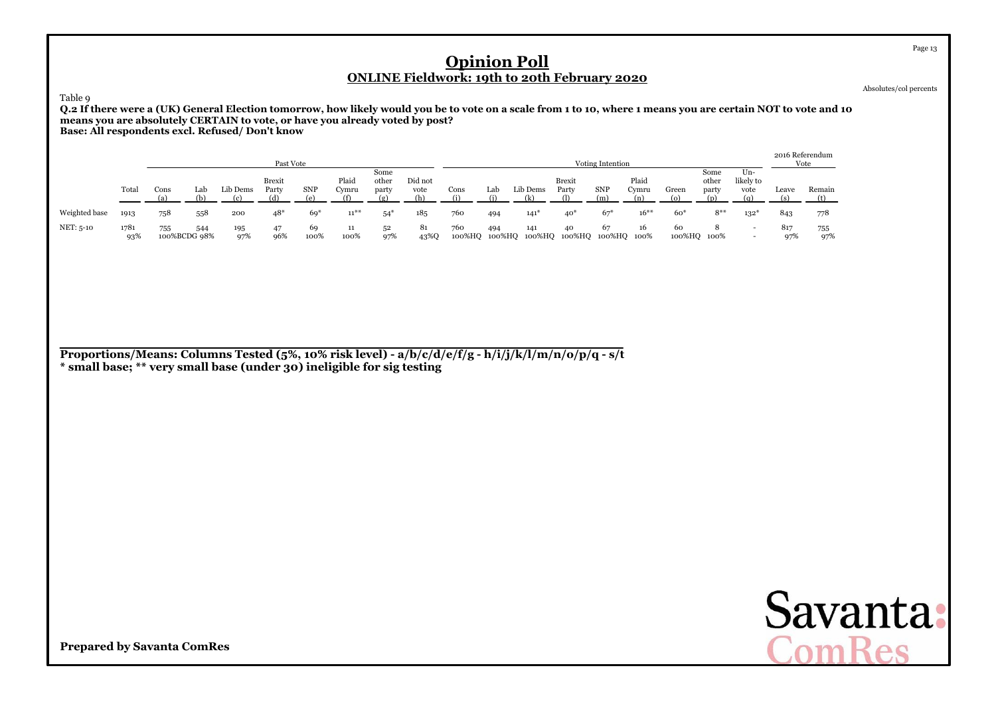Absolutes/col percents

Page 13

Table 9

 **Q.2 If there were a (UK) General Election tomorrow, how likely would you be to vote on a scale from 1 to 10, where 1 means you are certain NOT to vote and 10means you are absolutely CERTAIN to vote, or have you already voted by post?Base: All respondents excl. Refused/ Don't know**

|               |             |                     |     |            | Past Vote              |            |                |                        |                        |               |               |          |                                     | Voting Intention |                |                   |                        |                                                      | 2016 Referendum | Vote       |
|---------------|-------------|---------------------|-----|------------|------------------------|------------|----------------|------------------------|------------------------|---------------|---------------|----------|-------------------------------------|------------------|----------------|-------------------|------------------------|------------------------------------------------------|-----------------|------------|
|               | Total       | Cons                | Lab | Lib Dems   | Brexit<br>Party<br>(d) | <b>SNP</b> | Plaid<br>Cymru | Some<br>other<br>party | Did not<br>vote<br>(h) | Cons          | Lab           | Lib Dems | <b>Brexit</b><br>Party<br>$\bigcap$ | SNP<br>(m)       | Plaid<br>Cvmru | Green             | Some<br>other<br>party | Un-<br>likely to<br>vote<br>(n)                      | Leave           | Remain     |
| Weighted base | 1913        | 758                 | 558 | 200        | $48*$                  | $69*$      | $11^{**}$      | $54*$                  | 185                    | 760           | 494           | 141"     | $40^*$                              | $67*$            | $16***$        | $60*$             | $8**$                  | $132*$                                               | 843             | 778        |
| NET: 5-10     | 1781<br>93% | 755<br>100%BCDG 98% | 544 | 195<br>97% | 47<br>96%              | 69<br>100% | 11<br>100%     | 52<br>97%              | 81<br>43%Q             | 760<br>100%HQ | 494<br>100%HQ | 141      | 40<br>100%HQ 100%HQ 100%HQ 100%     | 67               | 16             | 60<br>100%HQ 100% |                        | $\overline{\phantom{0}}$<br>$\overline{\phantom{0}}$ | 817<br>97%      | 755<br>97% |

**Proportions/Means: Columns Tested (5%, 10% risk level) - a/b/c/d/e/f/g - h/i/j/k/l/m/n/o/p/q - s/t\* small base; \*\* very small base (under 30) ineligible for sig testing**

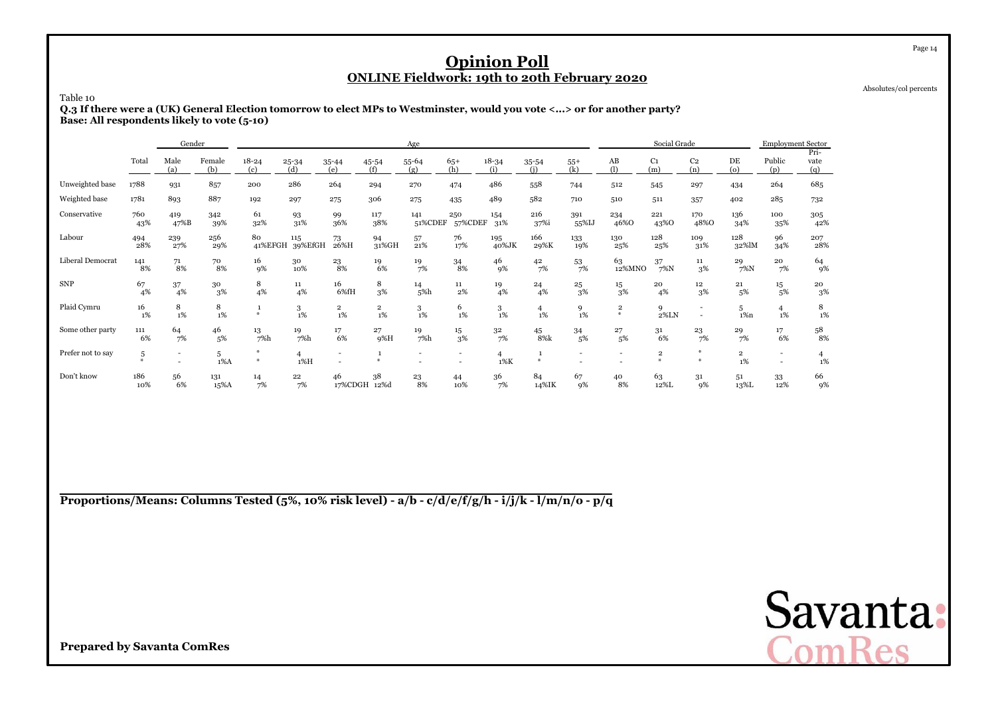Absolutes/col percents

Page 14

Table 10

 **Q.3 If there were a (UK) General Election tomorrow to elect MPs to Westminster, would you vote <...> or for another party?Base: All respondents likely to vote (5-10)**

|                   |                    | Gender                   |               |                  |                  |                      |                               | Age            |                        |                          |                      |                          |                          | Social Grade                  |                       |                      | <b>Employment Sector</b> |                          |
|-------------------|--------------------|--------------------------|---------------|------------------|------------------|----------------------|-------------------------------|----------------|------------------------|--------------------------|----------------------|--------------------------|--------------------------|-------------------------------|-----------------------|----------------------|--------------------------|--------------------------|
|                   | Total              | Male<br>(a)              | Female<br>(b) | $18 - 24$<br>(c) | $25 - 34$<br>(d) | 35-44<br>(e)         | 45-54<br>(f)                  | 55-64<br>(g)   | $65+$<br>(h)           | $18 - 34$<br>(i)         | $35 - 54$<br>(i)     | $55+$<br>(k)             | AB<br>(1)                | C <sub>1</sub><br>(m)         | C <sub>2</sub><br>(n) | DE<br>(o)            | Public<br>(p)            | Pri-<br>vate<br>(q)      |
| Unweighted base   | 1788               | 931                      | 857           | 200              | 286              | 264                  | 294                           | 270            | 474                    | 486                      | 558                  | 744                      | 512                      | 545                           | 297                   | 434                  | 264                      | 685                      |
| Weighted base     | 1781               | 893                      | 887           | 192              | 297              | 275                  | 306                           | 275            | 435                    | 489                      | 582                  | 710                      | 510                      | 511                           | 357                   | 402                  | 285                      | 732                      |
| Conservative      | 760<br>43%         | 419<br>47%B              | 342<br>39%    | 61<br>32%        | 93<br>31%        | 99<br>36%            | 117<br>38%                    | 141<br>51%CDEF | 250<br>57%CDEF         | 154<br>31%               | 216<br>37%i          | 391<br>55%IJ             | 234<br>46%0              | 221<br>43%0                   | 170<br>48%0           | 136<br>34%           | 100<br>35%               | 305<br>42%               |
| Labour            | 494<br>28%         | 239<br>27%               | 256<br>29%    | 80<br>41%EFGH    | 115<br>39%EfGH   | 73<br>26%H           | 94<br>31%GH                   | 57<br>21%      | 76<br>17%              | 195<br>40%JK             | 166<br>29%K          | 133<br>19%               | 130<br>25%               | 128<br>25%                    | 109<br>31%            | 128<br>32%lM         | 96<br>34%                | 207<br>28%               |
| Liberal Democrat  | 141<br>8%          | 71<br>8%                 | 70<br>8%      | 16<br>9%         | 30<br>10%        | 23<br>8%             | 19<br>6%                      | 19<br>7%       | $\substack{34 \\ 8\%}$ | 46<br>9%                 | 42<br>7%             | 53<br>7%                 | 63<br>12%MNO             | 37<br>$7\%$ N                 | $11\,$<br>3%          | 29<br>$7\%$ N        | 20<br>7%                 | 64<br>9%                 |
| <b>SNP</b>        | 67<br>4%           | 37<br>4%                 | 30<br>3%      | 8<br>4%          | 11<br>4%         | 16<br>6%fH           | 8<br>3%                       | 14<br>5%h      | 11<br>2%               | 19<br>4%                 | 24<br>4%             | $^{25}_{\phantom{1}3\%}$ | $^{15}_{\phantom{1}3\%}$ | 20<br>4%                      | 12<br>3%              | 21<br>5%             | 15<br>5%                 | $^{20}_{\phantom{1}3\%}$ |
| Plaid Cymru       | 16<br>$1\%$        | 8<br>1%                  | 8<br>1%       | as.              | 3<br>1%          | $\overline{2}$<br>1% | $\overline{\mathbf{2}}$<br>1% | 3<br>1%        | 6<br>1%                | 3<br>1%                  | $\overline{4}$<br>1% | $\frac{9}{1\%}$          | $\mathbf 2$<br>$\ast$    | 9<br>2%LN                     |                       | 5<br>$1\%n$          | $\overline{4}$<br>$1\%$  | 8<br>$1\%$               |
| Some other party  | 111<br>6%          | 64<br>7%                 | 46<br>5%      | 13<br>7%h        | 19<br>7%h        | 17<br>6%             | 27<br>9%H                     | 19<br>7%h      | 15<br>3%               | 32<br>7%                 | 45<br>8%k            | 34<br>5%                 | 27<br>5%                 | 31<br>6%                      | 23<br>7%              | 29<br>7%             | 17<br>6%                 | 58<br>8%                 |
| Prefer not to say | 5<br>$\frac{M}{2}$ | $\overline{\phantom{a}}$ | 5<br>$1\%$ A  | 華<br>#           | 1%H              | $\overline{a}$       |                               |                |                        | $\overline{4}$<br>$1\%K$ | $\Delta L$           | $\overline{\phantom{a}}$ | $\overline{a}$           | $\overline{\mathbf{2}}$<br>¥. | Ab                    | $\overline{2}$<br>1% | $\sim$<br>$\sim$         | 4<br>1%                  |
| Don't know        | 186<br>10%         | 56<br>6%                 | 131<br>15%A   | 14<br>7%         | 22<br>7%         | 46<br>17%CDGH        | 38<br>12%d                    | 23<br>8%       | 44<br>10%              | 36<br>7%                 | 84<br>14%IK          | 67<br>9%                 | 40<br>8%                 | 63<br>12%L                    | 31<br>9%              | 51<br>13%L           | 33<br>12%                | 66<br>9%                 |

**Proportions/Means: Columns Tested (5%, 10% risk level) - a/b - c/d/e/f/g/h - i/j/k - l/m/n/o - p/q**

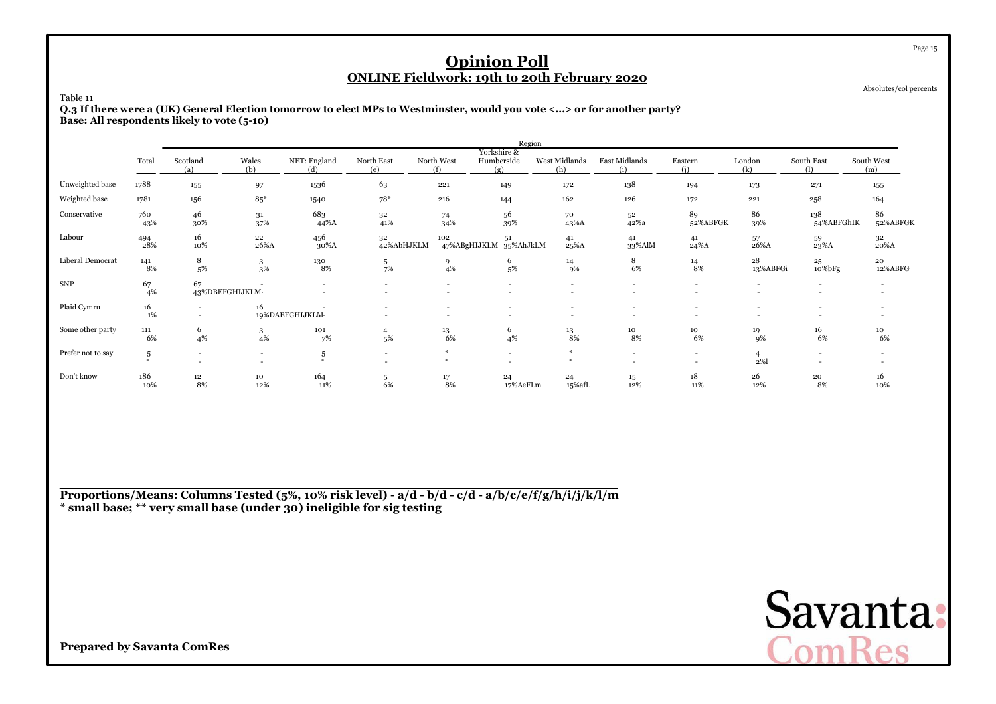Absolutes/col percents

Page 15

Table 11

 **Q.3 If there were a (UK) General Election tomorrow to elect MPs to Westminster, would you vote <...> or for another party?Base: All respondents likely to vote (5-10)**

|                   |                              |                 |                                                      |                                                      |                               |                          | Region                                               |                                    |                                                      |                        |                          |                                                      |                   |
|-------------------|------------------------------|-----------------|------------------------------------------------------|------------------------------------------------------|-------------------------------|--------------------------|------------------------------------------------------|------------------------------------|------------------------------------------------------|------------------------|--------------------------|------------------------------------------------------|-------------------|
|                   | Total                        | Scotland<br>(a) | Wales<br>(b)                                         | NET: England<br>(d)                                  | North East<br>(e)             | North West<br>(f)        | Yorkshire &<br>Humberside<br>(g)                     | West Midlands<br>(h)               | East Midlands<br>(i)                                 | Eastern<br>(i)         | London<br>(k)            | South East<br>(1)                                    | South West<br>(m) |
| Unweighted base   | 1788                         | 155             | 97                                                   | 1536                                                 | 63                            | 221                      | 149                                                  | 172                                | 138                                                  | 194                    | 173                      | 271                                                  | 155               |
| Weighted base     | 1781                         | 156             | $85*$                                                | 1540                                                 | $78*$                         | 216                      | 144                                                  | 162                                | 126                                                  | 172                    | 221                      | 258                                                  | 164               |
| Conservative      | 760<br>43%                   | 46<br>30%       | 31<br>37%                                            | 683<br>44%A                                          | 32<br>41%                     | 74<br>34%                | 56<br>39%                                            | 70<br>43%A                         | 52<br>42%a                                           | 89<br>52%ABFGK         | 86<br>39%                | 138<br>54%ABFGhIK                                    | 86<br>52%ABFGK    |
| Labour            | 494<br>28%                   | 16<br>10%       | 22<br>26%A                                           | 456<br>30%A                                          | 32<br>42%AbHJKLM              | 102                      | 51<br>47%ABgHIJKLM 35%AhJkLM                         | 41<br>25%A                         | 41<br>33%AlM                                         | 41<br>24%A             | 57<br>26%A               | 59<br>23%A                                           | 32<br>20%A        |
| Liberal Democrat  | $\underset{8\%}{^{141}}$     | 8<br>5%         | 3<br>3%                                              | 130<br>8%                                            | $\frac{5}{7\%}$               | $\frac{9}{4\%}$          | 6<br>5%                                              | $\frac{14}{9\%}$                   | 8<br>6%                                              | $\substack{14 \\ 8\%}$ | 28<br>13%ABFGi           | 25<br>10%bFg                                         | 20<br>12%ABFG     |
| <b>SNP</b>        | 67<br>4%                     | 67              | 43%DBEFGHIJKLM-                                      | $\overline{\phantom{0}}$<br>$\overline{\phantom{0}}$ | $\overline{\phantom{a}}$<br>۰ | $\sim$<br>$\overline{a}$ | $\overline{a}$<br>$\overline{\phantom{0}}$           | $\sim$<br>$\overline{\phantom{0}}$ | $\overline{a}$<br>$\overline{a}$                     |                        | $\overline{\phantom{a}}$ | $\overline{\phantom{a}}$<br>$\overline{\phantom{a}}$ |                   |
| Plaid Cymru       | 16<br>1%                     | $\sim$          | 16                                                   | 19%DAEFGHIJKLM-                                      |                               | $\overline{a}$           | $\overline{\phantom{a}}$<br>$\overline{\phantom{a}}$ | $\overline{\phantom{0}}$           | ٠<br>$\overline{\phantom{a}}$                        |                        |                          | $\overline{\phantom{a}}$                             |                   |
| Some other party  | 111<br>6%                    | 6<br>4%         | 3<br>4%                                              | 101<br>7%                                            | 4<br>5%                       | 13<br>6%                 | 6<br>4%                                              | $^{13}_{\ 8\%}$                    | 10<br>8%                                             | 10<br>6%               | 19<br>9%                 | 16<br>6%                                             | 10<br>6%          |
| Prefer not to say | $\,$ 5 $\,$<br>$\frac{M}{N}$ | $\sim$          | $\overline{\phantom{a}}$<br>$\overline{\phantom{a}}$ | 5<br>$\mathcal{M}_r$                                 | $\overline{\phantom{a}}$      | $\frac{1}{2}$<br>$\ast$  | $\overline{\phantom{a}}$                             | $\frac{M}{2}$                      | $\overline{\phantom{a}}$<br>$\overline{\phantom{0}}$ |                        | $\overline{4}$<br>2%     | $\overline{a}$                                       |                   |
| Don't know        | 186<br>10%                   | 12<br>8%        | 10<br>12%                                            | 164<br>11%                                           | 5<br>6%                       | 17<br>8%                 | 24<br>17%AeFLm                                       | 24<br>15%afL                       | 15<br>12%                                            | 18<br>11%              | 26<br>12%                | 20<br>8%                                             | 16<br>10%         |

**Proportions/Means: Columns Tested (5%, 10% risk level) - a/d - b/d - c/d - a/b/c/e/f/g/h/i/j/k/l/m\* small base; \*\* very small base (under 30) ineligible for sig testing**

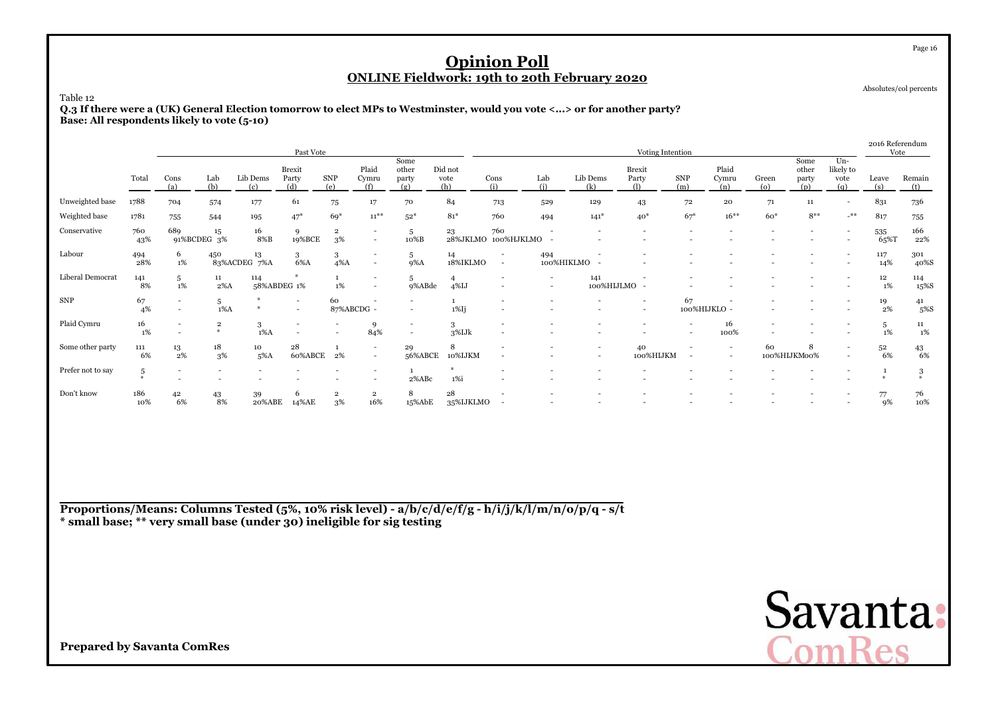Absolutes/col percents

Page 16

#### Table 12

 **Q.3 If there were a (UK) General Election tomorrow to elect MPs to Westminster, would you vote <...> or for another party?Base: All respondents likely to vote (5-10)**

|                   |                    |                          |                       |                    | Past Vote                                            |                               |                                    |                                                      |                        |                            |                                                      |                          | Voting Intention         |                    |                                                      |                             |                               |                                   | 2016 Referendum<br>Vote |                   |
|-------------------|--------------------|--------------------------|-----------------------|--------------------|------------------------------------------------------|-------------------------------|------------------------------------|------------------------------------------------------|------------------------|----------------------------|------------------------------------------------------|--------------------------|--------------------------|--------------------|------------------------------------------------------|-----------------------------|-------------------------------|-----------------------------------|-------------------------|-------------------|
|                   | Total              | Cons<br>(a)              | Lab<br>(b)            | Lib Dems<br>(c)    | Brexit<br>Party<br>(d)                               | <b>SNP</b><br>(e)             | Plaid<br>Cymru<br>(f)              | Some<br>other<br>party<br>(g)                        | Did not<br>vote<br>(h) | Cons<br>(i)                | Lab<br>(i)                                           | Lib Dems<br>(k)          | Brexit<br>Party<br>(1)   | <b>SNP</b><br>(m)  | Plaid<br>Cymru<br>(n)                                | Green<br>$\left( 0 \right)$ | Some<br>other<br>party<br>(p) | $Un-$<br>likely to<br>vote<br>(q) | Leave<br>(s)            | Remain<br>(t)     |
| Unweighted base   | 1788               | 704                      | 574                   | 177                | 61                                                   | $75\,$                        | 17                                 | 70                                                   | 84                     | 713                        | 529                                                  | 129                      | 43                       | 72                 | ${\bf 20}$                                           | 71                          | 11                            | $\blacksquare$                    | 831                     | 736               |
| Weighted base     | 1781               | 755                      | 544                   | 195                | $47*$                                                | 69*                           | $11^{**}$                          | $52*$                                                | $81*$                  | 760                        | 494                                                  | $141*$                   | $40*$                    | $67*$              | $16***$                                              | $60*$                       | $8***$                        | $-$ **                            | 817                     | 755               |
| Conservative      | 760<br>43%         | 689                      | 15<br>91%BCDEG 3%     | 16<br>8%B          | 9<br>19%BCE                                          | $\overline{2}$<br>3%          | $\sim$                             | 5<br>10%B                                            | 23                     | 760<br>28%JKLMO 100%HJKLMO |                                                      |                          |                          |                    |                                                      |                             |                               | $\overline{\phantom{a}}$          | 535<br>65%T             | 166<br>22%        |
| Labour            | 494<br>28%         | 6<br>1%                  | 450                   | 13<br>83%ACDEG 7%A | 3<br>6%A                                             | 3<br>$4\%$ A                  |                                    | 5<br>9%A                                             | 14<br>18%IKLMO         | $\overline{\phantom{a}}$   | 494<br>100%HIKLMO                                    |                          |                          |                    |                                                      |                             |                               |                                   | 117<br>14%              | 301<br>40%S       |
| Liberal Democrat  | 141<br>8%          | 5<br>1%                  | 11<br>$2\%$ A         | 114<br>58%ABDEG 1% | $\boldsymbol{\omega}$                                | $1\%$                         |                                    | 5<br>9%ABde                                          | $4\%$ IJ               | $\overline{\phantom{a}}$   | $\overline{\phantom{0}}$<br>$\overline{\phantom{a}}$ | 141<br>100%HIJLMO        |                          |                    |                                                      |                             |                               |                                   | 12<br>1%                | 114<br>15%S       |
| <b>SNP</b>        | 67<br>4%           | $\overline{\phantom{a}}$ | 5<br>$1\%$ A          |                    | $\overline{\phantom{a}}$<br>$\overline{\phantom{0}}$ | 60<br>87%ABCDG -              |                                    | $\overline{\phantom{a}}$                             | $1\%$ Ij               |                            |                                                      |                          | $\overline{\phantom{a}}$ | 67<br>100%HIJKLO - |                                                      |                             |                               |                                   | 19<br>2%                | 41<br>5%S         |
| Plaid Cymru       | 16<br>1%           |                          | $\overline{2}$<br>$*$ | 3<br>$1\%$ A       |                                                      |                               | 9<br>84%                           | $\overline{\phantom{a}}$<br>$\overline{\phantom{a}}$ | 3<br>3%IJk             |                            |                                                      |                          |                          |                    | 16<br>100%                                           |                             |                               |                                   | 5<br>1%                 | 11<br>1%          |
| Some other party  | 111<br>6%          | 13<br>2%                 | 18<br>3%              | 10<br>$5\%$ A      | 28<br>60%ABCE                                        | 2%                            | $\sim$<br>$\overline{\phantom{a}}$ | 29<br>56%ABCE                                        | 8<br>10%IJKM           |                            |                                                      | $\overline{\phantom{0}}$ | 40<br>100%HIJKM          |                    | $\overline{\phantom{a}}$<br>$\overline{\phantom{a}}$ | 60<br>100%HIJKM00%          | 8                             | $\overline{\phantom{a}}$          | 52<br>6%                | $^{43}_{\ 6\%}$   |
| Prefer not to say | 5<br>$\frac{M}{2}$ |                          |                       |                    |                                                      |                               |                                    | 2%ABc                                                | $1\%$ i                |                            |                                                      |                          |                          |                    |                                                      |                             |                               |                                   |                         | 3<br>$\mathbf{a}$ |
| Don't know        | 186<br>10%         | 42<br>6%                 | 43<br>8%              | 39<br>20%ABE       | 6<br>14%AE                                           | $\overline{\mathbf{2}}$<br>3% | $\overline{2}$<br>16%              | 8<br>15%AbE                                          | 28<br>35%IJKLMO        |                            |                                                      |                          |                          |                    |                                                      |                             |                               |                                   | 77<br>9%                | 76<br>10%         |

**Proportions/Means: Columns Tested (5%, 10% risk level) - a/b/c/d/e/f/g - h/i/j/k/l/m/n/o/p/q - s/t\* small base; \*\* very small base (under 30) ineligible for sig testing**

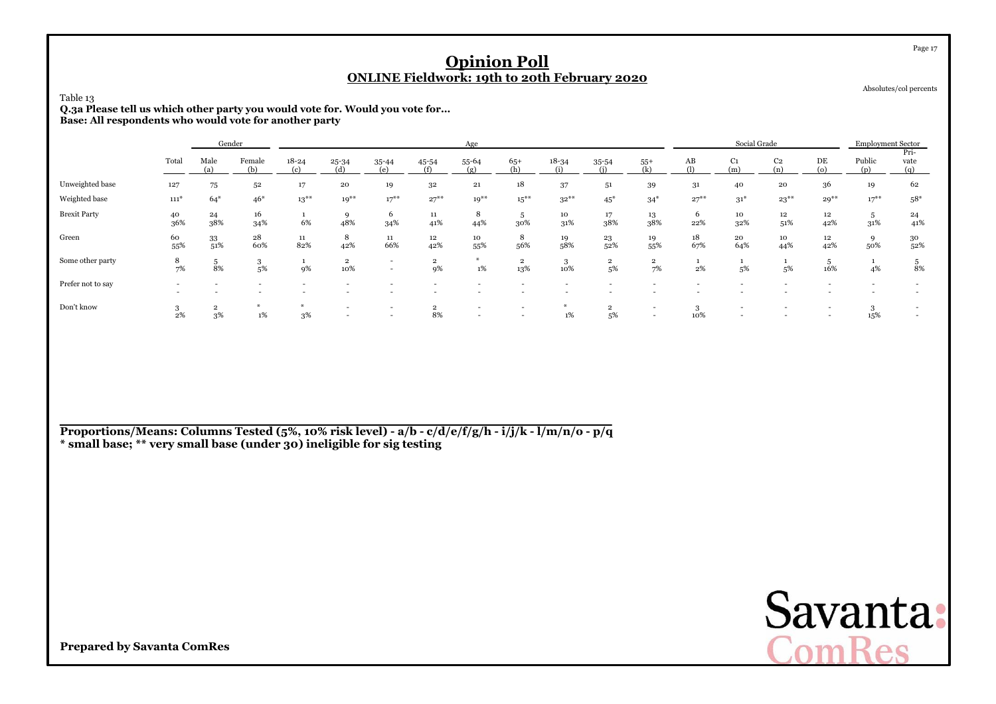| Table 13<br>Q.3a Please tell us which other party you would vote for. Would you vote for<br>Base: All respondents who would vote for another party |                          |                      |               |                    |                       |                          |                      | <b>Opinion Poll</b><br><b>ONLINE Fieldwork: 19th to 20th February 2020</b> |                       |                  |                      |                               |                          |                       |                       |                |                          | Page 17<br>Absolutes/col percents |
|----------------------------------------------------------------------------------------------------------------------------------------------------|--------------------------|----------------------|---------------|--------------------|-----------------------|--------------------------|----------------------|----------------------------------------------------------------------------|-----------------------|------------------|----------------------|-------------------------------|--------------------------|-----------------------|-----------------------|----------------|--------------------------|-----------------------------------|
|                                                                                                                                                    |                          |                      | Gender        |                    |                       |                          |                      |                                                                            |                       | Social Grade     |                      |                               | <b>Employment Sector</b> |                       |                       |                |                          |                                   |
|                                                                                                                                                    | Total                    | Male<br>(a)          | Female<br>(b) | $18 - 24$<br>(c)   | 25-34<br>(d)          | 35-44<br>(e)             | 45-54<br>(f)         | 55-64<br>(g)                                                               | $65+$<br>(h)          | $18 - 34$<br>(i) | 35-54<br>(i)         | $55+$<br>(k)                  | AB<br>(1)                | C <sub>1</sub><br>(m) | C <sub>2</sub><br>(n) | DE<br>$\omega$ | Public<br>(p)            | Pri-<br>vate<br>(q)               |
| Unweighted base                                                                                                                                    | 127                      | 75                   | 52            | 17                 | 20                    | 19                       | 32                   | 21                                                                         | 18                    | 37               | 51                   | 39                            | 31                       | 40                    | 20                    | 36             | 19                       | 62                                |
| Weighted base                                                                                                                                      | $111*$                   | $64*$                | $46*$         | $13***$            | $10^{**}$             | $17***$                  | $27***$              | $10^{**}$                                                                  | $15***$               | $32***$          | $45*$                | $34*$                         | $27***$                  | $31*$                 | $23***$               | $29***$        | $17***$                  | $58*$                             |
| <b>Brexit Party</b>                                                                                                                                | 40<br>36%                | 24<br>38%            | 16<br>34%     | $\mathbf{1}$<br>6% | 9<br>48%              | 6<br>34%                 | $11\,$<br>41%        | 8<br>44%                                                                   | 5<br>30%              | 10<br>31%        | 17<br>38%            | 13<br>38%                     | 6<br>22%                 | 10<br>32%             | 12<br>51%             | $12\,$<br>42%  | 5<br>31%                 | 24<br>41%                         |
| Green                                                                                                                                              | 60<br>55%                | 33<br>51%            | 28<br>60%     | 11<br>82%          | 8<br>42%              | 11<br>66%                | 12<br>42%            | 10<br>55%                                                                  | 8<br>56%              | 19<br>58%        | 23<br>52%            | 19<br>55%                     | 18<br>67%                | 20<br>64%             | 10<br>44%             | $12\,$<br>42%  | 9<br>50%                 | 30<br>52%                         |
| Some other party                                                                                                                                   | 8<br>7%                  | 5<br>8%              | 3<br>5%       | $\mathbf{1}$<br>9% | $\overline{2}$<br>10% | $\sim$<br>$\sim$         | $\overline{2}$<br>9% | $\ast$<br>$1\%$                                                            | $\overline{2}$<br>13% | 3<br>10%         | $\overline{2}$<br>5% | $\overline{\mathbf{2}}$<br>7% | 1<br>2%                  | $\mathbf{1}$<br>5%    | $\mathbf{1}$<br>5%    | 5<br>16%       | 1<br>4%                  | 5<br>8%                           |
| Prefer not to say                                                                                                                                  | $\overline{\phantom{0}}$ |                      |               |                    |                       | $\overline{\phantom{a}}$ |                      |                                                                            | $\overline{a}$        |                  |                      |                               |                          |                       |                       |                | $\overline{\phantom{a}}$ |                                   |
| Don't know                                                                                                                                         | 3<br>$2\%$               | $\overline{2}$<br>3% | AL.<br>1%     | 3%                 |                       | $\overline{\phantom{a}}$ | $\overline{2}$<br>8% |                                                                            |                       | #<br>$1\%$       | $\overline{2}$<br>5% |                               | 3<br>10%                 |                       |                       |                | 3<br>15%                 |                                   |

**Proportions/Means: Columns Tested (5%, 10% risk level) - a/b - c/d/e/f/g/h - i/j/k - l/m/n/o - p/q\* small base; \*\* very small base (under 30) ineligible for sig testing**

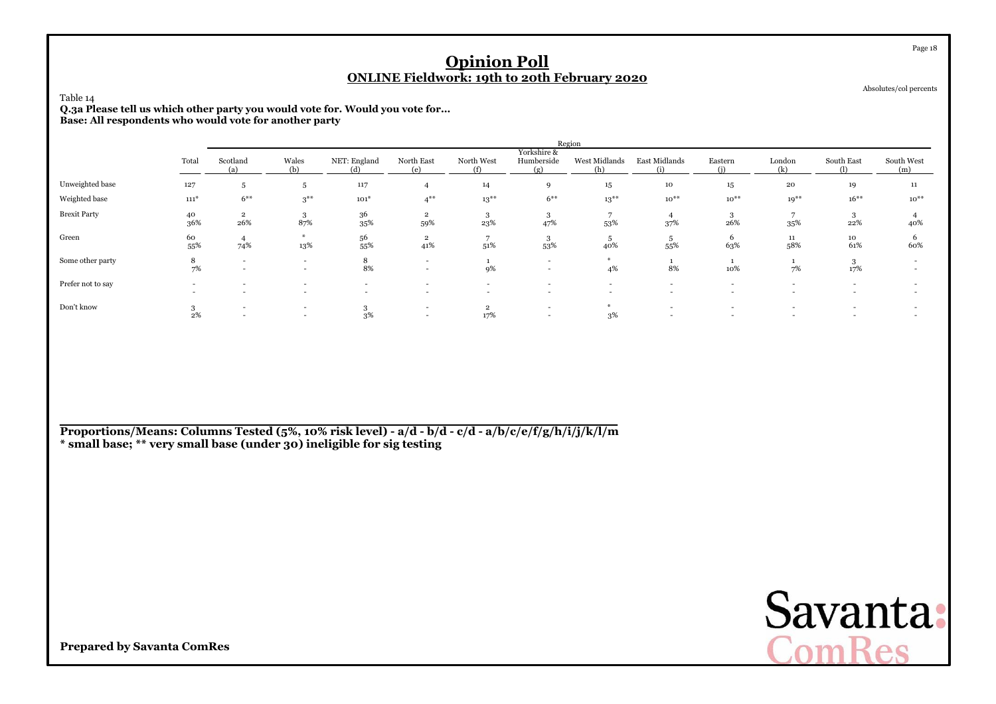| Table 14<br>Q.3a Please tell us which other party you would vote for. Would you vote for |                                                                                                                                                                                                                                |                          |                                                      |                                                      |                                                      | <b>Opinion Poll</b>                |                                                      | <b>ONLINE Fieldwork: 19th to 20th February 2020</b> |                          |                                                      |                                            |                   | Page 18<br>Absolutes/col percents |  |  |
|------------------------------------------------------------------------------------------|--------------------------------------------------------------------------------------------------------------------------------------------------------------------------------------------------------------------------------|--------------------------|------------------------------------------------------|------------------------------------------------------|------------------------------------------------------|------------------------------------|------------------------------------------------------|-----------------------------------------------------|--------------------------|------------------------------------------------------|--------------------------------------------|-------------------|-----------------------------------|--|--|
|                                                                                          | Base: All respondents who would vote for another party<br>Region<br>Yorkshire &<br>Wales<br>NET: England<br>North East<br>North West<br>West Midlands<br>East Midlands<br>London<br>Scotland<br>Humberside<br>Eastern<br>Total |                          |                                                      |                                                      |                                                      |                                    |                                                      |                                                     |                          |                                                      |                                            |                   |                                   |  |  |
|                                                                                          |                                                                                                                                                                                                                                | (a)                      | (b)                                                  | (d)                                                  | (e)                                                  | (f)                                | (g)                                                  | (h)                                                 | (i)                      | (i)                                                  | (k)                                        | South East<br>(1) | South West<br>(m)                 |  |  |
| Unweighted base                                                                          | 127                                                                                                                                                                                                                            | 5                        | $\overline{5}$                                       | 117                                                  | $\overline{4}$                                       | 14                                 | $\mathbf{Q}$                                         | 15                                                  | 10                       | 15                                                   | 20                                         | 19                | 11                                |  |  |
| Weighted base                                                                            | $111*$                                                                                                                                                                                                                         | $6***$                   | $3***$                                               | $101*$                                               | $4***$                                               | $13***$                            | $6***$                                               | $13***$                                             | $10^{**}$                | $10^{**}$                                            | $19***$                                    | $16***$           | $10^{**}$                         |  |  |
| <b>Brexit Party</b>                                                                      | 40<br>36%                                                                                                                                                                                                                      | $\overline{2}$<br>26%    | 3<br>87%                                             | 36<br>35%                                            | $\overline{2}$<br>59%                                | -3<br>23%                          | 3<br>47%                                             | 7<br>53%                                            | $\overline{4}$<br>37%    | 3<br>26%                                             | 35%                                        | 3<br>22%          | 40%                               |  |  |
| Green                                                                                    | 60<br>55%                                                                                                                                                                                                                      | 4<br>74%                 | #<br>13%                                             | 56<br>55%                                            | $\overline{\mathbf{2}}$<br>41%                       | 51%                                | 3<br>53%                                             | 5<br>40%                                            | 5<br>55%                 | 6<br>63%                                             | $11\,$<br>58%                              | 10<br>61%         | 6<br>60%                          |  |  |
| Some other party                                                                         | 8<br>7%                                                                                                                                                                                                                        | $\overline{\phantom{0}}$ | $\sim$<br>$\overline{\phantom{a}}$                   | 8<br>8%                                              | $\overline{\phantom{a}}$<br>$\overline{\phantom{a}}$ | $\mathbf{1}$<br>9%                 | $\overline{\phantom{a}}$<br>$\overline{\phantom{a}}$ | $*$<br>4%                                           | $\mathbf{1}$<br>8%       | 10%                                                  | 7%                                         | 3<br>17%          |                                   |  |  |
| Prefer not to say                                                                        |                                                                                                                                                                                                                                |                          | $\overline{\phantom{a}}$<br>$\overline{\phantom{a}}$ | $\overline{\phantom{a}}$<br>$\overline{\phantom{a}}$ | $\overline{a}$<br>$\overline{a}$                     | $\sim$<br>$\overline{\phantom{a}}$ | $\overline{\phantom{a}}$<br>$\overline{\phantom{a}}$ | $\sim$<br>$\overline{\phantom{a}}$                  | $\sim$<br>$\overline{a}$ | $\overline{\phantom{a}}$<br>$\overline{\phantom{a}}$ | $\overline{a}$<br>$\overline{\phantom{a}}$ | $\sim$            |                                   |  |  |
| Don't know                                                                               | 3<br>2%                                                                                                                                                                                                                        |                          | $\overline{\phantom{a}}$<br>$\overline{\phantom{a}}$ | 3<br>3%                                              | $\overline{\phantom{a}}$                             | $\overline{2}$<br>17%              | $\overline{\phantom{a}}$                             | $*$<br>3%                                           |                          |                                                      |                                            |                   |                                   |  |  |

**Proportions/Means: Columns Tested (5%, 10% risk level) - a/d - b/d - c/d - a/b/c/e/f/g/h/i/j/k/l/m\* small base; \*\* very small base (under 30) ineligible for sig testing**

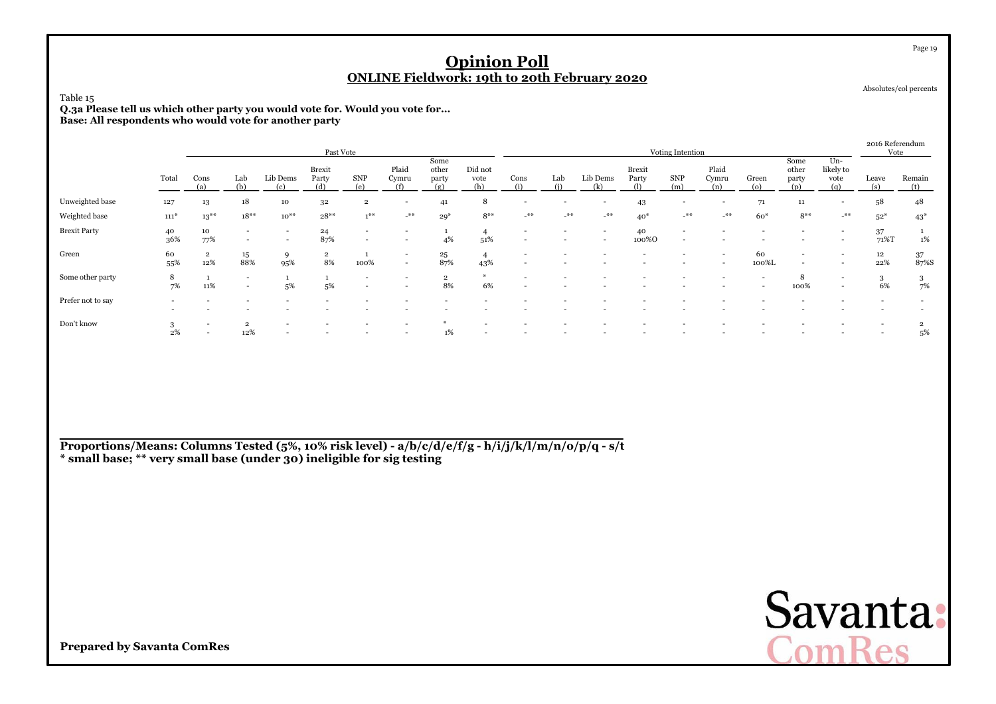#### Table 15

 **Q.3a Please tell us which other party you would vote for. Would you vote for...Base: All respondents who would vote for another party**

|                     |                          |                       |                                            |                          | Past Vote                     |                                                      |                                    |                              |                        |                                                      |       |                                                      |                        | Voting Intention                                     |                          |                                                      |                          |                                   | 2016 Referendum<br>Vote  |                      |
|---------------------|--------------------------|-----------------------|--------------------------------------------|--------------------------|-------------------------------|------------------------------------------------------|------------------------------------|------------------------------|------------------------|------------------------------------------------------|-------|------------------------------------------------------|------------------------|------------------------------------------------------|--------------------------|------------------------------------------------------|--------------------------|-----------------------------------|--------------------------|----------------------|
|                     | Total                    | Cons                  | Lab<br>(b)                                 | Lib Dems<br>(c)          | <b>Brexit</b><br>Party<br>(d) | <b>SNP</b>                                           | Plaid<br>Cymru<br>(f)              | Some<br>other<br>party<br>ſσ | Did not<br>vote<br>(h) | Cons                                                 | Lab   | Lib Dems<br>(k)                                      | <b>Brexit</b><br>Party | <b>SNP</b><br>(m)                                    | Plaid<br>Cymru<br>(n)    | Green<br>$\circ$                                     | Some<br>other<br>party   | $Un-$<br>likely to<br>vote<br>(q) | Leave<br>(s)             | Remain<br>(t)        |
| Unweighted base     | 127                      | 13                    | 18                                         | 10                       | 32                            | $\overline{2}$                                       | $\overline{\phantom{0}}$           | 41                           | 8                      | $\overline{a}$                                       |       | $\overline{\phantom{a}}$                             | 43                     | $\overline{\phantom{a}}$                             | $\overline{\phantom{a}}$ | 71                                                   | 11                       | $\overline{a}$                    | 58                       | 48                   |
| Weighted base       | $111*$                   | $13***$               | $18**$                                     | $10^{**}$                | $28**$                        | $1$ **                                               | $\star\ast$                        | $29*$                        | $8***$                 | $***$                                                | $***$ | $***$                                                | $40*$                  | $-$ **                                               | $-$ **                   | $60*$                                                | $8***$                   | $-$ **                            | $52*$                    | $43*$                |
| <b>Brexit Party</b> | 40<br>36%                | 10<br>77%             | $\overline{\phantom{a}}$<br>$\overline{a}$ | $\overline{\phantom{0}}$ | 24<br>87%                     | $\overline{\phantom{a}}$<br>$\overline{\phantom{0}}$ |                                    | 4%                           | 51%                    | $\overline{\phantom{a}}$<br>$\overline{\phantom{a}}$ |       | $\overline{\phantom{0}}$<br>$\overline{\phantom{0}}$ | 40<br>100%0            | $\overline{\phantom{a}}$<br>$\overline{\phantom{0}}$ |                          |                                                      |                          |                                   | 37<br>71%T               | 1%                   |
| Green               | 60<br>55%                | $\overline{2}$<br>12% | 15<br>88%                                  | 9<br>95%                 | $\overline{2}$<br>8%          | 100%                                                 | $\overline{\phantom{0}}$<br>$\sim$ | 25<br>87%                    | 4<br>43%               | $\overline{\phantom{a}}$                             |       |                                                      |                        |                                                      | $\overline{\phantom{0}}$ | 60<br>100%L                                          | $\overline{\phantom{a}}$ |                                   | $12 \overline{ }$<br>22% | 37<br>87%S           |
| Some other party    | 8<br>7%                  | 11%                   | $\overline{\phantom{a}}$<br>$\overline{a}$ | 5%                       | 5%                            | $\overline{\phantom{a}}$<br>$\overline{\phantom{0}}$ |                                    | $\overline{2}$<br>8%         | 6%                     | $\overline{\phantom{a}}$                             |       |                                                      |                        |                                                      |                          | $\overline{\phantom{a}}$<br>$\overline{\phantom{0}}$ | 8<br>100%                | $\overline{a}$                    | 3<br>6%                  | 3<br>7%              |
| Prefer not to say   | $\overline{\phantom{a}}$ |                       |                                            |                          |                               |                                                      |                                    |                              |                        |                                                      |       |                                                      |                        |                                                      |                          |                                                      |                          |                                   |                          |                      |
| Don't know          | 3<br>$2\%$               |                       | $\overline{2}$<br>12%                      | $\sim$                   | $\overline{\phantom{a}}$      | $\overline{\phantom{a}}$                             |                                    | 1%                           |                        | $\overline{a}$                                       |       |                                                      |                        |                                                      |                          |                                                      |                          |                                   | $\overline{\phantom{0}}$ | $\overline{2}$<br>5% |

**Proportions/Means: Columns Tested (5%, 10% risk level) - a/b/c/d/e/f/g - h/i/j/k/l/m/n/o/p/q - s/t \* small base; \*\* very small base (under 30) ineligible for sig testing**



**Prepared by Savanta ComRes**

Page 19

Absolutes/col percents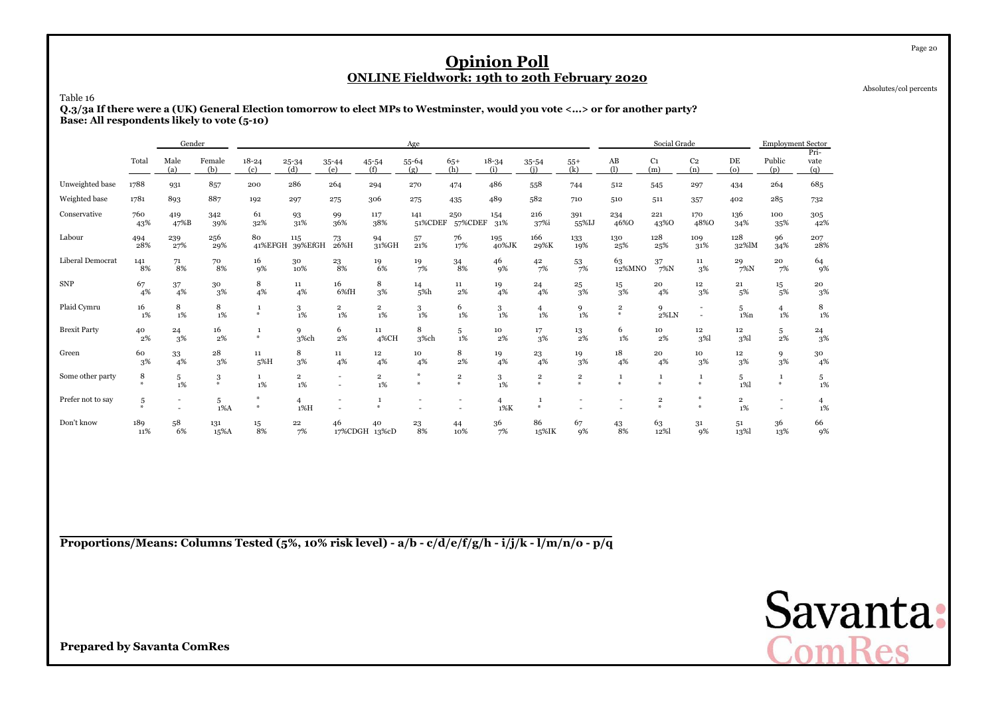Absolutes/col percents

Page 20

Table 16

 **Q.3/3a If there were a (UK) General Election tomorrow to elect MPs to Westminster, would you vote <...> or for another party?Base: All respondents likely to vote (5-10)**

|                     |                    | Gender                   |               |                    |                                  |                                  |                               | Age            |                                   |                  |                              |                       |                          | Social Grade           |                                                      |                           | <b>Employment Sector</b> |                     |
|---------------------|--------------------|--------------------------|---------------|--------------------|----------------------------------|----------------------------------|-------------------------------|----------------|-----------------------------------|------------------|------------------------------|-----------------------|--------------------------|------------------------|------------------------------------------------------|---------------------------|--------------------------|---------------------|
|                     | Total              | Male<br>(a)              | Female<br>(b) | $18 - 24$<br>(c)   | $25 - 34$<br>(d)                 | 35-44<br>(e)                     | 45-54<br>(f)                  | 55-64<br>(g)   | $65+$<br>(h)                      | $18 - 34$<br>(i) | 35-54<br>(i)                 | $55+$<br>(k)          | AB<br>(1)                | C <sub>1</sub><br>(m)  | C <sub>2</sub><br>(n)                                | DE<br>(o)                 | Public<br>(p)            | Pri-<br>vate<br>(q) |
| Unweighted base     | 1788               | 931                      | 857           | 200                | 286                              | 264                              | 294                           | 270            | 474                               | 486              | 558                          | 744                   | 512                      | 545                    | 297                                                  | 434                       | 264                      | 685                 |
| Weighted base       | 1781               | 893                      | 887           | 192                | 297                              | 275                              | 306                           | 275            | 435                               | 489              | 582                          | 710                   | 510                      | 511                    | 357                                                  | 402                       | 285                      | 732                 |
| Conservative        | 760<br>43%         | 419<br>47%B              | 342<br>39%    | 61<br>32%          | 93<br>31%                        | 99<br>36%                        | 117<br>38%                    | 141<br>51%CDEF | 250<br>57%CDEF                    | 154<br>31%       | 216<br>37%i                  | 391<br>55%IJ          | 234<br>46%0              | 221<br>43%0            | 170<br>48%O                                          | 136<br>34%                | 100<br>35%               | 305<br>42%          |
| Labour              | 494<br>28%         | 239<br>27%               | 256<br>29%    | 80<br>41%EFGH      | 115<br>39%EfGH                   | 73<br>26%H                       | 94<br>31%GH                   | 57<br>21%      | 76<br>17%                         | 195<br>40%JK     | 166<br>29%K                  | 133<br>19%            | 130<br>25%               | 128<br>25%             | 109<br>31%                                           | 128<br>32%lM              | 96<br>34%                | 207<br>28%          |
| Liberal Democrat    | 141<br>8%          | 71<br>8%                 | 70<br>8%      | 16<br>9%           | 30<br>10%                        | 23<br>8%                         | 19<br>6%                      | 19<br>7%       | 34<br>8%                          | 46<br>9%         | 42<br>7%                     | 53<br>7%              | 63<br>12%MNO             | 37<br>$7\%$ N          | 11<br>3%                                             | 29<br>$7\%$ N             | 20<br>7%                 | 64<br>9%            |
| <b>SNP</b>          | 67<br>4%           | 37<br>4%                 | 30<br>3%      | 8<br>4%            | 11<br>4%                         | 16<br>6%fH                       | 8<br>3%                       | 14<br>5%h      | 11<br>$2\%$                       | 19<br>4%         | 24<br>4%                     | 25<br>3%              | $15\,$<br>3%             | 20<br>4%               | 12 <sup>2</sup><br>3%                                | 21<br>5%                  | $15\,$<br>5%             | 20<br>3%            |
| Plaid Cymru         | 16<br>1%           | 8<br>$1\%$               | 8<br>1%       | 1<br>$\frac{M}{2}$ | 3<br>$1\%$                       | $\overline{\mathbf{2}}$<br>$1\%$ | $\overline{2}$<br>$1\%$       | 3<br>$1\%$     | 6<br>1%                           | 3<br>1%          | $\overline{4}$<br>1%         | 9<br>1%               | $\,2\,$<br>$\frac{M}{2}$ | 9<br>$2\%{\rm LN}$     | $\overline{\phantom{a}}$<br>$\overline{\phantom{a}}$ | 5<br>$1\%n$               | $\overline{4}$<br>1%     | 8<br>$1\%$          |
| <b>Brexit Party</b> | 40<br>2%           | 24<br>3%                 | 16<br>2%      | 1<br>$\frac{M}{2}$ | 9<br>3%ch                        | 6<br>2%                          | 11<br>4%CH                    | 8<br>3%ch      | 5<br>1%                           | 10<br>2%         | 17<br>3%                     | 13<br>2%              | 6<br>1%                  | 10<br>2%               | 12<br>3%                                             | 12<br>3%                  | 5<br>2%                  | $\frac{24}{3\%}$    |
| Green               | 60<br>$3\%$        | 33<br>4%                 | 28<br>3%      | 11<br>5%H          | 8<br>3%                          | 11<br>4%                         | 12<br>4%                      | 10<br>4%       | 8<br>2%                           | 19<br>4%         | 23<br>4%                     | 19<br>3%              | 18<br>4%                 | 20<br>4%               | 10<br>3%                                             | $12\phantom{.0}$<br>$3\%$ | 9<br>3%                  | 30<br>4%            |
| Some other party    | 8<br>$\frac{1}{2}$ | 5<br>1%                  | 3<br>$\ast$   | <sup>1</sup><br>1% | $\overline{\mathbf{2}}$<br>$1\%$ | $\overline{a}$                   | $\overline{\mathbf{2}}$<br>1% | Ab-<br>₩       | $\overline{\mathbf{2}}$<br>$\ast$ | 3<br>1%          | $\overline{\mathbf{2}}$<br>* | $\mathbf 2$<br>$\ast$ | 1<br>$\ast$              | $\mathbf{1}$<br>$\ast$ | $\mathbf{1}$<br>$\ast$                               | 5<br>$1\%$                | 1<br>$\divideontimes$    | $5\over 1\%$        |
| Prefer not to say   | 5<br>条             | $\overline{\phantom{a}}$ | 5<br>$1\%$ A  | $\frac{M}{N}$<br>条 | $\overline{4}$<br>$1\%$ H        |                                  | $\mathbf{1}$<br>$\mathcal{M}$ |                |                                   | 4<br>$1\%K$      | $\mathbf{1}$<br>美            |                       |                          | $\mathbf 2$<br>$\ast$  | $\Delta L$                                           | $\overline{2}$<br>1%      |                          | 4<br>1%             |
| Don't know          | 189<br>11%         | 58<br>6%                 | 131<br>15%A   | 15<br>8%           | 22<br>7%                         | 46                               | 40<br>17%CDGH 13%cD           | 23<br>8%       | 44<br>10%                         | 36<br>7%         | 86<br>15%IK                  | 67<br>9%              | 43<br>8%                 | 63<br>12%              | 31<br>9%                                             | 51<br>13%                 | 36<br>13%                | 66<br>9%            |

**Proportions/Means: Columns Tested (5%, 10% risk level) - a/b - c/d/e/f/g/h - i/j/k - l/m/n/o - p/q**

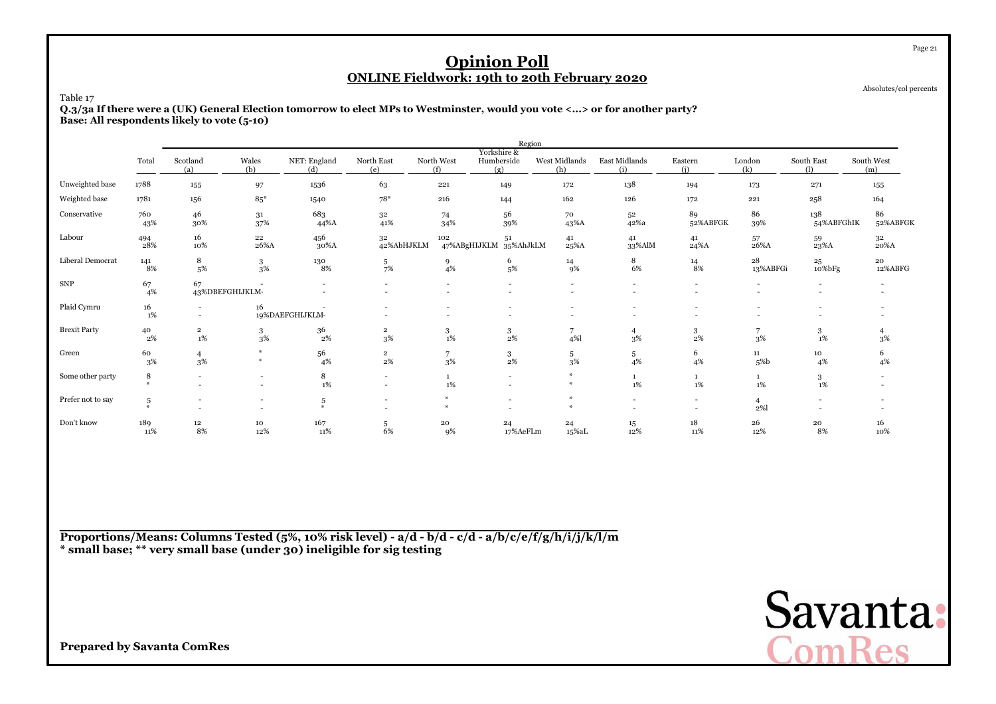Absolutes/col percents

Page 21

Table 17

 **Q.3/3a If there were a (UK) General Election tomorrow to elect MPs to Westminster, would you vote <...> or for another party?Base: All respondents likely to vote (5-10)**

|                     |                               |                                  |                    |                               |                                    |                       | Region                           |                           |                                                      |                       |                          |                          |                                     |
|---------------------|-------------------------------|----------------------------------|--------------------|-------------------------------|------------------------------------|-----------------------|----------------------------------|---------------------------|------------------------------------------------------|-----------------------|--------------------------|--------------------------|-------------------------------------|
|                     | Total                         | Scotland<br>(a)                  | Wales<br>(b)       | NET: England<br>(d)           | North East<br>(e)                  | North West<br>(f)     | Yorkshire &<br>Humberside<br>(g) | West Midlands<br>(h)      | East Midlands<br>(i)                                 | Eastern<br>(i)        | London<br>(k)            | South East<br>(1)        | South West<br>(m)                   |
| Unweighted base     | 1788                          | 155                              | 97                 | 1536                          | 63                                 | 221                   | 149                              | 172                       | 138                                                  | 194                   | 173                      | 271                      | 155                                 |
| Weighted base       | 1781                          | 156                              | $85*$              | 1540                          | $78*$                              | 216                   | 144                              | 162                       | 126                                                  | 172                   | 221                      | 258                      | 164                                 |
| Conservative        | 760<br>43%                    | 46<br>30%                        | 31<br>37%          | 683<br>44%A                   | 3 <sup>2</sup><br>41%              | 74<br>34%             | 56<br>39%                        | 70<br>43%A                | 52<br>42%a                                           | 89<br>52%ABFGK        | 86<br>39%                | 138<br>54%ABFGhIK        | 86<br>52%ABFGK                      |
| Labour              | 494<br>28%                    | 16<br>10%                        | 22<br>26%A         | 456<br>30%A                   | 32<br>42%AbHJKLM                   | 102                   | 51<br>47%ABgHIJKLM 35%AhJkLM     | 41<br>25%A                | 41<br>33%AlM                                         | 41<br>24%A            | 57<br>26%A               | $^{59}_{\rm 23\%A}$      | 3 <sup>2</sup><br>$20\% \mathrm{A}$ |
| Liberal Democrat    | 141<br>8%                     | 8<br>5%                          | 3<br>3%            | 130<br>8%                     | $\frac{5}{7\%}$                    | $\frac{9}{4\%}$       | 6<br>5%                          | 14<br>9%                  | 8<br>6%                                              | $\frac{14}{8\%}$      | 28<br>13%ABFGi           | $^{25}_{10\% {\rm bFg}}$ | 20<br>12%ABFG                       |
| ${\rm SNP}$         | 67<br>4%                      | 67                               | 43%DBEFGHIJKLM-    |                               |                                    |                       |                                  |                           | $\overline{\phantom{a}}$<br>$\overline{\phantom{a}}$ |                       |                          | $\sim$                   |                                     |
| Plaid Cymru         | 16<br>1%                      |                                  | 16                 | 19%DAEFGHIJKLM-               |                                    |                       | $\overline{\phantom{a}}$         |                           | $\overline{\phantom{a}}$                             |                       | $\overline{\phantom{a}}$ | $\overline{\phantom{a}}$ |                                     |
| <b>Brexit Party</b> | 40<br>2%                      | $\overline{\mathbf{2}}$<br>$1\%$ | $\mathbf{3}$<br>3% | 36<br>$2\%$                   | $\overline{\mathbf{2}}$<br>3%      | $_{\rm 1\%}^{\rm 3}$  | $\frac{3}{2\%}$                  | $\overline{7}$<br>4%      | $\overline{4}$<br>3%                                 | $\frac{3}{2\%}$       | 7<br>$3\%$               | 3<br>$1\%$               | 3%                                  |
| Green               | 60<br>3%                      | $\overline{4}$<br>$3\%$          | $\frac{M}{2}$      | 56<br>4%                      | $_{\rm 2\%}^{\rm 2}$               | 7<br>$3\%$            | $\frac{3}{2\%}$                  | $\frac{5}{3\%}$           | $\frac{5}{4%}$                                       | 6<br>4%               | 11<br>5%b                | 10<br>4%                 | 6<br>4%                             |
| Some other party    | 8<br>$\mathcal{M}_\mathrm{r}$ |                                  |                    | 8<br>1%                       | $\overline{\phantom{a}}$<br>$\sim$ | $\mathbf{1}$<br>1%    | $\overline{\phantom{0}}$         |                           | $1\%$                                                | $\mathbf{1}$<br>$1\%$ | $\mathbf{1}$<br>$1\%$    | $_{1\%}^3$               |                                     |
| Prefer not to say   | 5<br>$\mathcal{M}_\mathrm{r}$ |                                  |                    | 5<br>$\mathcal{M}_\mathrm{r}$ | ٠                                  | 4<br>$\boldsymbol{u}$ |                                  | 쏚<br>$\Delta \mathcal{E}$ | $\overline{\phantom{a}}$                             |                       | $\overline{4}$<br>2%l    |                          |                                     |
| Don't know          | 189<br>11%                    | 12<br>8%                         | 10<br>12%          | 167<br>11%                    | $5\over 6\%$                       | ${\bf 20}$<br>9%      | 24<br>17%AeFLm                   | 24<br>15%aL               | 15<br>12%                                            | $18\,$<br>11%         | 26<br>12%                | $\bf{20}$<br>8%          | 16<br>10%                           |

**Proportions/Means: Columns Tested (5%, 10% risk level) - a/d - b/d - c/d - a/b/c/e/f/g/h/i/j/k/l/m\* small base; \*\* very small base (under 30) ineligible for sig testing**

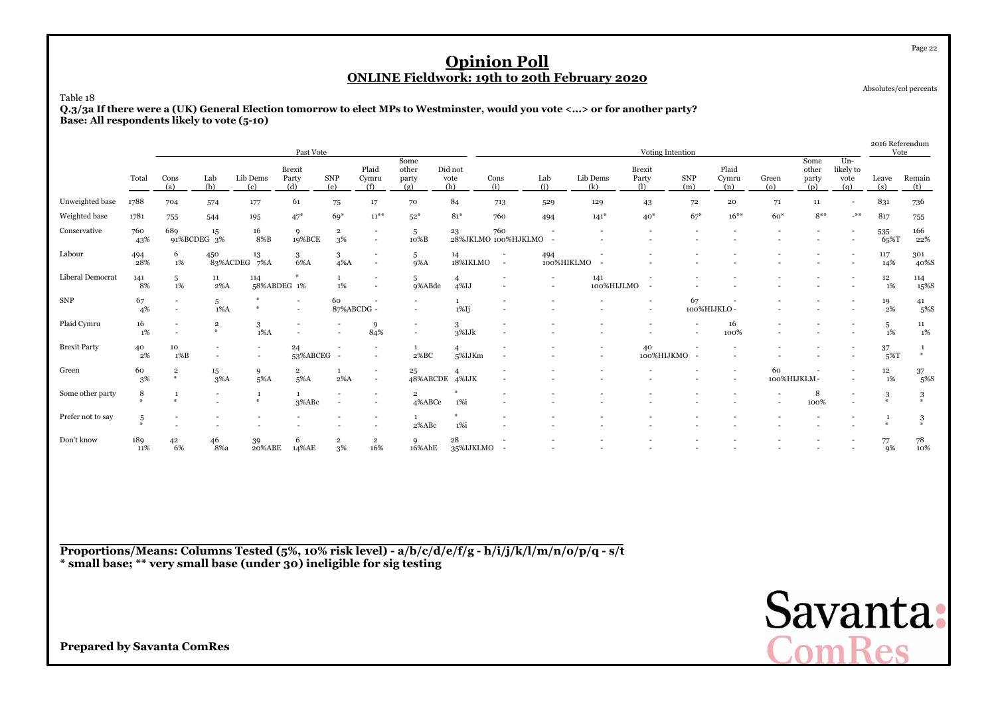Absolutes/col percents

Page 22

Table 18 **Q.3/3a If there were a (UK) General Election tomorrow to elect MPs to Westminster, would you vote <...> or for another party?Base: All respondents likely to vote (5-10)**

|                     |                 |                                    |                                                      |                                            | Past Vote                     |                               |                                            |                                                      |                            |                                                      |                                    |                          | Voting Intention              |                          |                          |                   |                               |                                   | 2016 Referendum<br>Vote |                 |
|---------------------|-----------------|------------------------------------|------------------------------------------------------|--------------------------------------------|-------------------------------|-------------------------------|--------------------------------------------|------------------------------------------------------|----------------------------|------------------------------------------------------|------------------------------------|--------------------------|-------------------------------|--------------------------|--------------------------|-------------------|-------------------------------|-----------------------------------|-------------------------|-----------------|
|                     | Total           | Cons<br>(a)                        | Lab<br>(b)                                           | Lib Dems<br>(c)                            | <b>Brexit</b><br>Party<br>(d) | SNP<br>(e)                    | Plaid<br>Cymru<br>(f)                      | Some<br>other<br>party<br>(g)                        | Did not<br>vote<br>(h)     | Cons<br>(i)                                          | Lab<br>(i)                         | Lib Dems<br>(k)          | <b>Brexit</b><br>Party<br>(1) | SNP<br>(m)               | Plaid<br>Cymru<br>(n)    | Green<br>(0)      | Some<br>other<br>party<br>(p) | $Un-$<br>likely to<br>vote<br>(q) | Leave<br>(s)            | Remain<br>(t)   |
| Unweighted base     | 1788            | 704                                | 574                                                  | 177                                        | 61                            | 75                            | 17                                         | 70                                                   | 84                         | 713                                                  | 529                                | 129                      | 43                            | 72                       | 20                       | 71                | 11                            | $\overline{\phantom{0}}$          | 831                     | 736             |
| Weighted base       | 1781            | 755                                | 544                                                  | 195                                        | $47*$                         | $69*$                         | $11***$                                    | $52*$                                                | $81*$                      | 760                                                  | 494                                | $141*$                   | $40*$                         | $67*$                    | $16***$                  | $60*$             | $8***$                        | $-$ **                            | 817                     | 755             |
| Conservative        | 760<br>43%      | 689                                | 15<br>91%BCDEG 3%                                    | 16<br>8%B                                  | 9<br>19%BCE                   | $\overline{\mathbf{2}}$<br>3% | $\overline{\phantom{a}}$                   | 5<br>10%B                                            | 23                         | 760<br>28%JKLMO 100%HJKLMO                           |                                    |                          |                               |                          |                          |                   |                               |                                   | 535<br>65%T             | 166<br>22%      |
| Labour              | 494<br>28%      | 6<br>1%                            | 450                                                  | 13<br>83%ACDEG 7%A                         | 3<br>6%A                      | 3<br>$4\%$ A                  | $\sim$                                     | 5<br>$9\%$ A                                         | 14<br>18%IKLMO             | $\overline{\phantom{a}}$<br>$\sim$                   | 494                                | 100%HIKLMO               |                               |                          |                          |                   |                               |                                   | 117<br>14%              | 301<br>40%S     |
| Liberal Democrat    | 141<br>8%       | 5<br>1%                            | 11<br>$2\%$ A                                        | 114                                        | 58%ABDEG 1%                   | $\mathbf{1}$<br>$1\%$         | $\overline{\phantom{a}}$<br>$\sim$         | 5<br>9%ABde                                          | $\overline{4}$<br>$4\%$ IJ | $\overline{\phantom{a}}$<br>$\overline{\phantom{a}}$ | $\overline{\phantom{a}}$<br>$\sim$ | 141<br>100%HIJLMO        |                               |                          |                          |                   |                               |                                   | $12\,$<br>1%            | 114<br>15%S     |
| ${\rm SNP}$         | 67<br>4%        | $\overline{\phantom{a}}$<br>$\sim$ | 5<br>$1\%$ A                                         |                                            | $\overline{\phantom{a}}$      | 60<br>87%ABCDG -              |                                            |                                                      | $1\%$ Ij                   |                                                      |                                    |                          | $\sim$                        | 67                       | 100%HIJKLO-              |                   |                               |                                   | 19<br>2%                | 41<br>5%S       |
| Plaid Cymru         | 16<br>$1\%$     | $\overline{\phantom{a}}$           | $\,2$<br>$\mathbf{a}$                                | 3<br>$1\%$ A                               |                               |                               | 9<br>84%                                   | $\overline{\phantom{a}}$<br>$\overline{\phantom{a}}$ | 3<br>3%IJk                 | ٠                                                    |                                    |                          |                               | $\overline{\phantom{a}}$ | 16<br>100%               |                   |                               |                                   | 5<br>1%                 | 11<br>1%        |
| <b>Brexit Party</b> | 40<br>$2\%$     | 10<br>1%B                          | $\overline{\phantom{a}}$<br>$\overline{\phantom{a}}$ | $\overline{\phantom{a}}$<br>$\overline{a}$ | 24<br>53%ABCEG -              |                               |                                            | 2%BC                                                 | $\overline{4}$<br>5%IJKm   |                                                      |                                    | $\overline{\phantom{a}}$ | 40<br>100%HIJKMO              |                          |                          |                   |                               |                                   | 37<br>$5\%T$            | #               |
| Green               | 60<br>3%        | $\mathbf 2$<br>$\ast$              | $15\,$<br>$3\%$ A                                    | 9<br>$5\%$ A                               | $\overline{2}$<br>5%A         | $\mathbf{1}$<br>$2\%$ A       | $\overline{\phantom{a}}$<br>$\overline{a}$ | 25                                                   | 48%ABCDE 4%IJK             |                                                      |                                    |                          |                               |                          | $\overline{\phantom{a}}$ | 60<br>100%HIJKLM- |                               |                                   | $12\,$<br>1%            | 37<br>5%S       |
| Some other party    | 8               | 1<br>$\mathbf{w}$                  | $\overline{\phantom{a}}$                             | $\sim$                                     | 3%ABc                         | $\overline{\phantom{0}}$      |                                            | $\overline{2}$<br>4%ABCe                             | 1%i                        |                                                      |                                    |                          |                               |                          |                          |                   | 8<br>100%                     |                                   | 3<br>$\mathcal{M}$      | 3<br>$\Delta L$ |
| Prefer not to say   | 5<br>$\Delta L$ |                                    |                                                      |                                            |                               |                               |                                            | 2%ABc                                                | 1%i                        |                                                      |                                    |                          |                               |                          |                          |                   |                               |                                   | 1<br>$*$                | 3<br>#          |
| Don't know          | 189<br>11%      | 42<br>6%                           | 46<br>8%a                                            | 39<br>20%ABE                               | 6<br>14%AE                    | $\overline{\mathbf{2}}$<br>3% | $\overline{2}$<br>16%                      | $\mathbf Q$<br>16%AbE                                | 28<br>35%IJKLMO            |                                                      |                                    |                          |                               |                          |                          |                   |                               |                                   | 77<br>9%                | 78<br>10%       |

**Proportions/Means: Columns Tested (5%, 10% risk level) - a/b/c/d/e/f/g - h/i/j/k/l/m/n/o/p/q - s/t\* small base; \*\* very small base (under 30) ineligible for sig testing**

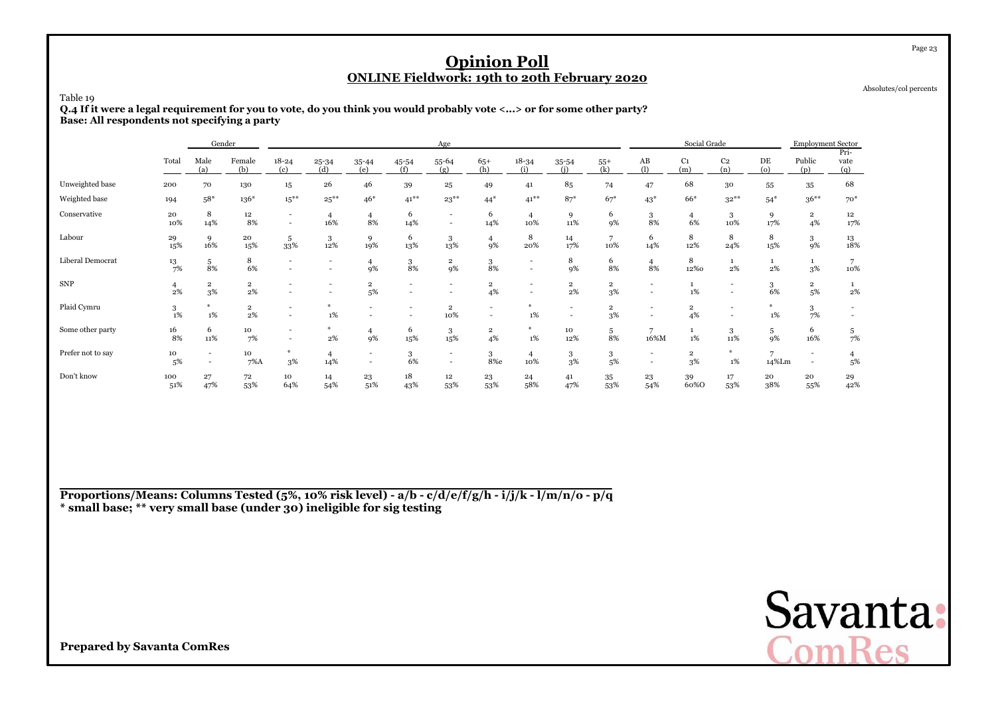Absolutes/col percents

Page 23

Table 19

 **Q.4 If it were a legal requirement for you to vote, do you think you would probably vote <...> or for some other party?Base: All respondents not specifying a party**

|                   |            |                                                      | Gender                        |                                    |                                                      |                          |                          | Age                                        |                               |                                            |                      |                      |                                                      | Social Grade                  |                          |                         | <b>Employment Sector</b>                             |                                           |
|-------------------|------------|------------------------------------------------------|-------------------------------|------------------------------------|------------------------------------------------------|--------------------------|--------------------------|--------------------------------------------|-------------------------------|--------------------------------------------|----------------------|----------------------|------------------------------------------------------|-------------------------------|--------------------------|-------------------------|------------------------------------------------------|-------------------------------------------|
|                   | Total      | Male<br>(a)                                          | Female<br>(b)                 | $18 - 24$<br>(c)                   | $25 - 34$<br>(d)                                     | $35 - 44$<br>(e)         | 45-54<br>(f)             | 55-64<br>(g)                               | $65+$<br>(h)                  | $18 - 34$<br>(i)                           | $35 - 54$            | $55+$<br>(k)         | AB<br>(1)                                            | C <sub>1</sub><br>(m)         | C <sub>2</sub><br>(n)    | DE<br>(o)               | Public<br>(p)                                        | Pri-<br>vate<br>(q)                       |
| Unweighted base   | 200        | 70                                                   | 130                           | $15^{\circ}$                       | 26                                                   | 46                       | 39                       | 25                                         | 49                            | 41                                         | 85                   | 74                   | 47                                                   | 68                            | 30                       | 55                      | 35                                                   | 68                                        |
| Weighted base     | 194        | $58*$                                                | $136*$                        | $15***$                            | $25***$                                              | $46*$                    | $41***$                  | $23***$                                    | $44*$                         | $41***$                                    | $87*$                | $67*$                | $43*$                                                | 66*                           | $32***$                  | $54*$                   | $36***$                                              | $70*$                                     |
| Conservative      | 20<br>10%  | 8<br>14%                                             | 12<br>8%                      | $\sim$<br>$\overline{\phantom{a}}$ | $\overline{4}$<br>16%                                | $\overline{4}$<br>8%     | 6<br>14%                 | $\overline{\phantom{a}}$<br>$\sim$         | 6<br>14%                      | $\overline{4}$<br>10%                      | 9<br>11%             | 6<br>9%              | 3<br>8%                                              | $\overline{4}$<br>6%          | 3<br>10%                 | 9<br>17%                | $\overline{2}$<br>4%                                 | 12<br>17%                                 |
| Labour            | 29<br>15%  | 9<br>16%                                             | 20<br>15%                     | 5<br>33%                           | 3<br>12%                                             | 9<br>19%                 | 6<br>13%                 | 3<br>13%                                   | 4<br>9%                       | 8<br>20%                                   | 14<br>17%            | 7<br>10%             | 6<br>14%                                             | 8<br>12%                      | 8<br>24%                 | 8<br>15%                | $\frac{3}{9\%}$                                      | $\begin{array}{c} 13 \\ 18\% \end{array}$ |
| Liberal Democrat  | 13<br>7%   | 5<br>8%                                              | 8<br>6%                       |                                    | $\overline{\phantom{a}}$<br>$\overline{\phantom{a}}$ | $\overline{4}$<br>9%     | 3<br>8%                  | $\overline{\mathbf{2}}$<br>9%              | 3<br>8%                       | $\overline{\phantom{a}}$<br>$\overline{a}$ | 8<br>9%              | 6<br>8%              | $\overline{4}$<br>8%                                 | 8<br>12%0                     | $\mathbf{1}$<br>2%       | $\mathbf{1}$<br>2%      | $\mathbf{1}$<br>$3\%$                                | 7<br>10%                                  |
| <b>SNP</b>        | 2%         | $\overline{2}$<br>3%                                 | $\overline{\mathbf{2}}$<br>2% |                                    | $\overline{\phantom{0}}$                             | $\overline{2}$<br>5%     | $\overline{\phantom{0}}$ | $\overline{\phantom{0}}$                   | $\overline{\mathbf{2}}$<br>4% |                                            | $\overline{2}$<br>2% | $\mathbf{2}$<br>3%   | $\overline{\phantom{0}}$<br>$\overline{\phantom{a}}$ | $1\%$                         | $\overline{\phantom{a}}$ | 3<br>6%                 | $\mathbf{2}$<br>5%                                   | 1<br>2%                                   |
| Plaid Cymru       | 3<br>1%    | M.<br>$1\%$                                          | $\overline{\mathbf{2}}$<br>2% |                                    | 1%                                                   |                          |                          | $\overline{\mathbf{2}}$<br>10%             | $\overline{\phantom{a}}$      | $1\%$                                      |                      | $\overline{2}$<br>3% | $\overline{\phantom{a}}$                             | $\overline{2}$<br>4%          |                          | 1%                      | 3<br>7%                                              |                                           |
| Some other party  | 16<br>8%   | 6<br>11%                                             | 10<br>7%                      |                                    | ₩<br>$2\%$                                           | $\overline{4}$<br>9%     | 6<br>15%                 | 3<br>15%                                   | $\overline{\mathbf{2}}$<br>4% | ₩<br>1%                                    | 10<br>12%            | 5<br>8%              | 7<br>16%M                                            | $1\%$                         | 3<br>11%                 | 5<br>9%                 | 6<br>16%                                             | $\frac{5}{7\%}$                           |
| Prefer not to say | 10<br>5%   | $\overline{\phantom{a}}$<br>$\overline{\phantom{a}}$ | 10<br>$7\%$ A                 | ₩<br>3%                            | $\overline{4}$<br>14%                                | $\overline{\phantom{a}}$ | 3<br>6%                  | $\overline{\phantom{a}}$<br>$\overline{a}$ | 3<br>8%e                      | $\overline{4}$<br>10%                      | 3<br>3%              | 3<br>5%              | $\overline{\phantom{a}}$<br>$\overline{\phantom{a}}$ | $\overline{\mathbf{2}}$<br>3% | ₩<br>1%                  | $\overline{7}$<br>14%Lm | $\overline{\phantom{a}}$<br>$\overline{\phantom{a}}$ | 5%                                        |
| Don't know        | 100<br>51% | 27<br>47%                                            | 72<br>53%                     | 10<br>64%                          | 14<br>54%                                            | 23<br>51%                | 18<br>43%                | $12\,$<br>53%                              | 23<br>53%                     | 24<br>58%                                  | 41<br>47%            | 35<br>53%            | 23<br>54%                                            | 39<br>60%0                    | 17<br>53%                | 20<br>38%               | 20<br>55%                                            | 29<br>42%                                 |

**Proportions/Means: Columns Tested (5%, 10% risk level) - a/b - c/d/e/f/g/h - i/j/k - l/m/n/o - p/q\* small base; \*\* very small base (under 30) ineligible for sig testing**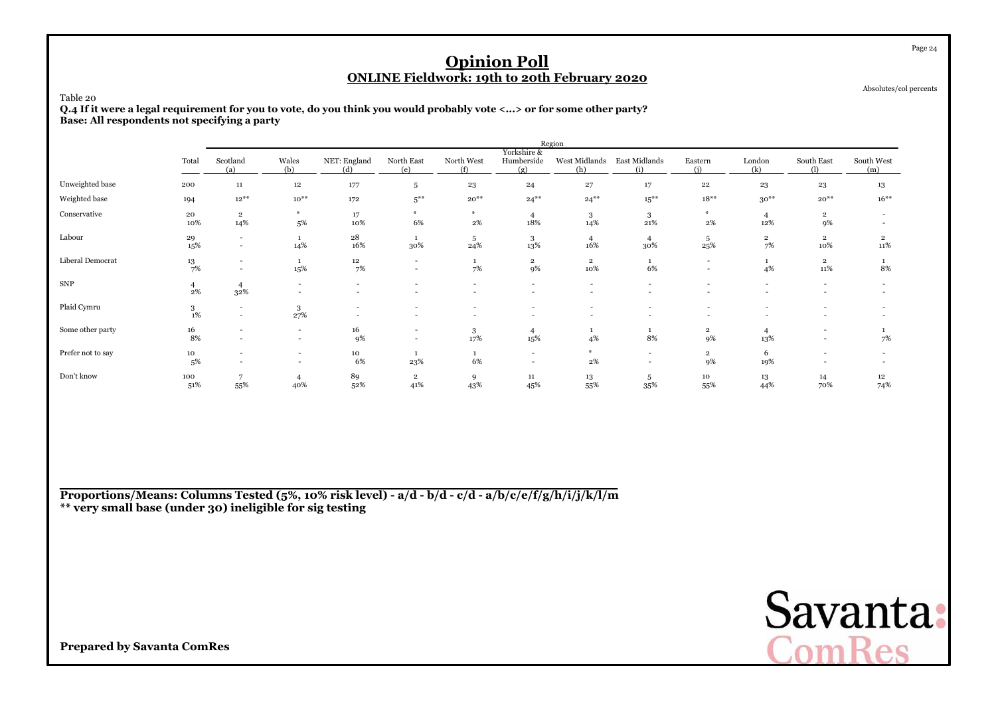Absolutes/col percents

Page 24

#### Table 20

 **Q.4 If it were a legal requirement for you to vote, do you think you would probably vote <...> or for some other party?Base: All respondents not specifying a party**

|                   |                  |                                    |                                                      |                                                      |                                                      |                                                      |                                    | Region                                               |                                                      |                                                      |                      |                                                      |                          |
|-------------------|------------------|------------------------------------|------------------------------------------------------|------------------------------------------------------|------------------------------------------------------|------------------------------------------------------|------------------------------------|------------------------------------------------------|------------------------------------------------------|------------------------------------------------------|----------------------|------------------------------------------------------|--------------------------|
|                   | Total            | Scotland<br>(a)                    | Wales<br>(b)                                         | NET: England<br>(d)                                  | North East<br>(e)                                    | North West<br>(f)                                    | Yorkshire &<br>Humberside<br>(g)   | West Midlands<br>(h)                                 | East Midlands<br>(i)                                 | Eastern<br>(i)                                       | London<br>(k)        | South East<br>(1)                                    | South West<br>(m)        |
| Unweighted base   | 200              | $11\,$                             | $12\,$                                               | 177                                                  | 5                                                    | 23                                                   | 24                                 | 27                                                   | 17                                                   | $\bf{^{22}}$                                         | 23                   | 23                                                   | 13                       |
| Weighted base     | 194              | $12^{**}$                          | $10^{**}$                                            | 172                                                  | $5***$                                               | $20^{**}$                                            | $24***$                            | $24***$                                              | $15***$                                              | $18***$                                              | $30***$              | $20**$                                               | $16***$                  |
| Conservative      | 20<br>10%        | $\overline{2}$<br>14%              | $\ast$<br>5%                                         | 17<br>10%                                            | $*$<br>6%                                            | $\ast$<br>2%                                         | $\overline{4}$<br>18%              | 3<br>14%                                             | 3<br>21%                                             | AL.<br>$2\%$                                         | 12%                  | $\overline{2}$<br>9%                                 |                          |
| Labour            | 29<br>15%        | $\overline{a}$<br>$\sim$           | 14%                                                  | 28<br>16%                                            | 1<br>30%                                             | 5<br>24%                                             | 3<br>13%                           | $\overline{4}$<br>16%                                | $\overline{4}$<br>30%                                | 5<br>25%                                             | $\overline{2}$<br>7% | $\overline{2}$<br>10%                                | $\overline{2}$<br>11%    |
| Liberal Democrat  | $\frac{13}{7\%}$ | $\overline{\phantom{a}}$<br>$\sim$ | 15%                                                  | 12<br>7%                                             | $\overline{\phantom{a}}$<br>$\overline{\phantom{a}}$ | 1<br>7%                                              | $\mathbf{2}$<br>9%                 | $\overline{\mathbf{2}}$<br>10%                       | 1<br>6%                                              | $\overline{\phantom{0}}$<br>$\overline{\phantom{a}}$ | 4%                   | $\overline{2}$<br>11%                                | 8%                       |
| ${\rm SNP}$       | $\frac{4}{2%}$   | $\overline{4}$<br>32%              | $\overline{\phantom{a}}$                             | $\overline{\phantom{a}}$<br>$\overline{\phantom{0}}$ |                                                      | $\overline{\phantom{a}}$<br>$\overline{\phantom{a}}$ | $\overline{\phantom{a}}$           | $\overline{\phantom{a}}$                             | $\overline{\phantom{a}}$<br>-                        |                                                      | $\sim$               | $\overline{\phantom{a}}$<br>$\overline{\phantom{a}}$ |                          |
| Plaid Cymru       | 3<br>1%          | $\sim$<br>$\sim$                   | 3<br>27%                                             | $\overline{\phantom{0}}$<br>$\overline{a}$           |                                                      | $\overline{\phantom{a}}$<br>$\overline{\phantom{a}}$ | $\overline{a}$<br>$\overline{a}$   | $\overline{\phantom{a}}$<br>$\overline{\phantom{a}}$ | $\overline{\phantom{a}}$<br>$\overline{\phantom{a}}$ |                                                      |                      | $\overline{\phantom{a}}$<br>$\overline{a}$           |                          |
| Some other party  | 16<br>8%         | $\sim$                             | $\overline{\phantom{a}}$<br>$\overline{\phantom{a}}$ | 16<br>9%                                             | $\overline{\phantom{a}}$                             | 3<br>17%                                             | 4<br>15%                           | 4%                                                   | 8%                                                   | $\overline{2}$<br>9%                                 | 13%                  | $\overline{\phantom{a}}$<br>$\overline{\phantom{a}}$ | 7%                       |
| Prefer not to say | 10<br>5%         | $\sim$<br>$\overline{\phantom{a}}$ | $\overline{\phantom{a}}$<br>$\sim$                   | 10<br>6%                                             | 1<br>23%                                             | 1<br>6%                                              | $\sim$<br>$\overline{\phantom{a}}$ | 華<br>$2\%$                                           | $\overline{\phantom{a}}$<br>$\overline{\phantom{a}}$ | $\overline{2}$<br>9%                                 | 6<br>19%             | -<br>$\overline{\phantom{a}}$                        | $\overline{\phantom{a}}$ |
| Don't know        | 100<br>51%       | 7<br>55%                           | 4<br>40%                                             | 89<br>52%                                            | $\overline{2}$<br>41%                                | 9<br>43%                                             | 11<br>45%                          | 13<br>55%                                            | 5<br>35%                                             | 10<br>55%                                            | 13<br>44%            | 14<br>70%                                            | 12<br>74%                |

**Proportions/Means: Columns Tested (5%, 10% risk level) - a/d - b/d - c/d - a/b/c/e/f/g/h/i/j/k/l/m\*\* very small base (under 30) ineligible for sig testing**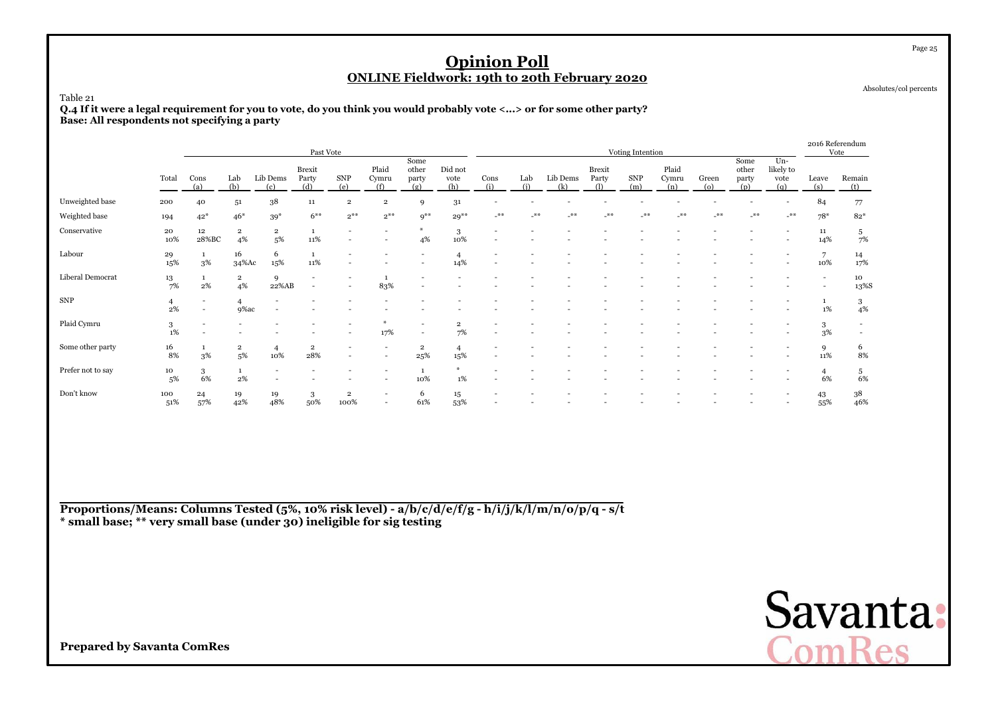Absolutes/col percents

#### Table 21

 **Q.4 If it were a legal requirement for you to vote, do you think you would probably vote <...> or for some other party?Base: All respondents not specifying a party**

|                   |            |                                                      |                               |                       | Past Vote                |                                 |                                                      |                                |                        |             |            |                 |                        | Voting Intention  |                       |              |                               |                                 | 2016 Referendum          | Vote                     |
|-------------------|------------|------------------------------------------------------|-------------------------------|-----------------------|--------------------------|---------------------------------|------------------------------------------------------|--------------------------------|------------------------|-------------|------------|-----------------|------------------------|-------------------|-----------------------|--------------|-------------------------------|---------------------------------|--------------------------|--------------------------|
|                   | Total      | Cons<br>(a)                                          | Lab<br>(b)                    | Lib Dems<br>(c)       | Brexit<br>Party<br>(d)   | <b>SNP</b><br>(e)               | Plaid<br>Cymru<br>(f)                                | Some<br>other<br>party<br>(g)  | Did not<br>vote<br>(h) | Cons<br>(i) | Lab<br>(i) | Lib Dems<br>(k) | Brexit<br>Party<br>(1) | <b>SNP</b><br>(m) | Plaid<br>Cymru<br>(n) | Green<br>(o) | Some<br>other<br>party<br>(p) | Un-<br>likely to<br>vote<br>(q) | Leave<br>(s)             | Remain<br>(t)            |
| Unweighted base   | 200        | 40                                                   | 51                            | 38                    | 11                       | $\overline{2}$                  | $\overline{\mathbf{2}}$                              | 9                              | 31                     |             |            |                 |                        |                   |                       |              |                               |                                 | 84                       | 77                       |
| Weighted base     | 194        | $42*$                                                | $46*$                         | $39*$                 | $6***$                   | $2***$                          | $2^{\ast\ast}$                                       | $q^{\ast\ast}$                 | $29***$                | $***$       | $-$ **     | $**$            | $-$ **                 | $***$             | **                    | $-$ **       | $***$                         | $-$ **                          | $78*$                    | $82*$                    |
| Conservative      | 20<br>10%  | $12\,$<br>28%BC                                      | $\overline{2}$<br>4%          | $\overline{2}$<br>5%  | $\mathbf{1}$<br>11%      |                                 |                                                      | 4%                             | 3<br>10%               |             |            |                 |                        |                   |                       |              |                               |                                 | 11<br>14%                | 5<br>7%                  |
| Labour            | 29<br>15%  | 3%                                                   | 16<br>34%Ac                   | 6<br>15%              | 1<br>11%                 |                                 |                                                      |                                | 14%                    |             |            |                 |                        |                   |                       |              |                               |                                 | 7<br>10%                 | 14<br>17%                |
| Liberal Democrat  | 13<br>7%   | 2%                                                   | $\overline{\mathbf{2}}$<br>4% | 9<br>22%AB            | $\overline{\phantom{a}}$ |                                 | $\mathbf{1}$<br>83%                                  |                                |                        |             |            |                 |                        |                   |                       |              |                               |                                 | $\overline{\phantom{a}}$ | 10<br>13%S               |
| <b>SNP</b>        | 4<br>2%    | $\overline{\phantom{a}}$<br>$\overline{\phantom{a}}$ | 4<br>9%ac                     |                       |                          |                                 |                                                      |                                |                        |             |            |                 |                        |                   |                       |              |                               |                                 | 1%                       | 3<br>4%                  |
| Plaid Cymru       | 3<br>1%    | $\overline{\phantom{a}}$                             |                               |                       |                          |                                 | ₩<br>17%                                             |                                | $\overline{2}$<br>7%   |             |            |                 |                        |                   |                       |              |                               |                                 | 3<br>3%                  | $\overline{\phantom{a}}$ |
| Some other party  | 16<br>8%   | 3%                                                   | $\overline{\mathbf{2}}$<br>5% | $\overline{4}$<br>10% | $\mathbf{2}$<br>28%      |                                 | $\overline{\phantom{a}}$<br>$\overline{\phantom{a}}$ | $\overline{\mathbf{2}}$<br>25% | $\overline{4}$<br>15%  |             |            |                 |                        |                   |                       |              |                               |                                 | 9<br>11%                 | 6<br>8%                  |
| Prefer not to say | 10<br>5%   | 3<br>6%                                              | $\mathbf{1}$<br>2%            |                       |                          |                                 |                                                      | 10%                            | 1%                     |             |            |                 |                        |                   |                       |              |                               |                                 | $\overline{4}$<br>6%     | 5<br>6%                  |
| Don't know        | 100<br>51% | 24<br>57%                                            | 19<br>42%                     | 19<br>48%             | 3<br>50%                 | $\overline{\mathbf{2}}$<br>100% | $\overline{a}$<br>$\overline{\phantom{0}}$           | 6<br>61%                       | 15<br>53%              |             |            |                 |                        |                   |                       |              |                               |                                 | 43<br>55%                | 38<br>46%                |

**Proportions/Means: Columns Tested (5%, 10% risk level) - a/b/c/d/e/f/g - h/i/j/k/l/m/n/o/p/q - s/t\* small base; \*\* very small base (under 30) ineligible for sig testing**



**Prepared by Savanta ComRes**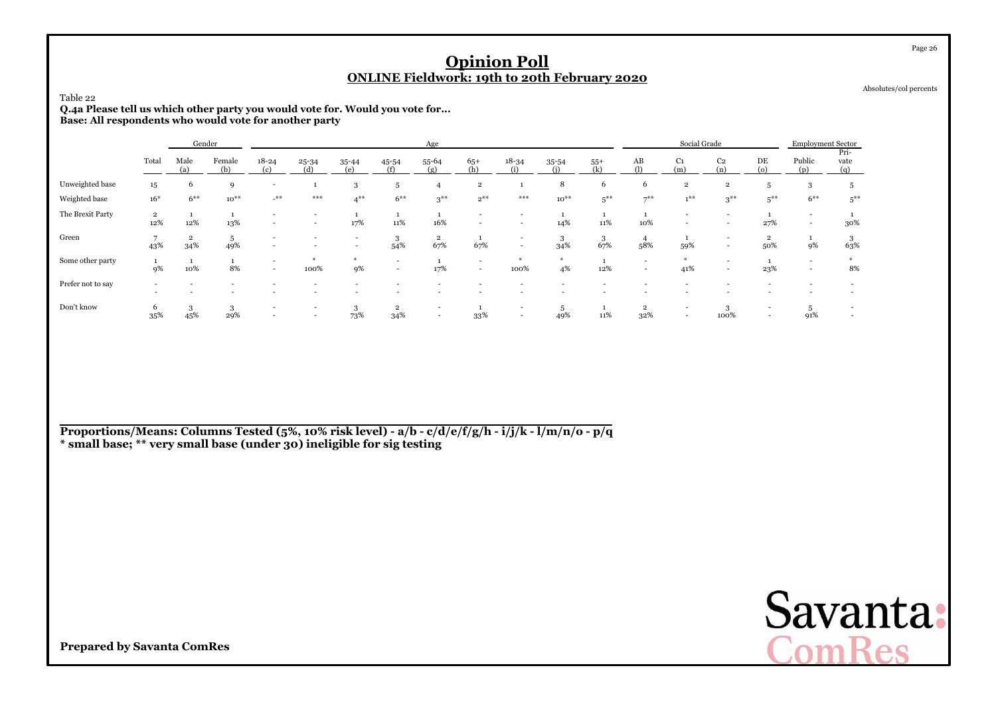| Table 22<br>Q.4a Please tell us which other party you would vote for. Would you vote for<br>Base: All respondents who would vote for another party |                       |                                                                                                                                                                                                   |                    |                                                      |                          |                                            |                          | <b>ONLINE Fieldwork: 19th to 20th February 2020</b>  |                                                      | <b>Opinion Poll</b>                                  |           |          |                                                      |                                                      |                                                      |                                                      |                                                      |                                                      | Page 26<br>Absolutes/col percents |
|----------------------------------------------------------------------------------------------------------------------------------------------------|-----------------------|---------------------------------------------------------------------------------------------------------------------------------------------------------------------------------------------------|--------------------|------------------------------------------------------|--------------------------|--------------------------------------------|--------------------------|------------------------------------------------------|------------------------------------------------------|------------------------------------------------------|-----------|----------|------------------------------------------------------|------------------------------------------------------|------------------------------------------------------|------------------------------------------------------|------------------------------------------------------|------------------------------------------------------|-----------------------------------|
|                                                                                                                                                    |                       | Social Grade<br>Gender<br>Age<br>C <sub>2</sub><br>DE<br>Total<br>Male<br>Female<br>$18 - 24$<br>$18 - 34$<br>AB<br>C <sub>1</sub><br>55-64<br>$65+$<br>35-54<br>$55+$<br>25-34<br>35-44<br>45-54 |                    |                                                      |                          |                                            |                          |                                                      |                                                      |                                                      |           |          |                                                      |                                                      |                                                      |                                                      | <b>Employment Sector</b>                             | Pri-                                                 |                                   |
|                                                                                                                                                    |                       | (a)                                                                                                                                                                                               | (b)                | (c)                                                  | (d)                      | (e)                                        | (f)                      | (g)                                                  | (h)                                                  | (i)                                                  | (i)       | (k)      | (1)                                                  | (m)                                                  | (n)                                                  | (o)                                                  | Public<br>(p)                                        | vate<br>(q)                                          |                                   |
| Unweighted base                                                                                                                                    | 15                    | 6                                                                                                                                                                                                 | $\mathbf{Q}$       | $\overline{\phantom{a}}$                             |                          | 3                                          | -5                       | $\overline{4}$                                       | $\overline{2}$                                       |                                                      | 8         | 6        | 6                                                    | $\overline{2}$                                       | $\overline{2}$                                       | 5                                                    | 3                                                    | -5                                                   |                                   |
| Weighted base                                                                                                                                      | $16*$                 | $6***$                                                                                                                                                                                            | $10^{**}$          | $\rightarrow$                                        | ***                      | $4***$                                     | $6***$                   | $3***$                                               | $2^{**}$                                             | ***                                                  | $10^{**}$ | $5***$   | $7***$                                               | $1***$                                               | $3***$                                               | $5***$                                               | $6***$                                               | $5***$                                               |                                   |
| The Brexit Party                                                                                                                                   | $\overline{2}$<br>12% | 12%                                                                                                                                                                                               | 13%                | $\sim$                                               | $\sim$<br>$\sim$         | 17%                                        | 1<br>11%                 | 16%                                                  | $\overline{\phantom{a}}$<br>$\overline{\phantom{a}}$ | $\overline{\phantom{a}}$                             | 14%       | 11%      | 1<br>10%                                             | $\overline{\phantom{a}}$<br>$\overline{\phantom{a}}$ | $\overline{\phantom{a}}$                             | 27%                                                  | $\overline{\phantom{a}}$<br>$\overline{\phantom{a}}$ | 30%                                                  |                                   |
| Green                                                                                                                                              | 43%                   | $\overline{2}$<br>34%                                                                                                                                                                             | 5<br>49%           | $\overline{\phantom{a}}$<br>$\overline{\phantom{a}}$ | $\overline{\phantom{0}}$ | $\overline{\phantom{a}}$<br>$\overline{a}$ | 3<br>54%                 | $\overline{2}$<br>67%                                | 67%                                                  | $\overline{\phantom{a}}$<br>$\sim$                   | 3<br>34%  | 3<br>67% | $\overline{4}$<br>58%                                | 59%                                                  | $\sim$<br>$\overline{a}$                             | $\overline{\mathbf{2}}$<br>50%                       | 1<br><b>9%</b>                                       | 3<br>63%                                             |                                   |
| Some other party                                                                                                                                   | 9%                    | 10%                                                                                                                                                                                               | $\mathbf{1}$<br>8% | $\sim$<br>$\sim$                                     | $*$<br>100%              | $\frac{M}{2m}$<br>9%                       | $\sim$<br>$\overline{a}$ | 1<br>17%                                             | $\overline{\phantom{a}}$<br>$\overline{a}$           | $\ast$<br>100%                                       | $*$<br>4% | 12%      | $\overline{\phantom{a}}$<br>$\overline{\phantom{a}}$ | #<br>41%                                             | $\overline{\phantom{a}}$<br>$\overline{\phantom{0}}$ | 23%                                                  | $\overline{\phantom{a}}$<br>$\overline{\phantom{a}}$ | $*$<br>8%                                            |                                   |
| Prefer not to say                                                                                                                                  |                       |                                                                                                                                                                                                   |                    |                                                      |                          |                                            |                          |                                                      |                                                      |                                                      |           |          |                                                      |                                                      |                                                      |                                                      |                                                      |                                                      |                                   |
| Don't know                                                                                                                                         | 6<br>35%              | 3<br>45%                                                                                                                                                                                          | 3<br>29%           | $\overline{\phantom{a}}$<br>$\overline{\phantom{a}}$ | $\overline{\phantom{a}}$ | 3<br>73%                                   | $\mathbf{2}$<br>34%      | $\overline{\phantom{a}}$<br>$\overline{\phantom{a}}$ | 33%                                                  | $\overline{\phantom{a}}$<br>$\overline{\phantom{a}}$ | -5<br>49% | 11%      | $\overline{\mathbf{2}}$<br>32%                       | $\overline{\phantom{a}}$<br>$\overline{\phantom{0}}$ | 3<br>100%                                            | $\overline{\phantom{a}}$<br>$\overline{\phantom{0}}$ | 5<br>91%                                             | $\overline{\phantom{a}}$<br>$\overline{\phantom{a}}$ |                                   |

**Proportions/Means: Columns Tested (5%, 10% risk level) - a/b - c/d/e/f/g/h - i/j/k - l/m/n/o - p/q\* small base; \*\* very small base (under 30) ineligible for sig testing**

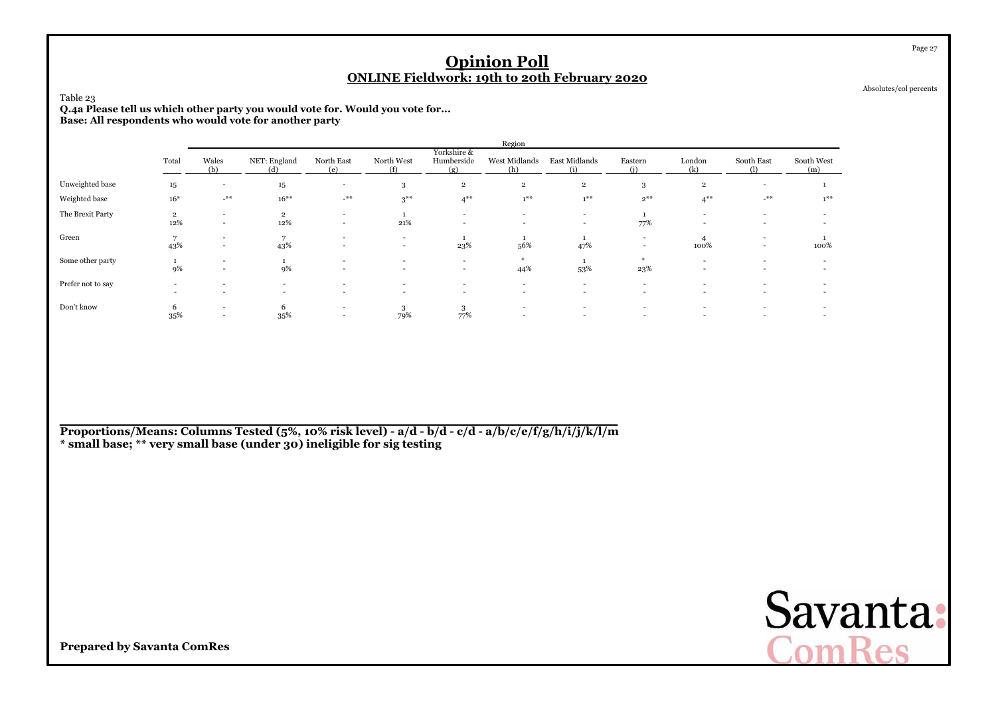| Table 23<br>Q.4a Please tell us which other party you would vote for. Would you vote for<br>Base: All respondents who would vote for another party |                                                                                                                                                                                                                                                                                                                              |                                                      |                                                      |                                                      |                          |                                                      | <b>Opinion Poll</b>                        | <b>ONLINE Fieldwork: 19th to 20th February 2020</b> |          |                          |                                                      |                          | Page 27<br>Absolutes/col percents |  |  |
|----------------------------------------------------------------------------------------------------------------------------------------------------|------------------------------------------------------------------------------------------------------------------------------------------------------------------------------------------------------------------------------------------------------------------------------------------------------------------------------|------------------------------------------------------|------------------------------------------------------|------------------------------------------------------|--------------------------|------------------------------------------------------|--------------------------------------------|-----------------------------------------------------|----------|--------------------------|------------------------------------------------------|--------------------------|-----------------------------------|--|--|
|                                                                                                                                                    | Region<br>Yorkshire &                                                                                                                                                                                                                                                                                                        |                                                      |                                                      |                                                      |                          |                                                      |                                            |                                                     |          |                          |                                                      |                          |                                   |  |  |
|                                                                                                                                                    | Humberside<br>Wales<br>North West<br>West Midlands<br>East Midlands<br>NET: England<br>North East<br>London<br>South East<br>South West<br>Total<br>Eastern<br>(b)<br>(i)<br>(k)<br>(1)<br>(f)<br>(g)<br>(h)<br>(i)<br>(e)<br>(d)<br>(m)<br>$\overline{\phantom{a}}$<br>$\overline{\phantom{a}}$<br>$\overline{\phantom{a}}$ |                                                      |                                                      |                                                      |                          |                                                      |                                            |                                                     |          |                          |                                                      |                          |                                   |  |  |
| Unweighted base                                                                                                                                    | 15                                                                                                                                                                                                                                                                                                                           |                                                      | 15                                                   |                                                      | 3                        | $\,2\,$                                              | $\overline{2}$                             | $\overline{2}$                                      | 3        | $\overline{2}$           |                                                      |                          |                                   |  |  |
| Weighted base                                                                                                                                      | $16*$                                                                                                                                                                                                                                                                                                                        | $-$ **                                               | $16***$                                              | $\mathcal{L}^{\# \#}$                                | $3***$                   | $4***$                                               | $1***$                                     | $1***$                                              | $2^{**}$ | $4***$                   | $\rightarrow$ $\!$                                   | $1***$                   |                                   |  |  |
| The Brexit Party                                                                                                                                   | $\overline{\mathbf{2}}$<br>12%                                                                                                                                                                                                                                                                                               | $\sim$<br>$\sim$                                     | $\overline{2}$<br>12%                                | $\sim$<br>$\overline{\phantom{a}}$                   | 21%                      | $\overline{\phantom{a}}$<br>$\overline{\phantom{a}}$ |                                            | $\sim$<br>$\overline{\phantom{a}}$                  | 77%      | $\overline{\phantom{a}}$ |                                                      |                          |                                   |  |  |
| Green                                                                                                                                              | 7<br>43%                                                                                                                                                                                                                                                                                                                     | $\sim$<br>$\overline{\phantom{a}}$                   | $7\phantom{.0}$<br>43%                               | $\overline{\phantom{a}}$                             | $\overline{a}$<br>$\sim$ | -1<br>23%                                            | 56%                                        | 47%                                                 |          | 100%                     | $\overline{\phantom{a}}$<br>$\overline{\phantom{a}}$ | 100%                     |                                   |  |  |
| Some other party                                                                                                                                   | 1<br>9%                                                                                                                                                                                                                                                                                                                      | $\overline{\phantom{0}}$<br>$\sim$                   | 9%                                                   | $\overline{\phantom{a}}$                             | $\overline{a}$           | $\overline{\phantom{a}}$<br>$\overline{\phantom{a}}$ | 44%                                        | 53%                                                 | 23%      | $\overline{\phantom{a}}$ |                                                      |                          |                                   |  |  |
| Prefer not to say                                                                                                                                  |                                                                                                                                                                                                                                                                                                                              |                                                      | $\overline{\phantom{a}}$<br>$\overline{\phantom{a}}$ | $\overline{\phantom{a}}$<br>$\overline{\phantom{a}}$ | $\overline{a}$           | $\overline{\phantom{a}}$<br>$\overline{\phantom{a}}$ | $\overline{a}$<br>$\overline{\phantom{a}}$ | $\overline{\phantom{0}}$<br>۰                       |          |                          |                                                      | $\overline{\phantom{a}}$ |                                   |  |  |
| Don't know                                                                                                                                         | 6<br>35%                                                                                                                                                                                                                                                                                                                     | $\overline{\phantom{0}}$<br>$\overline{\phantom{0}}$ | 6<br>35%                                             | $\sim$<br>$\overline{\phantom{a}}$                   | 3<br>79%                 | 3<br>77%                                             | $\overline{\phantom{a}}$<br>$\overline{a}$ | $\overline{\phantom{a}}$                            |          |                          | $\overline{a}$                                       | $\overline{\phantom{a}}$ |                                   |  |  |

**Proportions/Means: Columns Tested (5%, 10% risk level) - a/d - b/d - c/d - a/b/c/e/f/g/h/i/j/k/l/m\* small base; \*\* very small base (under 30) ineligible for sig testing**

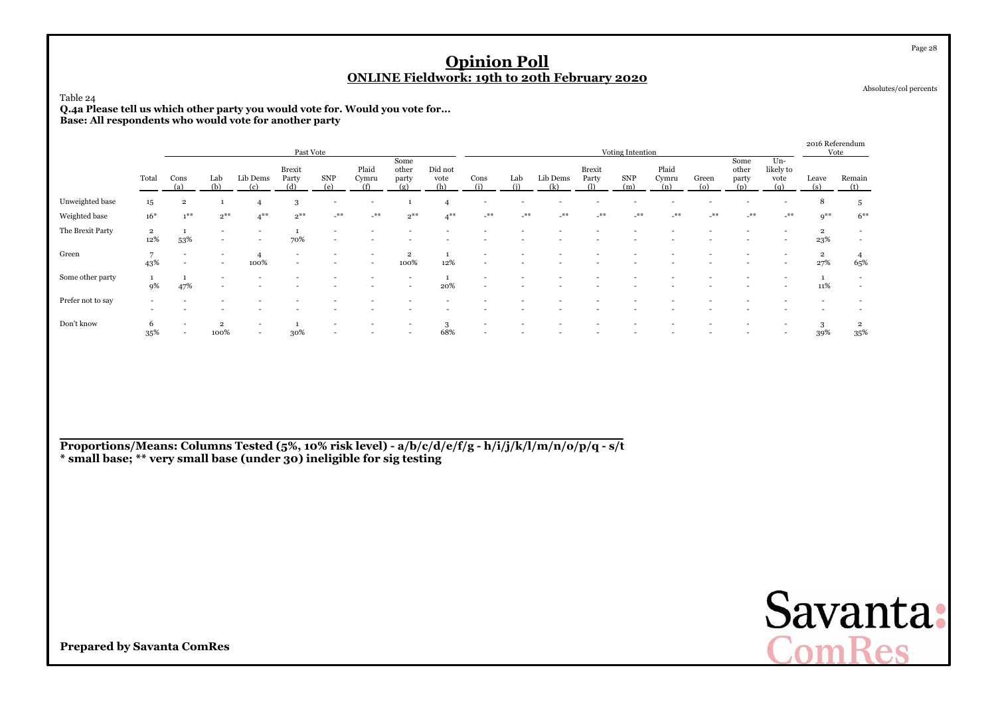#### Table 24

**Q.4a Please tell us which other party you would vote for. Would you vote for... Base: All respondents who would vote for another party**

|                   |                       |                |                          |                                                      | Past Vote                |                          |                          |                               |                        |             |            |                 |                        | Voting Intention |                       |                   |                               |                                 | 2016 Referendum<br>Vote        |               |
|-------------------|-----------------------|----------------|--------------------------|------------------------------------------------------|--------------------------|--------------------------|--------------------------|-------------------------------|------------------------|-------------|------------|-----------------|------------------------|------------------|-----------------------|-------------------|-------------------------------|---------------------------------|--------------------------------|---------------|
|                   | Total                 | Cons<br>(a)    | Lab<br>(b)               | Lib Dems<br>(c)                                      | Brexit<br>Party<br>(d)   | <b>SNP</b><br>(e)        | Plaid<br>Cymru<br>(f)    | Some<br>other<br>party<br>(g) | Did not<br>vote<br>(h) | Cons<br>(i) | Lab<br>(i) | Lib Dems<br>(k) | <b>Brexit</b><br>Party | SNP<br>(m)       | Plaid<br>Cymru<br>(n) | Green<br>$\omega$ | Some<br>other<br>party<br>(n) | Un-<br>likely to<br>vote<br>(q) | Leave<br>(s)                   | Remain<br>(t) |
| Unweighted base   | 15                    | $\overline{2}$ |                          | $\overline{4}$                                       | 3                        | $\overline{\phantom{0}}$ | $\overline{\phantom{a}}$ |                               |                        |             |            |                 |                        |                  |                       |                   |                               |                                 | 8                              | 5             |
| Weighted base     | $16*$                 | $1*$           | $2^{**}$                 | $4***$                                               | $2***$                   | $-$ **                   | $-$ **                   | $2^{**}$                      | $4***$                 | $-$ **      | $**$       | $\mathcal{N}^*$ | $***$                  | $***$            | $***$                 | $***$             | $**$                          | $***$                           | $Q^{\divideontimes\#}$         | $6***$        |
| The Brexit Party  | $\overline{2}$<br>12% | 53%            | $\overline{\phantom{0}}$ |                                                      | 70%                      | $\sim$                   |                          |                               |                        |             |            |                 |                        |                  |                       |                   |                               |                                 | $\overline{\mathbf{2}}$<br>23% | $\sim$        |
| Green             | 43%                   |                | $\overline{\phantom{0}}$ | 100%                                                 | $\overline{\phantom{0}}$ |                          | $\overline{a}$           | $\overline{2}$<br>100%        | 12%                    |             |            |                 |                        |                  |                       |                   |                               |                                 | $\overline{\mathbf{2}}$<br>27% | 65%           |
| Some other party  | 9%                    | 47%            |                          |                                                      |                          |                          |                          | -                             | 20%                    |             |            |                 |                        |                  |                       |                   |                               |                                 | 11%                            |               |
| Prefer not to say |                       |                |                          |                                                      |                          |                          |                          |                               |                        |             |            |                 |                        |                  |                       |                   |                               |                                 |                                |               |
| Don't know        | $\sigma$<br>35%       |                | $\overline{2}$<br>100%   | $\overline{\phantom{a}}$<br>$\overline{\phantom{a}}$ | 30%                      |                          |                          |                               | 68%                    |             |            |                 |                        |                  |                       |                   |                               |                                 | 3<br>39%                       | 35%           |

**Proportions/Means: Columns Tested (5%, 10% risk level) - a/b/c/d/e/f/g - h/i/j/k/l/m/n/o/p/q - s/t\* small base; \*\* very small base (under 30) ineligible for sig testing**

**Prepared by Savanta ComRes**

Page 28

Absolutes/col percents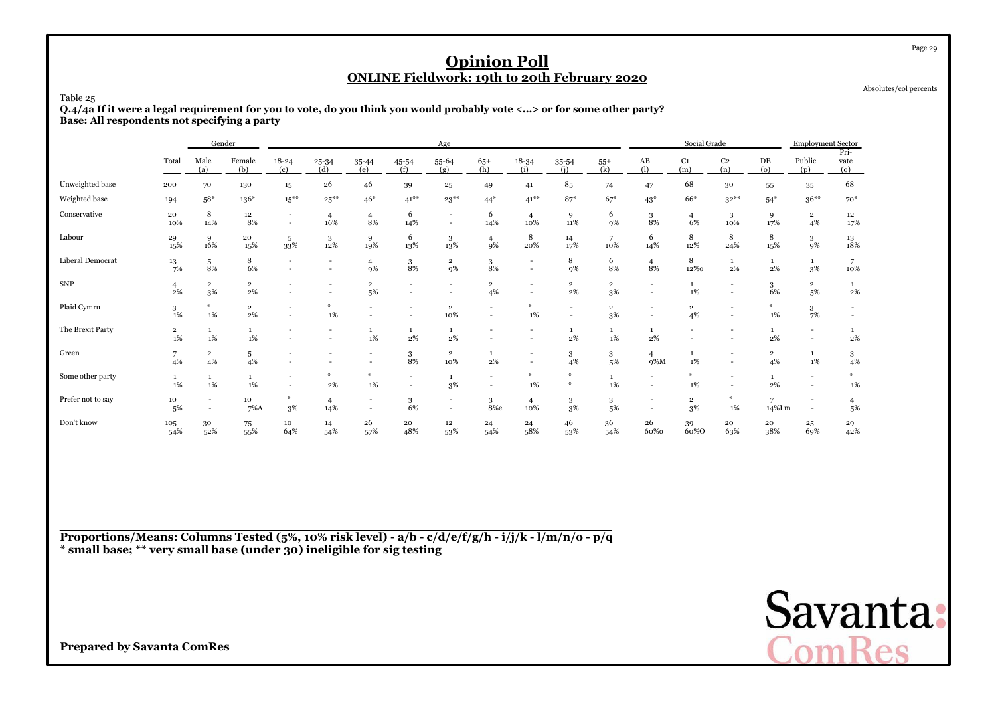Absolutes/col percents

Page 29

Table 25

 **Q.4/4a If it were a legal requirement for you to vote, do you think you would probably vote <...> or for some other party?Base: All respondents not specifying a party**

|                   |                               |                                    | Gender                           |                                                      |                                            |                          |                    | Age                                |                                                      |                                                      |                                                      |                               |                       | Social Grade          |                                                      |                      | <b>Employment Sector</b>                             |                                                      |
|-------------------|-------------------------------|------------------------------------|----------------------------------|------------------------------------------------------|--------------------------------------------|--------------------------|--------------------|------------------------------------|------------------------------------------------------|------------------------------------------------------|------------------------------------------------------|-------------------------------|-----------------------|-----------------------|------------------------------------------------------|----------------------|------------------------------------------------------|------------------------------------------------------|
|                   | Total                         | Male<br>(a)                        | Female<br>(b)                    | $18 - 24$<br>(c)                                     | $25 - 34$<br>(d)                           | 35-44<br>(e)             | 45-54<br>(f)       | $55 - 64$<br>(g)                   | $65+$<br>(h)                                         | $18 - 34$<br>(i)                                     | 35-54<br>(i)                                         | $55+$<br>(k)                  | AB<br>(1)             | C <sub>1</sub><br>(m) | C <sub>2</sub><br>(n)                                | DE<br>(o)            | Public<br>(p)                                        | Pri-<br>vate<br>(q)                                  |
| Unweighted base   | 200                           | 70                                 | 130                              | 15                                                   | 26                                         | 46                       | 39                 | 25                                 | 49                                                   | 41                                                   | 85                                                   | 74                            | 47                    | 68                    | $30\,$                                               | 55                   | 35                                                   | 68                                                   |
| Weighted base     | 194                           | $58*$                              | $136*$                           | $15***$                                              | $25***$                                    | $46*$                    | $41***$            | $23***$                            | $44*$                                                | $41***$                                              | $87*$                                                | $67*$                         | $43*$                 | 66*                   | $32***$                                              | $54*$                | $36***$                                              | $70*$                                                |
| Conservative      | 20<br>10%                     | 8<br>14%                           | 12<br>8%                         | $\overline{\phantom{a}}$<br>$\overline{\phantom{a}}$ | $\overline{4}$<br>16%                      | $\overline{4}$<br>8%     | 6<br>14%           | $\overline{\phantom{a}}$<br>$\sim$ | 6<br>14%                                             | $\overline{4}$<br>10%                                | 9<br>11%                                             | 6<br>9%                       | 3<br>8%               | $\overline{4}$<br>6%  | 3<br>10%                                             | 9<br>17%             | $\overline{2}$<br>4%                                 | 12<br>17%                                            |
| Labour            | 29<br>15%                     | 9<br>16%                           | 20<br>15%                        | 5<br>33%                                             | 3<br>12%                                   | 9<br>19%                 | 6<br>13%           | 3<br>13%                           | $\overline{4}$<br>9%                                 | 8<br>20%                                             | 14<br>17%                                            | 7<br>10%                      | 6<br>14%              | 8<br>12%              | 8<br>24%                                             | 8<br>15%             | 3<br>9%                                              | $\substack{13 \ 18\%}$                               |
| Liberal Democrat  | 13<br>7%                      | 5<br>8%                            | 8<br>6%                          | $\overline{a}$                                       | $\overline{\phantom{a}}$<br>$\overline{a}$ | 4<br>9%                  | 3<br>8%            | $\overline{\mathbf{2}}$<br>9%      | $\,$ 3 $\,$<br>8%                                    | $\overline{\phantom{a}}$<br>$\overline{\phantom{a}}$ | 8<br>9%                                              | 6<br>8%                       | $\overline{4}$<br>8%  | 8<br>12%0             | 1<br>2%                                              | 1<br>2%              | $\mathbf{1}$<br>3%                                   | 7<br>10%                                             |
| <b>SNP</b>        | $\overline{4}$<br>2%          | $\overline{\mathbf{2}}$<br>3%      | $\overline{\mathbf{2}}$<br>$2\%$ |                                                      | $\overline{a}$                             | $\,2\,$<br>5%            | ٠                  |                                    | $\overline{\mathbf{2}}$<br>4%                        | $\overline{\phantom{0}}$<br>$\overline{\phantom{a}}$ | $\overline{2}$<br>2%                                 | $\overline{\mathbf{2}}$<br>3% |                       | $\mathbf{1}$<br>1%    | $\overline{\phantom{a}}$<br>$\sim$                   | 3<br>6%              | $\overline{2}$<br>5%                                 | $\mathbf{1}$<br>2%                                   |
| Plaid Cymru       | 3<br>$1\%$                    | $\frac{M}{N}$<br>1%                | $\overline{\mathbf{2}}$<br>$2\%$ | $\overline{a}$                                       | 1%                                         |                          |                    | $\overline{\mathbf{2}}$<br>10%     | $\overline{\phantom{a}}$                             | $1\%$                                                | $\overline{\phantom{a}}$<br>$\overline{\phantom{a}}$ | $\overline{\mathbf{2}}$<br>3% |                       | $\overline{2}$<br>4%  | $\overline{\phantom{a}}$<br>$\overline{\phantom{a}}$ | ₩<br>$1\%$           | 3<br>7%                                              | $\overline{\phantom{a}}$<br>$\overline{\phantom{a}}$ |
| The Brexit Party  | $\overline{\mathbf{2}}$<br>1% | 1<br>1%                            | $\mathbf{1}$<br>$1\%$            |                                                      | $\blacksquare$                             | 1<br>1%                  | $\mathbf{1}$<br>2% | 1<br>$2\%$                         |                                                      |                                                      | 1<br>2%                                              | 1<br>$1\%$                    | 2%                    |                       | $\overline{\phantom{a}}$<br>$\overline{\phantom{a}}$ | 1<br>2%              | ۰<br>$\blacksquare$                                  | 2%                                                   |
| Green             | 7<br>4%                       | $\overline{\mathbf{2}}$<br>4%      | 5<br>4%                          |                                                      |                                            | $\overline{\phantom{a}}$ | 3<br>8%            | $\overline{\mathbf{2}}$<br>10%     | $\mathbf{1}$<br>$2\%$                                |                                                      | 3<br>4%                                              | 3<br>5%                       | $\overline{4}$<br>9%M | $\mathbf{1}$<br>1%    | $\overline{\phantom{a}}$                             | $\overline{2}$<br>4% | 1<br>1%                                              | 3<br>4%                                              |
| Some other party  | $\mathbf{1}$<br>1%            | $\mathbf{1}$<br>1%                 | $\mathbf{1}$<br>$1\%$            | $\overline{a}$                                       | 2%                                         | $\frac{M}{2m}$<br>1%     |                    | 1<br>$3\%$                         | $\overline{\phantom{a}}$<br>$\overline{\phantom{a}}$ | $\frac{1}{2}$<br>$1\%$                               | $*$<br>$\frac{M}{2}$                                 | 1<br>$1\%$                    |                       | $1\%$                 | $\overline{\phantom{a}}$                             | $\mathbf{1}$<br>2%   | $\overline{\phantom{0}}$<br>$\overline{\phantom{0}}$ | $1\%$                                                |
| Prefer not to say | 10<br>5%                      | $\overline{\phantom{a}}$<br>$\sim$ | 10<br>$7\%$ A                    | $*$<br>3%                                            | $\overline{4}$<br>14%                      | $\overline{\phantom{a}}$ | 3<br>6%            |                                    | 3<br>8%e                                             | $\overline{4}$<br>10%                                | 3<br>3%                                              | 3<br>5%                       |                       | $\overline{2}$<br>3%  | $*$<br>$1\%$                                         | 7<br>14%Lm           | $\overline{\phantom{a}}$                             | 4<br>5%                                              |
| Don't know        | 105<br>54%                    | $30\,$<br>52%                      | 75<br>55%                        | 10<br>64%                                            | 14<br>54%                                  | 26<br>57%                | 20<br>48%          | $12\,$<br>53%                      | 24<br>54%                                            | 24<br>58%                                            | 46<br>53%                                            | 36<br>54%                     | 26<br>60%0            | 39<br>60%0            | 20<br>63%                                            | 20<br>38%            | 25<br>69%                                            | 29<br>42%                                            |

**Proportions/Means: Columns Tested (5%, 10% risk level) - a/b - c/d/e/f/g/h - i/j/k - l/m/n/o - p/q\* small base; \*\* very small base (under 30) ineligible for sig testing**

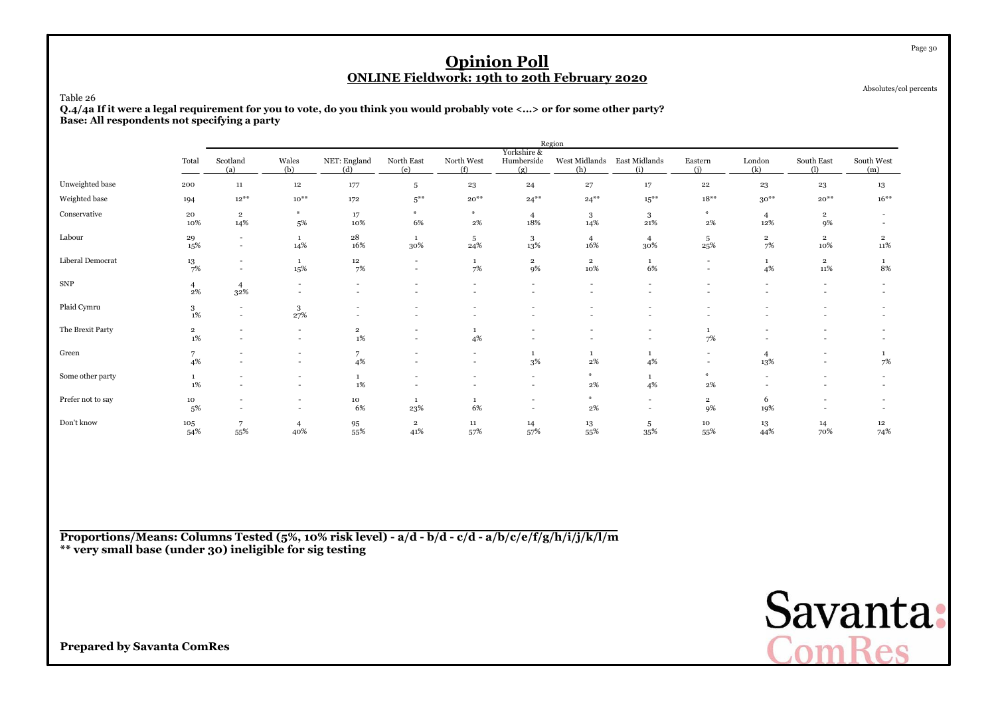Absolutes/col percents

#### Table 26

 **Q.4/4a If it were a legal requirement for you to vote, do you think you would probably vote <...> or for some other party?Base: All respondents not specifying a party**

|                   |                               |                                                      |                                                      |                                  |                               |                    |                                                      | Region                                               |                                    |                                                      |                       |                          |                                                      |
|-------------------|-------------------------------|------------------------------------------------------|------------------------------------------------------|----------------------------------|-------------------------------|--------------------|------------------------------------------------------|------------------------------------------------------|------------------------------------|------------------------------------------------------|-----------------------|--------------------------|------------------------------------------------------|
|                   | Total                         | Scotland<br>(a)                                      | Wales<br>(b)                                         | NET: England<br>(d)              | North East<br>(e)             | North West<br>(f)  | Yorkshire &<br>Humberside<br>(g)                     | West Midlands East Midlands<br>(h)                   | (i)                                | Eastern<br>(i)                                       | London<br>(k)         | South East<br>(1)        | South West<br>(m)                                    |
| Unweighted base   | 200                           | ${\bf 11}$                                           | $12\,$                                               | 177                              | 5                             | 23                 | 24                                                   | 27                                                   | $17\,$                             | $\bf{^{22}}$                                         | 23                    | 23                       | 13                                                   |
| Weighted base     | 194                           | $12^{**}$                                            | $10^{**}$                                            | 172                              | $5***$                        | $20^{**}$          | $24***$                                              | $24***$                                              | $15***$                            | $18***$                                              | $30**$                | $20^{**}$                | $16***$                                              |
| Conservative      | 20<br>10%                     | $\overline{2}$<br>14%                                | $\frac{M}{2}$<br>5%                                  | 17<br>10%                        | $+$<br>6%                     | $\ast$<br>$2\%$    | $\overline{4}$<br>18%                                | 3<br>14%                                             | 3<br>$21\%$                        | $\ast$<br>$2\%$                                      | $\overline{4}$<br>12% | $\overline{2}$<br>9%     |                                                      |
| Labour            | 29<br>15%                     | $\overline{\phantom{a}}$<br>$\overline{\phantom{a}}$ | 1<br>14%                                             | 28<br>16%                        | 1<br>30%                      | 5<br>24%           | $\frac{3}{13\%}$                                     | $\overline{4}$<br>16%                                | $\overline{4}$<br>30%              | 5<br>25%                                             | $\overline{2}$<br>7%  | $\mathbf{2}$<br>10%      | $\overline{2}$<br>11%                                |
| Liberal Democrat  | 13<br>7%                      | $\overline{\phantom{a}}$<br>$\blacksquare$           | 1<br>15%                                             | $12\,$<br>7%                     | ٠<br>$\sim$                   | $\mathbf{1}$<br>7% | $\overline{2}$<br>9%                                 | $\overline{2}$<br>10%                                | $\mathbf{1}$<br>6%                 | $\overline{\phantom{a}}$<br>$\overline{\phantom{a}}$ | $\mathbf{1}$<br>4%    | $\mathbf{2}$<br>$11\%$   | $\mathbf{1}$<br>8%                                   |
| <b>SNP</b>        | $\overline{4}$<br>$2\%$       | $\overline{4}$<br>32%                                | $\overline{\phantom{a}}$<br>$\overline{\phantom{a}}$ | $\overline{\phantom{0}}$         | $\overline{\phantom{a}}$      | $\sim$             | $\overline{\phantom{0}}$<br>$\sim$                   | $\overline{\phantom{a}}$<br>$\overline{\phantom{a}}$ | $\sim$                             | $\overline{\phantom{a}}$                             | $\overline{a}$        | $\overline{\phantom{a}}$ | $\overline{\phantom{0}}$<br>$\overline{\phantom{a}}$ |
| Plaid Cymru       | 3<br>$1\%$                    | $\sim$<br>$\sim$                                     | 3<br>27%                                             | $\sim$                           | ۰                             |                    |                                                      | $\overline{\phantom{a}}$                             | $\overline{\phantom{a}}$           | $\overline{\phantom{a}}$                             |                       |                          |                                                      |
| The Brexit Party  | $\overline{\mathbf{2}}$<br>1% | $\overline{\phantom{a}}$                             | $\overline{\phantom{a}}$<br>$\overline{\phantom{a}}$ | $\overline{\mathbf{2}}$<br>$1\%$ | ٠<br>$\overline{\phantom{a}}$ | $\mathbf{1}$<br>4% |                                                      | $\overline{\phantom{a}}$                             | $\overline{\phantom{a}}$<br>$\sim$ | 7%                                                   |                       |                          |                                                      |
| Green             | $\overline{7}$<br>4%          |                                                      | $\overline{\phantom{a}}$<br>$\overline{\phantom{a}}$ | $\overline{7}$<br>4%             | $\overline{\phantom{0}}$<br>٠ | $\sim$<br>$\sim$   | $\mathbf{1}$<br>3%                                   | 1<br>2%                                              | $\mathbf{1}$<br>4%                 | $\overline{\phantom{a}}$                             | 4<br>13%              | $\overline{\phantom{a}}$ | 7%                                                   |
| Some other party  | $\mathbf{1}$<br>$1\%$         |                                                      | $\overline{\phantom{a}}$<br>$\overline{\phantom{a}}$ | $\mathbf{1}$<br>$1\%$            |                               |                    | $\overline{\phantom{a}}$<br>$\overline{\phantom{a}}$ | *<br>$2\%$                                           | $\mathbf{1}$<br>4%                 | $\sim$<br>2%                                         |                       |                          |                                                      |
| Prefer not to say | 10<br>5%                      | ٠                                                    | $\overline{\phantom{a}}$<br>$\overline{\phantom{a}}$ | 10<br>6%                         | 1<br>23%                      | $\mathbf{1}$<br>6% | $\overline{\phantom{a}}$<br>$\sim$                   | *<br>2%                                              | $\sim$<br>$\sim$                   | $\overline{2}$<br>9%                                 | 6<br>19%              |                          |                                                      |
| Don't know        | 105<br>54%                    | 7<br>55%                                             | $\overline{4}$<br>40%                                | $\frac{95}{55\%}$                | $\overline{2}$<br>41%         | 11<br>57%          | 14<br>57%                                            | 13<br>55%                                            | 5<br>35%                           | 10<br>55%                                            | 13<br>44%             | 14<br>70%                | $12\phantom{.0}$<br>74%                              |

**Proportions/Means: Columns Tested (5%, 10% risk level) - a/d - b/d - c/d - a/b/c/e/f/g/h/i/j/k/l/m\*\* very small base (under 30) ineligible for sig testing**



**Prepared by Savanta ComRes**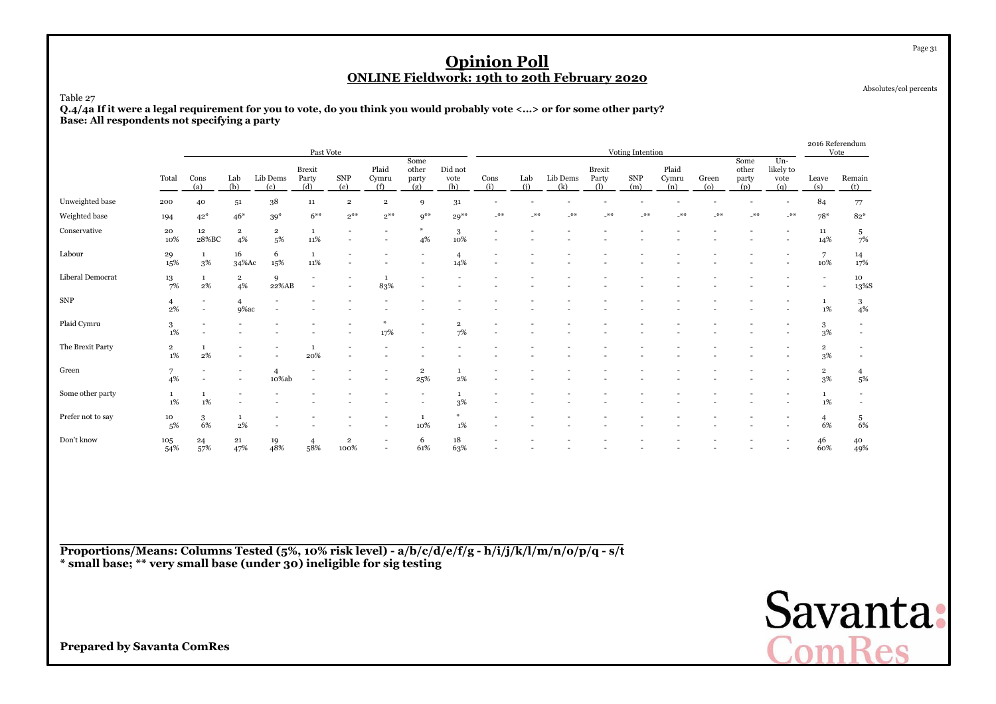Absolutes/col percents

Page 31

#### Table 27

 **Q.4/4a If it were a legal requirement for you to vote, do you think you would probably vote <...> or for some other party?Base: All respondents not specifying a party**

|                   |                               |                                    |                               |                               | Past Vote                                  |                          |                          |                               |                               |             |            |                 |                             | Voting Intention  |                       |              |                               |                                   | 2016 Referendum                                      | Vote                                       |
|-------------------|-------------------------------|------------------------------------|-------------------------------|-------------------------------|--------------------------------------------|--------------------------|--------------------------|-------------------------------|-------------------------------|-------------|------------|-----------------|-----------------------------|-------------------|-----------------------|--------------|-------------------------------|-----------------------------------|------------------------------------------------------|--------------------------------------------|
|                   | Total                         | Cons<br>(a)                        | Lab<br>(b)                    | Lib Dems<br>(c)               | <b>Brexit</b><br>Party<br>(d)              | <b>SNP</b><br>(e)        | Plaid<br>Cymru<br>(f)    | Some<br>other<br>party<br>(g) | Did not<br>vote<br>(h)        | Cons<br>(i) | Lab<br>(i) | Lib Dems<br>(k) | Brexit<br>Party<br>$\Omega$ | <b>SNP</b><br>(m) | Plaid<br>Cymru<br>(n) | Green<br>(o) | Some<br>other<br>party<br>(p) | $Un-$<br>likely to<br>vote<br>(q) | Leave<br>(s)                                         | Remain<br>(t)                              |
| Unweighted base   | 200                           | 40                                 | 51                            | 38                            | 11                                         | $\overline{\mathbf{2}}$  | $\,2\,$                  | $\mathbf Q$                   | 31                            |             |            |                 |                             |                   |                       |              |                               |                                   | 84                                                   | 77                                         |
| Weighted base     | 194                           | $42*$                              | $46*$                         | $39*$                         | $6***$                                     | $2***$                   | $2***$                   | $9***$                        | $29**$                        | $-$ **      | $-$ **     | **              | _**                         | $***$             | 关关                    | _**          | $***$                         | $-$ **                            | $78*$                                                | $82*$                                      |
| Conservative      | 20<br>10%                     | 12<br>28%BC                        | $\overline{\mathbf{2}}$<br>4% | $\overline{\mathbf{2}}$<br>5% | 1<br>11%                                   |                          |                          | 圣<br>4%                       | 3<br>10%                      |             |            |                 |                             |                   |                       |              |                               |                                   | 11<br>14%                                            | $\frac{5}{7\%}$                            |
| Labour            | 29<br>15%                     | 1<br>$3\%$                         | 16<br>34%Ac                   | 6<br>15%                      | $\mathbf{1}$<br>11%                        |                          |                          |                               | $\overline{4}$<br>14%         |             |            |                 |                             |                   |                       |              |                               |                                   | $\overline{7}$<br>10%                                | $\frac{14}{17\%}$                          |
| Liberal Democrat  | $\frac{13}{7\%}$              | 1<br>$2\%$                         | $\overline{\mathbf{2}}$<br>4% | 9<br>22%AB                    | $\overline{\phantom{a}}$<br>$\overline{a}$ | $\overline{\phantom{a}}$ | 1<br>83%                 |                               |                               |             |            |                 |                             |                   |                       |              |                               |                                   | $\overline{\phantom{a}}$<br>$\overline{\phantom{a}}$ | 10<br>13%S                                 |
| ${\rm SNP}$       | 4<br>2%                       | $\overline{\phantom{a}}$<br>$\sim$ | 4<br>9%ac                     |                               |                                            |                          |                          |                               |                               |             |            |                 |                             |                   |                       |              |                               |                                   | $\mathbf{1}$<br>$1\%$                                | $\mathbf{3}$<br>4%                         |
| Plaid Cymru       | 3<br>1%                       | $\sim$                             |                               |                               |                                            |                          | 17%                      | $\overline{\phantom{a}}$      | $\overline{\mathbf{2}}$<br>7% |             |            |                 |                             |                   |                       |              |                               |                                   | 3<br>$3\%$                                           | $\sim$                                     |
| The Brexit Party  | $\overline{\mathbf{2}}$<br>1% | $\mathbf{1}$<br>$2\%$              |                               | $\overline{\phantom{0}}$      | $\mathbf{1}$<br>20%                        |                          |                          |                               |                               |             |            |                 |                             |                   |                       |              |                               |                                   | $\,2\,$<br>$3\%$                                     | $\overline{\phantom{a}}$<br>$\blacksquare$ |
| Green             | 7<br>4%                       |                                    |                               | $\overline{4}$<br>10%ab       |                                            |                          |                          | 2<br>25%                      | 2%                            |             |            |                 |                             |                   |                       |              |                               |                                   | $\overline{2}$<br>3%                                 | $\frac{4}{5\%}$                            |
| Some other party  | 1%                            | $\mathbf{1}$<br>1%                 |                               |                               |                                            |                          |                          | $\overline{\phantom{a}}$      | 3%                            |             |            |                 |                             |                   |                       |              |                               |                                   | $\mathbf{1}$<br>1%                                   |                                            |
| Prefer not to say | 10<br>5%                      | 3<br>6%                            | -1<br>2%                      |                               |                                            |                          |                          | 1<br>10%                      | 1%                            |             |            |                 |                             |                   |                       |              |                               |                                   | $\overline{4}$<br>6%                                 | $\begin{array}{c} 5 \\ 6\% \end{array}$    |
| Don't know        | 105<br>54%                    | 24<br>57%                          | $\bf 21$<br>47%               | 19<br>48%                     | $\overline{4}$<br>58%                      | $\overline{2}$<br>100%   | $\overline{\phantom{a}}$ | 6<br>61%                      | 18<br>63%                     |             |            |                 |                             |                   |                       |              |                               |                                   | 46<br>60%                                            | 40<br>49%                                  |

**Proportions/Means: Columns Tested (5%, 10% risk level) - a/b/c/d/e/f/g - h/i/j/k/l/m/n/o/p/q - s/t\* small base; \*\* very small base (under 30) ineligible for sig testing**

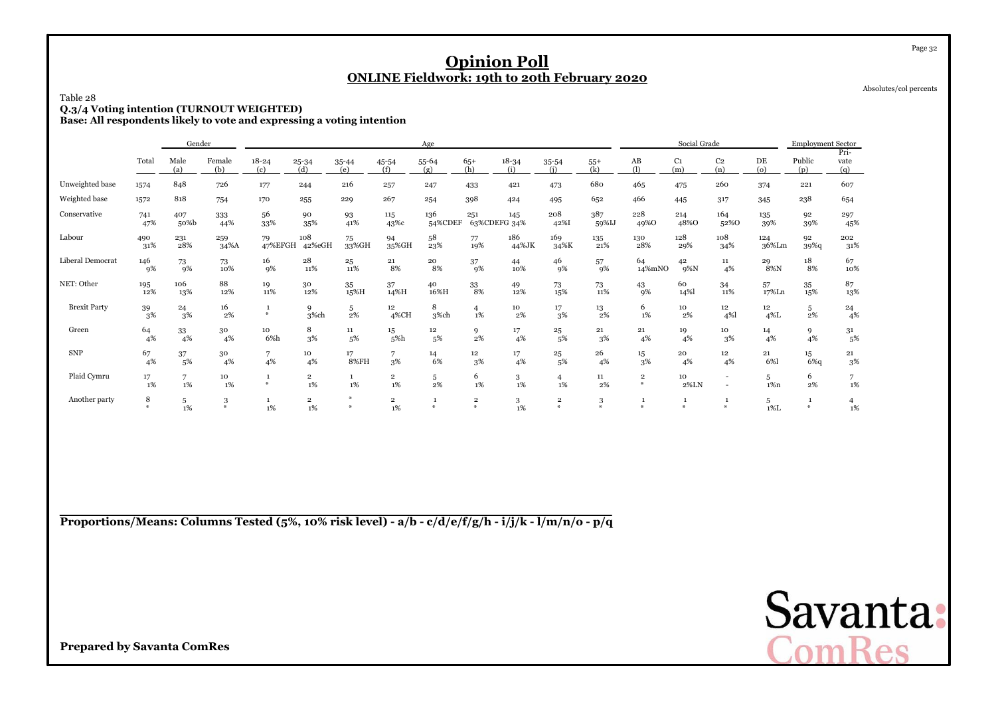Absolutes/col percents

Page 32

## Table 28**Q.3/4 Voting intention (TURNOUT WEIGHTED) Base: All respondents likely to vote and expressing a voting intention**

|                     |                       | Gender                |               |                   |                         |                    |                               | Age            |                                          |                     |                                         |                             |                               | Social Grade           |                                                      |                           | <b>Employment Sector</b> | Pri-        |
|---------------------|-----------------------|-----------------------|---------------|-------------------|-------------------------|--------------------|-------------------------------|----------------|------------------------------------------|---------------------|-----------------------------------------|-----------------------------|-------------------------------|------------------------|------------------------------------------------------|---------------------------|--------------------------|-------------|
|                     | Total                 | Male<br>(a)           | Female<br>(b) | $18 - 24$<br>(c)  | $25 - 34$<br>(d)        | 35-44<br>(e)       | 45-54<br>(f)                  | 55-64<br>(g)   | $65+$<br>(h)                             | $18 - 34$<br>(i)    | 35-54<br>(i)                            | $55+$<br>(k)                | AB<br>$\Omega$                | C <sub>1</sub><br>(m)  | C <sub>2</sub><br>(n)                                | DE<br>$\omega$            | Public<br>(p)            | vate<br>(q) |
| Unweighted base     | 1574                  | 848                   | 726           | 177               | 244                     | 216                | 257                           | 247            | 433                                      | 421                 | 473                                     | 680                         | 465                           | 475                    | 260                                                  | 374                       | 221                      | 607         |
| Weighted base       | 1572                  | 818                   | 754           | 170               | 255                     | 229                | 267                           | 254            | 398                                      | 424                 | 495                                     | 652                         | 466                           | 445                    | 317                                                  | 345                       | 238                      | 654         |
| Conservative        | 741<br>47%            | 407<br>50%b           | 333<br>44%    | 56<br>33%         | 90<br>35%               | 93<br>41%          | 115<br>43%с                   | 136<br>54%CDEF | 251                                      | 145<br>63%CDEFG 34% | 208<br>42%I                             | 387<br>59%IJ                | 228<br>49%0                   | 214<br>48%O            | 164<br>52%0                                          | 135<br>39%                | 92<br>39%                | 297<br>45%  |
| Labour              | 490<br>31%            | 231<br>28%            | 259<br>34%A   | 79<br>47%EFGH     | 108<br>42%eGH           | 75<br>33%GH        | 94<br>35%GH                   | 58<br>23%      | 77<br>19%                                | 186<br>44%JK        | 169<br>34%K                             | 135<br>21%                  | 130<br>28%                    | 128<br>29%             | 108<br>34%                                           | 124<br>36%Lm              | 92<br>39%q               | 202<br>31%  |
| Liberal Democrat    | 146<br>9%             | 73<br>9%              | 73<br>10%     | 16<br>9%          | 28<br>11%               | 25<br>11%          | 21<br>8%                      | 20<br>8%       | 37<br>9%                                 | 44<br>10%           | 46<br>9%                                | 57<br>9%                    | 64<br>14%mNO                  | 42<br>$9\%$ N          | $11\,$<br>4%                                         | 29<br>8%N                 | 18<br>8%                 | 67<br>10%   |
| NET: Other          | 195<br>12%            | 106<br>13%            | 88<br>12%     | 19<br>11%         | 30<br>12%               | 35<br>15%H         | 37<br>14%H                    | 40<br>16%H     | 33<br>8%                                 | 49<br>12%           | 73<br>15%                               | 73<br>11%                   | 43<br>9%                      | 60<br>14%              | 34<br>11%                                            | 57<br>$17\%$ Ln           | 35<br>15%                | 87<br>13%   |
| <b>Brexit Party</b> | 39<br>3%              | 24<br>3%              | 16<br>2%      | $\mathbf{1}$<br>条 | 9<br>3%ch               | 5<br>$2\%$         | 12 <sup>2</sup><br>4%CH       | 8<br>3%ch      | $\overline{4}$<br>1%                     | 10<br>2%            | 17<br>3%                                | 13<br>2%                    | 6<br>$1\%$                    | 10<br>2%               | 12 <sup>12</sup><br>4%                               | 12 <sub>2</sub><br>$4\%L$ | 5<br>2%                  | 24<br>4%    |
| Green               | 64<br>4%              | 33<br>4%              | 30<br>4%      | 10<br>6%h         | 8<br>3%                 | 11<br>5%           | 15<br>5%h                     | 12<br>5%       | 9<br>2%                                  | 17<br>4%            | 25<br>5%                                | 21<br>3%                    | 21<br>4%                      | 19<br>4%               | 10<br>$3\%$                                          | 14<br>4%                  | 9<br>4%                  | 31<br>5%    |
| <b>SNP</b>          | 67<br>4%              | 37<br>5%              | 30<br>4%      | 7<br>4%           | 10<br>4%                | 17<br><b>8%FH</b>  | $\overline{7}$<br>3%          | 14<br>6%       | 12<br>3%                                 | 17<br>4%            | 25<br>5%                                | 26<br>4%                    | 15<br>3%                      | 20<br>4%               | 12<br>4%                                             | 21<br>6%1                 | 15<br>6%q                | 21<br>3%    |
| Plaid Cymru         | 17<br>1%              | $7\overline{ }$<br>1% | 10<br>1%      | 条                 | $\overline{2}$<br>1%    | $\mathbf{1}$<br>1% | $\overline{2}$<br>1%          | 5<br>2%        | 6<br>1%                                  | 3<br>1%             | $\overline{4}$<br>1%                    | 11<br>2%                    | $\overline{\mathbf{2}}$<br>条  | 10<br>$2\%$ LN         | $\overline{\phantom{a}}$<br>$\overline{\phantom{a}}$ | 5<br>$1\%n$               | 6<br>2%                  | 7<br>1%     |
| Another party       | 8<br>$\divideontimes$ | 5<br>$1\%$            | 3<br>$*$      | 1%                | $\overline{2}$<br>$1\%$ | 圣<br>条             | $\overline{\mathbf{2}}$<br>1% | $\frac{M}{2}$  | $\overline{\mathbf{2}}$<br>$\frac{M}{2}$ | $\frac{3}{1\%}$     | $\mathbf 2$<br>$\boldsymbol{\varkappa}$ | $\sqrt{3}$<br>$\frac{1}{2}$ | $\mathbf{1}$<br>$\frac{1}{2}$ | $\mathbf{1}$<br>$\ast$ | $\Delta L$                                           | 5<br>$1\%$ L              | -1<br>$\ast$             | 4<br>$1\%$  |

**Proportions/Means: Columns Tested (5%, 10% risk level) - a/b - c/d/e/f/g/h - i/j/k - l/m/n/o - p/q**

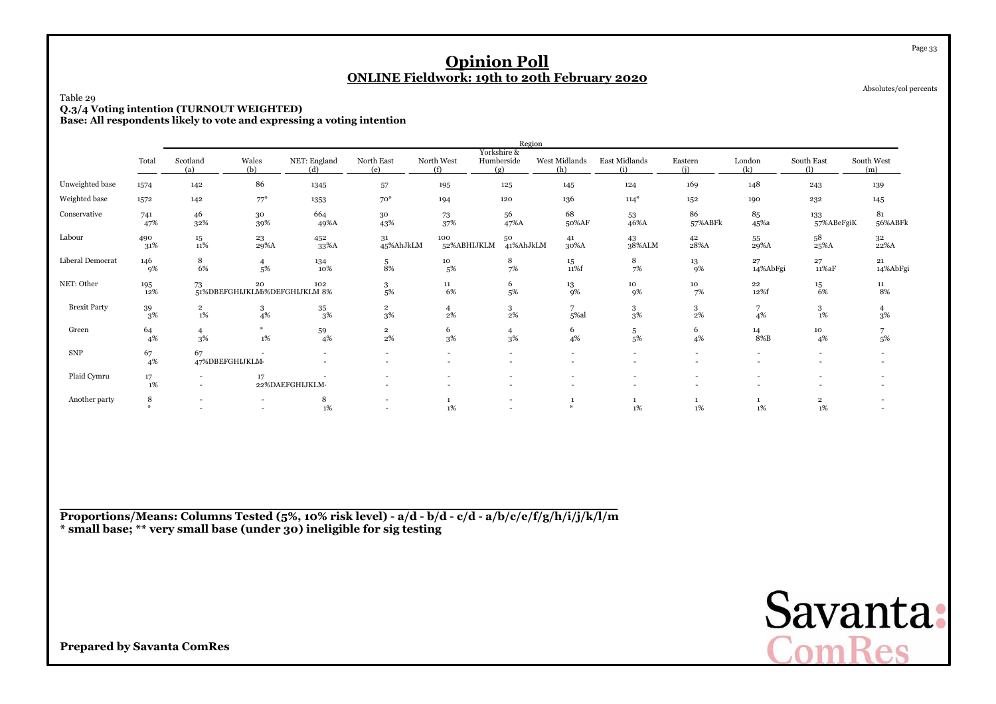| Table 29<br>Q.3/4 Voting intention (TURNOUT WEIGHTED)<br>Base: All respondents likely to vote and expressing a voting intention |                                                                                                                                                                                                                                                                                                |                               |                                                                                                                                                     |                                                      | <b>ONLINE Fieldwork: 19th to 20th February 2020</b> |                          | <b>Opinion Poll</b>      |                          |                                                      |                                    |                      |                          | Page 33<br>Absolutes/col percents |  |  |  |  |
|---------------------------------------------------------------------------------------------------------------------------------|------------------------------------------------------------------------------------------------------------------------------------------------------------------------------------------------------------------------------------------------------------------------------------------------|-------------------------------|-----------------------------------------------------------------------------------------------------------------------------------------------------|------------------------------------------------------|-----------------------------------------------------|--------------------------|--------------------------|--------------------------|------------------------------------------------------|------------------------------------|----------------------|--------------------------|-----------------------------------|--|--|--|--|
|                                                                                                                                 | Region<br>Yorkshire &<br>Wales<br>Humberside<br>East Midlands<br>Scotland<br>NET: England<br>North East<br>North West<br>West Midlands<br>Eastern<br>London<br>South East<br>South West<br>Total                                                                                               |                               |                                                                                                                                                     |                                                      |                                                     |                          |                          |                          |                                                      |                                    |                      |                          |                                   |  |  |  |  |
|                                                                                                                                 |                                                                                                                                                                                                                                                                                                | (a)                           | (b)<br>(e)<br>(f)<br>(g)<br>(i)<br>(k)<br>(h)<br>(i)<br>ጠ<br>(m)<br>(d)<br>86<br>169<br>148<br>142<br>1345<br>57<br>195<br>125<br>145<br>124<br>243 |                                                      |                                                     |                          |                          |                          |                                                      |                                    |                      |                          |                                   |  |  |  |  |
| Unweighted base                                                                                                                 | 1574                                                                                                                                                                                                                                                                                           |                               | 139<br>$70*$<br>$77*$<br>136<br>$114*$<br>1353<br>194<br>120<br>152<br>190<br>232<br>142<br>145                                                     |                                                      |                                                     |                          |                          |                          |                                                      |                                    |                      |                          |                                   |  |  |  |  |
| Weighted base                                                                                                                   | 1572                                                                                                                                                                                                                                                                                           |                               |                                                                                                                                                     |                                                      |                                                     |                          |                          |                          |                                                      |                                    |                      |                          |                                   |  |  |  |  |
| Conservative                                                                                                                    | 68<br>664<br>86<br>81<br>46<br>56<br>85<br>30<br>30<br>73<br>53<br>133<br>741<br>56%ABFk<br>47%<br>32%<br>43%<br>37%<br>47%A<br>50%AF<br>46%A<br>57%ABFk<br>45 <sup>%a</sup><br>57%ABeFgiK<br>39%<br>49%A<br>58<br>490<br>$15\,$<br>23<br>452<br>31<br>100<br>50<br>42<br>55<br>32<br>41<br>43 |                               |                                                                                                                                                     |                                                      |                                                     |                          |                          |                          |                                                      |                                    |                      |                          |                                   |  |  |  |  |
| Labour                                                                                                                          | 31%                                                                                                                                                                                                                                                                                            | 11%                           | 29%A                                                                                                                                                | 33%A                                                 | 45%AhJkLM                                           | 52%ABHIJKLM              | 41%AhJkLM                | 30%A                     | 38%ALM                                               | 28%A                               | 29%A                 | $25\%$ A                 | 22%A                              |  |  |  |  |
| Liberal Democrat                                                                                                                | 146<br>9%                                                                                                                                                                                                                                                                                      | 8<br>6%                       | $\overline{4}$<br>5%                                                                                                                                | 134<br>10%                                           | 5<br>8%                                             | 10<br>5%                 | 8<br>7%                  | $15\,$<br>11%f           | 8<br>7%                                              | 13<br>9%                           | 27<br>14%AbFgi       | 27<br>11%aF              | 21<br>14%AbFgi                    |  |  |  |  |
| NET: Other                                                                                                                      | 195<br>12%                                                                                                                                                                                                                                                                                     | 73                            | 20<br>51%DBEFGHIJKLM5%DEFGHIJKLM 8%                                                                                                                 | 102                                                  | 3<br>5%                                             | 11<br>6%                 | 6<br>5%                  | 13<br>9%                 | 10<br>9%                                             | 10<br>7%                           | $\bf{^{22}}$<br>12%f | 15<br>6%                 | 11<br>8%                          |  |  |  |  |
| <b>Brexit Party</b>                                                                                                             | 39<br>3%                                                                                                                                                                                                                                                                                       | $\overline{\mathbf{2}}$<br>1% | 3<br>4%                                                                                                                                             | 35<br>3%                                             | $\overline{2}$<br>3%                                | $\overline{4}$<br>2%     | 3<br>2%                  | 7<br>5%al                | 3<br>3%                                              | 3<br>2%                            | 7<br>4%              | 3<br>$1\%$               | $\overline{4}$<br>3%              |  |  |  |  |
| Green                                                                                                                           | 64<br>4%                                                                                                                                                                                                                                                                                       | $\overline{4}$<br>3%          | 1%                                                                                                                                                  | 59<br>4%                                             | $\overline{2}$<br>2%                                | 6<br>3%                  | $\overline{4}$<br>3%     | 6<br>4%                  | 5<br>5%                                              | 6<br>4%                            | 14<br>$8\%B$         | 10<br>4%                 | 7<br>5%                           |  |  |  |  |
| <b>SNP</b>                                                                                                                      | 67<br>4%                                                                                                                                                                                                                                                                                       | 67                            | 47%DBEFGHIJKLM-                                                                                                                                     | $\overline{\phantom{a}}$<br>$\overline{\phantom{a}}$ | $\overline{\phantom{a}}$                            | $\sim$                   | $\overline{\phantom{a}}$ | $\overline{\phantom{a}}$ | $\overline{\phantom{a}}$<br>$\overline{\phantom{a}}$ | $\overline{\phantom{a}}$<br>$\sim$ |                      | $\overline{\phantom{a}}$ |                                   |  |  |  |  |
| Plaid Cymru                                                                                                                     | 17<br>1%                                                                                                                                                                                                                                                                                       | $\overline{a}$                | 17                                                                                                                                                  | 22%DAEFGHIJKLM-                                      |                                                     | $\overline{\phantom{a}}$ |                          |                          | $\overline{\phantom{a}}$                             | $\overline{\phantom{a}}$           |                      |                          |                                   |  |  |  |  |
| Another party                                                                                                                   | 8<br>$\mathbf{w}$                                                                                                                                                                                                                                                                              | $\overline{\phantom{0}}$      |                                                                                                                                                     | 8<br>1%                                              |                                                     | $\mathbf{1}$<br>1%       | $\overline{a}$           | 1<br>$\divideontimes$    | 1<br>1%                                              | $\mathbf{1}$<br>1%                 | -1<br>1%             | $\overline{2}$<br>1%     |                                   |  |  |  |  |

**Proportions/Means: Columns Tested (5%, 10% risk level) - a/d - b/d - c/d - a/b/c/e/f/g/h/i/j/k/l/m\* small base; \*\* very small base (under 30) ineligible for sig testing**

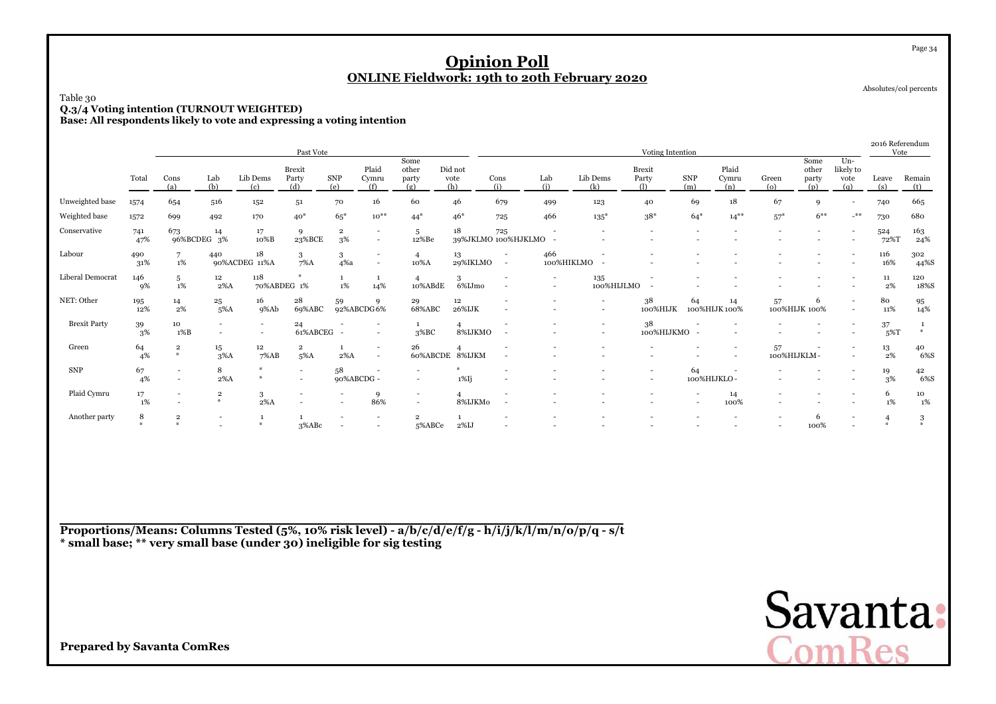## Table 30**Q.3/4 Voting intention (TURNOUT WEIGHTED) Base: All respondents likely to vote and expressing a voting intention**

|                     |                   |                                                      |                                    |                                                      | Past Vote                                            |                               |                          |                                            |                               |                          |                          |                          | Voting Intention         |                          |                       |                   |                               |                                   | 2016 Referendum<br>Vote |                                 |
|---------------------|-------------------|------------------------------------------------------|------------------------------------|------------------------------------------------------|------------------------------------------------------|-------------------------------|--------------------------|--------------------------------------------|-------------------------------|--------------------------|--------------------------|--------------------------|--------------------------|--------------------------|-----------------------|-------------------|-------------------------------|-----------------------------------|-------------------------|---------------------------------|
|                     | Total             | Cons<br>(a)                                          | Lab<br>(b)                         | Lib Dems<br>(c)                                      | Brexit<br>Party<br>(d)                               | SNP<br>(e)                    | Plaid<br>Cymru<br>(f)    | Some<br>other<br>party<br>(g)              | Did not<br>vote<br>(h)        | Cons<br>(i)              | Lab<br>(i)               | Lib Dems<br>(k)          | Brexit<br>Party<br>(1)   | <b>SNP</b><br>(m)        | Plaid<br>Cymru<br>(n) | Green<br>$\omega$ | Some<br>other<br>party<br>(p) | $Un-$<br>likely to<br>vote<br>(a) | Leave<br>(s)            | Remain<br>(t)                   |
| Unweighted base     | 1574              | 654                                                  | 516                                | 152                                                  | 51                                                   | 70                            | 16                       | 60                                         | 46                            | 679                      | 499                      | 123                      | 40                       | 69                       | 18                    | 67                | 9                             |                                   | 740                     | 665                             |
| Weighted base       | 1572              | 699                                                  | 492                                | 170                                                  | $40*$                                                | $65*$                         | $10^{**}$                | $44*$                                      | $46*$                         | 725                      | 466                      | $135*$                   | $38*$                    | $64*$                    | $14***$               | $57*$             | $6***$                        | $-$ **                            | 730                     | 680                             |
| Conservative        | 741<br>47%        | 673                                                  | 14<br>96%BCDEG 3%                  | 17<br>10%B                                           | 9<br>23%BCE                                          | $\overline{\mathbf{2}}$<br>3% | $\overline{\phantom{a}}$ | 5<br>12%Be                                 | $18\,$<br>39%JKLMO 100%HJKLMO | 725                      |                          |                          |                          |                          |                       |                   |                               |                                   | 524<br>72%T             | $\frac{163}{24\%}$              |
| Labour              | 490<br>31%        | $7\overline{ }$<br>1%                                | 440                                | 18<br>90%ACDEG 11%A                                  | 3<br>$7\%$ A                                         | 3<br>4%a                      | $\overline{\phantom{a}}$ | $\overline{4}$<br>10%A                     | 13<br>29%IKLMO                | $\overline{\phantom{a}}$ | 466                      | 100%HIKLMO               |                          |                          |                       |                   |                               |                                   | 116<br>16%              | 302<br>44%S                     |
| Liberal Democrat    | 146<br>9%         | 5<br>1%                                              | 12<br>$2\%$ A                      | 118                                                  | 70%ABDEG 1%                                          | $\mathbf{1}$<br>$1\%$         | 1<br>14%                 | 10%ABdE                                    | 3<br>6%IJmo                   | $\overline{\phantom{a}}$ | $\overline{\phantom{a}}$ | 135                      | 100%HIJLMO               |                          |                       |                   |                               |                                   | ${\bf 11}$<br>2%        | 120<br>18%S                     |
| NET: Other          | 195<br>12%        | 14<br>2%                                             | 25<br>$5\%$ A                      | 16<br>9%Ab                                           | 28<br>69%ABC                                         | 59                            | 9<br>92%ABCDG6%          | 29<br>68%ABC                               | $12\,$<br>26%IJK              |                          |                          |                          | 38<br>100%HIJK           | 64                       | 14<br>100%HIJK 100%   | 57                | 6<br>100%HIJK 100%            |                                   | 80<br>11%               | $\frac{95}{14\%}$               |
| <b>Brexit Party</b> | 39<br>3%          | 10<br>1%B                                            | $\sim$<br>$\overline{\phantom{a}}$ | $\overline{\phantom{a}}$<br>$\overline{\phantom{a}}$ | 24<br>61%ABCEG -                                     |                               |                          | 3%BC                                       | $\overline{4}$<br>8%IJKMO     | $\overline{\phantom{a}}$ |                          | $\overline{\phantom{a}}$ | 38<br>100%HIJKMO -       |                          |                       |                   |                               |                                   | 37<br>$5\%T$            | $\frac{1}{2}$                   |
| Green               | 64<br>4%          | $\overline{\mathbf{2}}$<br>$*$                       | 15<br>$3\%$ A                      | $12\,$<br>7%AB                                       | $\overline{2}$<br>5%A                                | $\mathbf{1}$<br>$2\%$ A       | $\overline{\phantom{a}}$ | 26                                         | 60%ABCDE 8%IJKM               |                          |                          |                          |                          |                          |                       | 57                | 100%HIJKLM-                   |                                   | 13<br>2%                | $^{40}_{\phantom{1}6\%{\rm S}}$ |
| ${\rm SNP}$         | 67<br>4%          | $\overline{\phantom{a}}$<br>$\overline{\phantom{a}}$ | 8<br>$2\%$ A                       |                                                      | $\overline{\phantom{0}}$<br>$\overline{\phantom{a}}$ | 58                            | 90%ABCDG -               |                                            | $1\%$ Ij                      |                          |                          |                          | $\overline{\phantom{a}}$ | 64                       | 100%HIJKLO-           |                   |                               |                                   | 19<br>3%                | 42<br>6%S                       |
| Plaid Cymru         | 17<br>1%          | $\overline{\phantom{a}}$<br>$\overline{\phantom{a}}$ | $\overline{2}$<br>$\ast$           | 3<br>$2\%$ A                                         |                                                      |                               | 9<br>86%                 | $\overline{a}$<br>$\overline{\phantom{a}}$ | 8%IJKMo                       |                          |                          |                          |                          | $\overline{\phantom{a}}$ | 14<br>100%            |                   |                               |                                   | 6<br>1%                 | 10<br>1%                        |
| Another party       | 8<br>$\mathbf{M}$ | $\overline{\mathbf{2}}$<br>$\boldsymbol{u}$          |                                    |                                                      | 3%ABc                                                |                               |                          | $\overline{2}$<br>5%ABCe                   | 2%IJ                          |                          |                          |                          |                          |                          |                       |                   | 6<br>100%                     |                                   | 華                       | 3<br>$\mathbf{a}$               |

**Proportions/Means: Columns Tested (5%, 10% risk level) - a/b/c/d/e/f/g - h/i/j/k/l/m/n/o/p/q - s/t\* small base; \*\* very small base (under 30) ineligible for sig testing**



Absolutes/col percents

Page 34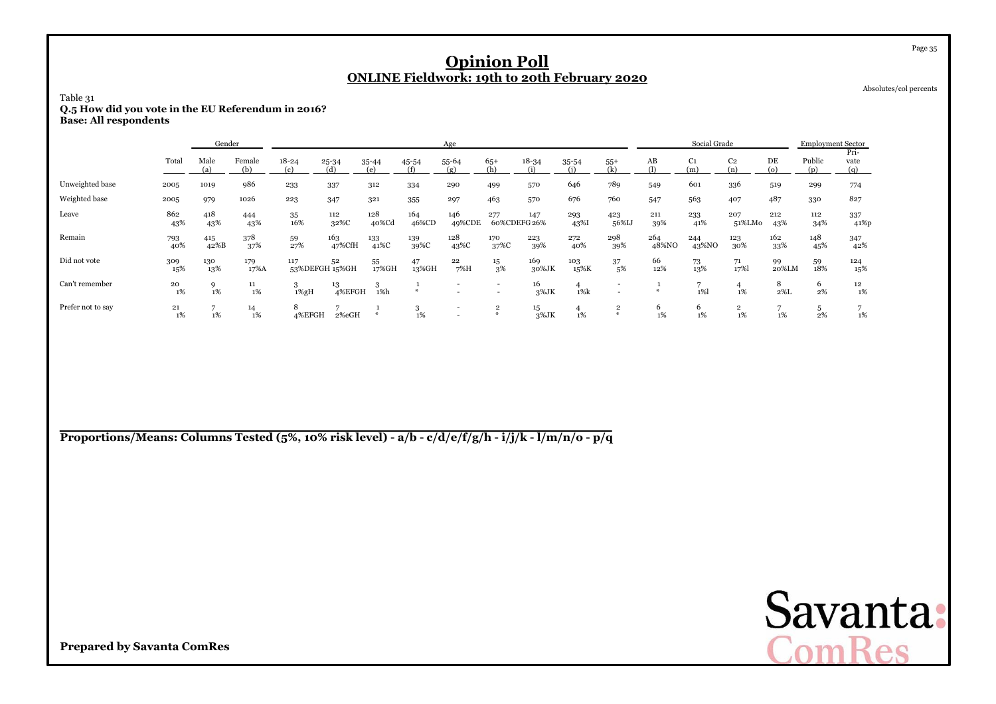Absolutes/col percents

## Table 31**Q.5 How did you vote in the EU Referendum in 2016? Base: All respondents**

|                   |            | Gender               |               |                                          |               |                  |              | Age              |                                                      |                     |             |                                                      |              | Social Grade          |                         |                | <b>Employment Sector</b> |                     |
|-------------------|------------|----------------------|---------------|------------------------------------------|---------------|------------------|--------------|------------------|------------------------------------------------------|---------------------|-------------|------------------------------------------------------|--------------|-----------------------|-------------------------|----------------|--------------------------|---------------------|
|                   | Total      | Male<br>(a)          | Female<br>(b) | $18 - 24$<br>$\left( \mathrm{c} \right)$ | 25-34<br>(d)  | $35 - 44$<br>(e) | 45-54<br>(f) | $55 - 64$<br>(g) | $65+$<br>(h)                                         | $18 - 34$           | $35 - 54$   | $55+$                                                | AB<br>(1)    | C <sub>1</sub><br>(m) | C <sub>2</sub><br>(n)   | DE<br>$\omega$ | Public<br>(p)            | Pri-<br>vate<br>(q) |
| Unweighted base   | 2005       | 1019                 | 986           | 233                                      | 337           | 312              | 334          | 290              | 499                                                  | 570                 | 646         | 789                                                  | 549          | 601                   | 336                     | 519            | 299                      | 774                 |
| Weighted base     | 2005       | 979                  | 1026          | 223                                      | 347           | 321              | 355          | 297              | 463                                                  | 570                 | 676         | 760                                                  | 547          | 563                   | 407                     | 487            | 330                      | 827                 |
| Leave             | 862<br>43% | 418<br>43%           | 444<br>43%    | 35<br>16%                                | 112<br>32%C   | 128<br>40%Cd     | 164<br>46%CD | 146<br>49%CDE    | 277                                                  | 147<br>60%CDEFG 26% | 293<br>43%  | 423<br>56%IJ                                         | 211<br>39%   | 233<br>41%            | 207<br>51%LMo           | 212<br>43%     | 112<br>34%               | 337<br>41%p         |
| Remain            | 793<br>40% | 415<br>42%B          | 378<br>37%    | 59<br>27%                                | 163<br>47%CfH | 133<br>41%C      | 139<br>39%C  | 128<br>43%C      | 170<br>37%C                                          | 223<br>39%          | 272<br>40%  | 298<br>39%                                           | 264<br>48%NO | 244<br>43%NO          | 123<br>30%              | 162<br>33%     | 148<br>45%               | 347<br>42%          |
| Did not vote      | 309<br>15% | 130<br>13%           | 179<br>17%A   | 117<br>53%DEFGH 15%GH                    | 52            | 55<br>17%GH      | 47<br>13%GH  | 22<br>7%H        | 15<br>3%                                             | 169<br>30%JK        | 103<br>15%K | 37<br>5%                                             | 66<br>12%    | 73<br>13%             | 71<br>17%               | 99<br>20%LM    | 59<br>18%                | 124<br>15%          |
| Can't remember    | 20<br>1%   | 9<br>1%              | 11<br>1%      | 3<br>$1\%gH$                             | 13<br>4%EFGH  | 1%h              |              |                  | $\overline{\phantom{a}}$<br>$\overline{\phantom{a}}$ | 16<br>3%JK          | $1\%k$      | $\overline{\phantom{a}}$<br>$\overline{\phantom{a}}$ |              | $1\%$                 | 4<br>1%                 | 8<br>$2\%$ L   | 6<br>2%                  | 12<br>1%            |
| Prefer not to say | 21<br>1%   | $\overline{ }$<br>1% | 14<br>1%      | 8<br>4%EFGH                              | 2%eGH         |                  | G.<br>$1\%$  |                  | $\overline{\mathbf{2}}$                              | 15<br>3%JK          | 1%          | $\overline{\mathbf{2}}$<br>$\boldsymbol{\omega}$     | 6<br>1%      | $\epsilon$<br>$1\%$   | $\overline{2}$<br>$1\%$ | 1%             | 2%                       | 1%                  |

**Proportions/Means: Columns Tested (5%, 10% risk level) - a/b - c/d/e/f/g/h - i/j/k - l/m/n/o - p/q**

Savanta:<br>ComRes

**Prepared by Savanta ComRes**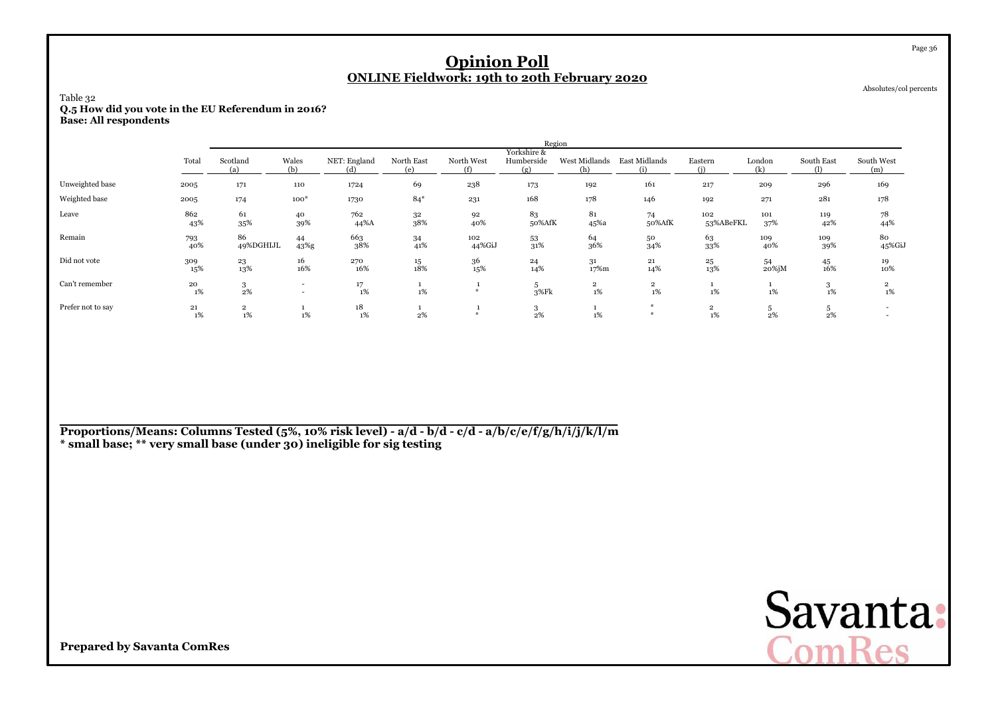| Table 32<br>Q.5 How did you vote in the EU Referendum in 2016?<br><b>Base: All respondents</b> |                                                                                                                                                                                                      |                      |                                    |             |                       | <b>Opinion Poll</b><br><b>ONLINE Fieldwork: 19th to 20th February 2020</b> |              |                         |                         |                      |                 |            | Page 36<br>Absolutes/col percents |  |  |
|------------------------------------------------------------------------------------------------|------------------------------------------------------------------------------------------------------------------------------------------------------------------------------------------------------|----------------------|------------------------------------|-------------|-----------------------|----------------------------------------------------------------------------|--------------|-------------------------|-------------------------|----------------------|-----------------|------------|-----------------------------------|--|--|
|                                                                                                | Region<br>Yorkshire &<br>Scotland<br>Wales<br>North East<br>Humberside<br>West Midlands East Midlands<br>Total<br>NET: England<br>North West<br>London<br>South East<br>South West<br>Eastern<br>(m) |                      |                                    |             |                       |                                                                            |              |                         |                         |                      |                 |            |                                   |  |  |
|                                                                                                | (k)<br>(b)<br>(d)<br>(f)<br>(i)<br>(i)<br>(1)<br>(a)<br>(e)<br>(g)<br>(h)<br>69<br>238<br>161<br>173<br>296<br>171<br>1724<br>192<br>217<br>209<br>2005<br>110                                       |                      |                                    |             |                       |                                                                            |              |                         |                         |                      |                 |            |                                   |  |  |
| Unweighted base                                                                                |                                                                                                                                                                                                      |                      |                                    |             |                       |                                                                            |              |                         |                         |                      |                 |            | 169                               |  |  |
| Weighted base                                                                                  | 2005                                                                                                                                                                                                 | 174                  | $100*$                             | 1730        | $84*$                 | 231                                                                        | 168          | 178                     | 146                     | 192                  | 271             | 281        | 178                               |  |  |
| Leave                                                                                          | 862<br>43%                                                                                                                                                                                           | 61<br>35%            | 40<br>39%                          | 762<br>44%A | 3 <sup>2</sup><br>38% | 92<br>40%                                                                  | 83<br>50%AfK | 81<br>45%a              | 74<br>50%AfK            | 102<br>53%ABeFKL     | 101<br>37%      | 119<br>42% | 78<br>44%                         |  |  |
| Remain                                                                                         | 793<br>40%                                                                                                                                                                                           | 86<br>49%DGHIJL      | 44<br>43%g                         | 663<br>38%  | 34<br>41%             | 102<br>44%GiJ                                                              | 53<br>31%    | 64<br>36%               | 50<br>34%               | 63<br>33%            | 109<br>40%      | 109<br>39% | 80<br>45%GiJ                      |  |  |
| Did not vote                                                                                   | 309<br>15%                                                                                                                                                                                           | 23<br>13%            | 16<br>16%                          | 270<br>16%  | $15\,$<br>18%         | 36<br>15%                                                                  | 24<br>14%    | 31<br>17%m              | 21<br>14%               | 25<br>13%            | 54<br>$20\%$ jM | 45<br>16%  | 19<br>10%                         |  |  |
| Can't remember                                                                                 | 20<br>1%                                                                                                                                                                                             | $\frac{3}{2\%}$      | $\overline{\phantom{a}}$<br>$\sim$ | 17<br>1%    | $\mathbf{1}$<br>1%    | $\mathcal{M}$                                                              | 5<br>$3%$ Fk | $\overline{2}$<br>$1\%$ | $\overline{2}$<br>$1\%$ | $1\%$                | -1<br>$1\%$     | 3<br>1%    | $\mathbf 2$<br>$1\%$              |  |  |
| Prefer not to say                                                                              | 21<br>1%                                                                                                                                                                                             | $\overline{2}$<br>1% | 1<br>1%                            | 18<br>1%    | 2%                    | $\mathcal{M}$                                                              | 3<br>2%      | 1%                      | $*$<br>$*$              | $\overline{2}$<br>1% | 5<br>2%         | 5<br>2%    | $\overline{\phantom{a}}$          |  |  |

**Proportions/Means: Columns Tested (5%, 10% risk level) - a/d - b/d - c/d - a/b/c/e/f/g/h/i/j/k/l/m\* small base; \*\* very small base (under 30) ineligible for sig testing**

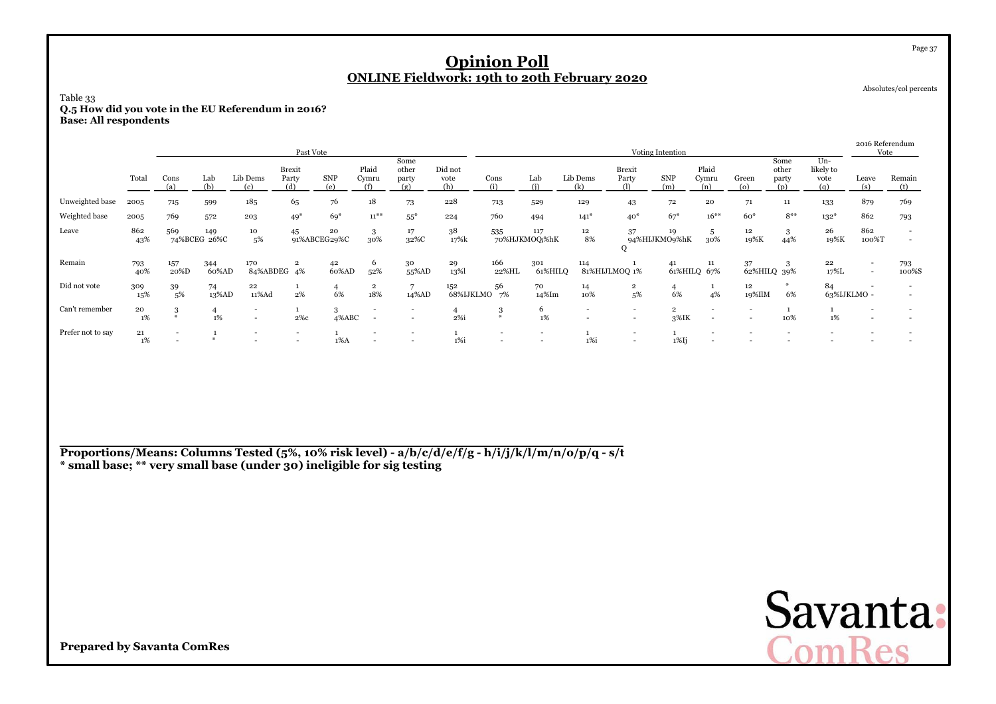| Table 33<br>Q.5 How did you vote in the EU Referendum in 2016?<br><b>Base: All respondents</b> |                  |                                            |                     |                    |                               |                      |                          |                                                      | <b>Opinion Poll</b><br><b>ONLINE Fieldwork: 19th to 20th February 2020</b> |                                                      |                          |                                                      |                                                      |                                 |                       |                   |                               |                                   |                          | Page 37<br>Absolutes/col percents  |
|------------------------------------------------------------------------------------------------|------------------|--------------------------------------------|---------------------|--------------------|-------------------------------|----------------------|--------------------------|------------------------------------------------------|----------------------------------------------------------------------------|------------------------------------------------------|--------------------------|------------------------------------------------------|------------------------------------------------------|---------------------------------|-----------------------|-------------------|-------------------------------|-----------------------------------|--------------------------|------------------------------------|
|                                                                                                |                  |                                            |                     |                    | Past Vote                     |                      |                          |                                                      |                                                                            |                                                      |                          |                                                      |                                                      | Voting Intention                |                       |                   |                               |                                   | 2016 Referendum<br>Vote  |                                    |
|                                                                                                | Total            | Cons<br>(a)                                | Lab<br>(b)          | Lib Dems<br>(c)    | <b>Brexit</b><br>Party<br>(d) | <b>SNP</b><br>(e)    | Plaid<br>Cymru<br>(f)    | Some<br>other<br>party<br>(g)                        | Did not<br>vote<br>(h)                                                     | Cons<br>(i)                                          | Lab<br>(i)               | Lib Dems<br>(k)                                      | Brexit<br>Party<br>(1)                               | <b>SNP</b><br>(m)               | Plaid<br>Cymru<br>(n) | Green<br>$\omega$ | Some<br>other<br>party<br>(p) | $Un-$<br>likely to<br>vote<br>(a) | Leave<br>(s)             | Remain<br>(t)                      |
| Unweighted base                                                                                | 2005             | 715                                        | 599                 | 185                | 65                            | 76                   | 18                       | 73                                                   | 228                                                                        | 713                                                  | 529                      | 129                                                  | 43                                                   | 72                              | 20                    | 71                | 11                            | 133                               | 879                      | 769                                |
| Weighted base                                                                                  | 2005             | 769                                        | 572                 | 203                | $49*$                         | $69*$                | $11^{***}$               | $55*$                                                | 224                                                                        | 760                                                  | 494                      | $141*$                                               | $40*$                                                | $67*$                           | $16***$               | $60*$             | $8***$                        | $132*$                            | 862                      | 793                                |
| Leave                                                                                          | 862<br>43%       | 569                                        | 149<br>74%BCEG 26%C | 10<br>5%           | 45                            | 20<br>91%ABCEG29%C   | 3<br>30%                 | 17<br>32%C                                           | 38<br>17%k                                                                 | 535                                                  | 117<br>70%HJKMOQ %hK     | 12<br>8%                                             | 37<br>Q                                              | 19<br>94%HIJKMO9%hK             | 5<br>30%              | 12<br>19%K        | 3<br>44%                      | 26<br>19%K                        | 862<br>100%T             | $\overline{\phantom{a}}$<br>$\sim$ |
| Remain                                                                                         | 793<br>40%       | 157<br>20%D                                | 344<br>60%AD        | 170<br>84%ABDEG 4% | $\overline{\mathbf{2}}$       | 42<br>60%AD          | 6<br>52%                 | 30<br>55%AD                                          | 29<br>13%                                                                  | 166<br>22%HL                                         | 301<br>61%HILO           | 114                                                  | 81%HIJLMOQ 1%                                        | 41                              | 11<br>61%HILQ 67%     | 37                | 3<br>62%HILQ 39%              | 22<br>17%L                        | $\overline{\phantom{0}}$ | 793<br>100%S                       |
| Did not vote                                                                                   | 309<br>15%       | 39<br>5%                                   | 74<br>13%AD         | 22<br>11%Ad        | -1<br>2%                      | $\overline{4}$<br>6% | $\overline{2}$<br>18%    | $\overline{7}$<br>14%AD                              | 152<br>68%IJKLMO                                                           | 56<br>7%                                             | 70<br>14%Im              | 14<br>10%                                            | $\overline{\mathbf{2}}$<br>5%                        | $\overline{4}$<br>6%            | 1<br>4%               | 12<br>19%IlM      | $*$<br>6%                     | 84<br>63%IJKLMO -                 |                          |                                    |
| Can't remember                                                                                 | ${\bf 20}$<br>1% | 3<br>$*$                                   | 1%                  |                    | -1<br>2%с                     | 3<br>4%ABC           | $\overline{a}$<br>$\sim$ | $\overline{\phantom{a}}$<br>$\overline{\phantom{a}}$ | 4<br>$2\%$ i                                                               | 3<br>$\frac{M}{2}$                                   | 6<br>1%                  | $\overline{\phantom{a}}$<br>$\overline{\phantom{a}}$ | $\overline{\phantom{a}}$<br>$\overline{\phantom{a}}$ | $\overline{\mathbf{2}}$<br>3%IK |                       |                   | <sup>1</sup><br>10%           | -1<br>1%                          |                          | $\overline{\phantom{a}}$           |
| Prefer not to say                                                                              | 21<br>1%         | $\overline{\phantom{a}}$<br>$\blacksquare$ | #                   |                    | ٠<br>$\overline{\phantom{a}}$ | $1\%$ A              |                          | $\overline{\phantom{a}}$<br>$\overline{\phantom{a}}$ | $\mathbf{1}$<br>1%i                                                        | $\overline{\phantom{a}}$<br>$\overline{\phantom{a}}$ | $\overline{\phantom{a}}$ | $\mathbf{1}$<br>$1\%$ i                              | $\overline{\phantom{0}}$<br>$\overline{\phantom{a}}$ | $1\%$ Ij                        |                       |                   |                               |                                   |                          |                                    |

**Proportions/Means: Columns Tested (5%, 10% risk level) - a/b/c/d/e/f/g - h/i/j/k/l/m/n/o/p/q - s/t\* small base; \*\* very small base (under 30) ineligible for sig testing**

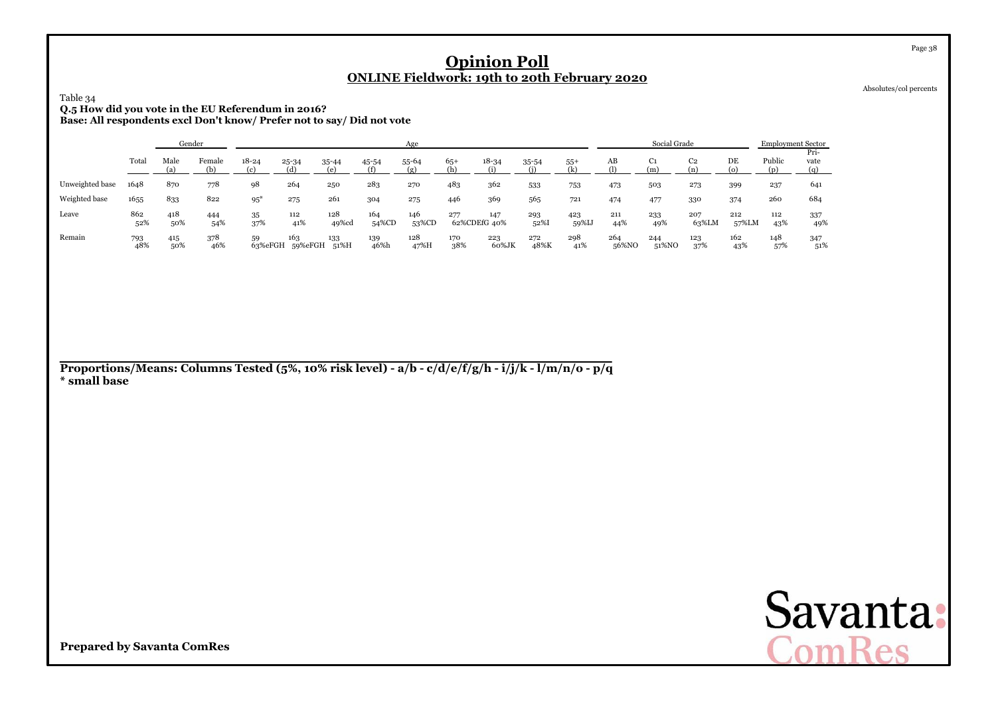Absolutes/col percents

# Table 34**Q.5 How did you vote in the EU Referendum in 2016? Base: All respondents excl Don't know/ Prefer not to say/ Did not vote**

|                 |            | Gender     |            |                       |                |              |              | Age               |                     |              |             |              |              | Social Grade         |                       |              | <b>Employment Sector</b> |                     |
|-----------------|------------|------------|------------|-----------------------|----------------|--------------|--------------|-------------------|---------------------|--------------|-------------|--------------|--------------|----------------------|-----------------------|--------------|--------------------------|---------------------|
|                 | Total      | Male       | Female     | $18 - 24$<br>$\alpha$ | 25-34<br>(d)   | 35-44<br>(۵) | 45-54<br>(f) | 55-64<br>$\sigma$ | $65+$               | $18 - 34$    | $35 - 54$   | $55+$<br>Œ   | AB           | C <sub>1</sub><br>(m | C <sub>2</sub><br>ſn` | DE           | Public                   | Pri-<br>vate<br>(a) |
| Unweighted base | 1648       | 870        | 778        | 98                    | 264            | 250          | 283          | 270               | 483                 | 362          | 533         | 753          | 473          | 503                  | 273                   | 399          | 237                      | 641                 |
| Weighted base   | 1655       | 833        | 822        | $95*$                 | 275            | 261          | 304          | 275               | 446                 | 369          | 565         | 721          | 474          | 477                  | 330                   | 374          | 260                      | 684                 |
| Leave           | 862<br>52% | 418<br>50% | 444<br>54% | 35<br>37%             | 112<br>41%     | 128<br>49%cd | 164<br>54%CD | 146<br>53%CD      | 277<br>62%CDEfG 40% | 147          | 293<br>52%  | 423<br>59%IJ | 211<br>44%   | 233<br>49%           | 207<br>63%LM          | 212<br>57%LM | 112<br>43%               | 337<br>49%          |
| Remain          | 793<br>48% | 415<br>50% | 378<br>46% | 59<br>63%eFGH         | 163<br>59%eFGH | 133<br>51%H  | 139<br>46%h  | 128<br>47%H       | 170<br>38%          | 223<br>60%JK | 272<br>48%K | 298<br>41%   | 264<br>56%NO | 244<br>51%NO         | 123<br>37%            | 162<br>43%   | 148<br>57%               | 347<br>51%          |

**Proportions/Means: Columns Tested (5%, 10% risk level) - a/b - c/d/e/f/g/h - i/j/k - l/m/n/o - p/q\* small base**

Savanta:<br>ComRes

**Prepared by Savanta ComRes**

Page 38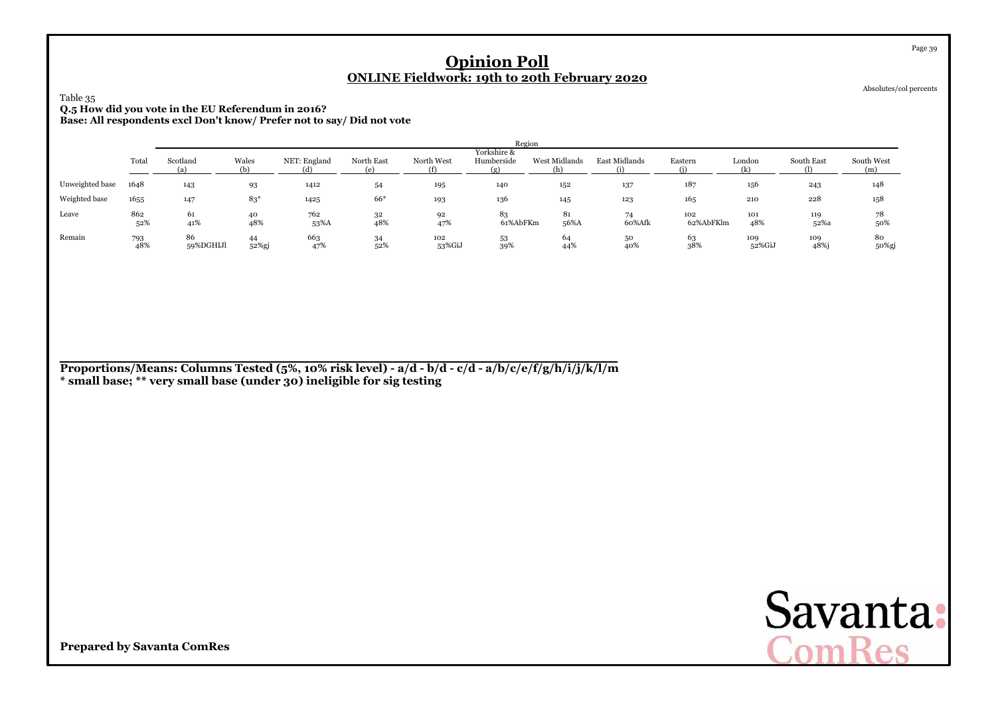Absolutes/col percents

Page 39

### Table 35 **Q.5 How did you vote in the EU Referendum in 2016?Base: All respondents excl Don't know/ Prefer not to say/ Did not vote**

|                 |            |                 | Region<br>Yorkshire & |                     |            |               |                |                      |               |                  |               |                   |                   |  |  |  |  |
|-----------------|------------|-----------------|-----------------------|---------------------|------------|---------------|----------------|----------------------|---------------|------------------|---------------|-------------------|-------------------|--|--|--|--|
|                 | Total      | Scotland<br>(a) | Wales<br>(ኬ)          | NET: England<br>(d) | North East | North West    | Humberside     | West Midlands<br>(h) | East Midlands | Eastern          | London<br>(k) | South East<br>(1) | South West<br>(m) |  |  |  |  |
| Unweighted base | 1648       | 143             | 93                    | 1412                | 54         | 195           | 140            | 152                  | 137           | 187              | 156           | 243               | 148               |  |  |  |  |
| Weighted base   | 1655       | 147             | $83*$                 | 1425                | $66*$      | 193           | 136            | 145                  | 123           | 165              | 210           | 228               | 158               |  |  |  |  |
| Leave           | 862<br>52% | 61<br>41%       | 40<br>48%             | 762<br>53%A         | 32<br>48%  | 92<br>47%     | 83<br>61%AbFKm | 81<br>56%A           | 74<br>60%Afk  | 102<br>62%AbFKlm | 101<br>48%    | 119<br>52%a       | 78<br>50%         |  |  |  |  |
| Remain          | 793<br>48% | 86<br>59%DGHIJl | 44<br>52%gj           | 663<br>47%          | 34<br>52%  | 102<br>53%GiJ | 53<br>39%      | 64<br>44%            | 50<br>40%     | 63<br>38%        | 109<br>52%GiJ | 109<br>48%j       | 80<br>50%gj       |  |  |  |  |

**Proportions/Means: Columns Tested (5%, 10% risk level) - a/d - b/d - c/d - a/b/c/e/f/g/h/i/j/k/l/m\* small base; \*\* very small base (under 30) ineligible for sig testing**

Savanta:<br>ComRes

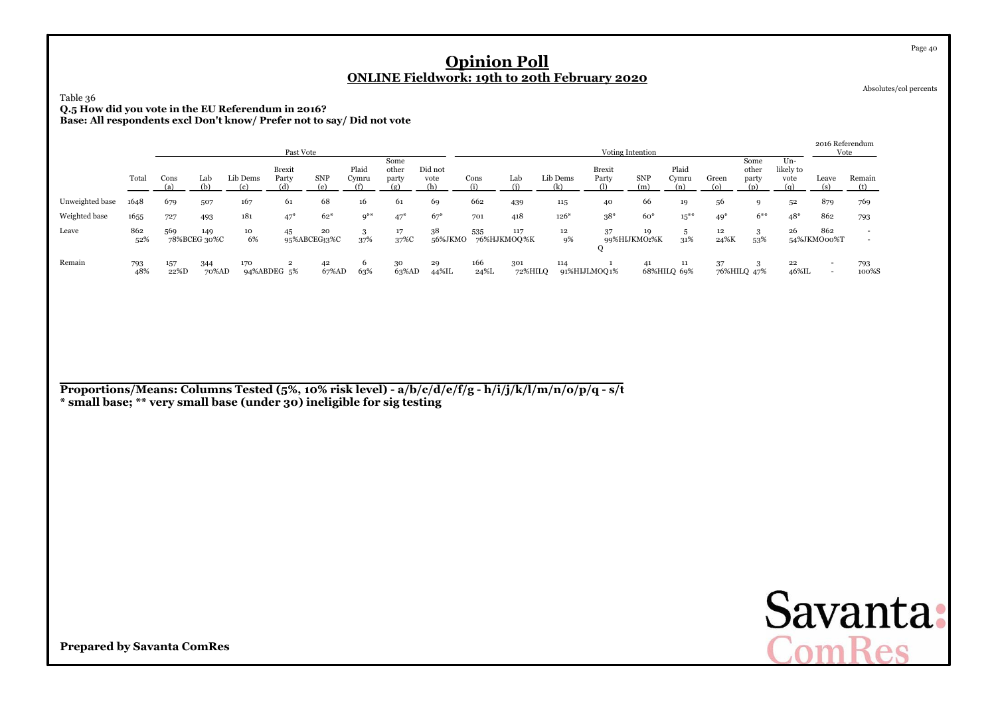### Table 36 **Q.5 How did you vote in the EU Referendum in 2016?Base: All respondents excl Don't know/ Prefer not to say/ Did not vote**

|                 |            |             |                     |                    | Past Vote                     |             |                                    |                        |                        |             |                    |          | Voting Intention |                    |                       |              |                        |                            |                    | 2016 Referendum<br>Vote |
|-----------------|------------|-------------|---------------------|--------------------|-------------------------------|-------------|------------------------------------|------------------------|------------------------|-------------|--------------------|----------|------------------|--------------------|-----------------------|--------------|------------------------|----------------------------|--------------------|-------------------------|
|                 | Total      | Cons        | Lab                 | Lib Dems           | <b>Brexit</b><br>Party<br>(d) | <b>SNP</b>  | Plaid<br>Cymru                     | Some<br>other<br>party | Did not<br>vote<br>(h) | Cons        | Lab                | Lib Dems | Brexit<br>Party  | <b>SNP</b>         | Plaid<br>Cymru<br>(n) | Green<br>(o) | Some<br>other<br>party | $Un-$<br>likely to<br>vote | Leave              | Remain<br>(t)           |
| Unweighted base | 1648       | 679         | 507                 | 167                | 61                            | 68          | 16                                 | 61                     | 69                     | 662         | 439                | 115      | 40               | 66                 | 19                    | 56           | $\Omega$               | 52                         | 879                | 769                     |
| Weighted base   | 1655       | 727         | 493                 | 181                | $47*$                         | $62*$       | $Q^{\divideontimes\divideontimes}$ | $47*$                  | $67*$                  | 701         | 418                | $126*$   | $38*$            | $60*$              | $15***$               | $49*$        | $6***$                 | $48*$                      | 862                | 793                     |
| Leave           | 862<br>52% | 569         | 149<br>78%BCEG 30%C | 10<br>6%           | 45<br>95%ABCEG33%C            | 20          | 3<br>37%                           | 17<br>37%C             | 38<br>56%JKMO          | 535         | 117<br>76%HJKMOO%K | 12<br>9% | 37               | 19<br>99%HIJKMO2%K | 31%                   | 12<br>24%K   | 3<br>53%               | 26                         | 862<br>54%JKMO00%T |                         |
| Remain          | 793<br>48% | 157<br>22%D | 344<br>70%AD        | 170<br>94%ABDEG 5% |                               | 42<br>67%AD | 6<br>63%                           | 30<br>63%AD            | 29<br>44%IL            | 166<br>24%L | 301<br>72%HILO     | 114      | 91%HIJLMOQ1%     | 41                 | 11<br>68%HILQ 69%     | 37           | 76%HILQ 47%            | 22<br>46%IL                |                    | 793<br>100%S            |

**Proportions/Means: Columns Tested (5%, 10% risk level) - a/b/c/d/e/f/g - h/i/j/k/l/m/n/o/p/q - s/t \* small base; \*\* very small base (under 30) ineligible for sig testing**



**Prepared by Savanta ComRes**

Page 40

Absolutes/col percents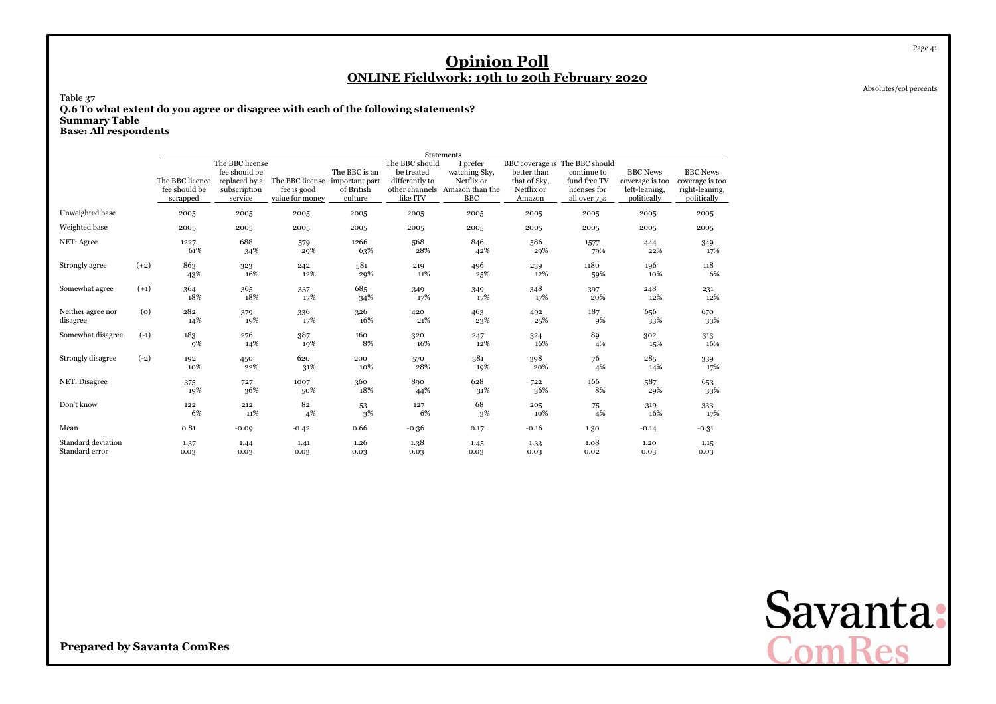Absolutes/col percents

Page 41

Table 37 **Q.6 To what extent do you agree or disagree with each of the following statements?Summary TableBase: All respondents**

**Statements** I prefer The BBC licenseThe BBC should<br>The BBC is an be treated I prefer BBC coverage is The BBC should fee should befee should be The BBC is an be treated<br>The BBC licence replaced by a The BBC license important part differently to be treated watching Sky, better than continue to BBC News BBC News differently to Netflix or that of Sky, fund free TV other channels Amazon than the Netflix or licenses for coverage is too coverage is too<br>left-leaning, right-leaning, fee should besubscription<br>service fee is good of British other channels Amazon than the Netflix or licenses for left-leaning, right-leaning, scrappedvalue for money V BBC Amazon all over 75s politically politically Unweighted base 2005 <sup>2005</sup> <sup>2005</sup> <sup>2005</sup> <sup>2005</sup> <sup>2005</sup> <sup>2005</sup> <sup>2005</sup> <sup>2005</sup> <sup>2005</sup> Weighted base 2005 <sup>2005</sup> <sup>2005</sup> <sup>2005</sup> <sup>2005</sup> <sup>2005</sup> <sup>2005</sup> <sup>2005</sup> <sup>2005</sup> <sup>2005</sup> NET: Agreee 1227  $\begin{array}{cc}\n 1227 & 688 \\
61\% & 34\% \n \end{array}$ 8 579 1266 568 846 586 1577 444 349 61% 34% 29% 63% 28% 42% 29% 79% 22% 17% Strongly agree (+2) 863 $3\frac{323}{2}$  242  $2 \t 581$  219 <sup>496</sup> <sup>239</sup> <sup>1180</sup>0  $196$   $118$ 43% $\%$  16% 12% 29% 11% 25% 12% 59% 10% 6% Somewhat agree (+1) 3644 365 337 685 349  $349$   $349$   $348$ <br> $17\%$   $17\%$   $17\%$ 8 397 248 231 18% 18% 17% 34% 17% 17% 17% 20% 12% 12% Neither agree nor (0)  $\begin{array}{c} 282 \\ 14\% \end{array}$  <sup>379</sup>9 336 326 420 0  $463$   $492$   $187$   $656$   $670$ disagreee 14% 19% 17% 16% 21% 23% 25% 9% 33% 33% Somewhat disagree (-1) 183 276 <sup>387</sup> <sup>160</sup> $\frac{320}{247}$   $\frac{324}{247}$   $\frac{89}{24}$   $\frac{302}{24}$   $\frac{313}{24}$ 9% 14% 19% 8% 16% 12% 16% 4% 15% 16% Strongly disagree (-2) 192 $\begin{array}{c} 450 \\ 22\% \end{array}$  $\frac{620}{100}$  200  $\frac{570}{200}$   $\frac{381}{200}$   $\frac{398}{200}$   $\frac{76}{200}$   $\frac{285}{200}$   $\frac{339}{200}$ 10% 22% 31% 10% 28% 19% 20% 4% 14% 17% NET: Disagree 375 <sup>727</sup> <sup>1007</sup> 3600 890 628 722 166 587 653 19% $\%$  36% 50% 18% 44% 31% 36% 8% 29% 33% Don't know $\frac{122}{22}$   $\frac{212}{212}$   $\frac{82}{212}$   $\frac{53}{212}$   $\frac{127}{212}$   $\frac{68}{212}$   $\frac{205}{212}$   $\frac{75}{212}$   $\frac{319}{212}$   $\frac{333}{212}$ 6% $\%$  11% 4% 3% 6% 3% 10% 4% 16% 17% Mean 0.81 -0.09 -0.42 0.66 -0.36 0.17 -0.16 1.30 -0.14 -0.31 Standard deviationn 1.37 1.44 1.41 1.26 1.38 8 1.45 1.33 1.08 1.20  $1.20$   $1.15$ <br>0.03 0.03 Standard error 0.03 $0.03$   $0.03$   $0.03$   $0.03$   $0.03$   $0.03$   $0.03$   $0.02$ 0.03 0.03

> Savanta:  $ComRec$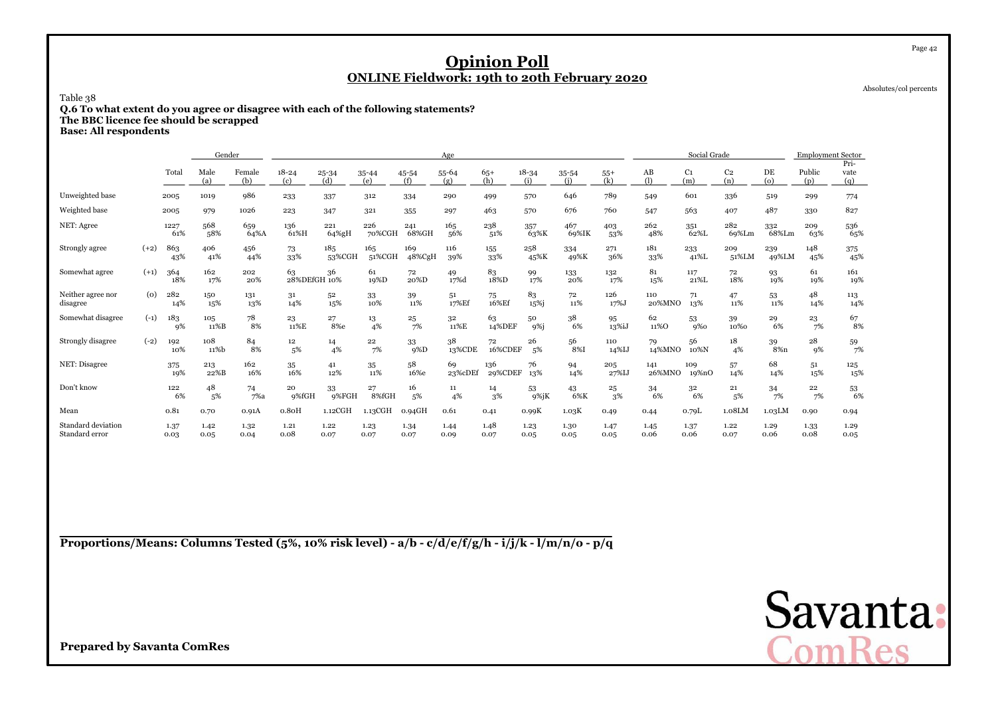Absolutes/col percents

Page 42

Table 38

**Q.6 To what extent do you agree or disagree with each of the following statements? The BBC licence fee should be scrapped**

**Base: All respondents**

|                                      |        |              | Gender       |               |                        |                     |               |               | Age           |                |                   |              |              |               | Social Grade          |                       |                          | <b>Employment Sector</b> |                     |
|--------------------------------------|--------|--------------|--------------|---------------|------------------------|---------------------|---------------|---------------|---------------|----------------|-------------------|--------------|--------------|---------------|-----------------------|-----------------------|--------------------------|--------------------------|---------------------|
|                                      |        | Total        | Male<br>(a)  | Female<br>(b) | $18 - 24$<br>(c)       | 25-34<br>(d)        | 35-44<br>(e)  | 45-54<br>(f)  | 55-64<br>(g)  | $65+$<br>(h)   | $18 - 34$<br>(i)  | 35-54<br>(i) | $55+$<br>(k) | AB<br>(1)     | C <sub>1</sub><br>(m) | C <sub>2</sub><br>(n) | DE<br>$\left( 0 \right)$ | Public<br>(p)            | Pri-<br>vate<br>(q) |
| Unweighted base                      |        | 2005         | 1019         | 986           | 233                    | 337                 | 312           | 334           | 290           | 499            | 570               | 646          | 789          | 549           | 601                   | 336                   | 519                      | 299                      | 774                 |
| Weighted base                        |        | 2005         | 979          | 1026          | 223                    | 347                 | 321           | 355           | 297           | 463            | 570               | 676          | 760          | 547           | 563                   | 407                   | 487                      | 330                      | 827                 |
| NET: Agree                           |        | 1227<br>61%  | 568<br>58%   | 659<br>64%A   | 136<br>61%H            | 221<br>64%gH        | 226<br>70%CGH | 241<br>68%GH  | 165<br>56%    | 238<br>51%     | 357<br>63%K       | 467<br>69%IK | 403<br>53%   | 262<br>48%    | 351<br>62%L           | 282<br>69%Lm          | 332<br>68%Lm             | 209<br>63%               | 536<br>65%          |
| Strongly agree                       | $(+2)$ | 863<br>43%   | 406<br>41%   | 456<br>44%    | 73<br>33%              | 185<br>53%CGH       | 165<br>51%CGH | 169<br>48%CgH | 116<br>39%    | 155<br>33%     | 258<br>45%K       | 334<br>49%K  | 271<br>36%   | 181<br>33%    | 233<br>41%L           | 209<br>51%LM          | 239<br>49%LM             | 148<br>45%               | 375<br>45%          |
| Somewhat agree                       | $(+1)$ | 364<br>18%   | 162<br>17%   | 202<br>20%    | 63<br>28%DEfGH 10%     | 36                  | 61<br>19%D    | 72<br>20%D    | 49<br>17%d    | 83<br>18%D     | 99<br>17%         | 133<br>20%   | 132<br>17%   | 81<br>15%     | 117<br>21%L           | 72<br>18%             | 93<br>19%                | 61<br>19%                | 161<br>19%          |
| Neither agree nor<br>disagree        | (0)    | 282<br>14%   | 150<br>15%   | 131<br>13%    | 31<br>14%              | 52<br>15%           | 33<br>10%     | 39<br>11%     | 51<br>17%Ef   | 75<br>16%Ef    | 83<br>15%j        | 72<br>11%    | 126<br>17%J  | 110<br>20%MNO | 71<br>13%             | 47<br>11%             | 53<br>11%                | 48<br>14%                | 113<br>14%          |
| Somewhat disagree                    | $(-1)$ | 183<br>9%    | 105<br>11%B  | 78<br>8%      | 23<br>11%E             | 27<br>8%e           | 13<br>4%      | 25<br>7%      | 32<br>11%E    | 63<br>14%DEF   | 50<br>$9%$ j      | 38<br>6%     | 95<br>13%iJ  | 62<br>11%O    | 53<br>9%              | 39<br>10%0            | 29<br>6%                 | 23<br>7%                 | 67<br>8%            |
| Strongly disagree                    | $(-2)$ | 192<br>10%   | 108<br>11%b  | 84<br>8%      | 12 <sup>12</sup><br>5% | 14<br>4%            | 22<br>7%      | 33<br>$9\%D$  | 38<br>13%CDE  | 72<br>16%CDEF  | 26<br>5%          | 56<br>8%I    | 110<br>14%IJ | 79<br>14%MNO  | 56<br>10%N            | 18<br>4%              | 39<br>8% <sub>n</sub>    | 28<br>9%                 | $\frac{59}{7\%}$    |
| NET: Disagree                        |        | 375<br>19%   | 213<br>22%B  | 162<br>16%    | 35<br>16%              | 41<br>12%           | 35<br>11%     | 58<br>16%e    | 69<br>23%cDEf | 136<br>29%CDEF | 76<br>13%         | 94<br>14%    | 205<br>27%IJ | 141<br>26%MNO | 109<br>19%nO          | 57<br>14%             | 68<br>14%                | 51<br>15%                | 125<br>15%          |
| Don't know                           |        | 122<br>6%    | 48<br>5%     | 74<br>7%a     | 20<br>9%fGH            | 33<br>9%FGH         | 27<br>8%fGH   | 16<br>5%      | 11<br>4%      | 14<br>3%       | 53<br>$9\%$ j $K$ | 43<br>6%K    | 25<br>3%     | 34<br>6%      | 32<br>6%              | 21<br>5%              | 34<br>7%                 | 22<br>7%                 | $^{53}_{\ 6\%}$     |
| Mean                                 |        | 0.81         | 0.70         | 0.91A         | $0.8$ <sub>O</sub> H   | 1.12 <sub>CGH</sub> | 1.13CGH       | 0.94GH        | 0.61          | 0.41           | 0.99K             | 1.03K        | 0.49         | 0.44          | 0.79L                 | 1.08LM                | 1.03LM                   | 0.90                     | 0.94                |
| Standard deviation<br>Standard error |        | 1.37<br>0.03 | 1.42<br>0.05 | 1.32<br>0.04  | 1.21<br>0.08           | 1.22<br>0.07        | 1.23<br>0.07  | 1.34<br>0.07  | 1.44<br>0.09  | 1.48<br>0.07   | 1.23<br>0.05      | 1.30<br>0.05 | 1.47<br>0.05 | 1.45<br>0.06  | 1.37<br>0.06          | 1.22<br>0.07          | 1.29<br>0.06             | 1.33<br>0.08             | 1.29<br>0.05        |

**Proportions/Means: Columns Tested (5%, 10% risk level) - a/b - c/d/e/f/g/h - i/j/k - l/m/n/o - p/q**

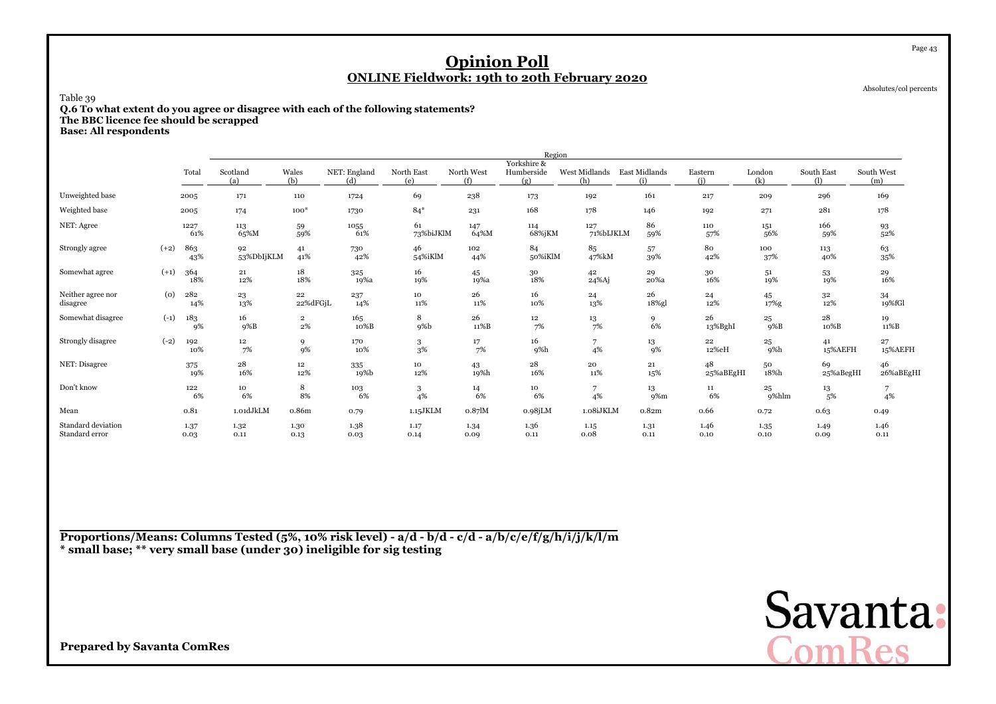Absolutes/col percents

Page 43

### Table 39

**Q.6 To what extent do you agree or disagree with each of the following statements? The BBC licence fee should be scrapped**

**Base: All respondents**

|                                      |        |              |                     |                                  |                     |                   |                   | Region                           |                      |               |                 |               |                   |                                           |
|--------------------------------------|--------|--------------|---------------------|----------------------------------|---------------------|-------------------|-------------------|----------------------------------|----------------------|---------------|-----------------|---------------|-------------------|-------------------------------------------|
|                                      |        | Total        | Scotland<br>(a)     | Wales<br>(b)                     | NET: England<br>(d) | North East<br>(e) | North West<br>(f) | Yorkshire &<br>Humberside<br>(g) | West Midlands<br>(h) | East Midlands | Eastern<br>(i)  | London<br>(k) | South East<br>(1) | South West<br>(m)                         |
| Unweighted base                      |        | 2005         | 171                 | 110                              | 1724                | 69                | 238               | 173                              | 192                  | 161           | 217             | 209           | 296               | 169                                       |
| Weighted base                        |        | 2005         | 174                 | $100*$                           | 1730                | $84*$             | 231               | 168                              | 178                  | 146           | 192             | 271           | 281               | 178                                       |
| NET: Agree                           |        | 1227<br>61%  | 113<br>65%M         | 59<br>59%                        | 1055<br>61%         | 61<br>73%biJKlM   | 147<br>64%M       | 114<br>68%jKM                    | 127<br>71%bIJKLM     | 86<br>59%     | 110<br>57%      | 151<br>56%    | 166<br>59%        | 93<br>52%                                 |
| Strongly agree                       | $(+2)$ | 863<br>43%   | 92<br>53%DbIjKLM    | 41<br>41%                        | 730<br>42%          | 46<br>54%iKlM     | 102<br>44%        | 84<br>50%iKlM                    | 85<br>47%kM          | 57<br>39%     | 80<br>42%       | 100<br>37%    | 113<br>40%        | 63<br>35%                                 |
| Somewhat agree                       | $(+1)$ | 364<br>18%   | $\bf 21$<br>12%     | 18<br>18%                        | 325<br>19%a         | 16<br>19%         | 45<br>19%a        | $30\,$<br>18%                    | 42<br>24%Aj          | 29<br>20%a    | $30\,$<br>16%   | 51<br>19%     | 53<br>19%         | $\begin{array}{c} 29 \\ 16\% \end{array}$ |
| Neither agree nor<br>disagree        | (0)    | 282<br>14%   | 23<br>13%           | 22<br>22%dFGjL                   | 237<br>14%          | 10<br>11%         | 26<br>11%         | 16<br>10%                        | 24<br>13%            | 26<br>18%gl   | 24<br>12%       | 45<br>17%g    | 32<br>12%         | 34<br>19%fGl                              |
| Somewhat disagree                    | $(-1)$ | 183<br>9%    | 16<br>9%B           | $\overline{\mathbf{2}}$<br>$2\%$ | 165<br>10%B         | 8<br>9%b          | 26<br>11%B        | $12\,$<br>7%                     | $\frac{13}{7\%}$     | 9<br>6%       | 26<br>13%BghI   | 25<br>$9\%B$  | 28<br>10%B        | 19<br>11%B                                |
| Strongly disagree                    | $(-2)$ | 192<br>10%   | 12<br>7%            | 9<br>9%                          | 170<br>10%          | 3<br>3%           | 17<br>7%          | 16<br>9%h                        | 7<br>4%              | 13<br>9%      | 22<br>12%eH     | 25<br>9%h     | 41<br>15%AEFH     | 27<br>15%AEFH                             |
| NET: Disagree                        |        | 375<br>19%   | $\bf{^{28}}$<br>16% | 12<br>12%                        | 335<br>19%b         | 10<br>$12\%$      | 43<br>19%h        | 28<br>16%                        | 20<br>11%            | 21<br>15%     | 48<br>25%aBEgHI | 50<br>18%h    | 69<br>25%aBegHI   | 46<br>26%aBEgHI                           |
| Don't know                           |        | 122<br>6%    | 10<br>6%            | 8<br>8%                          | 103<br>6%           | 3<br>4%           | 14<br>6%          | 10<br>6%                         | 7<br>4%              | 13<br>9%m     | 11<br>6%        | 25<br>9%hlm   | 13<br>5%          | 4%                                        |
| Mean                                 |        | 0.81         | 1.01dJkLM           | 0.86m                            | 0.79                | 1.15JKLM          | $0.87$ $M$        | $0.98$ j $LM$                    | 1.08iJKLM            | 0.82m         | 0.66            | 0.72          | 0.63              | 0.49                                      |
| Standard deviation<br>Standard error |        | 1.37<br>0.03 | 1.32<br>0.11        | 1.30<br>0.13                     | 1.38<br>0.03        | 1.17<br>0.14      | 1.34<br>0.09      | 1.36<br>0.11                     | 1.15<br>0.08         | 1.31<br>0.11  | 1.46<br>0.10    | 1.35<br>0.10  | 1.49<br>0.09      | 1.46<br>0.11                              |

**Proportions/Means: Columns Tested (5%, 10% risk level) - a/d - b/d - c/d - a/b/c/e/f/g/h/i/j/k/l/m\* small base; \*\* very small base (under 30) ineligible for sig testing**

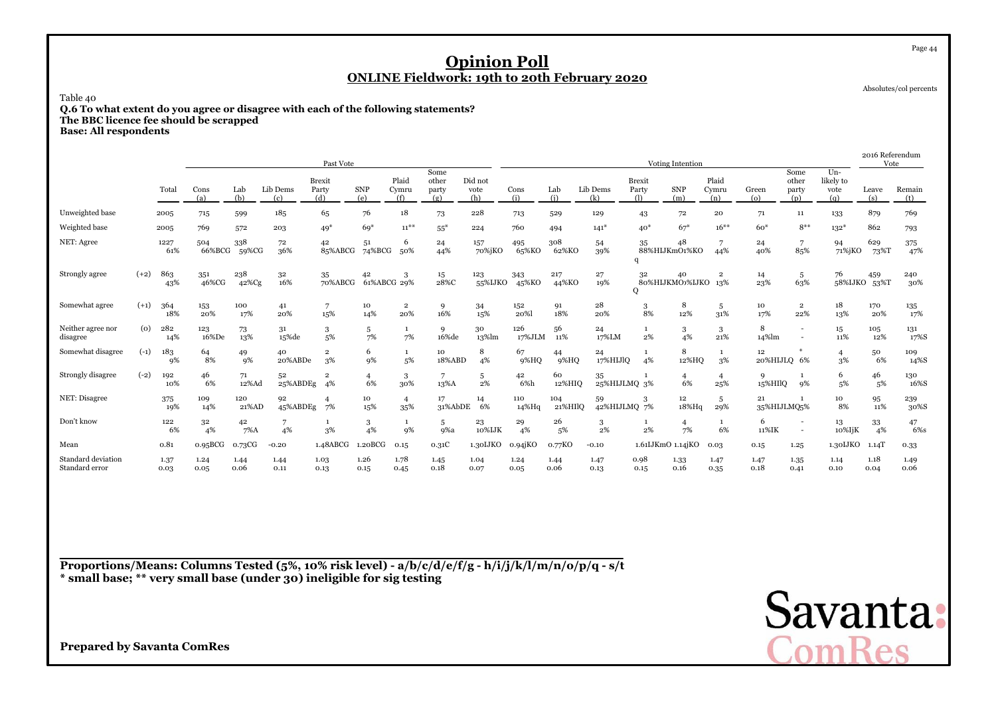Absolutes/col percents

Page 44

### Table 40

**Q.6 To what extent do you agree or disagree with each of the following statements? The BBC licence fee should be scrapped**

**Base: All respondents**

|                                      |        |              |               |               |                 | Past Vote                     |                   |                                |                               |                        |               |                |                    |                                             | Voting Intention          |                       |                   |                                    |                                   | 2016 Referendum<br>Vote |               |
|--------------------------------------|--------|--------------|---------------|---------------|-----------------|-------------------------------|-------------------|--------------------------------|-------------------------------|------------------------|---------------|----------------|--------------------|---------------------------------------------|---------------------------|-----------------------|-------------------|------------------------------------|-----------------------------------|-------------------------|---------------|
|                                      |        | Total        | Cons<br>(a)   | Lab<br>(b)    | Lib Dems<br>(c) | <b>Brexit</b><br>Party<br>(d) | <b>SNP</b><br>(e) | Plaid<br>Cymru<br>(f)          | Some<br>other<br>party<br>(g) | Did not<br>vote<br>(h) | Cons<br>(i)   | Lab<br>(i)     | Lib Dems<br>(k)    | <b>Brexit</b><br>Party<br>$\left( 1\right)$ | <b>SNP</b><br>(m)         | Plaid<br>Cymru<br>(n) | Green<br>(o)      | Some<br>other<br>party<br>(p)      | $Un-$<br>likely to<br>vote<br>(q) | Leave<br>(s)            | Remain<br>(t) |
| Unweighted base                      |        | 2005         | 715           | 599           | 185             | 65                            | 76                | 18                             | 73                            | 228                    | 713           | 529            | 129                | 43                                          | 72                        | ${\bf 20}$            | 71                | 11                                 | 133                               | 879                     | 769           |
| Weighted base                        |        | 2005         | 769           | 572           | 203             | $49*$                         | $69*$             | $11^{***}$                     | $55*$                         | 224                    | 760           | 494            | $141*$             | $40*$                                       | $67*$                     | $16***$               | $60*$             | $8**$                              | $132*$                            | 862                     | 793           |
| NET: Agree                           |        | 1227<br>61%  | 504<br>66%BCG | 338<br>59%CG  | 72<br>36%       | 42<br>85%ABCG                 | 51<br>74%BCG      | 6<br>50%                       | 24<br>44%                     | 157<br>70%jKO          | 495<br>65%KO  | 308<br>62%KO   | 54<br>39%          | 35                                          | 48<br>88%HIJKmO1%KO       | 44%                   | 24<br>40%         | 7<br>85%                           | 94<br>71%jKO                      | 629<br>73%T             | 375<br>47%    |
| Strongly agree                       | $(+2)$ | 863<br>43%   | 351<br>46%CG  | 238<br>42%Cg  | 32<br>16%       | 35<br>70%ABCG                 | 42<br>61%ABCG 29% | 3                              | 15<br>28%C                    | 123<br>55%IJKO         | 343<br>45%KO  | 217<br>44%KO   | $\bf 27$<br>19%    | 32<br>$\circ$                               | 40<br>80%HIJKMO>%IJKO 13% | $\overline{2}$        | 14<br>23%         | 5<br>63%                           | 76                                | 459<br>58%IJKO 53%T     | 240<br>30%    |
| Somewhat agree                       | $(+1)$ | 364<br>18%   | 153<br>20%    | 100<br>17%    | 41<br>20%       | 15%                           | 10<br>14%         | $\overline{\mathbf{2}}$<br>20% | 16%                           | 34<br>15%              | 152<br>20%    | 91<br>18%      | 28<br>20%          | $\frac{3}{8\%}$                             | 8<br>12%                  | 5<br>31%              | 10<br>17%         | $\overline{2}$<br>22%              | 18<br>13%                         | 170<br>20%              | 135<br>17%    |
| Neither agree nor<br>disagree        | (0)    | 282<br>14%   | 123<br>16%De  | 73<br>13%     | 31<br>15%de     | 3<br>5%                       | 5<br>7%           | $\mathbf{1}$<br>7%             | $\mathbf{Q}$<br>16%de         | 30<br>13%lm            | 126<br>17%JLM | 56<br>11%      | 24<br>17%LM        | $\mathbf{1}$<br>2%                          | 3<br>4%                   | 3<br>21%              | 8<br>14%lm        |                                    | 15<br>11%                         | 105<br>12%              | 131<br>17%S   |
| Somewhat disagree                    | $(-1)$ | 183<br>9%    | 64<br>8%      | 49<br>9%      | 40<br>20%ABDe   | $\mathbf 2$<br>3%             | 6<br>9%           | $\mathbf{1}$<br>5%             | 10<br>18%ABD                  | 8<br>4%                | 67<br>9%HQ    | 44<br>9%HQ     | 24<br>17%HIJlQ     | $\mathbf{1}$<br>4%                          | 8<br>12%HQ                | 3%                    | 12<br>20%HIJLQ 6% |                                    | $\overline{4}$<br>3%              | 50<br>6%                | 109<br>14%S   |
| Strongly disagree                    | $(-2)$ | 192<br>10%   | 46<br>6%      | 71<br>12%Ad   | 52<br>25%ABDEg  | 4%                            | 6%                | 3<br>30%                       | 13%A                          | 5<br>2%                | 42<br>6%h     | 60<br>12%HIO   | 35<br>25%HIJLMQ 3% |                                             | 4<br>6%                   | 25%                   | 9<br>15%HIlQ      | -1<br>9%                           | 6<br>5%                           | 46<br>5%                | 130<br>16%S   |
| NET: Disagree                        |        | 375<br>19%   | 109<br>14%    | 120<br>21%AD  | 92<br>45%ABDEg  | 7%                            | 10<br>15%         | $\overline{4}$<br>35%          | 17<br>31%AbDE                 | 14<br>6%               | 110<br>14%Hq  | 104<br>21%HIlO | 59<br>42%HIJLMQ 7% | 3                                           | $12^{\circ}$<br>18%Hq     | 5<br>29%              | 21<br>35%HIJLMQ5% |                                    | 10<br>8%                          | 95<br>11%               | 239<br>30%S   |
| Don't know                           |        | 122<br>6%    | 32<br>4%      | 42<br>$7\%$ A | 7<br>4%         | 3%                            | 3<br>4%           | $\mathbf{1}$<br>9%             | 5<br>9%a                      | 23<br>10%IJK           | 29<br>4%      | 26<br>5%       | 3<br>2%            | $\mathbf{1}$<br>2%                          | $\overline{4}$<br>7%      | 6%                    | 6<br>11%IK        | $\overline{\phantom{a}}$<br>$\sim$ | 13<br>10%IjK                      | 33<br>4%                | 47<br>6%s     |
| Mean                                 |        | 0.81         | 0.95BCG       | o.73CG        | $-0.20$         | 1.48ABCG                      | 1.20BCG           | 0.15                           | 0.31C                         | 1.30IJKO               | $0.94$ j $KO$ | 0.77KO         | $-0.10$            |                                             | 1.61IJKmO 1.14jKO         | 0.03                  | 0.15              | 1.25                               | 1.30LJKO                          | $1.14$ T                | 0.33          |
| Standard deviation<br>Standard error |        | 1.37<br>0.03 | 1.24<br>0.05  | 1.44<br>0.06  | 1.44<br>0.11    | 1.03<br>0.13                  | 1.26<br>0.15      | 1.78<br>0.45                   | 1.45<br>0.18                  | 1.04<br>0.07           | 1.24<br>0.05  | 1.44<br>0.06   | 1.47<br>0.13       | 0.98<br>0.15                                | 1.33<br>0.16              | 1.47<br>0.35          | 1.47<br>0.18      | 1.35<br>0.41                       | 1.14<br>0.10                      | 1.18<br>0.04            | 1.49<br>0.06  |

**Proportions/Means: Columns Tested (5%, 10% risk level) - a/b/c/d/e/f/g - h/i/j/k/l/m/n/o/p/q - s/t\* small base; \*\* very small base (under 30) ineligible for sig testing**

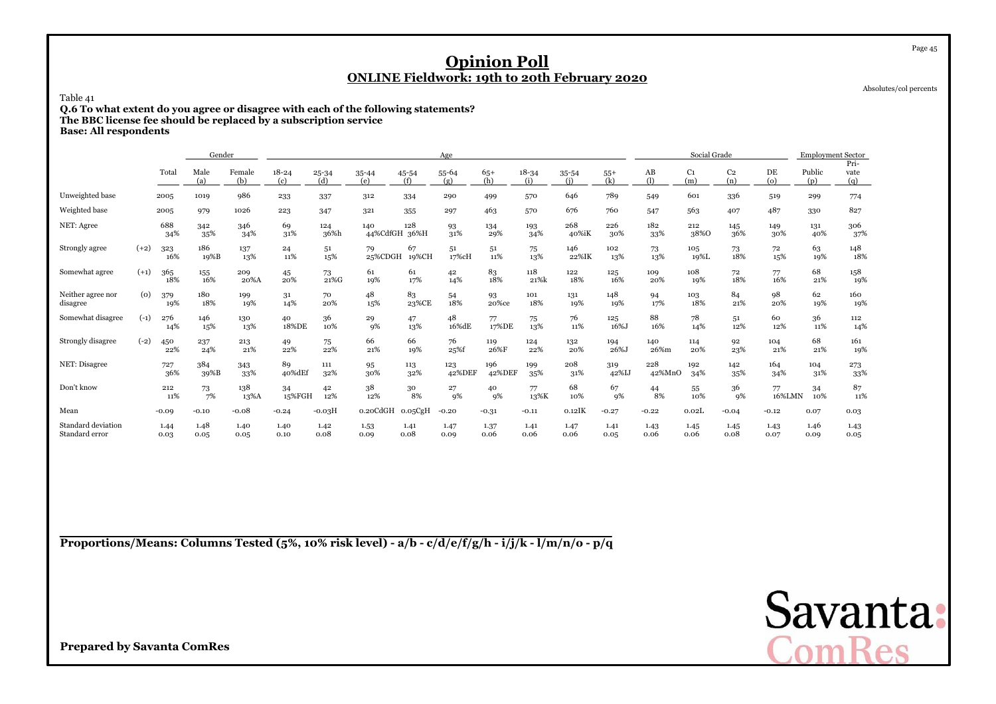Absolutes/col percents

Page 45

Table 41

**Q.6 To what extent do you agree or disagree with each of the following statements? The BBC license fee should be replaced by a subscription service**

**Base: All respondents**

|                                      |        |              | Gender       |               |                  |                  |                      |              | Age           |               |                  |              |              |               | Social Grade          |                       |                          | <b>Employment Sector</b> |                     |
|--------------------------------------|--------|--------------|--------------|---------------|------------------|------------------|----------------------|--------------|---------------|---------------|------------------|--------------|--------------|---------------|-----------------------|-----------------------|--------------------------|--------------------------|---------------------|
|                                      |        | Total        | Male<br>(a)  | Female<br>(b) | $18 - 24$<br>(c) | $25 - 34$<br>(d) | $35 - 44$<br>(e)     | 45-54<br>(f) | 55-64<br>(g)  | $65+$<br>(h)  | $18 - 34$<br>(i) | 35-54<br>(i) | $55+$<br>(k) | AB<br>(1)     | C <sub>1</sub><br>(m) | C <sub>2</sub><br>(n) | DE<br>$\left( 0 \right)$ | Public<br>(p)            | Pri-<br>vate<br>(q) |
| Unweighted base                      |        | 2005         | 1019         | 986           | 233              | 337              | 312                  | 334          | 290           | 499           | 570              | 646          | 789          | 549           | 601                   | 336                   | 519                      | 299                      | 774                 |
| Weighted base                        |        | 2005         | 979          | 1026          | 223              | 347              | 321                  | 355          | 297           | 463           | 570              | 676          | 760          | 547           | 563                   | 407                   | 487                      | 330                      | 827                 |
| NET: Agree                           |        | 688<br>34%   | 342<br>35%   | 346<br>34%    | 69<br>31%        | 124<br>36%h      | 140<br>44%CdfGH 36%H | 128          | 93<br>31%     | 134<br>29%    | 193<br>34%       | 268<br>40%iK | 226<br>30%   | 182<br>33%    | 212<br>38%0           | 145<br>36%            | 149<br>30%               | 131<br>40%               | 306<br>37%          |
| Strongly agree                       | $(+2)$ | 323<br>16%   | 186<br>19%B  | 137<br>13%    | 24<br>11%        | 51<br>15%        | 79<br>25%CDGH        | 67<br>19%CH  | 51<br>17%cH   | 51<br>11%     | 75<br>13%        | 146<br>22%IK | 102<br>13%   | 73<br>13%     | 105<br>19%L           | 73<br>18%             | 72<br>15%                | 63<br>19%                | 148<br>18%          |
| Somewhat agree                       | $(+1)$ | 365<br>18%   | 155<br>16%   | 209<br>20%A   | 45<br>20%        | 73<br>21%G       | 61<br>19%            | 61<br>17%    | 42<br>14%     | 83<br>18%     | 118<br>21%k      | 122<br>18%   | 125<br>16%   | 109<br>20%    | 108<br>19%            | 72<br>18%             | 77<br>16%                | 68<br>21%                | 158<br>19%          |
| Neither agree nor<br>disagree        | (0)    | 379<br>19%   | 180<br>18%   | 199<br>19%    | 31<br>14%        | 70<br>20%        | 48<br>15%            | 83<br>23%CE  | 54<br>18%     | 93<br>20%ce   | 101<br>18%       | 131<br>19%   | 148<br>19%   | 94<br>17%     | 103<br>18%            | 84<br>21%             | 98<br>20%                | 62<br>19%                | 160<br>19%          |
| Somewhat disagree                    | $(-1)$ | 276<br>14%   | 146<br>15%   | 130<br>13%    | 40<br>18%DE      | 36<br>10%        | 29<br>9%             | 47<br>13%    | 48<br>16%dE   | 77<br>17%DE   | 75<br>13%        | 76<br>11%    | 125<br>16%J  | 88<br>16%     | 78<br>14%             | 51<br>12%             | 60<br>12%                | 36<br>11%                | 112<br>14%          |
| Strongly disagree                    | $(-2)$ | 450<br>22%   | 237<br>24%   | 213<br>21%    | 49<br>22%        | 75<br>22%        | 66<br>21%            | 66<br>19%    | 76<br>25%f    | 119<br>26%F   | 124<br>22%       | 132<br>20%   | 194<br>26%J  | 140<br>26%m   | 114<br>20%            | 92<br>23%             | 104<br>21%               | 68<br>21%                | 161<br>19%          |
| NET: Disagree                        |        | 727<br>36%   | 384<br>39%B  | 343<br>33%    | 89<br>40%dEf     | 111<br>32%       | 95<br>30%            | 113<br>32%   | 123<br>42%DEF | 196<br>42%DEF | 199<br>35%       | 208<br>31%   | 319<br>42%IJ | 228<br>42%MnO | 192<br>34%            | 142<br>35%            | 164<br>34%               | 104<br>31%               | 273<br>33%          |
| Don't know                           |        | 212<br>11%   | 73<br>7%     | 138<br>13%A   | 34<br>15%FGH     | 42<br>12%        | 38<br>12%            | 30<br>8%     | 27<br>9%      | 40<br>9%      | 77<br>13%K       | 68<br>10%    | 67<br>9%     | 44<br>8%      | 55<br>10%             | 36<br>9%              | 77<br>16%LMN             | 34<br>10%                | 87<br>11%           |
| Mean                                 |        | $-0.09$      | $-0.10$      | $-0.08$       | $-0.24$          | $-0.03H$         | o.20CdGH             | 0.05CgH      | $-0.20$       | $-0.31$       | $-0.11$          | $0.12$ IK    | $-0.27$      | $-0.22$       | 0.02L                 | $-0.04$               | $-0.12$                  | 0.07                     | 0.03                |
| Standard deviation<br>Standard error |        | 1.44<br>0.03 | 1.48<br>0.05 | 1.40<br>0.05  | 1.40<br>0.10     | 1.42<br>0.08     | 1.53<br>0.09         | 1.41<br>0.08 | 1.47<br>0.09  | 1.37<br>0.06  | 1.41<br>0.06     | 1.47<br>0.06 | 1.41<br>0.05 | 1.43<br>0.06  | 1.45<br>0.06          | 1.45<br>0.08          | 1.43<br>0.07             | 1.46<br>0.09             | 1.43<br>0.05        |

**Proportions/Means: Columns Tested (5%, 10% risk level) - a/b - c/d/e/f/g/h - i/j/k - l/m/n/o - p/q**

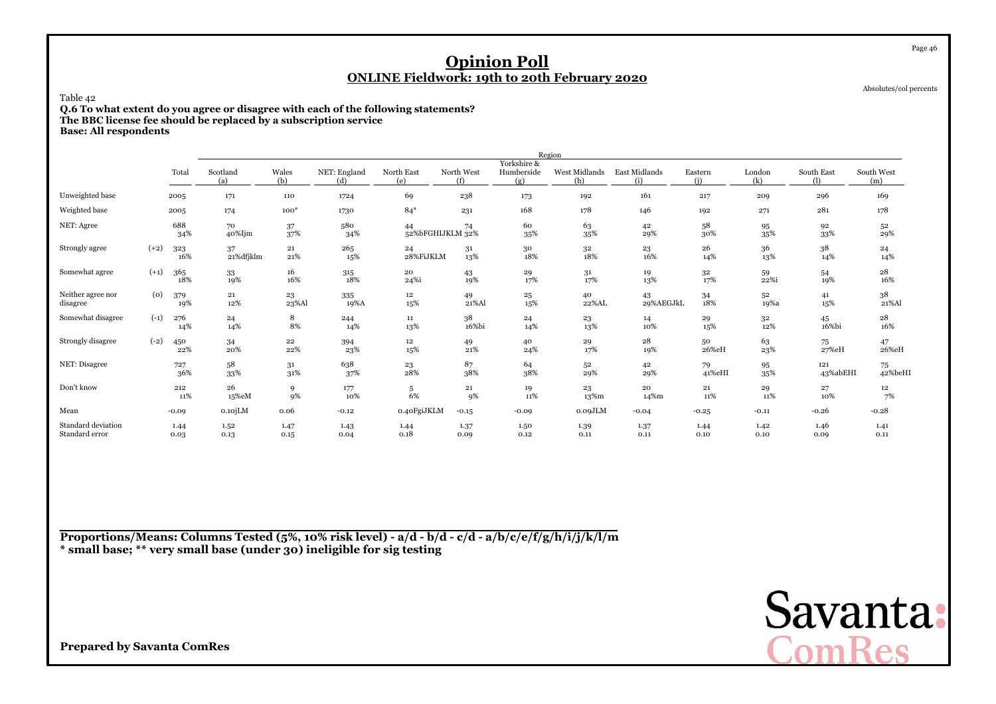Absolutes/col percents

Page 46

Table 42

**Q.6 To what extent do you agree or disagree with each of the following statements? The BBC license fee should be replaced by a subscription service**

**Base: All respondents**

|                                      |        |              |                 |                  |                     |                        |                   |                                  | Region               |                      |                |               |                   |                   |
|--------------------------------------|--------|--------------|-----------------|------------------|---------------------|------------------------|-------------------|----------------------------------|----------------------|----------------------|----------------|---------------|-------------------|-------------------|
|                                      |        | Total        | Scotland<br>(a) | Wales<br>(b)     | NET: England<br>(d) | North East<br>(e)      | North West<br>(f) | Yorkshire &<br>Humberside<br>(g) | West Midlands<br>(h) | East Midlands<br>(i) | Eastern<br>(i) | London<br>(k) | South East<br>(1) | South West<br>(m) |
| Unweighted base                      |        | 2005         | 171             | 110              | 1724                | 69                     | 238               | 173                              | 192                  | 161                  | 217            | 209           | 296               | 169               |
| Weighted base                        |        | 2005         | 174             | $100*$           | 1730                | $84*$                  | 231               | 168                              | 178                  | 146                  | 192            | 271           | 281               | 178               |
| NET: Agree                           |        | 688<br>34%   | 70<br>40%Ijm    | 37<br>37%        | 580<br>34%          | 44<br>52%bFGHIJKLM 32% | 74                | 60<br>35%                        | 63<br>35%            | 42<br>29%            | 58<br>30%      | 95<br>35%     | 92<br>33%         | 52<br>29%         |
| Strongly agree                       | $(+2)$ | 323<br>16%   | 37<br>21%dfjklm | $\bf 21$<br>21%  | 265<br>15%          | 24<br>28%FiJKLM        | 31<br>13%         | 30<br>18%                        | $32\,$<br>18%        | 23<br>16%            | 26<br>14%      | 36<br>13%     | 38<br>14%         | 24<br>14%         |
| Somewhat agree                       | $(+1)$ | 365<br>18%   | 33<br>19%       | 16<br>16%        | 315<br>$18\%$       | 20<br>24%i             | 43<br>19%         | 29<br>17%                        | 31<br>17%            | 19<br>13%            | 32<br>17%      | 59<br>22%i    | 54<br>19%         | 28<br>16%         |
| Neither agree nor<br>disagree        | (o)    | 379<br>19%   | $\bf 21$<br>12% | 23<br>23%Al      | 335<br>19%A         | 12<br>15%              | 49<br>21%Al       | 25<br>15%                        | 40<br>22%AL          | 43<br>29%AEGJkL      | 34<br>18%      | 52<br>19%a    | 41<br>15%         | 38<br>21%Al       |
| Somewhat disagree                    | $(-1)$ | 276<br>14%   | 24<br>14%       | 8<br>8%          | 244<br>14%          | 11<br>13%              | 38<br>16%bi       | 24<br>14%                        | 23<br>13%            | 14<br>10%            | 29<br>15%      | $32\,$<br>12% | 45<br>16%bi       | 28<br>16%         |
| Strongly disagree                    | $(-2)$ | 450<br>22%   | 34<br>20%       | $\bf{22}$<br>22% | 394<br>23%          | 12<br>15%              | 49<br>21%         | 40<br>24%                        | 29<br>17%            | 28<br>19%            | 50<br>26%eH    | 63<br>23%     | 75<br>27%eH       | 47<br>26%eH       |
| NET: Disagree                        |        | 727<br>36%   | 58<br>33%       | 31<br>31%        | 638<br>37%          | $\frac{23}{28\%}$      | 87<br>38%         | 64<br>38%                        | 52<br>29%            | 42<br>29%            | 79<br>41%eHI   | 95<br>35%     | 121<br>43%abEHI   | 75<br>42%beHI     |
| Don't know                           |        | 212<br>11%   | 26<br>15%eM     | 9<br>9%          | 177<br>10%          | 5<br>6%                | 21<br>9%          | 19<br>11%                        | 23<br>13%m           | 20<br>14%m           | 21<br>11%      | 29<br>11%     | 27<br>10%         | 12<br>7%          |
| Mean                                 |        | $-0.09$      | $0.10$ j $LM$   | 0.06             | $-0.12$             | 0.40FgiJKLM            | $-0.15$           | $-0.09$                          | 0.09JLM              | $-0.04$              | $-0.25$        | $-0.11$       | $-0.26$           | $-0.28$           |
| Standard deviation<br>Standard error |        | 1.44<br>0.03 | 1.52<br>0.13    | 1.47<br>0.15     | 1.43<br>0.04        | 1.44<br>0.18           | 1.37<br>0.09      | 1.50<br>0.12                     | 1.39<br>0.11         | 1.37<br>0.11         | 1.44<br>0.10   | 1.42<br>0.10  | 1.46<br>0.09      | 1.41<br>0.11      |

**Proportions/Means: Columns Tested (5%, 10% risk level) - a/d - b/d - c/d - a/b/c/e/f/g/h/i/j/k/l/m\* small base; \*\* very small base (under 30) ineligible for sig testing**

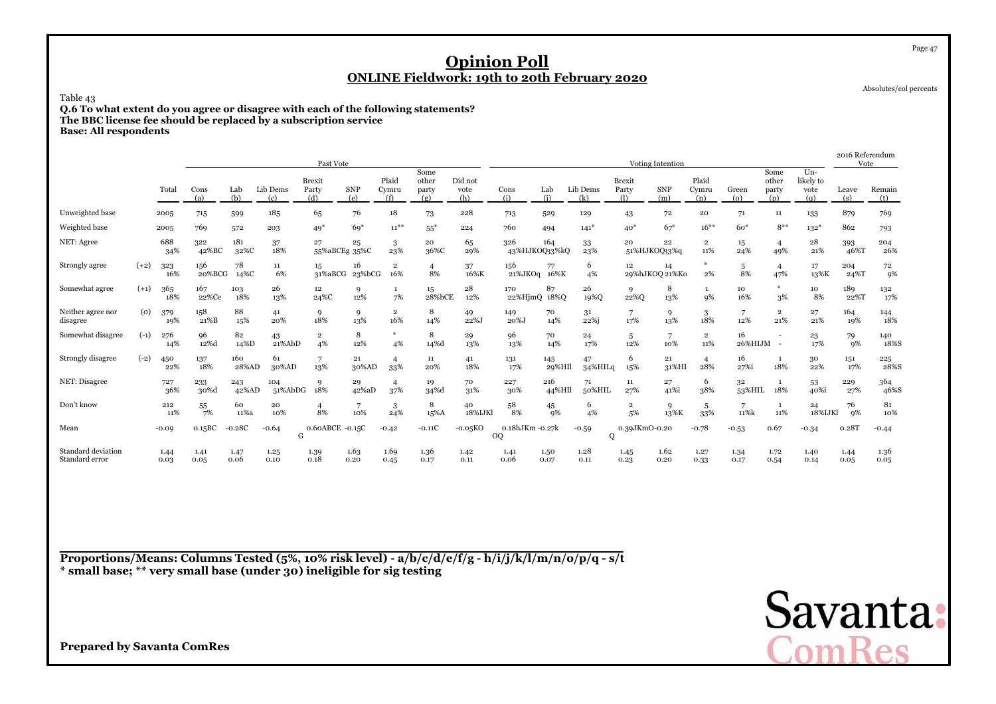Absolutes/col percents

Page 47

Table 43

**Q.6 To what extent do you agree or disagree with each of the following statements? The BBC license fee should be replaced by a subscription service**

**Base: All respondents**

|                                      |        |              |               |              |                 | Past Vote                     |              |                                |                               |                        |                      |               |                 |                               | <b>Voting Intention</b> |                                |                 |                               |                                   | 2016 Referendum<br>Vote |               |
|--------------------------------------|--------|--------------|---------------|--------------|-----------------|-------------------------------|--------------|--------------------------------|-------------------------------|------------------------|----------------------|---------------|-----------------|-------------------------------|-------------------------|--------------------------------|-----------------|-------------------------------|-----------------------------------|-------------------------|---------------|
|                                      |        | Total        | Cons<br>(a)   | Lab<br>(b)   | Lib Dems<br>(c) | <b>Brexit</b><br>Party<br>(d) | SNP<br>(e)   | Plaid<br>Cymru<br>(f)          | Some<br>other<br>party<br>(g) | Did not<br>vote<br>(h) | Cons<br>(i)          | Lab<br>(i)    | Lib Dems<br>(k) | <b>Brexit</b><br>Party<br>(1) | <b>SNP</b><br>(m)       | Plaid<br>Cymru<br>(n)          | Green<br>(o)    | Some<br>other<br>party<br>(p) | $Un-$<br>likely to<br>vote<br>(a) | Leave<br>(s)            | Remain<br>(t) |
| Unweighted base                      |        | 2005         | 715           | 599          | 185             | 65                            | 76           | 18                             | 73                            | 228                    | 713                  | 529           | 129             | 43                            | 72                      | 20                             | 71              | 11                            | 133                               | 879                     | 769           |
| Weighted base                        |        | 2005         | 769           | 572          | 203             | $49*$                         | $69*$        | $11***$                        | $55*$                         | 224                    | 760                  | 494           | $141*$          | $40*$                         | $67*$                   | $16***$                        | $60*$           | $8^{**}$                      | $132*$                            | 862                     | 793           |
| NET: Agree                           |        | 688<br>34%   | 322<br>42%BC  | 181<br>32%C  | 37<br>18%       | 27<br>55%aBCEg 35%C           | 25           | 3<br>23%                       | 20<br>36%C                    | 65<br>29%              | 326<br>43%HJKOQ33%kQ | 164           | 33<br>23%       | 20                            | 22<br>51%HJKOQ33%q      | $\overline{\mathbf{2}}$<br>11% | 15<br>24%       | $\overline{4}$<br>49%         | 28<br>21%                         | 393<br>46%T             | 204<br>26%    |
| Strongly agree                       | $(+2)$ | 323<br>16%   | 156<br>20%BCG | 78<br>14%C   | 11<br>6%        | 15<br>31%aBCG                 | 16<br>23%bCG | $\overline{\mathbf{2}}$<br>16% | $\overline{4}$<br>8%          | 37<br>16%K             | 156<br>21%JKOq       | 77<br>16%K    | 6<br>4%         | 12                            | 14<br>29%hJKOQ 21%Ko    | 美<br>2%                        | 5<br>8%         | $\overline{4}$<br>47%         | 17<br>13%K                        | 204<br>24%T             | 72<br>9%      |
| Somewhat agree                       | $(+1)$ | 365<br>18%   | 167<br>22%Ce  | 103<br>18%   | 26<br>13%       | 12<br>24%C                    | 9<br>12%     | 1<br>7%                        | 15<br>28%bCE                  | 28<br>12%              | 170<br>22%HjmQ       | 87<br>18%O    | 26<br>19%Q      | 9<br>22%Q                     | 8<br>13%                | 1<br><b>9%</b>                 | 10<br>16%       | 3%                            | 10<br>8%                          | 189<br>22%T             | 132<br>17%    |
| Neither agree nor<br>disagree        | (0)    | 379<br>19%   | 158<br>21%B   | 88<br>15%    | 41<br>20%       | 9<br>18%                      | 9<br>13%     | $\overline{\mathbf{2}}$<br>16% | 8<br>14%                      | 49<br>22%J             | 149<br>20%J          | 70<br>14%     | 31<br>22%i      | 17%                           | 9<br>13%                | 3<br>18%                       | 7<br>12%        | $\overline{2}$<br>21%         | 27<br>21%                         | 164<br>19%              | 144<br>18%    |
| Somewhat disagree                    | $(-1)$ | 276<br>14%   | 96<br>12%d    | 82<br>14%D   | 43<br>21%AbD    | $\mathbf{2}$<br>4%            | 8<br>12%     | *<br>4%                        | 8<br>14%d                     | 29<br>13%              | 96<br>13%            | 70<br>14%     | 24<br>17%       | 5<br>12%                      | 7<br>10%                | $\overline{2}$<br>11%          | 16<br>26%HIJM - |                               | 23<br>17%                         | 79<br>9%                | 140<br>18%S   |
| Strongly disagree                    | $(-2)$ | 450<br>22%   | 137<br>18%    | 160<br>28%AD | 61<br>30%AD     | 13%                           | 21<br>30%AD  | 4<br>33%                       | $11\,$<br>20%                 | 41<br>18%              | 131<br>17%           | 145<br>29%HIl | 47<br>34%HILq   | 6<br>15%                      | 21<br>31%HI             | 28%                            | 16<br>27%i      | 1<br>18%                      | 30<br>22%                         | 151<br>17%              | 225<br>28%S   |
| NET: Disagree                        |        | 727<br>36%   | 233<br>30%d   | 243<br>42%AD | 104<br>51%AbDG  | 9<br>18%                      | 29<br>42%aD  | $\overline{4}$<br>37%          | 19<br>34%d                    | 70<br>31%              | 227<br>30%           | 216<br>44%HIl | 71<br>50%HIL    | 11<br>27%                     | 27<br>41%i              | 6<br>38%                       | 32<br>53%HIL    | 18%                           | 53<br>40%i                        | 229<br>27%              | 364<br>46%S   |
| Don't know                           |        | 212<br>11%   | 55<br>7%      | 60<br>11%a   | 20<br>10%       | 4<br>8%                       | 10%          | 3<br>24%                       | 8<br>15%A                     | 40<br>18%IJKl          | 58<br>8%             | 45<br>9%      | 6<br>4%         | $\overline{2}$<br>5%          | 9<br>13%K               | 5<br>33%                       | 11%k            | 1<br>11%                      | 24<br>18%IJKl                     | 76<br>9%                | 81<br>10%     |
| Mean                                 |        | $-0.09$      | 0.15BC        | $-0.28C$     | $-0.64$<br>G    | 0.60ABCE -0.15C               |              | $-0.42$                        | $-0.11C$                      | $-0.05KO$              | 0.18hJKm-0.27k<br>OQ |               | $-0.59$<br>Q    | 0.39JKmO-0.20                 |                         | $-0.78$                        | $-0.53$         | 0.67                          | $-0.34$                           | 0.28T                   | $-0.44$       |
| Standard deviation<br>Standard error |        | 1.44<br>0.03 | 1.41<br>0.05  | 1.47<br>0.06 | 1.25<br>0.10    | 1.39<br>0.18                  | 1.63<br>0.20 | 1.69<br>0.45                   | 1.36<br>0.17                  | 1.42<br>0.11           | 1.41<br>0.06         | 1.50<br>0.07  | 1.28<br>0.11    | 1.45<br>0.23                  | 1.62<br>0.20            | 1.27<br>0.33                   | 1.34<br>0.17    | 1.72<br>0.54                  | 1.40<br>0.14                      | 1.44<br>0.05            | 1.36<br>0.05  |

**Proportions/Means: Columns Tested (5%, 10% risk level) - a/b/c/d/e/f/g - h/i/j/k/l/m/n/o/p/q - s/t \* small base; \*\* very small base (under 30) ineligible for sig testing**

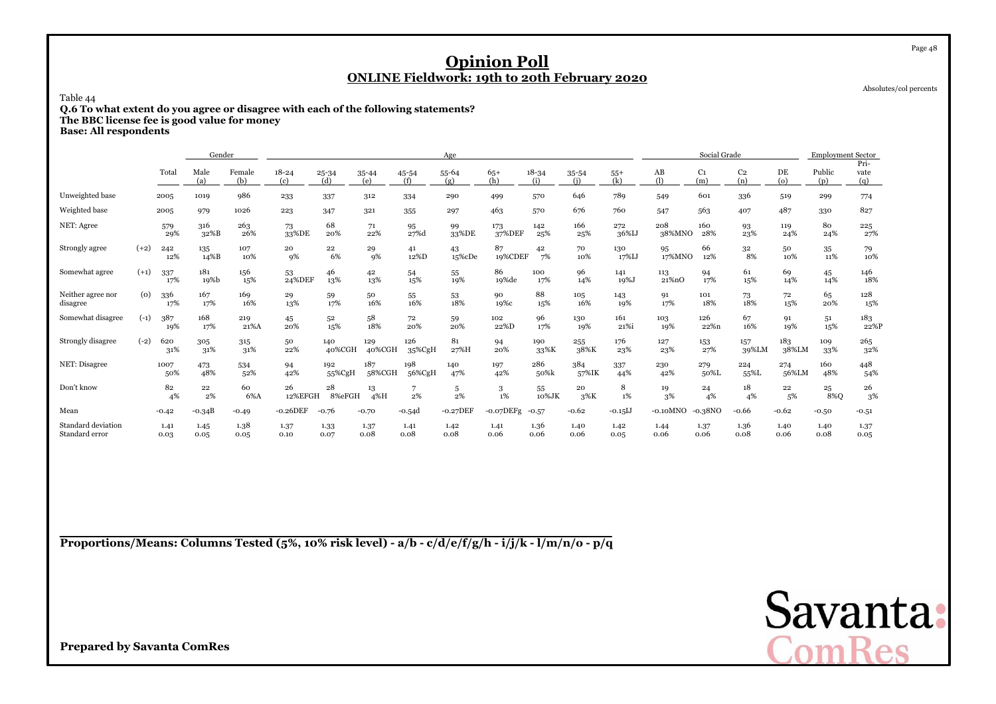Absolutes/col percents

### Table 44

**Q.6 To what extent do you agree or disagree with each of the following statements? The BBC license fee is good value for money**

**Base: All respondents**

|                                      |        |              | Gender       |               |                  |                  |               |               | Age          |               |                  |              |              |                 | Social Grade          |                       |                | <b>Employment Sector</b> |                     |
|--------------------------------------|--------|--------------|--------------|---------------|------------------|------------------|---------------|---------------|--------------|---------------|------------------|--------------|--------------|-----------------|-----------------------|-----------------------|----------------|--------------------------|---------------------|
|                                      |        | Total        | Male<br>(a)  | Female<br>(b) | $18 - 24$<br>(c) | $25 - 34$<br>(d) | 35-44<br>(e)  | 45-54<br>(f)  | 55-64<br>(g) | $65+$<br>(h)  | $18 - 34$<br>(i) | 35-54<br>(i) | $55+$<br>(k) | $\rm AB$<br>(1) | C <sub>1</sub><br>(m) | C <sub>2</sub><br>(n) | DE<br>$\omega$ | Public<br>(p)            | Pri-<br>vate<br>(q) |
| Unweighted base                      |        | 2005         | 1019         | 986           | 233              | 337              | 312           | 334           | 290          | 499           | 570              | 646          | 789          | 549             | 601                   | 336                   | 519            | 299                      | 774                 |
| Weighted base                        |        | 2005         | 979          | 1026          | 223              | 347              | 321           | 355           | 297          | 463           | 570              | 676          | 760          | 547             | 563                   | 407                   | 487            | 330                      | 827                 |
| NET: Agree                           |        | 579<br>29%   | 316<br>32%B  | 263<br>26%    | 73<br>33%DE      | 68<br>20%        | 71<br>22%     | 95<br>27%d    | 99<br>33%DE  | 173<br>37%DEF | 142<br>25%       | 166<br>25%   | 272<br>36%IJ | 208<br>38%MNO   | 160<br>28%            | 93<br>23%             | 119<br>24%     | 80<br>24%                | 225<br>27%          |
| Strongly agree                       | $(+2)$ | 242<br>12%   | 135<br>14%B  | 107<br>10%    | 20<br>9%         | 22<br>6%         | 29<br>9%      | 41<br>12%D    | 43<br>15%cDe | 87<br>19%CDEF | 42<br>7%         | 70<br>10%    | 130<br>17%IJ | 95<br>17%MNO    | 66<br>12%             | 32<br>8%              | 50<br>10%      | 35<br>11%                | 79<br>10%           |
| Somewhat agree                       | $(+1)$ | 337<br>17%   | 181<br>19%b  | 156<br>15%    | 53<br>24%DEF     | 46<br>13%        | 42<br>13%     | 54<br>15%     | 55<br>19%    | 86<br>19%de   | 100<br>17%       | 96<br>14%    | 141<br>19%J  | 113<br>21%nO    | 94<br>17%             | 61<br>15%             | 69<br>14%      | 45<br>14%                | 146<br>18%          |
| Neither agree nor<br>disagree        | (o)    | 336<br>17%   | 167<br>17%   | 169<br>16%    | 29<br>13%        | 59<br>17%        | 50<br>16%     | 55<br>16%     | 53<br>18%    | 90<br>19%с    | 88<br>15%        | 105<br>16%   | 143<br>19%   | 91<br>17%       | 101<br>18%            | 73<br>18%             | 72<br>15%      | 65<br>20%                | 128<br>15%          |
| Somewhat disagree                    | $(-1)$ | 387<br>19%   | 168<br>17%   | 219<br>21%A   | 45<br>20%        | 52<br>15%        | 58<br>18%     | 72<br>20%     | 59<br>20%    | 102<br>22%D   | 96<br>17%        | 130<br>19%   | 161<br>21%i  | 103<br>19%      | 126<br>22%n           | 67<br>16%             | 91<br>19%      | 51<br>15%                | 183<br>22%P         |
| Strongly disagree                    | $(-2)$ | 620<br>31%   | 305<br>31%   | 315<br>31%    | 50<br>22%        | 140<br>40%CGH    | 129<br>40%CGH | 126<br>35%CgH | 81<br>27%H   | 94<br>20%     | 190<br>33%K      | 255<br>38%K  | 176<br>23%   | 127<br>23%      | 153<br>27%            | 157<br>39%LM          | 183<br>38%LM   | 109<br>33%               | 265<br>32%          |
| NET: Disagree                        |        | 1007<br>50%  | 473<br>48%   | 534<br>52%    | 94<br>42%        | 192<br>55%CgH    | 187<br>58%CGH | 198<br>56%CgH | 140<br>47%   | 197<br>42%    | 286<br>50%k      | 384<br>57%IK | 337<br>44%   | 230<br>42%      | 279<br>50%L           | 224<br>55%L           | 274<br>56%LM   | 160<br>48%               | 448<br>54%          |
| Don't know                           |        | 82<br>4%     | 22<br>2%     | 60<br>6%A     | 26<br>12%EFGH    | 28<br>8%eFGH     | 13<br>4%H     | 2%            | 5<br>$2\%$   | 3<br>$1\%$    | 55<br>10%JK      | 20<br>$3\%K$ | 8<br>$1\%$   | 19<br>3%        | 24<br>4%              | 18<br>4%              | 22<br>5%       | 25<br>8%O                | 26<br>3%            |
| Mean                                 |        | $-0.42$      | $-0.34B$     | $-0.49$       | $-0.26$ DEF      | $-0.76$          | $-0.70$       | $-0.54d$      | $-0.27$ DEF  | $-0.07$ DEFg  | $-0.57$          | $-0.62$      | $-0.15$ IJ   | $-0.10$ MNO     | $-0.38NC$             | $-0.66$               | $-0.62$        | $-0.50$                  | $-0.51$             |
| Standard deviation<br>Standard error |        | 1.41<br>0.03 | 1.45<br>0.05 | 1.38<br>0.05  | 1.37<br>0.10     | 1.33<br>0.07     | 1.37<br>0.08  | 1.41<br>0.08  | 1.42<br>0.08 | 1.41<br>0.06  | 1.36<br>0.06     | 1.40<br>0.06 | 1.42<br>0.05 | 1.44<br>0.06    | 1.37<br>0.06          | 1.36<br>0.08          | 1.40<br>0.06   | 1.40<br>0.08             | 1.37<br>0.05        |

**Proportions/Means: Columns Tested (5%, 10% risk level) - a/b - c/d/e/f/g/h - i/j/k - l/m/n/o - p/q**



**Prepared by Savanta ComRes**

#### Page 48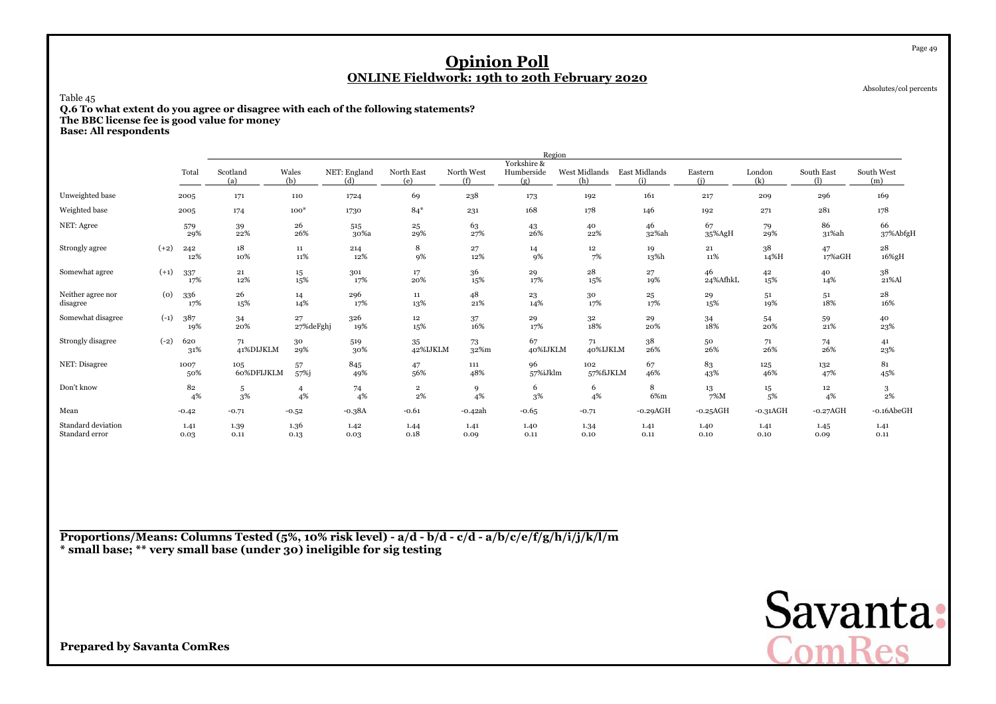Absolutes/col percents

Page 49

### Table 45

 **Q.6 To what extent do you agree or disagree with each of the following statements?The BBC license fee is good value for money**

**Base: All respondents**

|                                      |        |              |                   |                      |                     |                      |                   | Region                           |                      |                      |                |                     |              |                   |
|--------------------------------------|--------|--------------|-------------------|----------------------|---------------------|----------------------|-------------------|----------------------------------|----------------------|----------------------|----------------|---------------------|--------------|-------------------|
|                                      |        | Total        | Scotland<br>(a)   | Wales<br>(b)         | NET: England<br>(d) | North East<br>(e)    | North West<br>(f) | Yorkshire &<br>Humberside<br>(g) | West Midlands<br>(h) | East Midlands<br>(i) | Eastern<br>(i) | London<br>(k)       | South East   | South West<br>(m) |
| Unweighted base                      |        | 2005         | 171               | 110                  | 1724                | 69                   | 238               | 173                              | 192                  | 161                  | 217            | 209                 | 296          | 169               |
| Weighted base                        |        | 2005         | 174               | $100*$               | 1730                | $84*$                | 231               | 168                              | 178                  | 146                  | 192            | 271                 | 281          | 178               |
| NET: Agree                           |        | 579<br>29%   | 39<br>22%         | 26<br>26%            | 515<br>30%a         | 25<br>29%            | 63<br>27%         | 43<br>26%                        | 40<br>22%            | 46<br>32%ah          | 67<br>35%AgH   | 79<br>29%           | 86<br>31%ah  | 66<br>37%AbfgH    |
| Strongly agree                       | $(+2)$ | 242<br>12%   | 18<br>10%         | 11<br>11%            | 214<br>12%          | 8<br>9%              | 27<br>12%         | 14<br>9%                         | 12<br>7%             | 19<br>13%h           | 21<br>11%      | 38<br>14%H          | 47<br>17%aGH | 28<br>16%gH       |
| Somewhat agree                       | $(+1)$ | 337<br>17%   | $\bf 21$<br>12%   | $15\,$<br>15%        | 301<br>17%          | $17\,$<br>20%        | 36<br>15%         | 29<br>17%                        | 28<br>15%            | 27<br>19%            | 46<br>24%AfhkL | 42<br>15%           | 40<br>14%    | 38<br>21%Al       |
| Neither agree nor<br>disagree        | (0)    | 336<br>17%   | 26<br>15%         | 14<br>14%            | 296<br>17%          | 11<br>13%            | 48<br>21%         | 23<br>14%                        | 30<br>17%            | 25<br>17%            | 29<br>15%      | 51<br>19%           | 51<br>18%    | 28<br>16%         |
| Somewhat disagree                    | $(-1)$ | 387<br>19%   | 34<br>20%         | 27<br>27%deFghj      | 326<br>19%          | $12\,$<br>15%        | 37<br>16%         | 29<br>17%                        | $^{\rm 32}$<br>18%   | 29<br>20%            | 34<br>18%      | 54<br>20%           | 59<br>21%    | 40<br>23%         |
| Strongly disagree                    | $(-2)$ | 620<br>31%   | 71<br>41%DIJKLM   | 30<br>29%            | 519<br>30%          | 35<br>42%IJKLM       | 73<br>32%m        | 67<br>40%IJKLM                   | 71<br>40%IJKLM       | $38\,$<br>26%        | 50<br>26%      | 71<br>26%           | 74<br>26%    | 41<br>23%         |
| NET: Disagree                        |        | 1007<br>50%  | 105<br>60%DFIJKLM | 57<br>57%j           | 845<br>49%          | 47<br>56%            | 111<br>48%        | 96<br>57%iJklm                   | 102<br>57%fiJKLM     | 67<br>46%            | 83<br>43%      | 125<br>46%          | 132<br>47%   | 81<br>45%         |
| Don't know                           |        | 82<br>4%     | 5<br>3%           | $\overline{4}$<br>4% | 74<br>4%            | $\mathbf 2$<br>$2\%$ | 9<br>4%           | 6<br>3%                          | 6<br>4%              | 8<br>6%m             | 13<br>7%M      | $15\,$<br>5%        | 12<br>4%     | 3<br>$2\%$        |
| Mean                                 |        | $-0.42$      | $-0.71$           | $-0.52$              | $-0.38A$            | $-0.61$              | -0.42ah           | $-0.65$                          | $-0.71$              | $-0.29AGH$           | $-0.25AGH$     | $-0.31\mathrm{AGH}$ | $-0.27AGH$   | $-0.16$ AbeGH     |
| Standard deviation<br>Standard error |        | 1.41<br>0.03 | 1.39<br>0.11      | 1.36<br>0.13         | 1.42<br>0.03        | 1.44<br>0.18         | 1.41<br>0.09      | 1.40<br>0.11                     | 1.34<br>0.10         | 1.41<br>0.11         | 1.40<br>0.10   | 1.41<br>0.10        | 1.45<br>0.09 | 1.41<br>0.11      |

**Proportions/Means: Columns Tested (5%, 10% risk level) - a/d - b/d - c/d - a/b/c/e/f/g/h/i/j/k/l/m\* small base; \*\* very small base (under 30) ineligible for sig testing**

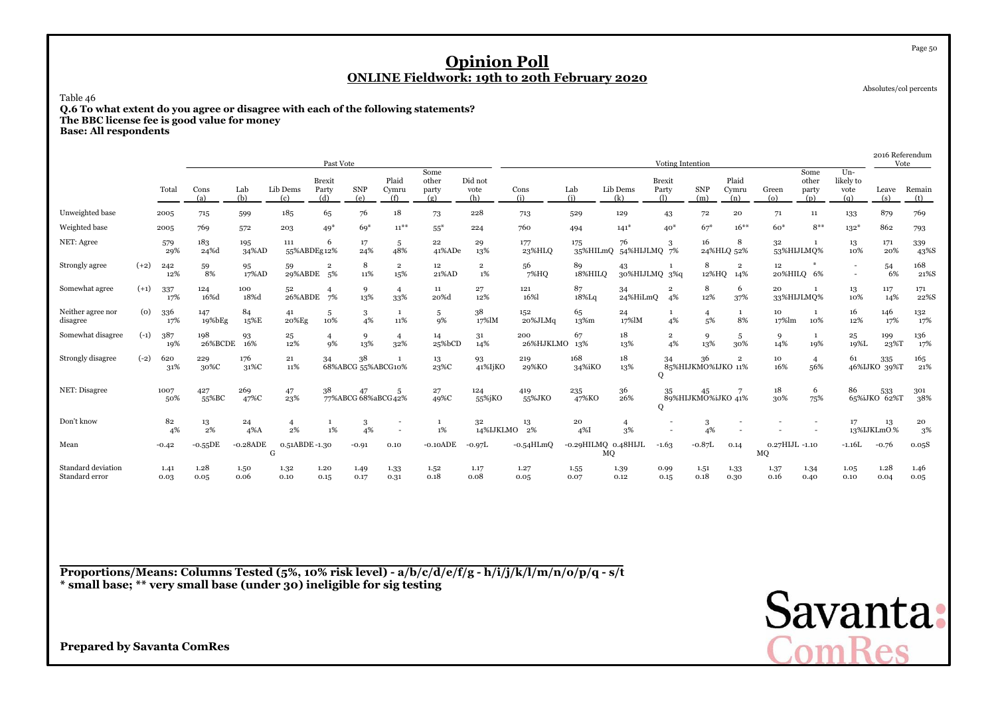Absolutes/col percents

Page 50

Table 46

 **Q.6 To what extent do you agree or disagree with each of the following statements?The BBC license fee is good value for money**

**Base: All respondents**

|                                      |        |              |                |               |                      | Past Vote                     |                           |                       |                               |                        |                  |                           |                             | Voting Intention            |                          |                       |                      |                               |                                   | 2016 Referendum         | Vote          |
|--------------------------------------|--------|--------------|----------------|---------------|----------------------|-------------------------------|---------------------------|-----------------------|-------------------------------|------------------------|------------------|---------------------------|-----------------------------|-----------------------------|--------------------------|-----------------------|----------------------|-------------------------------|-----------------------------------|-------------------------|---------------|
|                                      |        | Total        | Cons<br>(a)    | Lab<br>(b)    | Lib Dems<br>(c)      | <b>Brexit</b><br>Party<br>(d) | <b>SNP</b><br>(e)         | Plaid<br>Cymru<br>(f) | Some<br>other<br>party<br>(g) | Did not<br>vote<br>(h) | Cons<br>(i)      | Lab<br>(i)                | Lib Dems<br>(k)             | Brexit<br>Party<br>$\Omega$ | <b>SNP</b><br>(m)        | Plaid<br>Cymru<br>(n) | Green<br>(o)         | Some<br>other<br>party<br>(p) | $Un-$<br>likely to<br>vote<br>(q) | Leave<br>(s)            | Remain<br>(t) |
| Unweighted base                      |        | 2005         | 715            | 599           | 185                  | 65                            | 76                        | 18                    | 73                            | 228                    | 713              | 529                       | 129                         | 43                          | 72                       | 20                    | 71                   | 11                            | 133                               | 879                     | 769           |
| Weighted base                        |        | 2005         | 769            | 572           | 203                  | $49*$                         | $69*$                     | $11^{***}$            | $55*$                         | 224                    | 760              | 494                       | $141*$                      | $40*$                       | $67*$                    | $16***$               | $60*$                | $8***$                        | $132*$                            | 862                     | 793           |
| NET: Agree                           |        | 579<br>29%   | 183<br>24%d    | 195<br>34%AD  | 111<br>55%ABDEg12%   | 6                             | 17<br>24%                 | 5<br>48%              | 22<br>41%ADe                  | 29<br>13%              | 177<br>23%HLO    | 175                       | 76<br>35%HILmQ 54%HIJLMQ 7% | 3                           | 16                       | 8<br>24%HLQ 52%       | 32                   | 53%HIJLMO%                    | 13<br>10%                         | 171<br>20%              | 339<br>43%S   |
| Strongly agree                       | $(+2)$ | 242<br>12%   | 59<br>8%       | 95<br>17%AD   | 59<br>29%ABDE 5%     | $\mathbf 2$                   | 8<br>11%                  | $\overline{2}$<br>15% | 12<br>21%AD                   | $\overline{2}$<br>1%   | 56<br>7%HQ       | 89<br>18%HILO             | 43<br>30%HIJLMQ 3%q         |                             | 8<br>12%HQ               | $\overline{2}$<br>14% | $12 \,$              | 20%HILQ 6%                    | $\overline{\phantom{a}}$          | 54<br>6%                | 168<br>21%S   |
| Somewhat agree                       | $(+1)$ | 337<br>17%   | 124<br>16%d    | 100<br>18%d   | 52<br>26%ABDE        | $\overline{4}$<br>7%          | 9<br>13%                  | $\overline{4}$<br>33% | 11<br>20%d                    | 27<br>12%              | 121<br>16%       | 87<br>18%Lq               | 34<br>24%HiLmQ              | $\overline{2}$<br>4%        | 8<br>12%                 | 6<br>37%              | 20                   | 33%HIJLMQ%                    | 13<br>10%                         | 117<br>14%              | 171<br>22%S   |
| Neither agree nor<br>disagree        | (0)    | 336<br>17%   | 147<br>19%bEg  | 84<br>15%E    | 41<br>20%Eg          | 5<br>10%                      | 3<br>4%                   | $\mathbf{1}$<br>11%   | 5<br>9%                       | 38<br>17%lM            | 152<br>20%JLMq   | 65<br>13%m                | 24<br>17%lM                 | $\mathbf{1}$<br>4%          | 5%                       | $\mathbf{1}$<br>8%    | 10<br>17%lm          | 1<br>10%                      | 16<br>12%                         | 146<br>17%              | 132<br>17%    |
| Somewhat disagree                    | $(-1)$ | 387<br>19%   | 198<br>26%BCDE | 93<br>16%     | 25<br>12%            | $\overline{4}$<br>9%          | 9<br>13%                  | $\overline{4}$<br>32% | 14<br>25%bCD                  | 31<br>14%              | 200<br>26%HJKLMO | 67<br>13%                 | 18<br>13%                   | $\overline{2}$<br>4%        | 9<br>13%                 | 5<br>30%              | 9<br>14%             | 1<br>19%                      | 25<br>19%L                        | 199<br>23 <sup>%T</sup> | 136<br>17%    |
| Strongly disagree                    | $(-2)$ | 620<br>31%   | 229<br>30%C    | 176<br>31%C   | 21<br>11%            | 34                            | 38<br>68%ABCG 55%ABCG10%  |                       | 13<br>23%C                    | 93<br>41%IjKO          | 219<br>29%KO     | 168<br>34%iKO             | 18<br>13%                   | 34<br>0                     | 36<br>85%HIJKMO%IJKO 11% | $\overline{2}$        | 10<br>16%            | $\overline{4}$<br>56%         | 61                                | 335<br>46%IJKO 39%T     | 165<br>21%    |
| NET: Disagree                        |        | 1007<br>50%  | 427<br>55%BC   | 269<br>47%C   | 47<br>23%            | 38                            | 47<br>77%ABCG 68%aBCG 42% | 5                     | 27<br>49%C                    | 124<br>55%jKO          | 419<br>55%JKO    | 235<br>47%KO              | 36<br>26%                   | 35<br>O                     | 45<br>89%HIJKMO%iJKO 41% |                       | 18<br>30%            | 6<br>75%                      | 86                                | 533<br>65%iJKO 62%T     | 301<br>38%    |
| Don't know                           |        | 82<br>4%     | 13<br>2%       | 24<br>$4\%$ A | $\overline{4}$<br>2% | 1%                            | 3<br>4%                   |                       | -1<br>1%                      | 32<br>14%IJKLMO        | 13<br>2%         | 20<br>$4\%$               | $\overline{4}$<br>3%        |                             | 4%                       |                       |                      |                               | 17                                | 13<br>13%IJKLmOt%       | 20<br>3%      |
| Mean                                 |        | $-0.42$      | -0.55 $DE$     | $-0.28$ ADE   | 0.51ABDE-1.30<br>G   |                               | $-0.91$                   | 0.10                  | $-0.10$ ADE                   | $-0.97L$               | $-0.54$ HLmQ     | -0.29HILMQ 0.48HIJL<br>MQ |                             | $-1.63$                     | $-0.87L$                 | 0.14                  | 0.27HIJL -1.10<br>MQ |                               | $-1.16L$                          | $-0.76$                 | 0.05S         |
| Standard deviation<br>Standard error |        | 1.41<br>0.03 | 1.28<br>0.05   | 1.50<br>0.06  | 1.32<br>0.10         | 1.20<br>0.15                  | 1.49<br>0.17              | 1.33<br>0.31          | 1.52<br>0.18                  | 1.17<br>0.08           | 1.27<br>0.05     | 1.55<br>0.07              | 1.39<br>0.12                | 0.99<br>0.15                | 1.51<br>0.18             | 1.33<br>0.30          | 1.37<br>0.16         | 1.34<br>0.40                  | 1.05<br>0.10                      | 1.28<br>0.04            | 1.46<br>0.05  |

**Proportions/Means: Columns Tested (5%, 10% risk level) - a/b/c/d/e/f/g - h/i/j/k/l/m/n/o/p/q - s/t\* small base; \*\* very small base (under 30) ineligible for sig testing**

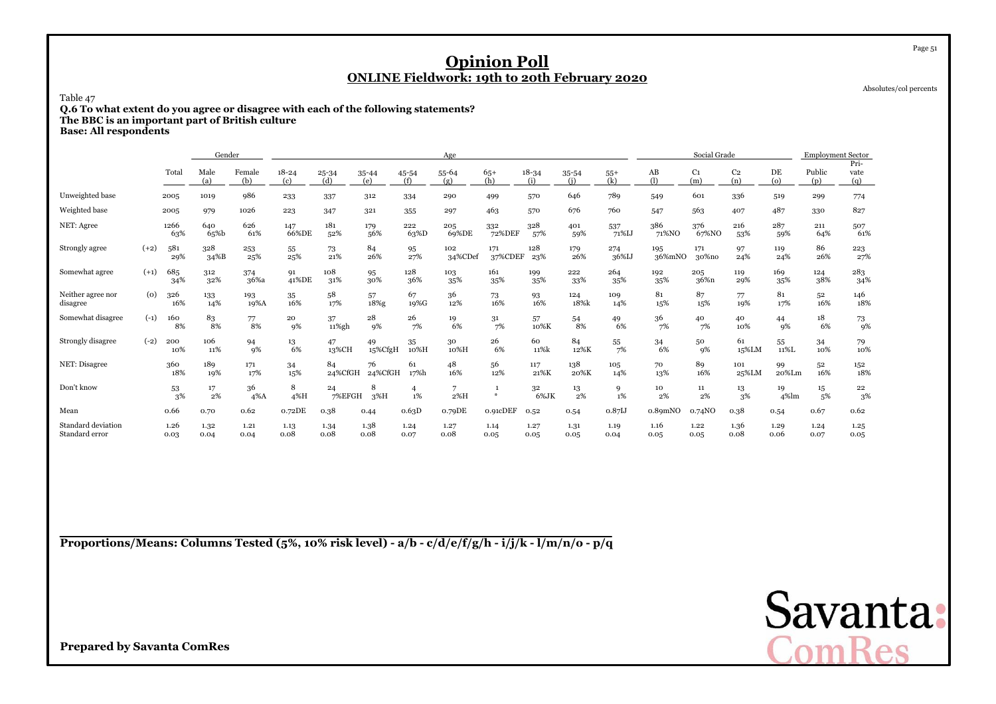Absolutes/col percents

Page 51

Table 47

**Q.6 To what extent do you agree or disagree with each of the following statements? The BBC is an important part of British culture**

**Base: All respondents**

|                                      |        |              | Gender       |               |                  |               |                  |              | Age              |                               |                  |                  |                    |                     | Social Grade          |                       |                | <b>Employment Sector</b> |                     |
|--------------------------------------|--------|--------------|--------------|---------------|------------------|---------------|------------------|--------------|------------------|-------------------------------|------------------|------------------|--------------------|---------------------|-----------------------|-----------------------|----------------|--------------------------|---------------------|
|                                      |        | Total        | Male<br>(a)  | Female<br>(b) | $18 - 24$<br>(c) | 25-34<br>(d)  | $35 - 44$<br>(e) | 45-54<br>(f) | $55 - 64$<br>(g) | $65+$<br>(h)                  | $18 - 34$<br>(i) | $35 - 54$<br>(i) | $55+$<br>(k)       | AB<br>(1)           | C <sub>1</sub><br>(m) | C <sub>2</sub><br>(n) | DE<br>$\omega$ | Public<br>(p)            | Pri-<br>vate<br>(q) |
| Unweighted base                      |        | 2005         | 1019         | 986           | 233              | 337           | 312              | 334          | 290              | 499                           | 570              | 646              | 789                | 549                 | 601                   | 336                   | 519            | 299                      | 774                 |
| Weighted base                        |        | 2005         | 979          | 1026          | 223              | 347           | 321              | 355          | 297              | 463                           | 570              | 676              | 760                | 547                 | 563                   | 407                   | 487            | 330                      | 827                 |
| NET: Agree                           |        | 1266<br>63%  | 640<br>65%b  | 626<br>61%    | 147<br>66%DE     | 181<br>52%    | 179<br>56%       | 222<br>63%D  | 205<br>69%DE     | 332<br>72%DEF                 | 328<br>57%       | 401<br>59%       | 537<br>71%IJ       | 386<br>71%NO        | 376<br>67%NO          | 216<br>53%            | 287<br>59%     | 211<br>64%               | 507<br>61%          |
| Strongly agree                       | $(+2)$ | 581<br>29%   | 328<br>34%B  | 253<br>25%    | 55<br>25%        | 73<br>21%     | 84<br>26%        | 95<br>27%    | 102<br>34%CDef   | 171<br>37%CDEF                | 128<br>23%       | 179<br>26%       | 274<br>36%IJ       | 195<br>36%mNO       | 171<br>30%no          | 97<br>24%             | 119<br>24%     | 86<br>26%                | 223<br>27%          |
| Somewhat agree                       | $(+1)$ | 685<br>34%   | 312<br>32%   | 374<br>36%a   | 91<br>41%DE      | 108<br>31%    | 95<br>30%        | 128<br>36%   | 103<br>35%       | 161<br>35%                    | 199<br>35%       | 222<br>33%       | 264<br>35%         | 192<br>35%          | 205<br>36%n           | 119<br>29%            | 169<br>35%     | 124<br>38%               | 283<br>34%          |
| Neither agree nor<br>disagree        | (0)    | 326<br>16%   | 133<br>14%   | 193<br>19%A   | 35<br>16%        | 58<br>17%     | 57<br>18%g       | 67<br>19%G   | 36<br>12%        | 73<br>16%                     | 93<br>16%        | 124<br>18%k      | 109<br>14%         | 81<br>15%           | 87<br>15%             | 77<br>19%             | 81<br>17%      | 52<br>16%                | 146<br>18%          |
| Somewhat disagree                    | $(-1)$ | 160<br>8%    | 83<br>8%     | 77<br>8%      | 20<br>9%         | 37<br>11%gh   | 28<br>9%         | 26<br>7%     | 19<br>6%         | 31<br>7%                      | 57<br>10%K       | 54<br>8%         | 49<br>6%           | 36<br>7%            | 40<br>7%              | 40<br>10%             | 44<br>9%       | 18<br>6%                 | 73<br>9%            |
| Strongly disagree                    | $(-2)$ | 200<br>10%   | 106<br>11%   | 94<br>9%      | 13<br>6%         | 47<br>13%CH   | 49<br>15%CfgH    | 35<br>10%H   | 30<br>10%H       | 26<br>6%                      | 60<br>11%k       | 84<br>12%K       | 55<br>7%           | 34<br>6%            | 50<br>9%              | 61<br>15%LM           | 55<br>11%L     | 34<br>10%                | 79<br>10%           |
| NET: Disagree                        |        | 360<br>18%   | 189<br>19%   | 171<br>17%    | 34<br>15%        | 84<br>24%CfGH | 76<br>24%CfGH    | 61<br>17%h   | 48<br>16%        | 56<br>12%                     | 117<br>21%K      | 138<br>20%K      | 105<br>14%         | 70<br>13%           | 89<br>16%             | 101<br>25%LM          | 99<br>20%Lm    | 52<br>16%                | 152<br>18%          |
| Don't know                           |        | 53<br>3%     | 17<br>2%     | 36<br>$4\%$ A | 8<br>4%H         | 24<br>7%EFGH  | 8<br>$3\%H$      | 4<br>1%      | 7<br>2%H         | $\mathbf{1}$<br>$\frac{M}{2}$ | 32<br>6%JK       | 13<br>2%         | 9<br>1%            | 10<br>2%            | 11<br>2%              | 13<br>3%              | 19<br>4%lm     | 15<br>5%                 | 22<br>3%            |
| Mean                                 |        | 0.66         | 0.70         | 0.62          | 0.72DE           | 0.38          | 0.44             | 0.63D        | 0.79DE           | 0.91cDEF                      | 0.52             | 0.54             | 0.87 <sub>IJ</sub> | 0.89 <sub>mNO</sub> | 0.74NO                | 0.38                  | 0.54           | 0.67                     | 0.62                |
| Standard deviation<br>Standard error |        | 1.26<br>0.03 | 1.32<br>0.04 | 1.21<br>0.04  | 1.13<br>0.08     | 1.34<br>0.08  | 1.38<br>0.08     | 1.24<br>0.07 | 1.27<br>0.08     | 1.14<br>0.05                  | 1.27<br>0.05     | 1.31<br>0.05     | 1.19<br>0.04       | 1.16<br>0.05        | 1.22<br>0.05          | 1.36<br>0.08          | 1.29<br>0.06   | 1.24<br>0.07             | 1.25<br>0.05        |

**Proportions/Means: Columns Tested (5%, 10% risk level) - a/b - c/d/e/f/g/h - i/j/k - l/m/n/o - p/q**

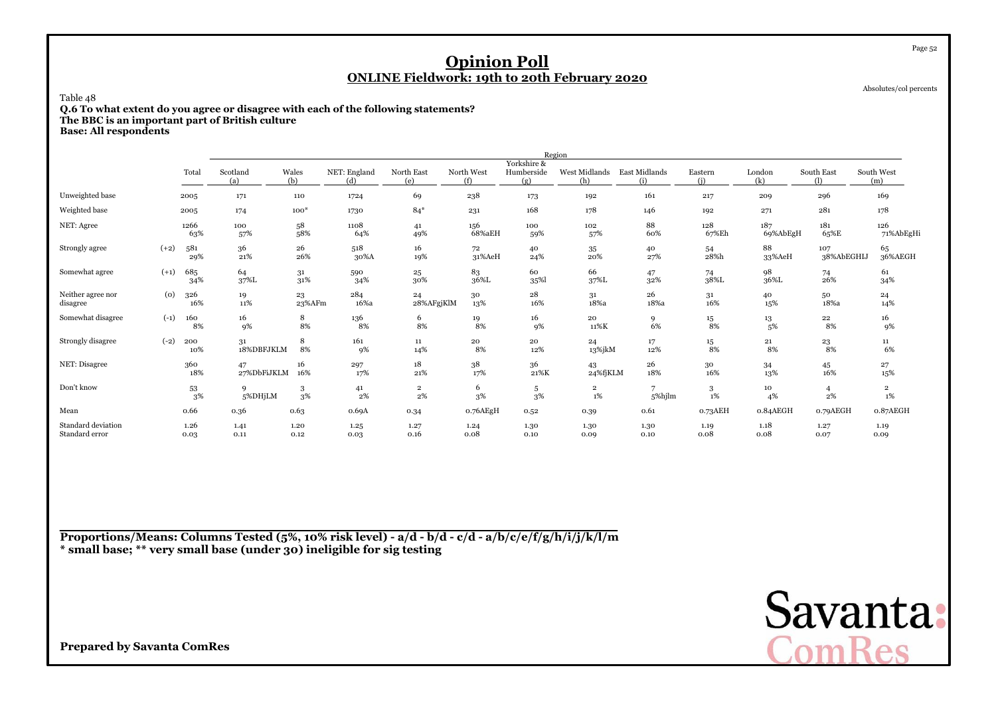Absolutes/col percents

Page 52

### Table 48

**Q.6 To what extent do you agree or disagree with each of the following statements? The BBC is an important part of British culture**

**Base: All respondents**

|                                      |        |              |                   |              |                     |                               |                   |                                  | Region                        |                      |                |                 |                      |                         |
|--------------------------------------|--------|--------------|-------------------|--------------|---------------------|-------------------------------|-------------------|----------------------------------|-------------------------------|----------------------|----------------|-----------------|----------------------|-------------------------|
|                                      |        | Total        | Scotland<br>(a)   | Wales<br>(b) | NET: England<br>(d) | North East<br>(e)             | North West<br>(f) | Yorkshire &<br>Humberside<br>(g) | West Midlands<br>(h)          | East Midlands<br>(i) | Eastern<br>(i) | London<br>(k)   | South East<br>ጠ      | South West<br>(m)       |
| Unweighted base                      |        | 2005         | 171               | 110          | 1724                | 69                            | 238               | 173                              | 192                           | 161                  | 217            | 209             | 296                  | 169                     |
| Weighted base                        |        | 2005         | 174               | $100*$       | 1730                | $84*$                         | 231               | 168                              | 178                           | 146                  | 192            | 271             | 281                  | 178                     |
| NET: Agree                           |        | 1266<br>63%  | 100<br>57%        | 58<br>58%    | 1108<br>64%         | 41<br>49%                     | 156<br>68%aEH     | 100<br>59%                       | 102<br>57%                    | 88<br>60%            | 128<br>67%Eh   | 187<br>69%AbEgH | 181<br>65%E          | 126<br>71%AbEgHi        |
| Strongly agree                       | $(+2)$ | 581<br>29%   | 36<br>21%         | 26<br>26%    | 518<br>30%A         | 16<br>19%                     | 72<br>31%AeH      | 40<br>24%                        | 35<br>20%                     | 40<br>27%            | 54<br>28%h     | 88<br>33%AeH    | 107<br>38%AbEGHIJ    | 65<br>36%AEGH           |
| Somewhat agree                       | $(+1)$ | 685<br>34%   | 64<br>37%L        | 31<br>31%    | 590<br>34%          | $\bf 25$<br>30%               | 83<br>36%L        | 60<br>35 <sup>%</sup> l          | 66<br>37%L                    | 47<br>32%            | 74<br>38%L     | 98<br>36%L      | 74<br>26%            | 61<br>34%               |
| Neither agree nor<br>disagree        | (0)    | 326<br>16%   | 19<br>11%         | 23<br>23%AFm | 284<br>16%a         | 24<br>28%AFgjKlM              | 30<br>13%         | 28<br>16%                        | 31<br>18%a                    | 26<br>18%a           | 31<br>16%      | 40<br>15%       | 50<br>18%a           | 24<br>14%               |
| Somewhat disagree                    | $(-1)$ | 160<br>8%    | 16<br>9%          | 8<br>8%      | 136<br>8%           | 6<br>8%                       | 19<br>8%          | 16<br>9%                         | 20<br>11%K                    | 9<br>6%              | $15\,$<br>8%   | 13<br>5%        | 22<br>8%             | 16<br>9%                |
| Strongly disagree                    | $(-2)$ | 200<br>10%   | 31<br>18%DBFJKLM  | 8<br>8%      | 161<br>9%           | 11<br>14%                     | 20<br>8%          | $\bf{20}$<br>12%                 | 24<br>13%jkM                  | 17<br>12%            | $15\,$<br>8%   | 21<br>$8\%$     | 23<br>8%             | 11<br>6%                |
| NET: Disagree                        |        | 360<br>18%   | 47<br>27%DbFiJKLM | 16<br>16%    | 297<br>17%          | 18<br>21%                     | 38<br>17%         | 36<br>21%K                       | 43<br>24%fjKLM                | 26<br>18%            | 30<br>16%      | 34<br>13%       | 45<br>16%            | $_{\rm 15\%}^{\rm 27}$  |
| Don't know                           |        | 53<br>$3\%$  | 9<br>5%DHjLM      | 3<br>$3\%$   | 41<br>$2\%$         | $\overline{\mathbf{2}}$<br>2% | 6<br>3%           | 5<br>3%                          | $\overline{\mathbf{2}}$<br>1% | 5%hjlm               | 3<br>$1\%$     | 10<br>4%        | $\overline{4}$<br>2% | $\overline{2}$<br>$1\%$ |
| Mean                                 |        | 0.66         | 0.36              | 0.63         | 0.69A               | 0.34                          | 0.76AEgH          | 0.52                             | 0.39                          | 0.61                 | 0.73AEH        | 0.84AEGH        | 0.79AEGH             | o.87AEGH                |
| Standard deviation<br>Standard error |        | 1.26<br>0.03 | 1.41<br>0.11      | 1.20<br>0.12 | 1.25<br>0.03        | 1.27<br>0.16                  | 1.24<br>0.08      | 1.30<br>0.10                     | 1.30<br>0.09                  | 1.30<br>0.10         | 1.19<br>0.08   | 1.18<br>0.08    | 1.27<br>0.07         | 1.19<br>0.09            |

**Proportions/Means: Columns Tested (5%, 10% risk level) - a/d - b/d - c/d - a/b/c/e/f/g/h/i/j/k/l/m\* small base; \*\* very small base (under 30) ineligible for sig testing**

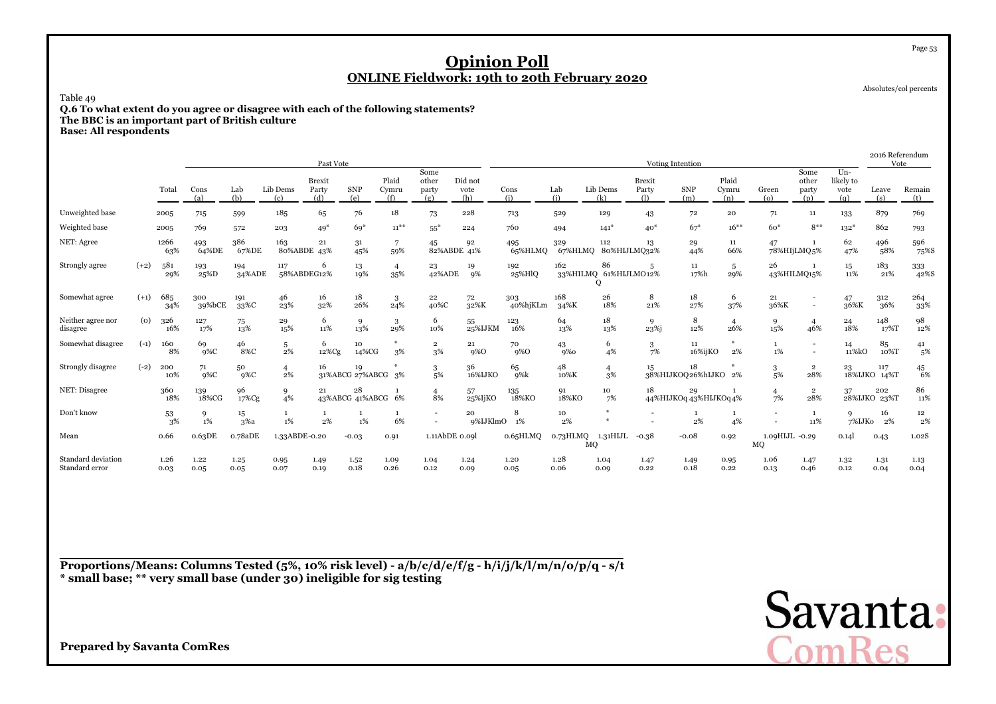Absolutes/col percents

Page 53

Table 49

**Q.6 To what extent do you agree or disagree with each of the following statements? The BBC is an important part of British culture**

**Base: All respondents**

|                                      |        |              |               |               |                       | Past Vote                     |                       |                       |                               |                        |                 |                |                                  |                               | Voting Intention             |                       |                      |                                                      |                                   | 2016 Referendum<br>Vote |               |
|--------------------------------------|--------|--------------|---------------|---------------|-----------------------|-------------------------------|-----------------------|-----------------------|-------------------------------|------------------------|-----------------|----------------|----------------------------------|-------------------------------|------------------------------|-----------------------|----------------------|------------------------------------------------------|-----------------------------------|-------------------------|---------------|
|                                      |        | Total        | Cons<br>(a)   | Lab<br>(b)    | Lib Dems<br>(c)       | <b>Brexit</b><br>Party<br>(d) | SNP<br>(e)            | Plaid<br>Cymru<br>(f) | Some<br>other<br>party<br>(g) | Did not<br>vote<br>(h) | Cons<br>(i)     | Lab<br>(i)     | Lib Dems<br>(k)                  | <b>Brexit</b><br>Party<br>(1) | <b>SNP</b><br>(m)            | Plaid<br>Cymru<br>(n) | Green<br>$\omega$    | Some<br>other<br>party<br>(p)                        | $Un-$<br>likely to<br>vote<br>(q) | Leave<br>(s)            | Remain<br>(t) |
| Unweighted base                      |        | 2005         | 715           | 599           | 185                   | 65                            | 76                    | 18                    | 73                            | 228                    | 713             | 529            | 129                              | 43                            | 72                           | 20                    | 71                   | 11                                                   | 133                               | 879                     | 769           |
| Weighted base                        |        | 2005         | 769           | 572           | 203                   | $49*$                         | $69*$                 | $11^{**}$             | $55*$                         | 224                    | 760             | 494            | $141*$                           | $40*$                         | $67*$                        | $16***$               | $60*$                | $8***$                                               | $132*$                            | 862                     | 793           |
| NET: Agree                           |        | 1266<br>63%  | 493<br>64%DE  | 386<br>67%DE  | 163                   | 21<br>80%ABDE 43%             | 31<br>45%             | $\overline{7}$<br>59% | 45<br>82%ABDE 41%             | 92                     | 495<br>65%HLMQ  | 329<br>67%HLMQ | 112<br>80%HIJLMQ32%              | 13                            | 29<br>44%                    | 11<br>66%             | 47                   | $\mathbf{1}$<br>78%HIjLMQ.5%                         | 62<br>47%                         | 496<br>58%              | 596<br>75%S   |
| Strongly agree                       | $(+2)$ | 581<br>29%   | 193<br>25%D   | 194<br>34%ADE | 117                   | 6<br>58%ABDEG12%              | 13<br>19%             | $\overline{4}$<br>35% | 23<br>42%ADE                  | 19<br><b>9%</b>        | 192<br>25%HlQ   | 162            | 86<br>33%HILMQ 61%HIJLMO12%<br>Q | 5                             | 11<br>17%h                   | $\overline{5}$<br>29% | 26                   | 43%HILMQ15%                                          | 15<br>11%                         | 183<br>21%              | 333<br>42%S   |
| Somewhat agree                       | $(+1)$ | 685<br>34%   | 300<br>39%bCE | 191<br>33%C   | 46<br>23%             | 16<br>32%                     | 18<br>26%             | 3<br>24%              | 22<br>40%C                    | 72<br>32%K             | 303<br>40%hjKLm | 168<br>34%K    | 26<br>18%                        | 8<br>21%                      | 18<br>27%                    | -6<br>37%             | 21<br>36%K           | $\overline{\phantom{a}}$<br>$\overline{\phantom{a}}$ | 47<br>36%K                        | 312<br>36%              | 264<br>33%    |
| Neither agree nor<br>disagree        | (0)    | 326<br>16%   | 127<br>17%    | 75<br>13%     | 29<br>15%             | 6<br>11%                      | 9<br>13%              | 3<br>29%              | 6<br>10%                      | 55<br>25%IJKM          | 123<br>16%      | 64<br>13%      | 18<br>13%                        | 9<br>23 <sup>%j</sup>         | 8<br>12%                     | $\overline{4}$<br>26% | 9<br>15%             | $\overline{4}$<br>46%                                | 24<br>18%                         | 148<br>17%T             | 98<br>12%     |
| Somewhat disagree                    | $(-1)$ | 160<br>8%    | 69<br>$9\%C$  | 46<br>8%C     | 5<br>2%               | 6<br>12%Cg                    | 10<br>14%CG           | $*$<br>3%             | $\overline{2}$<br>3%          | 21<br>9%O              | 70<br>$9\%$ O   | 43<br>$9\%$ o  | 6<br>4%                          | 3<br>7%                       | 11<br>16%ijKO                | ₩<br>2%               | 1<br>1%              | $\overline{\phantom{a}}$<br>$\overline{a}$           | 14<br>11%kO                       | 85<br>10%T              | 41<br>5%      |
| Strongly disagree                    | $(-2)$ | 200<br>10%   | 71<br>$9\%C$  | 50<br>$9\%C$  | $\overline{4}$<br>2%  | 16                            | 19<br>31%ABCG 27%ABCG | 3%                    | 3<br>5%                       | 36<br>16%IJKO          | 65<br>9%k       | 48<br>10%K     | 4<br>3%                          | $15^{\circ}$                  | 18<br>38%HIJKOQ26%hIJKO 2%   |                       | 3<br>5%              | $\overline{2}$<br>28%                                | 23                                | 117<br>18%IJKO 14%T     | 45<br>6%      |
| NET: Disagree                        |        | 360<br>18%   | 139<br>18%CG  | 96<br>17%Cg   | 9<br>4%               | 21                            | 28<br>43%ABCG 41%ABCG | 6%                    | $\overline{4}$<br>8%          | 57<br>25%IjKO          | 135<br>18%KO    | 91<br>18%KO    | 10<br>7%                         | 18                            | 29<br>44%HIJKOq 43%HIJKOq 4% |                       | $\overline{4}$<br>7% | $\overline{2}$<br>28%                                | 37                                | 202<br>28%IJKO 23%T     | 86<br>11%     |
| Don't know                           |        | 53<br>3%     | 9<br>$1\%$    | 15<br>3%a     | $\mathbf{1}$<br>$1\%$ | 1<br>2%                       | 1%                    | 1<br>6%               | $\overline{\phantom{a}}$      | 20<br>9%IJKlmO         | 8<br>1%         | 10<br>2%       | $\frac{M}{2}$                    |                               | 2%                           | 1<br>4%               |                      | 1<br>11%                                             | 9<br>7%IJKo                       | 16<br>2%                | 12<br>2%      |
| Mean                                 |        | 0.66         | 0.63DE        | o.78aDE       | 1.33ABDE-0.20         |                               | $-0.03$               | 0.91                  | 1.11AbDE 0.09l                |                        | 0.65HLMQ        | 0.73HLMQ       | 1.31HIJL<br>MQ                   | $-0.38$                       | $-0.08$                      | 0.92                  | 1.09HIJL -0.29<br>MQ |                                                      | 0.14                              | 0.43                    | 1.02S         |
| Standard deviation<br>Standard error |        | 1.26<br>0.03 | 1.22<br>0.05  | 1.25<br>0.05  | 0.95<br>0.07          | 1.49<br>0.19                  | 1.52<br>0.18          | 1.09<br>0.26          | 1.04<br>0.12                  | 1.24<br>0.09           | 1.20<br>0.05    | 1.28<br>0.06   | 1.04<br>0.09                     | 1.47<br>0.22                  | 1.49<br>0.18                 | 0.95<br>0.22          | 1.06<br>0.13         | 1.47<br>0.46                                         | 1.32<br>0.12                      | 1.31<br>0.04            | 1.13<br>0.04  |

**Proportions/Means: Columns Tested (5%, 10% risk level) - a/b/c/d/e/f/g - h/i/j/k/l/m/n/o/p/q - s/t\* small base; \*\* very small base (under 30) ineligible for sig testing**

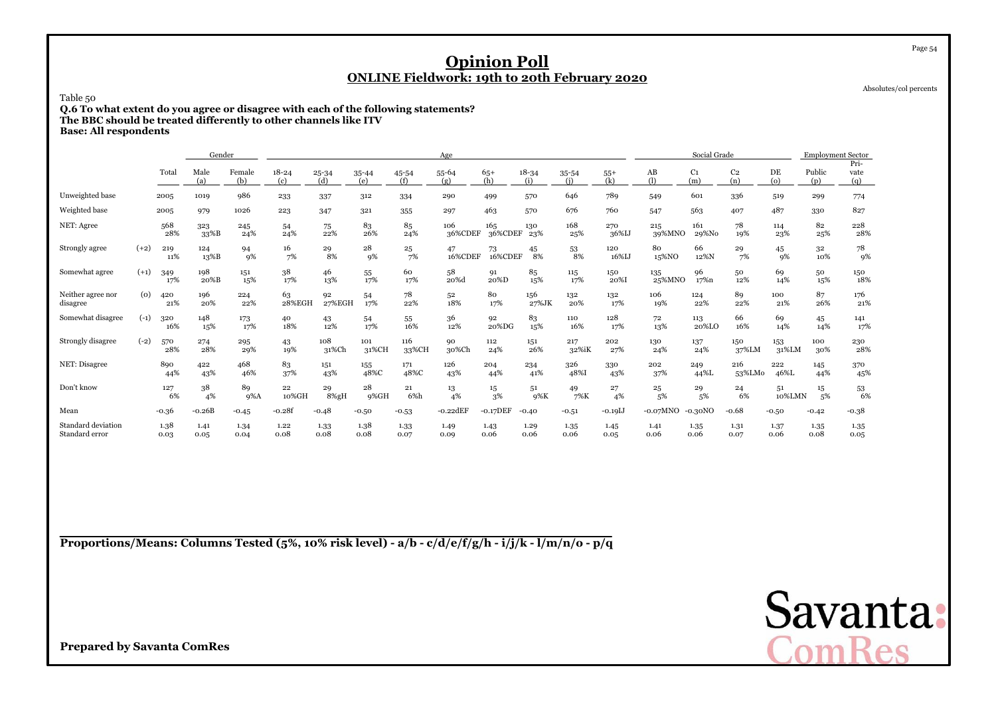Absolutes/col percents

Page 54

Table 50

 **Q.6 To what extent do you agree or disagree with each of the following statements? The BBC should be treated differently to other channels like ITVBase: All respondents**

|                                      |        |              | Gender       |               |                  |                  |                  |              | Age              |                |                  |              |                                    |               | Social Grade          |                       |              | <b>Employment Sector</b> |                     |
|--------------------------------------|--------|--------------|--------------|---------------|------------------|------------------|------------------|--------------|------------------|----------------|------------------|--------------|------------------------------------|---------------|-----------------------|-----------------------|--------------|--------------------------|---------------------|
|                                      |        | Total        | Male<br>(a)  | Female<br>(b) | $18 - 24$<br>(c) | $25 - 34$<br>(d) | $35 - 44$<br>(e) | 45-54<br>(f) | $55 - 64$<br>(g) | $65+$<br>(h)   | $18 - 34$<br>(i) | 35-54<br>(i) | $55+$<br>$\overline{(\mathbf{k})}$ | AB<br>(1)     | C <sub>1</sub><br>(m) | C <sub>2</sub><br>(n) | DE<br>(o)    | Public<br>(p)            | Pri-<br>vate<br>(q) |
| Unweighted base                      |        | 2005         | 1019         | 986           | 233              | 337              | 312              | 334          | 290              | 499            | 570              | 646          | 789                                | 549           | 601                   | 336                   | 519          | 299                      | 774                 |
| Weighted base                        |        | 2005         | 979          | 1026          | 223              | 347              | 321              | 355          | 297              | 463            | 570              | 676          | 760                                | 547           | 563                   | 407                   | 487          | 330                      | 827                 |
| NET: Agree                           |        | 568<br>28%   | 323<br>33%B  | 245<br>24%    | 54<br>24%        | 75<br>22%        | 83<br>26%        | 85<br>24%    | 106<br>36%CDEF   | 165<br>36%CDEF | 130<br>23%       | 168<br>25%   | 270<br>36%IJ                       | 215<br>39%MNO | 161<br>29%No          | 78<br>19%             | 114<br>23%   | 82<br>25%                | 228<br>28%          |
| Strongly agree                       | $(+2)$ | 219<br>11%   | 124<br>13%B  | 94<br>9%      | 16<br>7%         | 29<br>8%         | 28<br>9%         | 25<br>7%     | 47<br>16%CDEF    | 73<br>16%CDEF  | 45<br>8%         | 53<br>8%     | 120<br>16%IJ                       | 80<br>15%NO   | 66<br>12%N            | 29<br>7%              | 45<br>9%     | 32<br>10%                | 78<br>9%            |
| Somewhat agree                       | $(+1)$ | 349<br>17%   | 198<br>20%B  | 151<br>15%    | 38<br>17%        | 46<br>13%        | 55<br>17%        | 60<br>17%    | 58<br>20%d       | 91<br>20%D     | 85<br>15%        | 115<br>17%   | 150<br>20%I                        | 135<br>25%MNO | 96<br>17%n            | 50<br>12%             | 69<br>14%    | 50<br>15%                | 150<br>18%          |
| Neither agree nor<br>disagree        | (0)    | 420<br>21%   | 196<br>20%   | 224<br>22%    | 63<br>28%EGH     | 92<br>27%EGH     | 54<br>17%        | 78<br>22%    | 52<br>18%        | 80<br>17%      | 156<br>27%JK     | 132<br>20%   | 132<br>17%                         | 106<br>19%    | 124<br>22%            | 89<br>22%             | 100<br>21%   | 87<br>26%                | 176<br>21%          |
| Somewhat disagree                    | $(-1)$ | 320<br>16%   | 148<br>15%   | 173<br>17%    | 40<br>18%        | 43<br>12%        | 54<br>17%        | 55<br>16%    | 36<br>12%        | 92<br>20%DG    | 83<br>15%        | 110<br>16%   | 128<br>17%                         | 72<br>13%     | 113<br>20%LO          | 66<br>16%             | 69<br>14%    | 45<br>14%                | 141<br>17%          |
| Strongly disagree                    | $(-2)$ | 570<br>28%   | 274<br>28%   | 295<br>29%    | 43<br>19%        | 108<br>31%Ch     | 101<br>31%CH     | 116<br>33%CH | 90<br>30%Ch      | 112<br>24%     | 151<br>26%       | 217<br>32%iK | 202<br>27%                         | 130<br>24%    | 137<br>24%            | 150<br>37%LM          | 153<br>31%LM | 100<br>30%               | 230<br>28%          |
| NET: Disagree                        |        | 890<br>44%   | 422<br>43%   | 468<br>46%    | 83<br>37%        | 151<br>43%       | 155<br>48%C      | 171<br>48%C  | 126<br>43%       | 204<br>44%     | 234<br>41%       | 326<br>48%I  | 330<br>43%                         | 202<br>37%    | 249<br>44%L           | 216<br>53%LMo         | 222<br>46%L  | 145<br>44%               | 370<br>45%          |
| Don't know                           |        | 127<br>6%    | 38<br>4%     | 89<br>$9\%$ A | 22<br>10%GH      | 29<br>8%gH       | 28<br>9%GH       | 21<br>6%h    | 13<br>4%         | 15<br>3%       | 51<br>9%K        | 49<br>7%K    | 27<br>4%                           | 25<br>5%      | 29<br>5%              | 24<br>6%              | 51<br>10%LMN | $15\,$<br>5%             | 53<br>6%            |
| Mean                                 |        | $-0.36$      | $-0.26B$     | $-0.45$       | $-0.28f$         | $-0.48$          | $-0.50$          | $-0.53$      | $-0.22$ d $EF$   | $-0.17$ DEF    | $-0.40$          | $-0.51$      | $-0.19L$                           | $-0.07MNO$    | -0.30NO               | $-0.68$               | $-0.50$      | $-0.42$                  | $-0.38$             |
| Standard deviation<br>Standard error |        | 1.38<br>0.03 | 1.41<br>0.05 | 1.34<br>0.04  | 1.22<br>0.08     | 1.33<br>0.08     | 1.38<br>0.08     | 1.33<br>0.07 | 1.49<br>0.09     | 1.43<br>0.06   | 1.29<br>0.06     | 1.35<br>0.06 | 1.45<br>0.05                       | 1.41<br>0.06  | 1.35<br>0.06          | 1.31<br>0.07          | 1.37<br>0.06 | 1.35<br>0.08             | 1.35<br>0.05        |

**Proportions/Means: Columns Tested (5%, 10% risk level) - a/b - c/d/e/f/g/h - i/j/k - l/m/n/o - p/q**

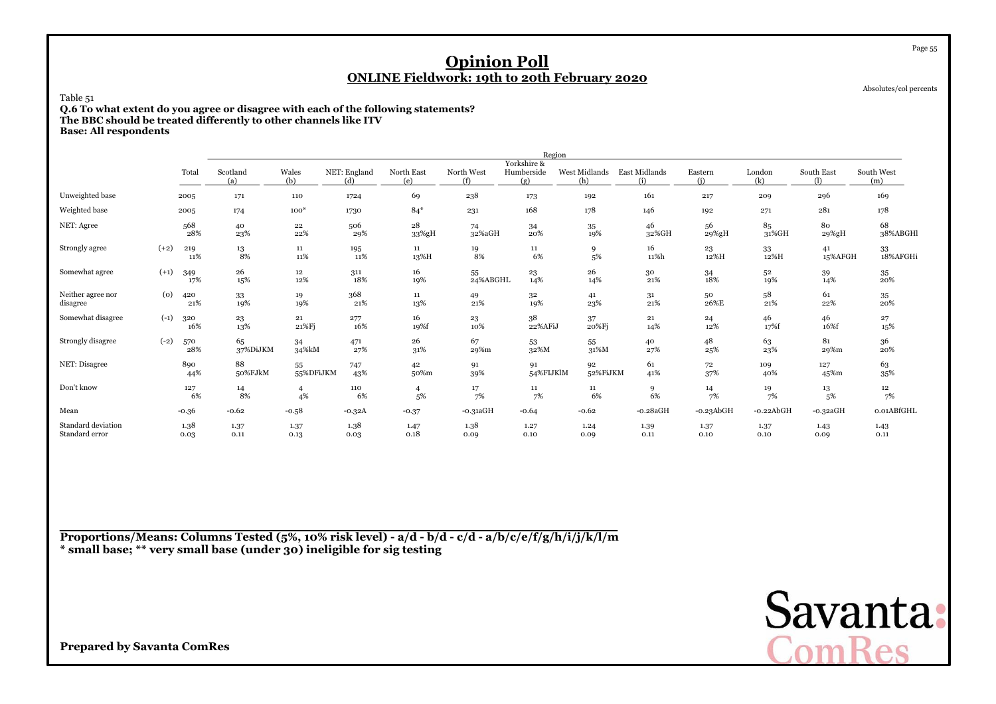Absolutes/col percents

Page 55

Table 51

**Q.6 To what extent do you agree or disagree with each of the following statements? The BBC should be treated differently to other channels like ITV**

**Base: All respondents**

|                                      |        |              |                 |                      |                     |                      |                   | Region                           |                      |                      |                |               |                  |                   |
|--------------------------------------|--------|--------------|-----------------|----------------------|---------------------|----------------------|-------------------|----------------------------------|----------------------|----------------------|----------------|---------------|------------------|-------------------|
|                                      |        | Total        | Scotland<br>(a) | Wales<br>(b)         | NET: England<br>(d) | North East<br>(e)    | North West<br>(f) | Yorkshire &<br>Humberside<br>(g) | West Midlands<br>(h) | East Midlands<br>(i) | Eastern<br>(i) | London<br>(k) | South East<br>O) | South West<br>(m) |
| Unweighted base                      |        | 2005         | 171             | 110                  | 1724                | 69                   | 238               | 173                              | 192                  | 161                  | 217            | 209           | 296              | 169               |
| Weighted base                        |        | 2005         | 174             | $100*$               | 1730                | $84*$                | 231               | 168                              | 178                  | 146                  | 192            | 271           | 281              | 178               |
| NET: Agree                           |        | 568<br>28%   | 40<br>23%       | 22<br>22%            | 506<br>29%          | 28<br>33%gH          | 74<br>32%aGH      | 34<br>20%                        | 35<br>19%            | 46<br>32%GH          | 56<br>29%gH    | 85<br>31%GH   | 80<br>29%gH      | 68<br>38%ABGHl    |
| Strongly agree                       | $(+2)$ | 219<br>11%   | 13<br>8%        | 11<br>11%            | 195<br>11%          | 11<br>13%H           | 19<br>8%          | $11\,$<br>6%                     | 9<br>5%              | 16<br>11%h           | 23<br>12%H     | 33<br>12%H    | 41<br>15%AFGH    | 33<br>18%AFGHi    |
| Somewhat agree                       | $(+1)$ | 349<br>17%   | 26<br>15%       | $12\,$<br>12%        | 311<br>18%          | 16<br>19%            | 55<br>24%ABGHL    | 23<br>14%                        | 26<br>14%            | 30<br>21%            | 34<br>18%      | 52<br>19%     | 39<br>14%        | 35<br>20%         |
| Neither agree nor<br>disagree        | (0)    | 420<br>21%   | 33<br>19%       | 19<br>19%            | 368<br>21%          | 11<br>13%            | 49<br>21%         | 32<br>19%                        | 41<br>23%            | 31<br>21%            | 50<br>26%E     | 58<br>$21\%$  | 61<br>22%        | 35<br>20%         |
| Somewhat disagree                    | $(-1)$ | 320<br>16%   | 23<br>13%       | 21<br>21%Fj          | 277<br>16%          | 16<br>19%f           | 23<br>10%         | 38<br>22%AFiJ                    | 37<br>20%Fj          | 21<br>14%            | 24<br>12%      | 46<br>17%f    | 46<br>16%f       | 27<br>15%         |
| Strongly disagree                    | $(-2)$ | 570<br>28%   | 65<br>37%DiJKM  | 34<br>34%kM          | 471<br>27%          | 26<br>31%            | 67<br>29%m        | 53<br>32%M                       | 55<br>31%M           | 40<br>27%            | 48<br>25%      | 63<br>23%     | 81<br>29%m       | 36<br>20%         |
| NET: Disagree                        |        | 890<br>44%   | 88<br>50%FJkM   | 55<br>55%DFiJKM      | 747<br>43%          | 42<br>50%m           | 91<br>39%         | 91<br>54%FIJKlM                  | 92<br>52%FiJKM       | 61<br>41%            | 72<br>37%      | 109<br>40%    | 127<br>45%m      | 63<br>$35\%$      |
| Don't know                           |        | 127<br>6%    | 14<br>8%        | $\overline{4}$<br>4% | 110<br>6%           | $\overline{4}$<br>5% | $\frac{17}{7\%}$  | 11<br>7%                         | 11<br>6%             | 9<br>6%              | 14<br>7%       | 19<br>7%      | 13<br>5%         | 12<br>7%          |
| Mean                                 |        | $-0.36$      | $-0.62$         | $-0.58$              | $-0.32A$            | $-0.37$              | $-0.31aGH$        | $-0.64$                          | $-0.62$              | $-0.28aGH$           | $-0.23$ AbGH   | $-0.22$ AbGH  | $-0.32aGH$       | 0.01ABfGHL        |
| Standard deviation<br>Standard error |        | 1.38<br>0.03 | 1.37<br>0.11    | 1.37<br>0.13         | 1.38<br>0.03        | 1.47<br>0.18         | 1.38<br>0.09      | 1.27<br>0.10                     | 1.24<br>0.09         | 1.39<br>0.11         | 1.37<br>0.10   | 1.37<br>0.10  | 1.43<br>0.09     | 1.43<br>0.11      |

**Proportions/Means: Columns Tested (5%, 10% risk level) - a/d - b/d - c/d - a/b/c/e/f/g/h/i/j/k/l/m\* small base; \*\* very small base (under 30) ineligible for sig testing**

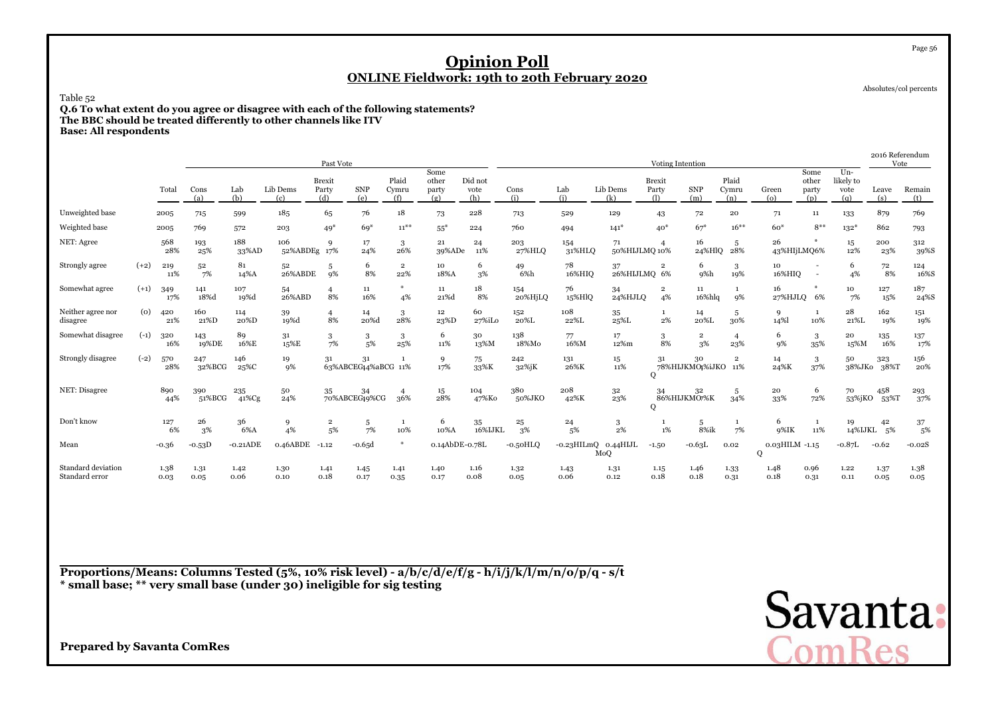Absolutes/col percents

Page 56

Table 52

 **Q.6 To what extent do you agree or disagree with each of the following statements? The BBC should be treated differently to other channels like ITVBase: All respondents**

|                                      |        |              |               |                  |                 | Past Vote                     |                           |                       |                               |                        |                  |               |                     | Voting Intention              |                                    |                       |                          |                               |                                    | Vote             | 2016 Referendum |
|--------------------------------------|--------|--------------|---------------|------------------|-----------------|-------------------------------|---------------------------|-----------------------|-------------------------------|------------------------|------------------|---------------|---------------------|-------------------------------|------------------------------------|-----------------------|--------------------------|-------------------------------|------------------------------------|------------------|-----------------|
|                                      |        | Total        | Cons<br>(a)   | Lab<br>(b)       | Lib Dems<br>(c) | <b>Brexit</b><br>Party<br>(d) | <b>SNP</b><br>(e)         | Plaid<br>Cymru<br>(f) | Some<br>other<br>party<br>(g) | Did not<br>vote<br>(h) | Cons<br>(i)      | Lab<br>(i)    | Lib Dems<br>(k)     | <b>Brexit</b><br>Party<br>(1) | <b>SNP</b><br>(m)                  | Plaid<br>Cymru<br>(n) | Green<br>(o)             | Some<br>other<br>party<br>(p) | $Un -$<br>likely to<br>vote<br>(q) | Leave<br>(s)     | Remain<br>(t)   |
| Unweighted base                      |        | 2005         | 715           | 599              | 185             | 65                            | 76                        | 18                    | 73                            | 228                    | 713              | 529           | 129                 | 43                            | 72                                 | 20                    | 71                       | 11                            | 133                                | 879              | 769             |
| Weighted base                        |        | 2005         | 769           | 572              | 203             | $49*$                         | $69*$                     | $11***$               | $55*$                         | 224                    | 760              | 494           | $141*$              | $40*$                         | $67*$                              | $16***$               | $60*$                    | $8***$                        | $132*$                             | 862              | 793             |
| NET: Agree                           |        | 568<br>28%   | 193<br>25%    | 188<br>33%AD     | 106<br>52%ABDEg | 9<br>17%                      | 17<br>24%                 | 3<br>26%              | 21<br>39%ADe                  | 24<br>11%              | 203<br>27%HLO    | 154<br>31%HLQ | 71<br>50%HIJLMQ 10% |                               | 16<br>24%HlQ                       | 5<br>28%              | 26<br>43%HIjLMQ6%        |                               | 15<br>12%                          | 200<br>23%       | 312<br>39%S     |
| Strongly agree                       | $(+2)$ | 219<br>11%   | 52<br>7%      | 81<br>14%A       | 52<br>26%ABDE   | 5<br>9%                       | 6<br>8%                   | $\overline{2}$<br>22% | 10<br>18%A                    | 6<br>3%                | 49<br>6%h        | 78<br>16%HIQ  | 37<br>26%HIJLMQ 6%  | $\overline{2}$                | 6<br>9%h                           | 3<br>19%              | 10<br>16%HIQ             | $\overline{\phantom{a}}$      | 6<br>4%                            | 72<br>8%         | 124<br>16%S     |
| Somewhat agree                       | $(+1)$ | 349<br>17%   | 141<br>18%d   | 107<br>19%d      | 54<br>26%ABD    | $\overline{4}$<br>8%          | 11<br>16%                 | $*$<br>4%             | $11\,$<br>21%d                | 18<br>8%               | 154<br>20%HjLQ   | 76<br>15%HlQ  | 34<br>24%HJLO       | $\mathbf 2$<br>4%             | 11<br>16%hlq                       | 1<br>9%               | 16<br>27%HJLQ 6%         |                               | 10<br>7%                           | 127<br>15%       | 187<br>24%S     |
| Neither agree nor<br>disagree        | (0)    | 420<br>21%   | 160<br>21%D   | 114<br>20%D      | 39<br>19%d      | $\overline{4}$<br>8%          | 14<br>20%d                | 3<br>28%              | 12<br>23%D                    | 60<br>27%iLo           | 152<br>20%L      | 108<br>22%L   | 35<br>25%L          | $2\%$                         | 14<br>20%L                         | -5<br>30%             | 9<br>14%                 | - 1<br>10%                    | 28<br>21%L                         | 162<br>19%       | 151<br>19%      |
| Somewhat disagree                    | $(-1)$ | 320<br>16%   | 143<br>19%DE  | 89<br>16%E       | 31<br>15%E      | 3<br>7%                       | 3<br>5%                   | 3<br>25%              | 6<br>11%                      | 30<br>13%M             | 138<br>18%Mo     | 77<br>16%M    | 17<br>12%m          | 3<br>8%                       | $\overline{2}$<br>3%               | $\overline{4}$<br>23% | 6<br>9%                  | 3<br>35%                      | 20<br>15%M                         | 135<br>16%       | 137<br>17%      |
| Strongly disagree                    | $(-2)$ | 570<br>28%   | 247<br>32%BCG | 146<br>$25\%$ C  | 19<br>9%        | 31                            | 31<br>63%ABCEG44%aBCG 11% |                       | 9<br>17%                      | 75<br>33%K             | 242<br>$32\%$ jK | 131<br>26%K   | 15<br>11%           | 31<br>$\mathbf{O}$            | 30<br>78%HIJKMO <sub>1</sub> %iJKO | $\overline{2}$<br>11% | 14<br>24%K               | 3<br>37%                      | 50<br>38%JKo                       | 323<br>38%T      | 156<br>20%      |
| NET: Disagree                        |        | 890<br>44%   | 390<br>51%BCG | 235<br>$41\%$ Cg | 50<br>24%       | 35                            | 34<br>70%ABCEG49%CG       | $\overline{4}$<br>36% | 15<br>28%                     | 104<br>47%Ko           | 380<br>50%JKO    | 208<br>42%K   | 32<br>23%           | 34<br>Q                       | 32<br>86%HIJKMO7%K                 | 5<br>34%              | 20<br>33%                | 6<br>72%                      | 70<br>53%jKO                       | 458<br>53%T      | 293<br>37%      |
| Don't know                           |        | 127<br>6%    | 26<br>3%      | 36<br>6%A        | 9<br>4%         | $\overline{2}$<br>5%          | 5<br>7%                   | -1<br>10%             | 6<br>10%A                     | 35<br>16%IJKL          | $\bf 25$<br>3%   | 24<br>5%      | 3<br>$2\%$          | $1\%$                         | 5<br>8%ik                          | 1<br>7%               | 6<br>9%IK                | 1<br>11%                      | 19                                 | 42<br>14%IJKL 5% | 37<br>.5%       |
| Mean                                 |        | $-0.36$      | $-0.53D$      | $-0.21$ ADE      | 0.46ABDE        | $-1.12$                       | $-0.65d$                  | $*$                   | 0.14AbDE-0.78L                |                        | $-0.50HLO$       | $-0.23$ HILmQ | 0.44HJL<br>MoQ      | $-1.50$                       | $-0.63L$                           | 0.02                  | $0.03$ HILM $-1.15$<br>Q |                               | $-0.87L$                           | $-0.62$          | $-0.02S$        |
| Standard deviation<br>Standard error |        | 1.38<br>0.03 | 1.31<br>0.05  | 1.42<br>0.06     | 1.30<br>0.10    | 1.41<br>0.18                  | 1.45<br>0.17              | 1.41<br>0.35          | 1.40<br>0.17                  | 1.16<br>0.08           | 1.32<br>0.05     | 1.43<br>0.06  | 1.31<br>0.12        | 1.15<br>0.18                  | 1.46<br>0.18                       | 1.33<br>0.31          | 1.48<br>0.18             | 0.96<br>0.31                  | 1.22<br>0.11                       | 1.37<br>0.05     | 1.38<br>0.05    |

**Proportions/Means: Columns Tested (5%, 10% risk level) - a/b/c/d/e/f/g - h/i/j/k/l/m/n/o/p/q - s/t\* small base; \*\* very small base (under 30) ineligible for sig testing**

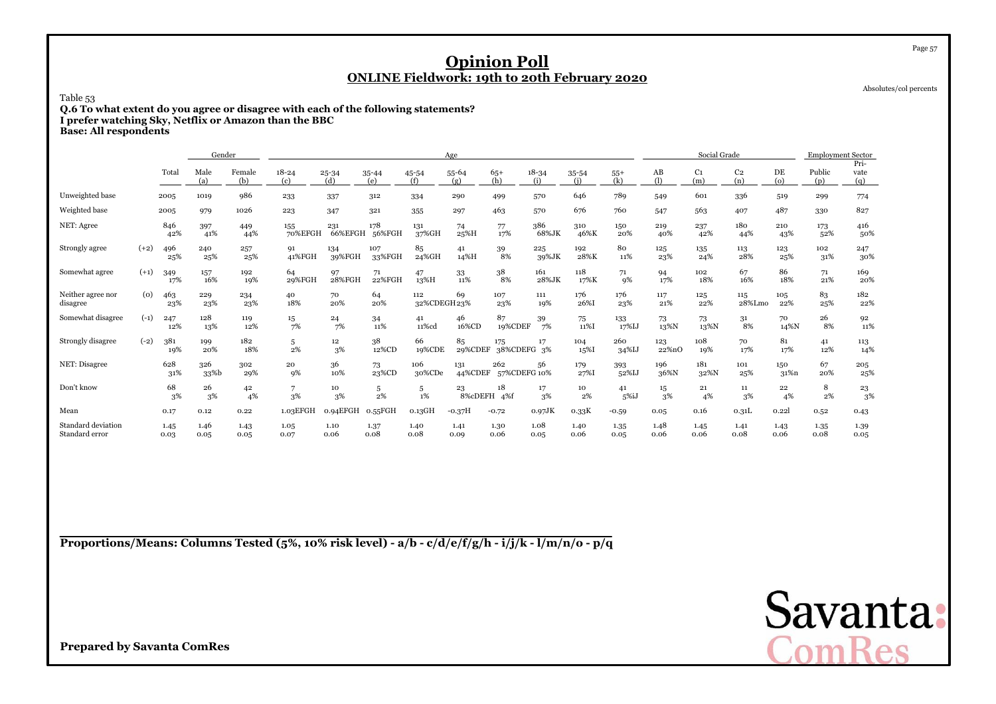Absolutes/col percents

Page 57

Table 53

 **Q.6 To what extent do you agree or disagree with each of the following statements?I prefer watching Sky, Netflix or Amazon than the BBC**

**Base: All respondents**

|                                      | Gender |              |              |               |                  |                  |               |                     | Age               |                     |                  |              |              |              | Social Grade          |                       |                          | <b>Employment Sector</b> |                     |
|--------------------------------------|--------|--------------|--------------|---------------|------------------|------------------|---------------|---------------------|-------------------|---------------------|------------------|--------------|--------------|--------------|-----------------------|-----------------------|--------------------------|--------------------------|---------------------|
|                                      |        | Total        | Male<br>(a)  | Female<br>(b) | $18 - 24$<br>(c) | $25 - 34$<br>(d) | 35-44<br>(e)  | 45-54<br>(f)        | 55-64<br>(g)      | $65+$<br>(h)        | $18 - 34$<br>(i) | 35-54<br>(i) | $55+$<br>(k) | AB<br>(1)    | C <sub>1</sub><br>(m) | C <sub>2</sub><br>(n) | DE<br>$\left( 0 \right)$ | Public<br>(p)            | Pri-<br>vate<br>(q) |
| Unweighted base                      |        | 2005         | 1019         | 986           | 233              | 337              | 312           | 334                 | 290               | 499                 | 570              | 646          | 789          | 549          | 601                   | 336                   | 519                      | 299                      | 774                 |
| Weighted base                        |        | 2005         | 979          | 1026          | 223              | 347              | 321           | 355                 | 297               | 463                 | 570              | 676          | 760          | 547          | 563                   | 407                   | 487                      | 330                      | 827                 |
| NET: Agree                           |        | 846<br>42%   | 397<br>41%   | 449<br>44%    | 155<br>70%EFGH   | 231<br>66%EFGH   | 178<br>56%FGH | 131<br>37%GH        | 74<br>25%H        | 77<br>17%           | 386<br>68%JK     | 310<br>46%K  | 150<br>20%   | 219<br>40%   | 237<br>42%            | 180<br>44%            | 210<br>43%               | 173<br>52%               | 416<br>50%          |
| Strongly agree                       | $(+2)$ | 496<br>25%   | 240<br>25%   | 257<br>25%    | 91<br>41%FGH     | 134<br>39%FGH    | 107<br>33%FGH | 85<br>24%GH         | 41<br>14%H        | 39<br>8%            | 225<br>39%JK     | 192<br>28%K  | 80<br>11%    | 125<br>23%   | 135<br>24%            | 113<br>28%            | 123<br>25%               | 102<br>31%               | 247<br>30%          |
| Somewhat agree                       | $(+1)$ | 349<br>17%   | 157<br>16%   | 192<br>19%    | 64<br>29%FGH     | 97<br>28%FGH     | 71<br>22%FGH  | 47<br>13%H          | 33<br>11%         | 38<br>8%            | 161<br>28%JK     | 118<br>17%K  | 71<br>9%     | 94<br>17%    | 102<br>18%            | 67<br>16%             | 86<br>18%                | 71<br>21%                | 169<br>20%          |
| Neither agree nor<br>disagree        | (0)    | 463<br>23%   | 229<br>23%   | 234<br>23%    | 40<br>18%        | 70<br>20%        | 64<br>20%     | 112<br>32%CDEGH 23% | 69                | 107<br>23%          | 111<br>19%       | 176<br>26%I  | 176<br>23%   | 117<br>21%   | 125<br>22%            | 115<br>28%Lmo         | 105<br>22%               | 83<br>25%                | 182<br>22%          |
| Somewhat disagree                    | $(-1)$ | 247<br>12%   | 128<br>13%   | 119<br>12%    | 15<br>7%         | 24<br>7%         | 34<br>11%     | 41<br>11%cd         | 46<br>16%CD       | 87<br>19%CDEF       | 39<br>7%         | 75<br>11%I   | 133<br>17%IJ | 73<br>13%N   | 73<br>13%N            | 31<br>8%              | 70<br>14%N               | 26<br>8%                 | 92<br>11%           |
| Strongly disagree                    | $(-2)$ | 381<br>19%   | 199<br>20%   | 182<br>18%    | 5<br>2%          | 12<br>3%         | 38<br>12%CD   | 66<br>19%CDE        | 85<br>29%CDEF     | 175<br>38%CDEFG 3%  | 17               | 104<br>15%I  | 260<br>34%IJ | 123<br>22%nO | 108<br>19%            | 70<br>17%             | 81<br>17%                | 41<br>12%                | 113<br>14%          |
| NET: Disagree                        |        | 628<br>31%   | 326<br>33%b  | 302<br>29%    | 20<br>9%         | 36<br>10%        | 73<br>23%CD   | 106<br>30%CDe       | 131<br>44%CDEF    | 262<br>57%CDEFG 10% | 56               | 179<br>27%I  | 393<br>52%IJ | 196<br>36%N  | 181<br>32%N           | 101<br>25%            | 150<br>31%n              | 67<br>20%                | 205<br>25%          |
| Don't know                           |        | 68<br>3%     | 26<br>3%     | 42<br>4%      | 7<br>3%          | 10<br>3%         | 5<br>2%       | 5<br>1%             | 23<br>8%cDEFH 4%f | 18                  | 17<br>3%         | 10<br>2%     | 41<br>5%iJ   | 15<br>3%     | 21<br>4%              | 11<br>3%              | 22<br>4%                 | 8<br>2%                  | 23<br>3%            |
| Mean                                 |        | 0.17         | 0.12         | 0.22          | 1.03EFGH         | 0.94EFGH         | $0.55$ FGH    | $0.13$ GH           | $-0.37H$          | $-0.72$             | $0.97$ JK        | 0.33K        | $-0.59$      | 0.05         | 0.16                  | 0.31L                 | 0.22                     | 0.52                     | 0.43                |
| Standard deviation<br>Standard error |        | 1.45<br>0.03 | 1.46<br>0.05 | 1.43<br>0.05  | 1.05<br>0.07     | 1.10<br>0.06     | 1.37<br>0.08  | 1.40<br>0.08        | 1.41<br>0.09      | 1.30<br>0.06        | 1.08<br>0.05     | 1.40<br>0.06 | 1.35<br>0.05 | 1.48<br>0.06 | 1.45<br>0.06          | 1.41<br>0.08          | 1.43<br>0.06             | 1.35<br>0.08             | 1.39<br>0.05        |

**Proportions/Means: Columns Tested (5%, 10% risk level) - a/b - c/d/e/f/g/h - i/j/k - l/m/n/o - p/q**

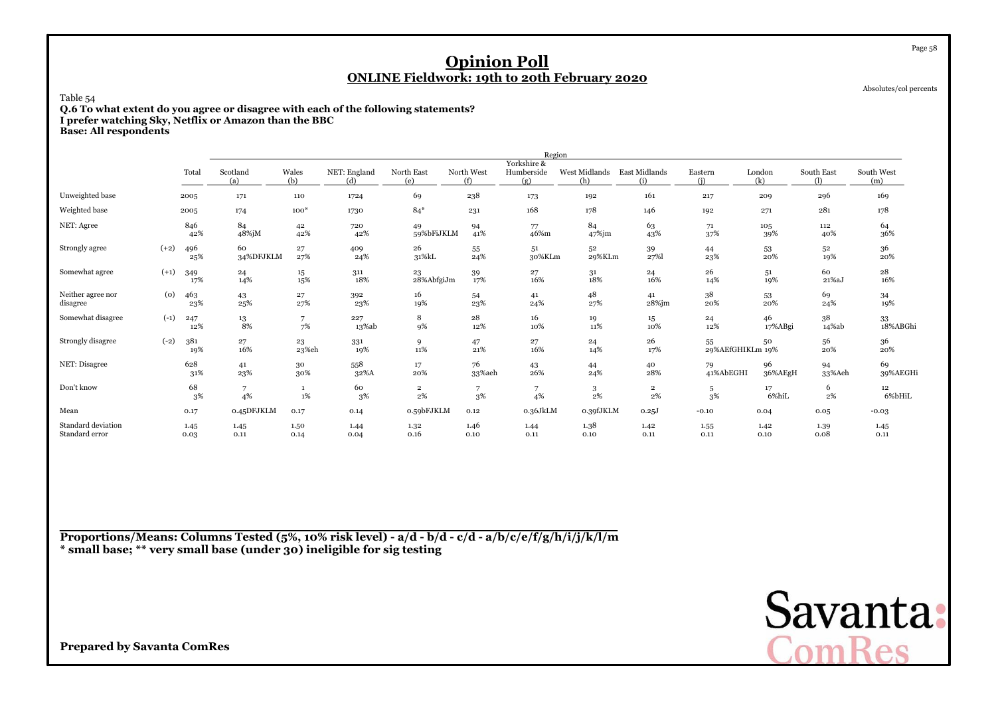Absolutes/col percents

Page 58

Table 54

 **Q.6 To what extent do you agree or disagree with each of the following statements?I prefer watching Sky, Netflix or Amazon than the BBC**

**Base: All respondents**

|                                      |        |              |                 |                  |                     |                      |                   | Region                           |                      |                      |                        |               |                   |                     |
|--------------------------------------|--------|--------------|-----------------|------------------|---------------------|----------------------|-------------------|----------------------------------|----------------------|----------------------|------------------------|---------------|-------------------|---------------------|
|                                      |        | Total        | Scotland<br>(a) | Wales<br>(h)     | NET: England<br>(d) | North East<br>(e)    | North West<br>(f) | Yorkshire &<br>Humberside<br>(g) | West Midlands<br>(ከ) | East Midlands<br>(i) | Eastern<br>(i)         | London<br>(k) | South East<br>(1) | South West<br>(m)   |
| Unweighted base                      |        | 2005         | 171             | 110              | 1724                | 69                   | 238               | 173                              | 192                  | 161                  | 217                    | 209           | 296               | 169                 |
| Weighted base                        |        | 2005         | 174             | $100*$           | 1730                | $84*$                | 231               | 168                              | 178                  | 146                  | 192                    | 271           | 281               | 178                 |
| NET: Agree                           |        | 846<br>42%   | 84<br>48%jM     | 42<br>42%        | 720<br>42%          | 49<br>59%bFiJKLM     | 94<br>41%         | 77<br>46%m                       | 84<br>$47\%$ jm      | 63<br>43%            | 71<br>37%              | 105<br>39%    | 112<br>40%        | 64<br>36%           |
| Strongly agree                       | $(+2)$ | 496<br>25%   | 60<br>34%DFJKLM | $\bf{27}$<br>27% | 409<br>24%          | 26<br>31%kL          | 55<br>24%         | 51<br>30%KLm                     | 52<br>29%KLm         | 39<br>27%            | 44<br>23%              | 53<br>20%     | 52<br>19%         | 36<br>20%           |
| Somewhat agree                       | $(+1)$ | 349<br>17%   | 24<br>14%       | $15\,$<br>15%    | 311<br>18%          | 23<br>28%AbfgiJm     | 39<br>17%         | 27<br>16%                        | 31<br>18%            | 24<br>16%            | 26<br>14%              | 51<br>19%     | 60<br>$21\%aJ$    | $\bf{^{28}}$<br>16% |
| Neither agree nor<br>disagree        | (0)    | 463<br>23%   | 43<br>25%       | 27<br>27%        | 392<br>23%          | 16<br>19%            | 54<br>23%         | 41<br>24%                        | 48<br>27%            | 41<br>28%jm          | 38<br>20%              | 53<br>20%     | 69<br>24%         | 34<br>19%           |
| Somewhat disagree                    | $(-1)$ | 247<br>12%   | 13<br>8%        | 7<br>7%          | 227<br>13%ab        | 8<br>9%              | 28<br>12%         | 16<br>10%                        | 19<br>11%            | 15<br>10%            | 24<br>12%              | 46<br>17%ABgi | 38<br>14%ab       | 33<br>18%ABGhi      |
| Strongly disagree                    | $(-2)$ | 381<br>19%   | 27<br>16%       | 23<br>23%eh      | 331<br>19%          | 9<br>11%             | 47<br>21%         | 27<br>16%                        | 24<br>14%            | 26<br>17%            | 55<br>29%AEfGHIKLm 19% | 50            | 56<br>20%         | 36<br>20%           |
| NET: Disagree                        |        | 628<br>31%   | 41<br>23%       | 30<br>30%        | 558<br>32%A         | 17<br>20%            | 76<br>33%aeh      | 43<br>26%                        | 44<br>24%            | 40<br>28%            | 79<br>41%AbEGHI        | 96<br>36%AEgH | 94<br>33%Aeh      | 69<br>39%AEGHi      |
| Don't know                           |        | 68<br>3%     | 7<br>4%         | $1\%$            | 60<br>3%            | $\overline{2}$<br>2% | 7<br>3%           | 4%                               | 3<br>2%              | $\mathbf{2}$<br>2%   | 5<br>3%                | 17<br>6%hiL   | 6<br>$2\%$        | 12<br>6%bHiL        |
| Mean                                 |        | 0.17         | 0.45DFJKLM      | 0.17             | 0.14                | 0.59bFJKLM           | 0.12              | 0.36JkLM                         | 0.39fJKLM            | 0.25J                | $-0.10$                | 0.04          | 0.05              | $-0.03$             |
| Standard deviation<br>Standard error |        | 1.45<br>0.03 | 1.45<br>0.11    | 1.50<br>0.14     | 1.44<br>0.04        | 1.32<br>0.16         | 1.46<br>0.10      | 1.44<br>0.11                     | 1.38<br>$0.10\,$     | 1.42<br>0.11         | 1.55<br>0.11           | 1.42<br>0.10  | 1.39<br>0.08      | 1.45<br>0.11        |

**Proportions/Means: Columns Tested (5%, 10% risk level) - a/d - b/d - c/d - a/b/c/e/f/g/h/i/j/k/l/m\* small base; \*\* very small base (under 30) ineligible for sig testing**

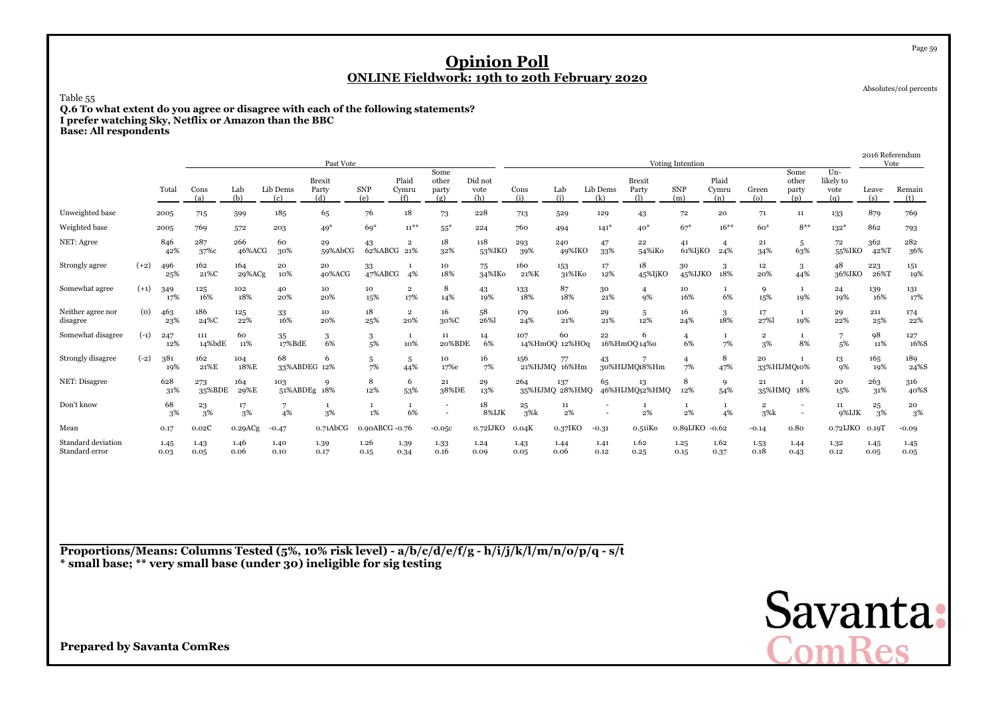Absolutes/col percents

Page 59

Table 55

 **Q.6 To what extent do you agree or disagree with each of the following statements?I prefer watching Sky, Netflix or Amazon than the BBC**

**Base: All respondents**

|                                      |        |              |               |               |                     | Past Vote                     |                    |                                |                               |                        |              |                       |                 |                               | Voting Intention     |                       |                                |                               |                                   | 2016 Referendum<br>Vote |               |
|--------------------------------------|--------|--------------|---------------|---------------|---------------------|-------------------------------|--------------------|--------------------------------|-------------------------------|------------------------|--------------|-----------------------|-----------------|-------------------------------|----------------------|-----------------------|--------------------------------|-------------------------------|-----------------------------------|-------------------------|---------------|
|                                      |        | Total        | Cons<br>(a)   | Lab<br>(b)    | Lib Dems<br>(c)     | <b>Brexit</b><br>Party<br>(d) | <b>SNP</b><br>(e)  | Plaid<br>Cymru<br>(f)          | Some<br>other<br>party<br>(g) | Did not<br>vote<br>(h) | Cons<br>(i)  | Lab<br>(i)            | Lib Dems<br>(k) | <b>Brexit</b><br>Party<br>O). | <b>SNP</b><br>(m)    | Plaid<br>Cymru<br>(n) | Green<br>$\left( 0 \right)$    | Some<br>other<br>party<br>(p) | $Un-$<br>likely to<br>vote<br>(q) | Leave<br>(s)            | Remain<br>(t) |
| Unweighted base                      |        | 2005         | 715           | 599           | 185                 | 65                            | 76                 | 18                             | 73                            | 228                    | 713          | 529                   | 129             | 43                            | 72                   | 20                    | 71                             | 11                            | 133                               | 879                     | 769           |
| Weighted base                        |        | 2005         | 769           | 572           | 203                 | $49*$                         | $69*$              | $11***$                        | $55*$                         | 224                    | 760          | 494                   | $141*$          | $40*$                         | $67*$                | $16***$               | $60*$                          | $8**$                         | $132*$                            | 862                     | 793           |
| NET: Agree                           |        | 846<br>42%   | 287<br>37%c   | 266<br>46%ACG | 60<br>30%           | 29<br>59%AbCG                 | 43<br>62%ABCG 21%  | $\overline{\mathbf{2}}$        | 18<br>32%                     | 118<br>53%IKO          | 293<br>39%   | 240<br>49%IKO         | 47<br>33%       | 22<br>54%iKo                  | 41<br>61%IjKO        | 24%                   | 21<br>34%                      | 5<br>63%                      | 72<br>55%IKO                      | 362<br>42%T             | 282<br>36%    |
| Strongly agree                       | $(+2)$ | 496<br>25%   | 162<br>21%C   | 164<br>29%ACg | 20<br>10%           | 20<br>40%ACG                  | 33<br>47%ABCG      | 4%                             | 10<br>18%                     | 75<br>34%IKo           | 160<br>21%K  | 153<br>31%IKo         | 17<br>12%       | 18<br>45%IjKO                 | 30<br>45%IJKO        | 3<br>18%              | 12<br>20%                      | 3<br>44%                      | 48<br>36%IKO                      | 223<br>26%T             | 151<br>19%    |
| Somewhat agree                       | $(+1)$ | 349<br>17%   | 125<br>16%    | 102<br>18%    | 40<br>20%           | 10<br>20%                     | 10<br>15%          | $\overline{\mathbf{2}}$<br>17% | 8<br>14%                      | 43<br>19%              | 133<br>18%   | 87<br>18%             | 30<br>21%       | $\overline{4}$<br>9%          | 10<br>16%            | -1<br>6%              | 9<br>15%                       | $\mathbf{1}$<br>19%           | 24<br>19%                         | 139<br>16%              | 131<br>17%    |
| Neither agree nor<br>disagree        | (0)    | 463<br>23%   | 186<br>24%C   | 125<br>22%    | 33<br>16%           | 10<br>20%                     | 18<br>25%          | $\overline{2}$<br>20%          | 16<br>30%C                    | 58<br>26%              | 179<br>24%   | 106<br>21%            | 29<br>21%       | 5<br>12%                      | 16<br>24%            | 3<br>18%              | 17<br>27%                      | 1<br>19%                      | 29<br>22%                         | 211<br>25%              | 174<br>22%    |
| Somewhat disagree                    | $(-1)$ | 247<br>12%   | 111<br>14%bdE | 60<br>11%     | 35<br>17%BdE        | 3<br>6%                       | 3<br>5%            | 1<br>10%                       | 11<br>20%BDE                  | 14<br>6%               | 107          | 60<br>14%HmOQ 12%HOq  | 22              | 6<br>16%HmOQ14%0              | 4<br>6%              | 7%                    | $\overline{\mathbf{2}}$<br>3%  | 8%                            | 5%                                | 98<br>11%               | 127<br>16%S   |
| Strongly disagree                    | $(-2)$ | 381<br>19%   | 162<br>21%E   | 104<br>18%E   | 68<br>33%ABDEG 12%  | 6                             | 5<br>7%            | 5<br>44%                       | 10<br>17%e                    | 16<br>7%               | 156          | 77<br>21%HJMQ 16%Hm   | 43              | 30%HIJMQ18%Hm                 | $\overline{4}$<br>7% | 8<br>47%              | 20                             | 33%HIJMQ10%                   | 13<br>9%                          | 165<br>19%              | 189<br>24%S   |
| NET: Disagree                        |        | 628<br>31%   | 273<br>35%BDE | 164<br>29%E   | 103<br>51%ABDEg 18% | 9                             | 8<br>12%           | 6<br>53%                       | 21<br>38%DE                   | 29<br>13%              | 264          | 137<br>35%HJMQ 28%HMQ | 65              | 13<br>46%HIJMQ32%HMQ          | 8<br>12%             | 9<br>54%              | 21                             | 35%HMQ 18%                    | 20<br>15%                         | 263<br>31%              | 316<br>40%S   |
| Don't know                           |        | 68<br>3%     | 23<br>3%      | 17<br>3%      | 4%                  | -1<br>3%                      | $\mathbf{1}$<br>1% | 1<br>6%                        |                               | 18<br>8%IJK            | 25<br>3%k    | 11<br>2%              |                 | -1<br>$2\%$                   | 1<br>2%              | 1<br>4%               | $\overline{\mathbf{2}}$<br>3%k |                               | 11<br>9%IJK                       | 25<br>3%                | 20<br>3%      |
| Mean                                 |        | 0.17         | 0.02C         | 0.29ACg       | $-0.47$             | $0.71\text{AbCG}$             | 0.90ABCG -0.76     |                                | $-0.05c$                      | 0.72IJKO               | 0.04K        | 0.37IKO               | $-0.31$         | o.51iKo                       | 0.89IJKO             | $-0.62$               | $-0.14$                        | 0.80                          | 0.72IJKO                          | 0.19T                   | $-0.09$       |
| Standard deviation<br>Standard error |        | 1.45<br>0.03 | 1.43<br>0.05  | 1.46<br>0.06  | 1.40<br>0.10        | 1.39<br>0.17                  | 1.26<br>0.15       | 1.39<br>0.34                   | 1.33<br>0.16                  | 1.24<br>0.09           | 1.43<br>0.05 | 1.44<br>0.06          | 1.41<br>0.12    | 1.62<br>0.25                  | 1.25<br>0.15         | 1.62<br>0.37          | 1.53<br>0.18                   | 1.44<br>0.43                  | 1.32<br>0.12                      | 1.45<br>0.05            | 1.45<br>0.05  |

**Proportions/Means: Columns Tested (5%, 10% risk level) - a/b/c/d/e/f/g - h/i/j/k/l/m/n/o/p/q - s/t\* small base; \*\* very small base (under 30) ineligible for sig testing**

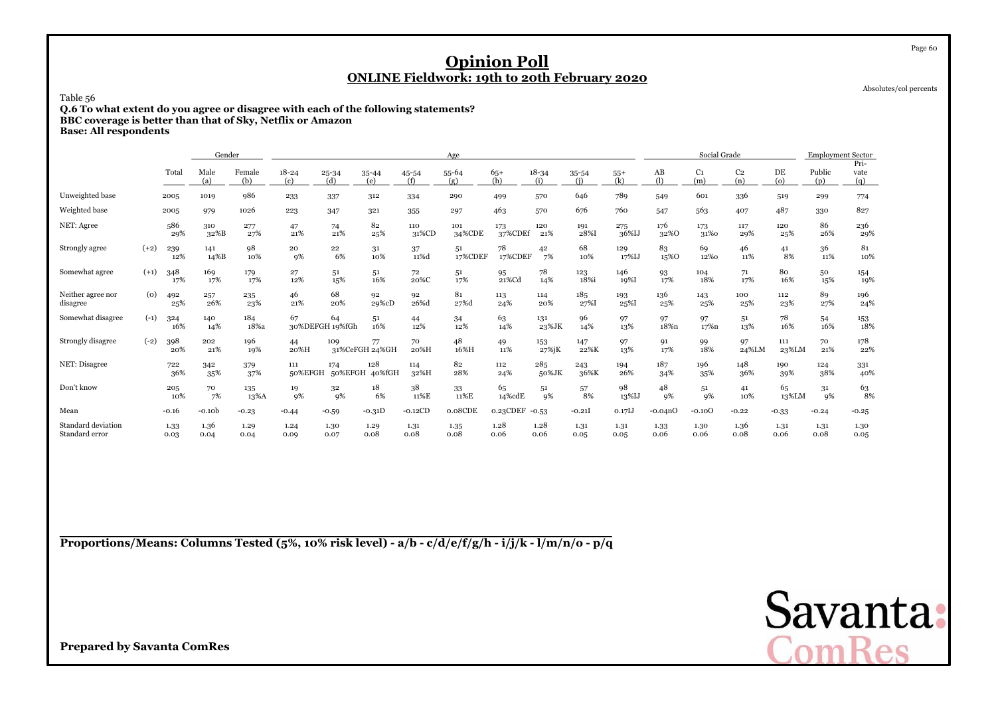Absolutes/col percents

Table 56

 **Q.6 To what extent do you agree or disagree with each of the following statements?BBC coverage is better than that of Sky, Netflix or AmazonBase: All respondents**

|                                      |        |              | Gender       |               |                  |                       |                      |              | Age           |                |                  |                  |              |              | Social Grade          |                       |              | <b>Employment Sector</b> |                     |
|--------------------------------------|--------|--------------|--------------|---------------|------------------|-----------------------|----------------------|--------------|---------------|----------------|------------------|------------------|--------------|--------------|-----------------------|-----------------------|--------------|--------------------------|---------------------|
|                                      |        | Total        | Male<br>(a)  | Female<br>(b) | $18 - 24$<br>(c) | $25 - 34$<br>(d)      | $35 - 44$<br>(e)     | 45-54<br>(f) | 55-64<br>(g)  | $65+$<br>(h)   | $18 - 34$<br>(i) | $35 - 54$<br>(i) | $55+$<br>(k) | AB<br>(1)    | C <sub>1</sub><br>(m) | C <sub>2</sub><br>(n) | DE<br>(o)    | Public<br>(p)            | Pri-<br>vate<br>(q) |
| Unweighted base                      |        | 2005         | 1019         | 986           | 233              | 337                   | 312                  | 334          | 290           | 499            | 570              | 646              | 789          | 549          | 601                   | 336                   | 519          | 299                      | 774                 |
| Weighted base                        |        | 2005         | 979          | 1026          | 223              | 347                   | 321                  | 355          | 297           | 463            | 570              | 676              | 760          | 547          | 563                   | 407                   | 487          | 330                      | 827                 |
| NET: Agree                           |        | 586<br>29%   | 310<br>32%B  | 277<br>27%    | 47<br>21%        | 74<br>21%             | 82<br>25%            | 110<br>31%CD | 101<br>34%CDE | 173<br>37%CDEf | 120<br>21%       | 191<br>28%I      | 275<br>36%IJ | 176<br>32%0  | 173<br>31%0           | 117<br>29%            | 120<br>25%   | 86<br>26%                | 236<br>29%          |
| Strongly agree                       | $(+2)$ | 239<br>12%   | 141<br>14%B  | 98<br>10%     | 20<br>9%         | 22<br>6%              | 31<br>10%            | 37<br>11%d   | 51<br>17%CDEF | 78<br>17%CDEF  | 42<br>7%         | 68<br>10%        | 129<br>17%IJ | 83<br>15%0   | 69<br>12%0            | 46<br>11%             | 41<br>8%     | 36<br>11%                | 81<br>10%           |
| Somewhat agree                       | $(+1)$ | 348<br>17%   | 169<br>17%   | 179<br>17%    | 27<br>12%        | 51<br>15%             | 51<br>16%            | 72<br>20%C   | 51<br>17%     | 95<br>21%Cd    | 78<br>14%        | 123<br>18%i      | 146<br>19%I  | 93<br>17%    | 104<br>18%            | 71<br>17%             | 80<br>16%    | 50<br>15%                | 154<br>19%          |
| Neither agree nor<br>disagree        | (0)    | 492<br>25%   | 257<br>26%   | 235<br>23%    | 46<br>21%        | 68<br>20%             | 92<br>29%cD          | 92<br>26%d   | 81<br>27%d    | 113<br>24%     | 114<br>20%       | 185<br>27%I      | 193<br>25%I  | 136<br>25%   | 143<br>25%            | 100<br>25%            | 112<br>23%   | 89<br>27%                | 196<br>24%          |
| Somewhat disagree                    | $(-1)$ | 324<br>16%   | 140<br>14%   | 184<br>18%a   | 67               | 64<br>30%DEFGH 19%fGh | 51<br>16%            | 44<br>12%    | 34<br>12%     | 63<br>14%      | 131<br>23%JK     | 96<br>14%        | 97<br>13%    | 97<br>18%n   | 97<br>17%n            | 51<br>13%             | 78<br>16%    | 54<br>16%                | 153<br>18%          |
| Strongly disagree                    | $(-2)$ | 398<br>20%   | 202<br>21%   | 196<br>19%    | 44<br>20%H       | 109                   | 77<br>31%CeFGH 24%GH | 70<br>20%H   | 48<br>16%H    | 49<br>11%      | 153<br>27%jK     | 147<br>22%K      | 97<br>13%    | 91<br>17%    | 99<br>18%             | 97<br>24%LM           | 111<br>23%LM | 70<br>21%                | 178<br>22%          |
| NET: Disagree                        |        | 722<br>36%   | 342<br>35%   | 379<br>37%    | 111<br>50%EFGH   | 174<br>50%EFGH        | 128<br>40%fGH        | 114<br>32%H  | 82<br>28%     | 112<br>24%     | 285<br>50%JK     | 243<br>36%K      | 194<br>26%   | 187<br>34%   | 196<br>35%            | 148<br>36%            | 190<br>39%   | 124<br>38%               | 331<br>40%          |
| Don't know                           |        | 205<br>10%   | 70<br>7%     | 135<br>13%A   | 19<br>9%         | 32<br>9%              | 18<br>6%             | 38<br>11%E   | 33<br>11%E    | 65<br>14%cdE   | 51<br>9%         | 57<br>8%         | 98<br>13%IJ  | 48<br>9%     | 51<br><b>9%</b>       | 41<br>10%             | 65<br>13%LM  | 31<br>9%                 | 63<br>8%            |
| Mean                                 |        | $-0.16$      | $-0.10b$     | $-0.23$       | $-0.44$          | $-0.59$               | $-0.31D$             | $-0.12CD$    | 0.08CDE       | 0.23CDEF       | $-0.53$          | $-0.21$          | $0.17$ IJ    | $-0.04nO$    | $-0.10$ <sup>O</sup>  | $-0.22$               | $-0.33$      | $-0.24$                  | $-0.25$             |
| Standard deviation<br>Standard error |        | 1.33<br>0.03 | 1.36<br>0.04 | 1.29<br>0.04  | 1.24<br>0.09     | 1.30<br>0.07          | 1.29<br>0.08         | 1.31<br>0.08 | 1.35<br>0.08  | 1.28<br>0.06   | 1.28<br>0.06     | 1.31<br>0.05     | 1.31<br>0.05 | 1.33<br>0.06 | 1.30<br>0.06          | 1.36<br>0.08          | 1.31<br>0.06 | 1.31<br>0.08             | 1.30<br>0.05        |

**Proportions/Means: Columns Tested (5%, 10% risk level) - a/b - c/d/e/f/g/h - i/j/k - l/m/n/o - p/q**

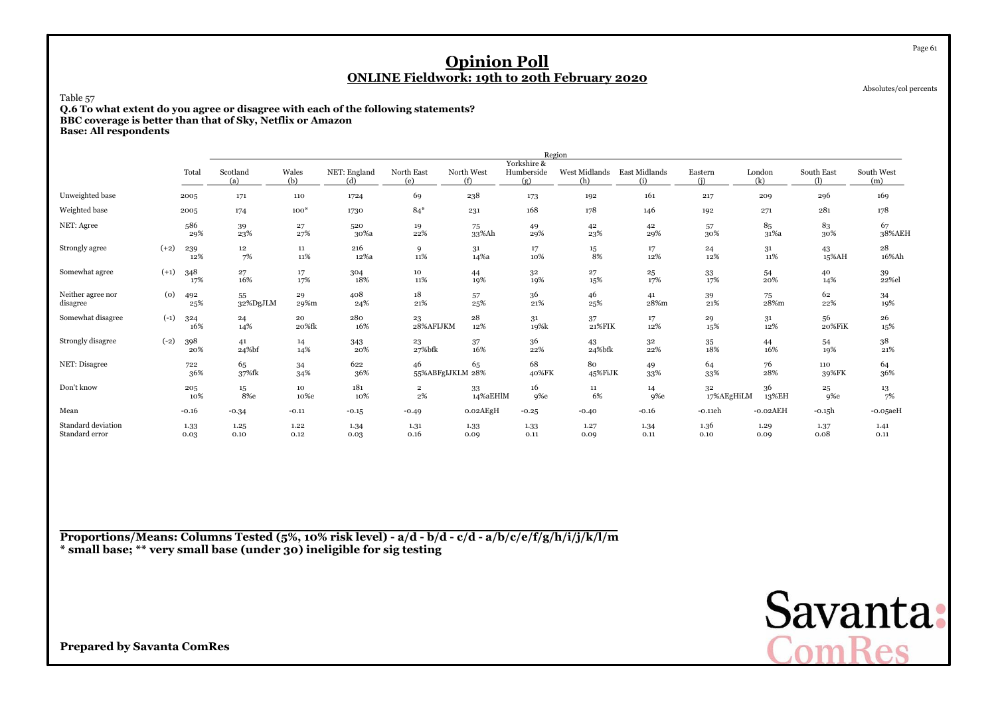Absolutes/col percents

Page 61

Table 57

 **Q.6 To what extent do you agree or disagree with each of the following statements?BBC coverage is better than that of Sky, Netflix or AmazonBase: All respondents**

|                                      |        |              |                        |                     |                     |                        |                   |                                  | Region                 |                      |                                         |               |                   |                   |
|--------------------------------------|--------|--------------|------------------------|---------------------|---------------------|------------------------|-------------------|----------------------------------|------------------------|----------------------|-----------------------------------------|---------------|-------------------|-------------------|
|                                      |        | Total        | Scotland<br>(a)        | Wales<br>(b)        | NET: England<br>(d) | North East<br>(e)      | North West<br>(f) | Yorkshire &<br>Humberside<br>(g) | West Midlands<br>(h)   | East Midlands<br>(i) | Eastern<br>(i)                          | London<br>(k) | South East<br>(1) | South West<br>(m) |
| Unweighted base                      |        | 2005         | 171                    | 110                 | 1724                | 69                     | 238               | 173                              | 192                    | 161                  | 217                                     | 209           | 296               | 169               |
| Weighted base                        |        | 2005         | 174                    | $100*$              | 1730                | $84*$                  | 231               | 168                              | 178                    | 146                  | 192                                     | 271           | 281               | 178               |
| NET: Agree                           |        | 586<br>29%   | 39<br>23%              | 27<br>27%           | 520<br>30%a         | 19<br>22%              | 75<br>33%Ah       | 49<br>29%                        | 42<br>23%              | 42<br>29%            | 57<br>30%                               | 85<br>31%a    | 83<br>30%         | 67<br>38%AEH      |
| Strongly agree                       | $(+2)$ | 239<br>12%   | $12\phantom{.0}$<br>7% | 11<br>11%           | 216<br>12%a         | 9<br>$11\%$            | 31<br>14%a        | 17<br>10%                        | $\substack{15 \\ 8\%}$ | 17<br>12%            | 24<br>12%                               | 31<br>11%     | 43<br>15%AH       | 28<br>16%Ah       |
| Somewhat agree                       | $(+1)$ | 348<br>17%   | 27<br>16%              | 17<br>17%           | 304<br>18%          | 10<br>11%              | 44<br>19%         | $3^{\rm 2}$<br>19%               | 27<br>15%              | 25<br>17%            | 33<br>17%                               | 54<br>20%     | 40<br>14%         | 39<br>22%el       |
| Neither agree nor<br>disagree        | (0)    | 492<br>25%   | 55<br>32%DgJLM         | 29<br>29%m          | 408<br>24%          | 18<br>21%              | 57<br>25%         | 36<br>21%                        | 46<br>25%              | 41<br>28%m           | 39<br>21%                               | 75<br>28%m    | 62<br>22%         | 34<br>19%         |
| Somewhat disagree                    | $(-1)$ | 324<br>16%   | 24<br>14%              | 20<br>20%fk         | 280<br>16%          | 23<br>28%AFIJKM        | 28<br>12%         | 31<br>19%k                       | 37<br>21%FIK           | 17<br>12%            | 29<br>15%                               | 31<br>12%     | 56<br>20%FiK      | 26<br>15%         |
| Strongly disagree                    | $(-2)$ | 398<br>20%   | 41<br>24%bf            | 14<br>14%           | 343<br>20%          | 23<br>27%bfk           | 37<br>16%         | 36<br>22%                        | 43<br>24%bfk           | $32\,$<br>22%        | $\begin{array}{c} 35 \\ 18 \end{array}$ | 44<br>16%     | 54<br>19%         | 38<br>21%         |
| NET: Disagree                        |        | 722<br>36%   | 65<br>37%fk            | 34<br>34%           | 622<br>36%          | 46<br>55%ABFgIJKLM 28% | 65                | 68<br>40%FK                      | 80<br>45%FiJK          | 49<br>33%            | 64<br>33%                               | 76<br>28%     | 110<br>39%FK      | 64<br>36%         |
| Don't know                           |        | 205<br>10%   | 15<br>8%e              | 10<br>$10\%$ e $\,$ | 181<br>10%          | $\overline{2}$<br>2%   | 33<br>14%aEHlM    | 16<br>9%e                        | 11<br>6%               | 14<br>9%e            | 32<br>17%AEgHiLM                        | 36<br>13%EH   | 25<br>9%e         | 13<br>7%          |
| Mean                                 |        | $-0.16$      | $-0.34$                | $-0.11$             | $-0.15$             | $-0.49$                | 0.02AEgH          | $-0.25$                          | $-0.40$                | $-0.16$              | $-0.11eh$                               | $-0.02AEH$    | $-0.15h$          | $-0.05$ ae $H$    |
| Standard deviation<br>Standard error |        | 1.33<br>0.03 | 1.25<br>0.10           | 1.22<br>0.12        | 1.34<br>0.03        | 1.31<br>0.16           | 1.33<br>0.09      | 1.33<br>0.11                     | 1.27<br>0.09           | 1.34<br>0.11         | 1.36<br>0.10                            | 1.29<br>0.09  | 1.37<br>0.08      | 1.41<br>0.11      |

**Proportions/Means: Columns Tested (5%, 10% risk level) - a/d - b/d - c/d - a/b/c/e/f/g/h/i/j/k/l/m\* small base; \*\* very small base (under 30) ineligible for sig testing**

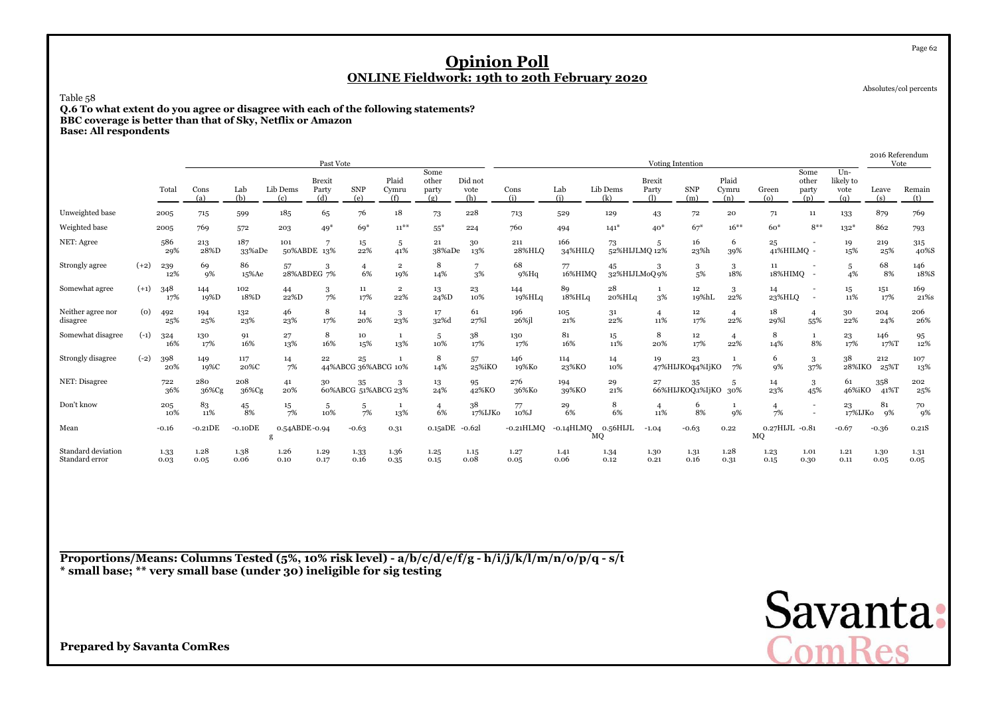Absolutes/col percents

Page 62

Table 58

 **Q.6 To what extent do you agree or disagree with each of the following statements?BBC coverage is better than that of Sky, Netflix or AmazonBase: All respondents**

|                                      |        |              |              |               |                    | Past Vote                     |                           |                       |                               |                        |                      |                |                    |                               | Voting Intention      |                       |                      |                                                      |                                    | 2016 Referendum<br>Vote |                         |
|--------------------------------------|--------|--------------|--------------|---------------|--------------------|-------------------------------|---------------------------|-----------------------|-------------------------------|------------------------|----------------------|----------------|--------------------|-------------------------------|-----------------------|-----------------------|----------------------|------------------------------------------------------|------------------------------------|-------------------------|-------------------------|
|                                      |        | Total        | Cons<br>(a)  | Lab<br>(b)    | Lib Dems<br>(c)    | <b>Brexit</b><br>Party<br>(d) | <b>SNP</b><br>(e)         | Plaid<br>Cymru<br>(f) | Some<br>other<br>party<br>(g) | Did not<br>vote<br>(h) | Cons<br>(i)          | Lab<br>(i)     | Lib Dems<br>(k)    | <b>Brexit</b><br>Party<br>(1) | <b>SNP</b><br>(m)     | Plaid<br>Cymru<br>(n) | Green<br>$\omega$    | Some<br>other<br>party<br>(p)                        | $Un -$<br>likely to<br>vote<br>(g) | Leave<br>(s)            | Remain<br>(t)           |
| Unweighted base                      |        | 2005         | 715          | 599           | 185                | 65                            | 76                        | 18                    | 73                            | 228                    | 713                  | 529            | 129                | 43                            | 72                    | 20                    | 71                   | 11                                                   | 133                                | 879                     | 769                     |
| Weighted base                        |        | 2005         | 769          | 572           | 203                | $49*$                         | $69*$                     | $11^{**}$             | $55*$                         | 224                    | 760                  | 494            | $141*$             | $40*$                         | $67*$                 | $16***$               | $60*$                | $8***$                                               | $132*$                             | 862                     | 793                     |
| NET: Agree                           |        | 586<br>29%   | 213<br>28%D  | 187<br>33%aDe | 101                | 50%ABDE 13%                   | 15<br>22%                 | 5<br>41%              | 21<br>38%aDe                  | 30<br>13%              | 211<br>28%HLO        | 166<br>34%HILQ | 73                 | -5<br>52%HIJLMQ 12%           | 16<br>23%h            | 6<br>39%              | 25<br>41%HILMQ -     |                                                      | 19<br>15%                          | 219<br>25%              | 315<br>40%S             |
| Strongly agree                       | $(+2)$ | 239<br>12%   | 69<br>9%     | 86<br>15%Ae   | 57                 | 3<br>28%ABDEG 7%              | 4<br>6%                   | $\overline{2}$<br>19% | 8<br>14%                      | 3%                     | 68<br>$9\%$ Hq       | 77<br>16%HIMQ  | 45<br>32%HIJLMoQ9% | 3                             | 3<br>5%               | 3<br>18%              | 11<br>18%HIMQ -      |                                                      | 5<br>4%                            | 68<br>8%                | 146<br>18%S             |
| Somewhat agree                       | $(+1)$ | 348<br>17%   | 144<br>19%D  | 102<br>18%D   | 44<br>22%D         | 3<br>7%                       | 11<br>17%                 | $\overline{2}$<br>22% | 13<br>24%D                    | 23<br>10%              | 144<br>19%HLq        | 89<br>18%HLq   | 28<br>20%HLq       | $\mathbf{1}$<br>3%            | 12<br>19%hL           | 3<br>22%              | 14<br>23%HLQ         | $\overline{\phantom{a}}$<br>$\overline{\phantom{a}}$ | 15<br>11%                          | 151<br>17%              | 169<br>21% <sub>S</sub> |
| Neither agree nor<br>disagree        | (0)    | 492<br>25%   | 194<br>25%   | 132<br>23%    | 46<br>23%          | 8<br>17%                      | 14<br>20%                 | 3<br>23%              | 17<br>32%d                    | 61<br>27%              | 196<br>26%jl         | 105<br>21%     | 31<br>22%          | $\overline{4}$<br>11%         | 12<br>17%             | $\overline{4}$<br>22% | 18<br>29%            | $\overline{4}$<br>55%                                | 30<br>22%                          | 204<br>24%              | 206<br>26%              |
| Somewhat disagree                    | $(-1)$ | 324<br>16%   | 130<br>17%   | 91<br>16%     | 27<br>13%          | 8<br>16%                      | 10<br>15%                 | -1<br>13%             | 5<br>10%                      | 38<br>17%              | 130<br>17%           | 81<br>16%      | 15<br>11%          | 8<br>20%                      | 12<br>17%             | $\overline{4}$<br>22% | 8<br>14%             | 1<br>8%                                              | 23<br>17%                          | 146<br>17%T             | 95<br>12%               |
| Strongly disagree                    | $(-2)$ | 398<br>20%   | 149<br>19%C  | 117<br>20%C   | 14<br>7%           | 22                            | 25<br>44%ABCG 36%ABCG 10% |                       | 8<br>14%                      | 57<br>25%iKO           | 146<br>19%Ko         | 114<br>23%KO   | 14<br>10%          | 19                            | 23<br>47%HIJKOq4%IjKO | -1<br>7%              | 6<br>9%              | 3<br>37%                                             | 38<br>28%IKO                       | 212<br>25%T             | 107<br>13%              |
| NET: Disagree                        |        | 722<br>36%   | 280<br>36%Cg | 208<br>36%Cg  | 41<br>20%          | 30                            | 35<br>60%ABCG 51%ABCG 23% | 3                     | 13<br>24%                     | 95<br>42%KO            | 276<br>36%Ko         | 194<br>39%KO   | 29<br>21%          | 27                            | 35<br>66%HIJKOQ1%IjKO | 5<br>30%              | 14<br>23%            | 3<br>45%                                             | 61<br>46%iKO                       | 358<br>41%T             | 202<br>25%              |
| Don't know                           |        | 205<br>10%   | 83<br>11%    | 45<br>8%      | 15<br>7%           | 5<br>10%                      | 5<br>7%                   | -1<br>13%             | $\overline{4}$<br>6%          | 38<br>17%IJKo          | 77<br>10%J           | 29<br>6%       | 8<br>6%            | $\overline{4}$<br>11%         | 6<br>8%               | -1<br><b>9%</b>       | $\overline{4}$<br>7% | $\overline{\phantom{a}}$                             | 23<br>17%IJK0                      | 81<br>9%                | 70<br>9%                |
| Mean                                 |        | $-0.16$      | $-0.21DE$    | $-0.10DE$     | 0.54ABDE-0.94<br>g |                               | $-0.63$                   | 0.31                  | 0.15aDE                       | -0.62l                 | $-0.21\mathrm{HLMQ}$ | $-0.14HLMQ$    | 0.56HIJL<br>MQ     | $-1.04$                       | $-0.63$               | 0.22                  | 0.27HIJL -0.81<br>MQ |                                                      | $-0.67$                            | $-0.36$                 | 0.21S                   |
| Standard deviation<br>Standard error |        | 1.33<br>0.03 | 1.28<br>0.05 | 1.38<br>0.06  | 1.26<br>0.10       | 1.29<br>0.17                  | 1.33<br>0.16              | 1.36<br>0.35          | 1.25<br>0.15                  | 1.15<br>0.08           | 1.27<br>0.05         | 1.41<br>0.06   | 1.34<br>0.12       | 1.30<br>0.21                  | 1.31<br>0.16          | 1.28<br>0.31          | 1.23<br>0.15         | 1.01<br>0.30                                         | 1.21<br>0.11                       | 1.30<br>0.05            | 1.31<br>0.05            |

**Proportions/Means: Columns Tested (5%, 10% risk level) - a/b/c/d/e/f/g - h/i/j/k/l/m/n/o/p/q - s/t\* small base; \*\* very small base (under 30) ineligible for sig testing**

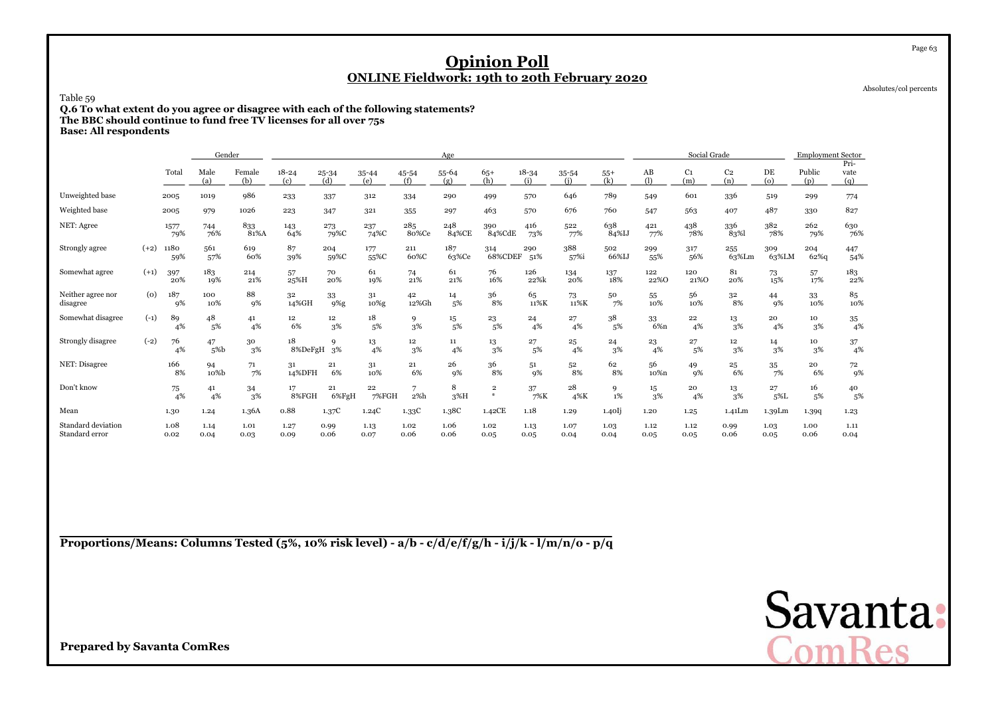Absolutes/col percents

Page 63

Table 59

 **Q.6 To what extent do you agree or disagree with each of the following statements?The BBC should continue to fund free TV licenses for all over 75s**

**Base: All respondents**

|                                      |        |              | Gender       |               |                        |                   |                  |              | Age          |                              |                  |                  |              |                       | Social Grade          |                       |               | <b>Employment Sector</b> |                     |
|--------------------------------------|--------|--------------|--------------|---------------|------------------------|-------------------|------------------|--------------|--------------|------------------------------|------------------|------------------|--------------|-----------------------|-----------------------|-----------------------|---------------|--------------------------|---------------------|
|                                      |        | Total        | Male<br>(a)  | Female<br>(b) | $18 - 24$<br>(c)       | 25-34<br>(d)      | $35 - 44$<br>(e) | 45-54<br>(f) | 55-64<br>(g) | $65+$<br>(h)                 | $18 - 34$<br>(i) | $35 - 54$<br>(i) | $55+$<br>(k) | AB<br>(1)             | C <sub>1</sub><br>(m) | C <sub>2</sub><br>(n) | DE<br>(o)     | Public<br>(p)            | Pri-<br>vate<br>(q) |
| Unweighted base                      |        | 2005         | 1019         | 986           | 233                    | 337               | 312              | 334          | 290          | 499                          | 570              | 646              | 789          | 549                   | 601                   | 336                   | 519           | 299                      | 774                 |
| Weighted base                        |        | 2005         | 979          | 1026          | 223                    | 347               | 321              | 355          | 297          | 463                          | 570              | 676              | 760          | 547                   | 563                   | 407                   | 487           | 330                      | 827                 |
| NET: Agree                           |        | 1577<br>79%  | 744<br>76%   | 833<br>81%A   | 143<br>64%             | 273<br>79%C       | 237<br>74%C      | 285<br>80%Ce | 248<br>84%CE | 390<br>84%CdE                | 416<br>73%       | 522<br>77%       | 638<br>84%IJ | 421<br>77%            | 438<br>78%            | 336<br>83%            | 382<br>78%    | 262<br>79%               | 630<br>76%          |
| Strongly agree                       | $(+2)$ | 1180<br>59%  | 561<br>57%   | 619<br>60%    | 87<br>39%              | 204<br>59%C       | 177<br>55%C      | 211<br>60%C  | 187<br>63%Ce | 314<br>68%CDEF               | 290<br>51%       | 388<br>57%i      | 502<br>66%IJ | 299<br>55%            | 317<br>56%            | 255<br>63%Lm          | 309<br>63%LM  | 204<br>$62%$ g           | 447<br>54%          |
| Somewhat agree                       | $(+1)$ | 397<br>20%   | 183<br>19%   | 214<br>21%    | 57<br>25%H             | 70<br>20%         | 61<br>19%        | 74<br>21%    | 61<br>21%    | 76<br>16%                    | 126<br>22%k      | 134<br>20%       | 137<br>18%   | 122<br>22%0           | 120<br>21%0           | 81<br>20%             | 73<br>15%     | 57<br>17%                | 183<br>22%          |
| Neither agree nor<br>disagree        | (o)    | 187<br>9%    | 100<br>10%   | 88<br>9%      | 32<br>14%GH            | 33<br>$9\%g$      | 31<br>10%g       | 42<br>12%Gh  | 14<br>5%     | 36<br>8%                     | 65<br>11%K       | 73<br>11%K       | 50<br>7%     | 55<br>10%             | 56<br>10%             | 32<br>8%              | 44<br>9%      | 33<br>10%                | 85<br>10%           |
| Somewhat disagree                    | $(-1)$ | 89<br>4%     | 48<br>5%     | 41<br>4%      | $12\phantom{.0}$<br>6% | 12<br>3%          | 18<br>5%         | 9<br>3%      | 15<br>5%     | 23<br>5%                     | 24<br>4%         | 27<br>4%         | 38<br>5%     | 33<br>6% <sub>n</sub> | 22<br>4%              | 13<br>3%              | 20<br>4%      | 10<br>3%                 | 35<br>4%            |
| Strongly disagree                    | $(-2)$ | 76<br>4%     | 47<br>5%b    | 30<br>3%      | 18<br>8%DeFgH          | $\mathbf Q$<br>3% | 13<br>4%         | 12<br>3%     | 11<br>4%     | 13<br>3%                     | 27<br>5%         | 25<br>4%         | 24<br>3%     | 23<br>4%              | 27<br>5%              | $12\,$<br>3%          | 14<br>3%      | 10<br>3%                 | 37<br>4%            |
| NET: Disagree                        |        | 166<br>8%    | 94<br>10%b   | 71<br>7%      | 31<br>14%DFH           | 21<br>6%          | 31<br>10%        | 21<br>6%     | 26<br>9%     | 36<br>8%                     | 51<br>9%         | 52<br>8%         | 62<br>8%     | 56<br>10%n            | 49<br>$q\%$           | 25<br>6%              | 35<br>7%      | 20<br>6%                 | 72<br>9%            |
| Don't know                           |        | 75<br>4%     | 41<br>4%     | 34<br>3%      | 17<br>8%FGH            | 21<br>6%FgH       | 22<br>7%FGH      | 7<br>2%h     | 8<br>$3\%H$  | $\overline{\mathbf{2}}$<br>* | 37<br>7%K        | 28<br>4%K        | 9<br>1%      | 15<br>3%              | 20<br>4%              | 13<br>3%              | 27<br>$5\%$ L | 16<br>5%                 | 40<br>5%            |
| Mean                                 |        | 1.30         | 1.24         | 1.36A         | 0.88                   | 1.37C             | 1.24C            | 1.33C        | 1.38C        | 1.42CE                       | 1.18             | 1.29             | 1.40         | 1.20                  | 1.25                  | 1.41Lm                | 1.39Lm        | 1.399                    | 1.23                |
| Standard deviation<br>Standard error |        | 1.08<br>0.02 | 1.14<br>0.04 | 1.01<br>0.03  | 1.27<br>0.09           | 0.99<br>0.06      | 1.13<br>0.07     | 1.02<br>0.06 | 1.06<br>0.06 | 1.02<br>0.05                 | 1.13<br>0.05     | 1.07<br>0.04     | 1.03<br>0.04 | 1.12<br>0.05          | 1.12<br>0.05          | 0.99<br>0.06          | 1.03<br>0.05  | 1.00<br>0.06             | 1.11<br>0.04        |

**Proportions/Means: Columns Tested (5%, 10% risk level) - a/b - c/d/e/f/g/h - i/j/k - l/m/n/o - p/q**

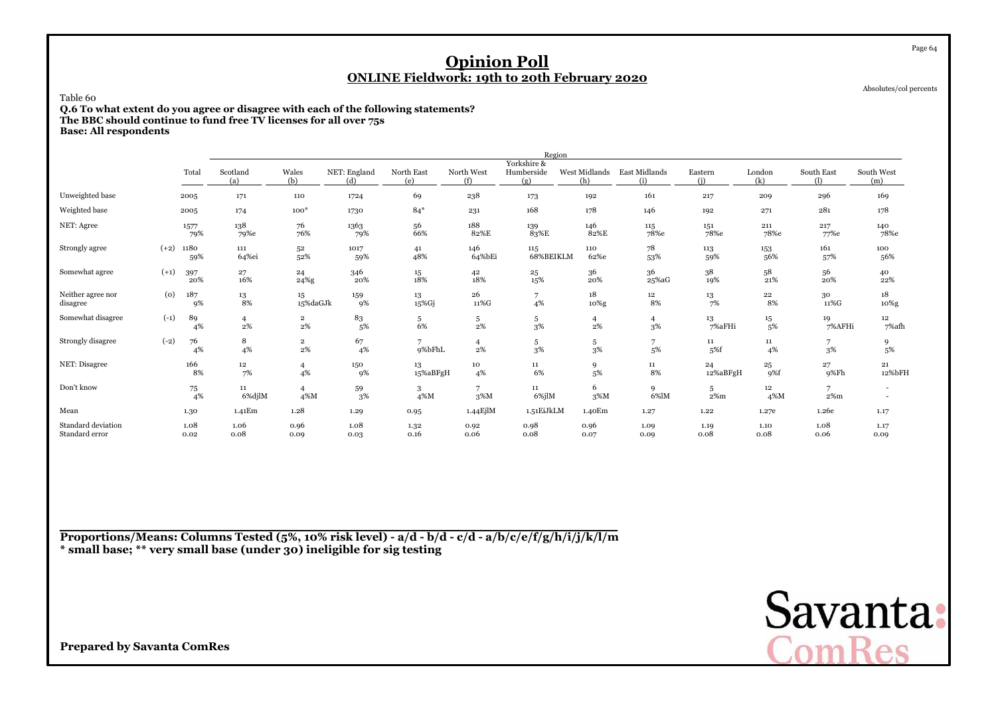Absolutes/col percents

Page 64

Table 60

 **Q.6 To what extent do you agree or disagree with each of the following statements?The BBC should continue to fund free TV licenses for all over 75s**

**Base: All respondents**

|                                      |        |              |                      |                                  |                     |                   |                         | Region                           |                      |                      |                |               |                      |                   |
|--------------------------------------|--------|--------------|----------------------|----------------------------------|---------------------|-------------------|-------------------------|----------------------------------|----------------------|----------------------|----------------|---------------|----------------------|-------------------|
|                                      |        | Total        | Scotland<br>(a)      | Wales<br>(b)                     | NET: England<br>(d) | North East<br>(e) | North West<br>(f)       | Yorkshire &<br>Humberside<br>(g) | West Midlands<br>(h) | East Midlands<br>(i) | Eastern<br>(i) | London<br>(k) | South East<br>$\cup$ | South West<br>(m) |
| Unweighted base                      |        | 2005         | 171                  | 110                              | 1724                | 69                | 238                     | 173                              | 192                  | 161                  | 217            | 209           | 296                  | 169               |
| Weighted base                        |        | 2005         | 174                  | $100*$                           | 1730                | $84*$             | 231                     | 168                              | 178                  | 146                  | 192            | 271           | 281                  | 178               |
| NET: Agree                           |        | 1577<br>79%  | 138<br>79%e          | 76<br>76%                        | 1363<br>79%         | 56<br>66%         | 188<br>82%E             | 139<br>83%E                      | 146<br>82%E          | 115<br>78%e          | 151<br>78%e    | 211<br>78%e   | 217<br>77%e          | 140<br>78%e       |
| Strongly agree                       | $(+2)$ | 1180<br>59%  | 111<br>64%ei         | 52<br>52%                        | 1017<br>59%         | 41<br>48%         | 146<br>64%bEi           | 115<br>68%BEIKLM                 | 110<br>62%e          | 78<br>53%            | 113<br>59%     | 153<br>56%    | 161<br>57%           | 100<br>56%        |
| Somewhat agree                       | $(+1)$ | 397<br>20%   | 27<br>16%            | 24<br>24%g                       | 346<br>20%          | $15\,$<br>18%     | 42<br>18%               | 25<br>15%                        | 36<br>20%            | 36<br>25%aG          | 38<br>19%      | 58<br>21%     | 56<br>20%            | 40<br>22%         |
| Neither agree nor<br>disagree        | (0)    | 187<br>9%    | $^{13}_{\ 8\%}$      | 15<br>15%daGJk                   | 159<br>9%           | 13<br>15%Gj       | 26<br>$11\% \mathrm{G}$ | $\overline{7}$<br>4%             | 18<br>10%g           | 12<br>8%             | 13<br>7%       | 22<br>8%      | 30<br>11%G           | 18<br>10%g        |
| Somewhat disagree                    | $(-1)$ | 89<br>4%     | $\overline{4}$<br>2% | $\overline{\mathbf{2}}$<br>$2\%$ | 83<br>5%            | 5<br>6%           | 5<br>2%                 | 5<br>3%                          | 4<br>$2\%$           | $\overline{4}$<br>3% | 13<br>7%aFHi   | 15<br>5%      | 19<br>7%AFHi         | 12<br>7%afh       |
| Strongly disagree                    | $(-2)$ | 76<br>4%     | 8<br>4%              | $\overline{2}$<br>$2\%$          | 67<br>4%            | 7<br>9%bFhL       | $\overline{4}$<br>2%    | 5<br>3%                          | 5<br>3%              | 7<br>5%              | 11<br>5%f      | $11\,$<br>4%  | 3%                   | 9<br>5%           |
| NET: Disagree                        |        | 166<br>8%    | 12<br>7%             | $\overline{4}$<br>4%             | 150<br>9%           | 13<br>15%aBFgH    | 10<br>4%                | 11<br>6%                         | 9<br>5%              | $11\,$<br>8%         | 24<br>12%aBFgH | 25<br>9%f     | 27<br>9%Fh           | 21<br>12%bFH      |
| Don't know                           |        | 75<br>4%     | $11\,$<br>6%djlM     | $\overline{4}$<br>4%M            | 59<br>3%            | 3<br>4%M          | 7<br>3%M                | 11<br>6%jlM                      | 6<br>3%M             | 9<br>6%lM            | 5<br>$2\%m$    | $12\,$<br>4%M | 7<br>$2\%m$          |                   |
| Mean                                 |        | 1.30         | 1.41Em               | 1.28                             | 1.29                | 0.95              | 1.44EjlM                | 1.51EiJkLM                       | 1.40Em               | 1.27                 | 1.22           | 1.27e         | 1.26e                | 1.17              |
| Standard deviation<br>Standard error |        | 1.08<br>0.02 | 1.06<br>0.08         | 0.96<br>0.09                     | 1.08<br>0.03        | 1.32<br>0.16      | 0.92<br>0.06            | 0.98<br>0.08                     | 0.96<br>0.07         | 1.09<br>0.09         | 1.19<br>0.08   | 1.10<br>0.08  | 1.08<br>0.06         | 1.17<br>0.09      |

**Proportions/Means: Columns Tested (5%, 10% risk level) - a/d - b/d - c/d - a/b/c/e/f/g/h/i/j/k/l/m\* small base; \*\* very small base (under 30) ineligible for sig testing**

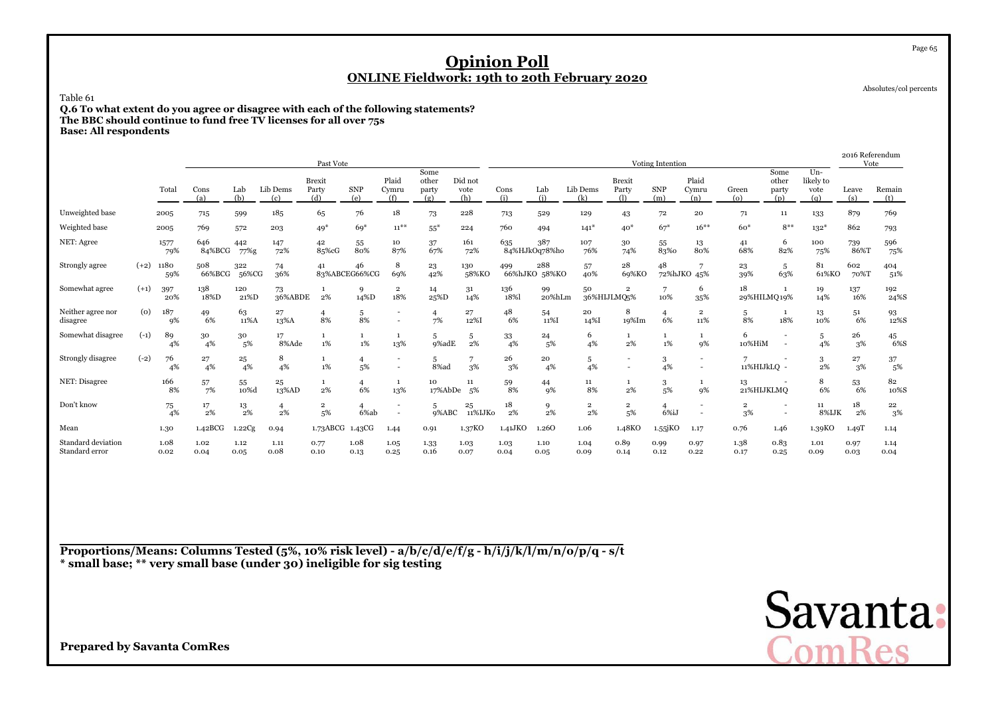Absolutes/col percents

Page 65

Table 61

**Q.6 To what extent do you agree or disagree with each of the following statements? The BBC should continue to fund free TV licenses for all over 75s**

|  | <b>Base: All respondents</b> |
|--|------------------------------|
|--|------------------------------|

|                                      |        |              |               |              |                 | Past Vote                     |                        |                       |                               |                        |                |                      |                      |                               | Voting Intention      |                               |                      |                               |                                    | 2016 Referendum<br>Vote |                  |
|--------------------------------------|--------|--------------|---------------|--------------|-----------------|-------------------------------|------------------------|-----------------------|-------------------------------|------------------------|----------------|----------------------|----------------------|-------------------------------|-----------------------|-------------------------------|----------------------|-------------------------------|------------------------------------|-------------------------|------------------|
|                                      |        | Total        | Cons<br>(a)   | Lab<br>(b)   | Lib Dems<br>(c) | <b>Brexit</b><br>Party<br>(d) | <b>SNP</b><br>(e)      | Plaid<br>Cymru<br>(f) | Some<br>other<br>party<br>(g) | Did not<br>vote<br>(h) | Cons<br>(i)    | Lab<br>(i)           | Lib Dems<br>(k)      | <b>Brexit</b><br>Party<br>(1) | <b>SNP</b><br>(m)     | Plaid<br>Cymru<br>(n)         | Green<br>(o)         | Some<br>other<br>party<br>(p) | $Un -$<br>likely to<br>vote<br>(q) | Leave<br>(s)            | Remain<br>(t)    |
| Unweighted base                      |        | 2005         | 715           | 599          | 185             | 65                            | 76                     | 18                    | 73                            | 228                    | 713            | 529                  | 129                  | 43                            | 72                    | 20                            | 71                   | 11                            | 133                                | 879                     | 769              |
| Weighted base                        |        | 2005         | 769           | 572          | 203             | $49*$                         | $69*$                  | $11^{**}$             | $55^*$                        | 224                    | 760            | 494                  | $141*$               | $40*$                         | $67*$                 | $16***$                       | $60*$                | $8***$                        | $132*$                             | 862                     | 793              |
| NET: Agree                           |        | 1577<br>79%  | 646<br>84%BCG | 442<br>77%g  | 147<br>72%      | 42<br>85%cG                   | 55<br>80%              | 10<br>87%             | 37<br>67%                     | 161<br>72%             | 635            | 387<br>84%HJkOq78%ho | 107<br>76%           | 30<br>74%                     | 55<br>83%0            | 13<br>80%                     | 41<br>68%            | 6<br>82%                      | 100<br>75%                         | 739<br>86%T             | 596<br>75%       |
| Strongly agree                       | $(+2)$ | 1180<br>59%  | 508<br>66%BCG | 322<br>56%CG | 74<br>36%       | 41                            | 46<br>83%ABCEG66%CG    | 8<br>69%              | 23<br>42%                     | 130<br>58%KO           | 499<br>66%hJKO | 288<br>58%KO         | 57<br>40%            | 28<br>69%KO                   | 48                    | $\overline{7}$<br>72%hJKO 45% | 23<br>39%            | 5<br>63%                      | 81<br>61%KO                        | 602<br>70%T             | 404<br>51%       |
| Somewhat agree                       | $(+1)$ | 397<br>20%   | 138<br>18%D   | 120<br>21%D  | 73<br>36%ABDE   | 2%                            | 9<br>14%D              | 2<br>18%              | 14<br>25%D                    | 31<br>14%              | 136<br>18%     | 99<br>20%hLm         | 50                   | $\overline{2}$<br>36%HIJLMQ5% | $\overline{ }$<br>10% | 6<br>35%                      | 18                   | 29%HILMQ19%                   | 19<br>14%                          | 137<br>16%              | 192<br>24%S      |
| Neither agree nor<br>disagree        | (0)    | 187<br>9%    | 49<br>6%      | 63<br>11%A   | 27<br>13%A      | 4<br>8%                       | 5<br>8%                |                       | $\overline{4}$<br>7%          | 27<br>12%I             | 48<br>6%       | 54<br>11%I           | 20<br>14%I           | 8<br>19%Im                    | $\overline{4}$<br>6%  | $\mathbf 2$<br>11%            | 5<br>8%              | 1<br>18%                      | 13<br>10%                          | 51<br>6%                | 93<br>12%S       |
| Somewhat disagree                    | $(-1)$ | 89<br>4%     | 30<br>4%      | 30<br>5%     | 17<br>8%Ade     | 1%                            | $1\%$                  | 1<br>13%              | 5<br>9%adE                    | 5<br>2%                | 33<br>4%       | 24<br>5%             | 6<br>4%              | 1<br>2%                       | 1%                    | 9%                            | 6<br>10%HiM          | ٠<br>$\overline{\phantom{a}}$ | 5<br>4%                            | 26<br>3%                | 45<br>6%S        |
| Strongly disagree                    | $(-2)$ | 76<br>4%     | 27<br>4%      | 25<br>4%     | 8<br>4%         | $1\%$                         | $\overline{4}$<br>5%   |                       | 5<br>$8%$ ad                  | 3%                     | 26<br>3%       | 20<br>4%             | 5<br>4%              | $\overline{\phantom{a}}$      | 3<br>4%               |                               | 11%HIJkLQ -          |                               | 3<br>2%                            | 27<br>3%                | $\frac{37}{5\%}$ |
| NET: Disagree                        |        | 166<br>8%    | 57<br>7%      | 55<br>10%d   | 25<br>13%AD     | 2%                            | $\overline{4}$<br>6%   | 1<br>13%              | 10<br>17%AbDe                 | 11<br>5%               | 59<br>8%       | 44<br>9%             | 11<br>8%             | $\mathbf{1}$<br>$2\%$         | 3<br>5%               | 9%                            | 13<br>21%HIJKLMQ     |                               | 8<br>6%                            | 53<br>6%                | 82<br>10%S       |
| Don't know                           |        | 75<br>4%     | 17<br>2%      | 13<br>2%     | 4<br>$2\%$      | 2<br>5%                       | $\overline{4}$<br>6%ab |                       | 5<br>9%ABC                    | 25<br>11%IJK0          | 18<br>2%       | 9<br>2%              | $\overline{2}$<br>2% | $\overline{2}$<br>5%          | 6%iJ                  |                               | $\overline{2}$<br>3% |                               | $11\,$<br>8%IJK                    | 18<br>2%                | 22<br>3%         |
| Mean                                 |        | 1.30         | 1.42BCG       | 1.22Cg       | 0.94            | 1.73ABCG                      | 1.43CG                 | 1.44                  | 0.91                          | 1.37KO                 | 1.41JKO        | 1.260                | 1.06                 | 1.48KO                        | $1.55$ j $KO$         | 1.17                          | 0.76                 | 1.46                          | 1.39KO                             | 1.49T                   | 1.14             |
| Standard deviation<br>Standard error |        | 1.08<br>0.02 | 1.02<br>0.04  | 1.12<br>0.05 | 1.11<br>0.08    | 0.77<br>0.10                  | 1.08<br>0.13           | 1.05<br>0.25          | 1.33<br>0.16                  | 1.03<br>0.07           | 1.03<br>0.04   | 1.10<br>0.05         | 1.04<br>0.09         | 0.89<br>0.14                  | 0.99<br>0.12          | 0.97<br>0.22                  | 1.38<br>0.17         | 0.83<br>0.25                  | 1.01<br>0.09                       | 0.97<br>0.03            | 1.14<br>0.04     |

**Proportions/Means: Columns Tested (5%, 10% risk level) - a/b/c/d/e/f/g - h/i/j/k/l/m/n/o/p/q - s/t\* small base; \*\* very small base (under 30) ineligible for sig testing**

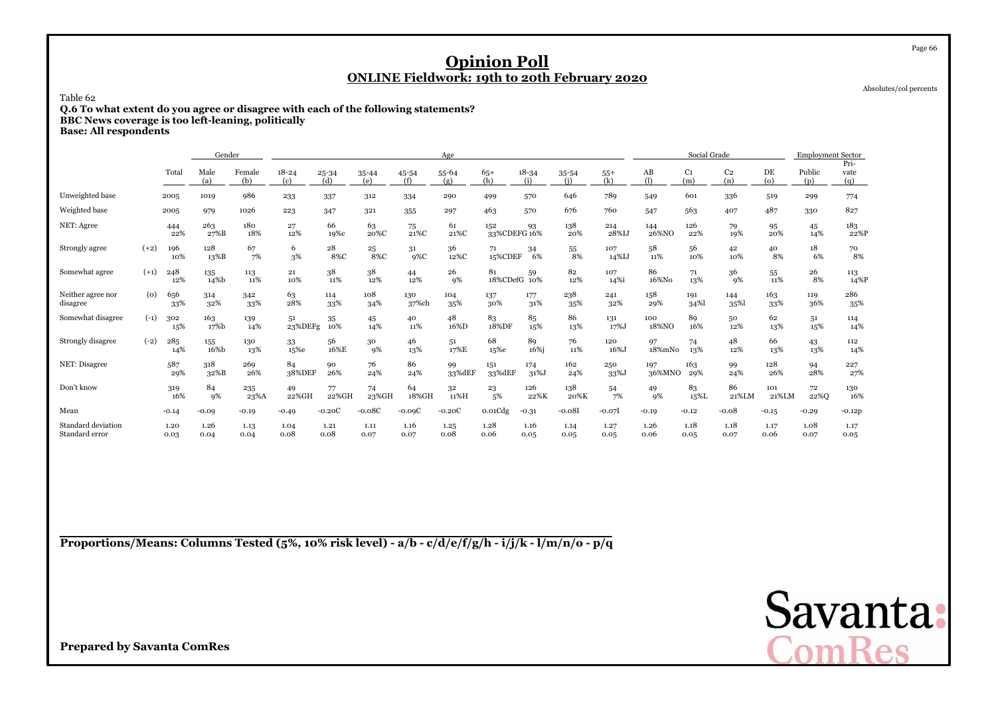Absolutes/col percents

Page 66

#### Table 62

 **Q.6 To what extent do you agree or disagree with each of the following statements?BBC News coverage is too left-leaning, politically**

**Base: All respondents**

|                                      |        |              | Gender       |                          |                  |                  |              |              | Age          |                     |                  |                  |              |               | Social Grade          |                       |              | <b>Employment Sector</b> |                     |
|--------------------------------------|--------|--------------|--------------|--------------------------|------------------|------------------|--------------|--------------|--------------|---------------------|------------------|------------------|--------------|---------------|-----------------------|-----------------------|--------------|--------------------------|---------------------|
|                                      |        | Tota         | Male<br>(a)  | Female<br>(b)            | $18 - 24$<br>(c) | $25 - 34$<br>(d) | 35-44<br>(e) | 45-54<br>(f) | 55-64<br>(g) | $65+$<br>(h)        | $18 - 34$<br>(i) | $35 - 54$<br>(i) | $55+$<br>(k) | AB<br>(1)     | C <sub>1</sub><br>(m) | C <sub>2</sub><br>(n) | DE<br>(o)    | Public<br>(p)            | Pri-<br>vate<br>(q) |
| Unweighted base                      |        | 2005         | 1019         | 986                      | 233              | 337              | 312          | 334          | 290          | 499                 | 570              | 646              | 789          | 549           | 601                   | 336                   | 519          | 299                      | 774                 |
| Weighted base                        |        | 2005         | 979          | 1026                     | 223              | 347              | 321          | 355          | 297          | 463                 | 570              | 676              | 760          | 547           | 563                   | 407                   | 487          | 330                      | 827                 |
| NET: Agree                           |        | 444<br>22%   | 263<br>27%B  | 180<br>18%               | 27<br>12%        | 66<br>19%с       | 63<br>20%C   | 75<br>21%C   | 61<br>21%C   | 152<br>33%CDEFG 16% | 93               | 138<br>20%       | 214<br>28%IJ | 144<br>26%NO  | 126<br>22%            | 79<br>19%             | 95<br>20%    | 45<br>14%                | 183<br>22%P         |
| Strongly agree                       | $(+2)$ | 196<br>10%   | 128<br>13%B  | 67<br>7%                 | 6<br>3%          | 28<br>8%C        | 25<br>8%C    | 31<br>$9\%C$ | 36<br>12%C   | 71<br>15%CDEF       | 34<br>6%         | 55<br>8%         | 107<br>14%IJ | 58<br>11%     | 56<br>10%             | 42<br>10%             | 40<br>8%     | 18<br>6%                 | 70<br>8%            |
| Somewhat agree                       | $(+1)$ | 248<br>12%   | 135<br>14%b  | 113<br>11%               | 21<br>10%        | 38<br>11%        | 38<br>12%    | 44<br>12%    | 26<br>9%     | 81<br>18%CDefG      | 59<br>10%        | 82<br>12%        | 107<br>14%i  | 86<br>16%No   | 71<br>13%             | 36<br>9%              | 55<br>11%    | 26<br>8%                 | 113<br>14%P         |
| Neither agree nor<br>disagree        | (0)    | 656<br>33%   | 314<br>32%   | 342<br>33%               | 63<br>28%        | 114<br>33%       | 108<br>34%   | 130<br>37%ch | 104<br>35%   | 137<br>30%          | 177<br>31%       | 238<br>35%       | 241<br>32%   | 158<br>29%    | 191<br>34%            | 144<br>35%            | 163<br>33%   | 119<br>36%               | 286<br>35%          |
| Somewhat disagree                    | $(-1)$ | 302<br>15%   | 163<br>17%b  | 139<br>14%               | 51<br>23%DEFg    | 35<br>10%        | 45<br>14%    | 40<br>11%    | 48<br>16%D   | 83<br>18%DF         | 85<br>15%        | 86<br>13%        | 131<br>17%J  | 100<br>18%NO  | 89<br>16%             | 50<br>12%             | 62<br>13%    | 51<br>15%                | 114<br>14%          |
| Strongly disagree                    | $(-2)$ | 285<br>14%   | 155<br>16%b  | 130<br>13%               | 33<br>15%e       | 56<br>16%E       | 30<br>9%     | 46<br>13%    | 51<br>17%E   | 68<br>15%e          | 89<br>16%i       | 76<br>11%        | 120<br>16%J  | 97<br>18%mNo  | 74<br>13%             | 48<br>12%             | 66<br>13%    | 43<br>13%                | 112<br>14%          |
| NET: Disagree                        |        | 587<br>29%   | 318<br>32%B  | 269<br>26%               | 84<br>38%DEF     | 90<br>26%        | 76<br>24%    | 86<br>24%    | 99<br>33%dEF | 151<br>33%dEF       | 174<br>31%J      | 162<br>24%       | 250<br>33%J  | 197<br>36%MNO | 163<br>29%            | 99<br>24%             | 128<br>26%   | 94<br>28%                | 227<br>27%          |
| Don't know                           |        | 319<br>16%   | 84<br>9%     | 235<br>$23\% \mathrm{A}$ | 49<br>22%GH      | 77<br>22%GH      | 74<br>23%GH  | 64<br>18%GH  | 32<br>11%H   | 23<br>5%            | 126<br>22%K      | 138<br>20%K      | 54<br>7%     | 49<br>9%      | 83<br>15%L            | 86<br>21%LM           | 101<br>21%LM | 72<br>22%Q               | 130<br>16%          |
| Mean                                 |        | $-0.14$      | $-0.09$      | $-0.19$                  | $-0.49$          | $-0.20C$         | $-0.08C$     | $-0.09C$     | $-0.20C$     | 0.01Cdg             | $-0.31$          | $-0.081$         | $-0.07$      | $-0.19$       | $-0.12$               | $-0.08$               | $-0.15$      | $-0.29$                  | $-0.12p$            |
| Standard deviation<br>Standard error |        | 1.20<br>0.03 | 1.26<br>0.04 | 1.13<br>0.04             | 1.04<br>0.08     | 1.21<br>0.08     | 1.11<br>0.07 | 1.16<br>0.07 | 1.25<br>0.08 | 1.28<br>0.06        | 1.16<br>0.05     | 1.14<br>0.05     | 1.27<br>0.05 | 1.26<br>0.06  | 1.18<br>0.05          | 1.18<br>0.07          | 1.17<br>0.06 | 1.08<br>0.07             | 1.17<br>0.05        |

**Proportions/Means: Columns Tested (5%, 10% risk level) - a/b - c/d/e/f/g/h - i/j/k - l/m/n/o - p/q**

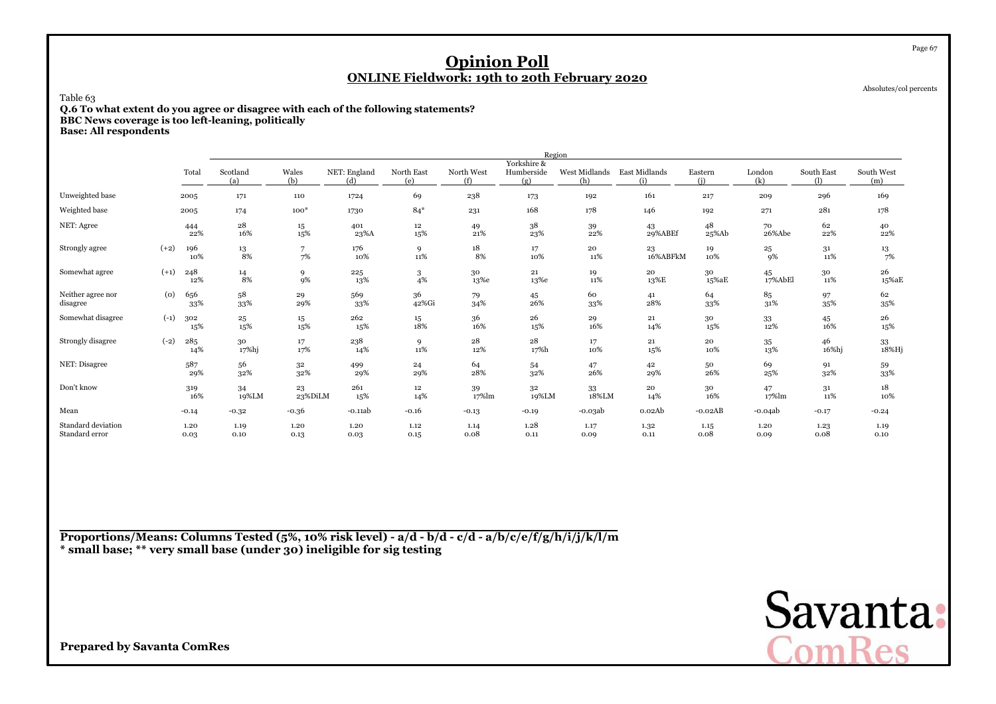Absolutes/col percents

Page 67

### Table 63

 **Q.6 To what extent do you agree or disagree with each of the following statements?BBC News coverage is too left-leaning, politically**

**Base: All respondents**

|                                      |        |              |                        |               |                     |                   |                   |                                  | Region               |                      |                   |               |                 |                   |
|--------------------------------------|--------|--------------|------------------------|---------------|---------------------|-------------------|-------------------|----------------------------------|----------------------|----------------------|-------------------|---------------|-----------------|-------------------|
|                                      |        | Total        | Scotland<br>(a)        | Wales<br>(b)  | NET: England<br>(d) | North East<br>(e) | North West<br>(f) | Yorkshire &<br>Humberside<br>(g) | West Midlands<br>(h) | East Midlands<br>(i) | Eastern<br>(i)    | London<br>(k) | South East<br>ጠ | South West<br>(m) |
| Unweighted base                      |        | 2005         | 171                    | 110           | 1724                | 69                | 238               | 173                              | 192                  | 161                  | 217               | 209           | 296             | 169               |
| Weighted base                        |        | 2005         | 174                    | $100*$        | 1730                | $84*$             | 231               | 168                              | 178                  | 146                  | 192               | 271           | 281             | 178               |
| NET: Agree                           |        | 444<br>22%   | $\bf{^{28}}$<br>16%    | 15<br>15%     | 401<br>23%A         | 12<br>15%         | 49<br>$21\%$      | 38<br>23%                        | 39<br>22%            | 43<br>29%ABEf        | 48<br>25%Ab       | 70<br>26%Abe  | 62<br>22%       | 40<br>22%         |
| Strongly agree                       | $(+2)$ | 196<br>10%   | 13<br>8%               | 7<br>7%       | 176<br>10%          | 9<br>11%          | 18<br>8%          | $17\,$<br>10%                    | 20<br>11%            | 23<br>16%ABFkM       | 19<br>10%         | 25<br>9%      | 31<br>11%       | $\frac{13}{7\%}$  |
| Somewhat agree                       | $(+1)$ | 248<br>12%   | $\substack{14 \\ 8\%}$ | 9<br>9%       | 225<br>13%          | 3<br>4%           | 30<br>13%e        | 21<br>13%e                       | 19<br>11%            | 20<br>13%E           | 30<br>15%aE       | 45<br>17%AbEl | 30<br>11%       | 26<br>15%aE       |
| Neither agree nor<br>disagree        | (0)    | 656<br>33%   | 58<br>33%              | 29<br>29%     | 569<br>33%          | 36<br>42%Gi       | 79<br>34%         | 45<br>26%                        | 60<br>33%            | 41<br>28%            | 64<br>33%         | 85<br>31%     | 97<br>35%       | 62<br>35%         |
| Somewhat disagree                    | $(-1)$ | 302<br>15%   | 25<br>15%              | 15<br>15%     | 262<br>15%          | 15<br>18%         | 36<br>16%         | 26<br>15%                        | 29<br>16%            | 21<br>14%            | 30<br>15%         | 33<br>12%     | 45<br>16%       | 26<br>15%         |
| Strongly disagree                    | $(-2)$ | 285<br>14%   | 30<br>17%hj            | 17<br>17%     | 238<br>14%          | 9<br>$11\%$       | $28\,$<br>12%     | 28<br>17%h                       | 17<br>10%            | 21<br>15%            | ${\bf 20}$<br>10% | 35<br>13%     | 46<br>16%hj     | 33<br>$18\%$ Hj   |
| NET: Disagree                        |        | 587<br>29%   | 56<br>32%              | 32<br>32%     | 499<br>29%          | 24<br>29%         | 64<br>28%         | 54<br>32%                        | 47<br>26%            | 42<br>29%            | 50<br>26%         | 69<br>25%     | 91<br>32%       | 59<br>33%         |
| Don't know                           |        | 319<br>16%   | 34<br>19%LM            | 23<br>23%DiLM | 261<br>15%          | 12<br>14%         | 39<br>17%lm       | 32<br>19%LM                      | 33<br>18%LM          | 20<br>14%            | 30<br>16%         | 47<br>17%lm   | 31<br>11%       | 18<br>10%         |
| Mean                                 |        | $-0.14$      | $-0.32$                | $-0.36$       | $-0.11ab$           | $-0.16$           | $-0.13$           | $-0.19$                          | $-0.03ab$            | 0.02Ab               | $-0.02AB$         | $-0.04ab$     | $-0.17$         | $-0.24$           |
| Standard deviation<br>Standard error |        | 1.20<br>0.03 | 1.19<br>0.10           | 1.20<br>0.13  | 1.20<br>0.03        | 1.12<br>0.15      | 1.14<br>0.08      | 1.28<br>0.11                     | 1.17<br>0.09         | 1.32<br>0.11         | 1.15<br>0.08      | 1.20<br>0.09  | 1.23<br>0.08    | 1.19<br>0.10      |

**Proportions/Means: Columns Tested (5%, 10% risk level) - a/d - b/d - c/d - a/b/c/e/f/g/h/i/j/k/l/m\* small base; \*\* very small base (under 30) ineligible for sig testing**

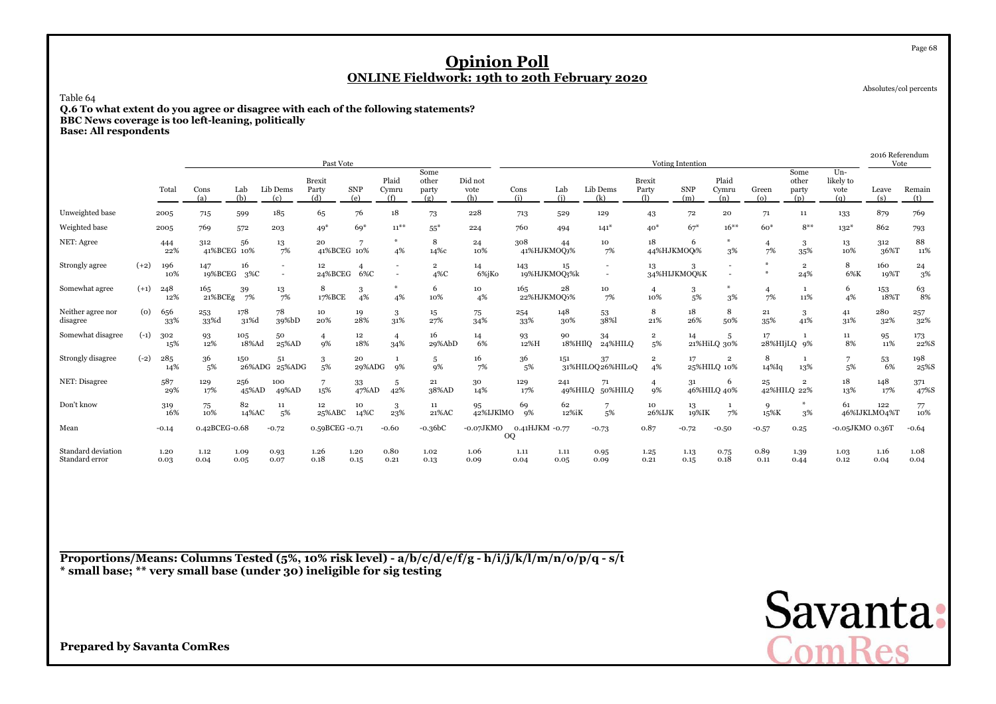Absolutes/col percents

Page 68

### Table 64

 **Q.6 To what extent do you agree or disagree with each of the following statements?BBC News coverage is too left-leaning, politicallyBase: All respondents**

|                                      |        |              |                    |               |                                                      | Past Vote                     |                       |                       |                               |                        |                      |               |                                                      |                                    | <b>Voting Intention</b> |                                        |                         |                               |                                   | 2016 Referendum<br>Vote |                          |
|--------------------------------------|--------|--------------|--------------------|---------------|------------------------------------------------------|-------------------------------|-----------------------|-----------------------|-------------------------------|------------------------|----------------------|---------------|------------------------------------------------------|------------------------------------|-------------------------|----------------------------------------|-------------------------|-------------------------------|-----------------------------------|-------------------------|--------------------------|
|                                      |        | Total        | Cons<br>(a)        | Lab<br>(b)    | Lib Dems<br>(c)                                      | <b>Brexit</b><br>Party<br>(d) | SNP<br>(e)            | Plaid<br>Cymru<br>(f) | Some<br>other<br>party<br>(g) | Did not<br>vote<br>(h) | Cons<br>(i)          | Lab<br>(i)    | Lib Dems<br>(k)                                      | <b>Brexit</b><br>Party<br>$\Omega$ | <b>SNP</b><br>(m)       | Plaid<br>Cymru<br>(n)                  | Green<br>$\omega$       | Some<br>other<br>party<br>(p) | $Un-$<br>likely to<br>vote<br>(q) | Leave<br>(s)            | Remain<br>(t)            |
| Unweighted base                      |        | 2005         | 715                | 599           | 185                                                  | 65                            | 76                    | 18                    | 73                            | 228                    | 713                  | 529           | 129                                                  | 43                                 | 72                      | 20                                     | 71                      | 11                            | 133                               | 879                     | 769                      |
| Weighted base                        |        | 2005         | 769                | 572           | 203                                                  | $49*$                         | $69*$                 | $11^{**}$             | $55^{\ast}$                   | 224                    | 760                  | 494           | $141*$                                               | $40*$                              | $67*$                   | $16***$                                | $60*$                   | $8***$                        | $132*$                            | 862                     | 793                      |
| NET: Agree                           |        | 444<br>22%   | 312<br>41%BCEG 10% | 56            | 13<br>7%                                             | 20<br>41%BCEG 10%             |                       | 4%                    | 8<br>14%с                     | 24<br>10%              | 308<br>41%HJKMOQ)%   | 44            | 10<br>7%                                             | 18<br>44%HJKMOO/%                  | 6                       | 3%                                     | 4<br>7%                 | 3<br>35%                      | 13<br>10%                         | 312<br>36%T             | 88<br>11%                |
| Strongly agree                       | $(+2)$ | 196<br>10%   | 147<br>19%BCEG     | 16<br>$3\%C$  | $\overline{\phantom{a}}$<br>$\overline{\phantom{a}}$ | 12<br>24%BCEG                 | $\overline{4}$<br>6%C |                       | $\overline{2}$<br>4%C         | 14<br>6%jKo            | 143<br>19%HJKMOQ3%k  | 15            | $\overline{\phantom{a}}$<br>$\overline{\phantom{a}}$ | 13                                 | 3<br>34%HIJKMOQ%K       | $\sim$                                 | $\ast$<br>$\frac{M}{N}$ | $\overline{2}$<br>24%         | 8<br>6%K                          | 160<br>19%T             | 24<br>3%                 |
| Somewhat agree                       | $(+1)$ | 248<br>12%   | 165<br>21%BCEg     | 39<br>7%      | 13<br>7%                                             | 8<br>17%BCE                   | 3<br>4%               | 4%                    | 6<br>10%                      | 10<br>4%               | 165<br>22%HJKMOQ5%   | 28            | 10<br>7%                                             | $\overline{4}$<br>10%              | 3<br>5%                 | 3%                                     | $\overline{4}$<br>7%    | $\mathbf{1}$<br>11%           | 6<br>4%                           | 153<br>18%T             | $^{63}_{\phantom{1}8\%}$ |
| Neither agree nor<br>disagree        | (0)    | 656<br>33%   | 253<br>33%d        | 178<br>31%d   | 78<br>39%bD                                          | 10<br>20%                     | 19<br>28%             | 3<br>31%              | 15<br>27%                     | 75<br>34%              | 254<br>33%           | 148<br>30%    | 53<br>38%                                            | 8<br>21%                           | 18<br>26%               | 8<br>50%                               | 21<br>35%               | 3<br>41%                      | 41<br>31%                         | 280<br>32%              | 257<br>32%               |
| Somewhat disagree                    | $(-1)$ | 302<br>15%   | 93<br>12%          | 105<br>18%Ad  | 50<br>25%AD                                          | 9%                            | 12<br>18%             | $\overline{4}$<br>34% | 16<br>29%AbD                  | 14<br>6%               | 93<br>12%H           | 90<br>18%HIlQ | 34<br>24%HILQ                                        | $\overline{2}$<br>5%               | 14                      | 5<br>21%HiLQ 30%                       | 17                      | 28%HIjLQ 9%                   | 11<br>8%                          | 95<br>11%               | 173<br>22%S              |
| Strongly disagree                    | $(-2)$ | 285<br>14%   | 36<br>5%           | 150<br>26%ADG | 51<br>25%ADG                                         | 5%                            | 20<br>29%ADG          | 9%                    | 5<br>9%                       | 16<br>7%               | 36<br>5%             | 151           | 37<br>31%HILOQ26%HILoQ                               | $\overline{\mathbf{2}}$<br>4%      | 17                      | $\overline{\mathbf{2}}$<br>25%HILQ 10% | 8<br>$14\%$ Iq          | 13%                           | 5%                                | 53<br>6%                | 198<br>25%S              |
| NET: Disagree                        |        | 587<br>29%   | 129<br>17%         | 256<br>45%AD  | 100<br>49%AD                                         | 15%                           | 33<br>47%AD           | 5<br>42%              | 21<br>38%AD                   | 30<br>14%              | 129<br>17%           | 241           | 71<br>49%HILQ 50%HILQ                                | 9%                                 | 31                      | 6<br>46%HILQ 40%                       | 25                      | $\overline{2}$<br>42%HILQ 22% | 18<br>13%                         | 148<br>17%              | 371<br>47%S              |
| Don't know                           |        | 319<br>16%   | 75<br>10%          | 82<br>14%AC   | 11<br>.5%                                            | 12<br>25%ABC                  | 10<br>14%C            | 3<br>23%              | 11<br>21%AC                   | 95<br>42%IJKlMO        | 69<br>9%             | 62<br>12%iK   | 5%                                                   | 10<br>26%IJK                       | 13<br>19%IK             | 1<br>7%                                | 9<br>15%K               | 3%                            | 61                                | 122<br>46%IJKLMO4%T     | 77<br>10%                |
| Mean                                 |        | $-0.14$      | 0.42BCEG-0.68      |               | $-0.72$                                              | 0.59BCEG -0.71                |                       | $-0.60$               | $-0.36bc$                     | $-0.07JKMO$            | 0.41HJKM -0.77<br>OQ |               | $-0.73$                                              | 0.87                               | $-0.72$                 | $-0.50$                                | $-0.57$                 | 0.25                          | -0.05JKMO 0.36T                   |                         | $-0.64$                  |
| Standard deviation<br>Standard error |        | 1.20<br>0.03 | 1.12<br>0.04       | 1.09<br>0.05  | 0.93<br>0.07                                         | 1.26<br>0.18                  | 1.20<br>0.15          | 0.80<br>0.21          | 1.02<br>0.13                  | 1.06<br>0.09           | 1.11<br>0.04         | 1.11<br>0.05  | 0.95<br>0.09                                         | 1.25<br>0.21                       | 1.13<br>0.15            | 0.75<br>0.18                           | 0.89<br>0.11            | 1.39<br>0.44                  | 1.03<br>0.12                      | 1.16<br>0.04            | 1.08<br>0.04             |

**Proportions/Means: Columns Tested (5%, 10% risk level) - a/b/c/d/e/f/g - h/i/j/k/l/m/n/o/p/q - s/t \* small base; \*\* very small base (under 30) ineligible for sig testing**

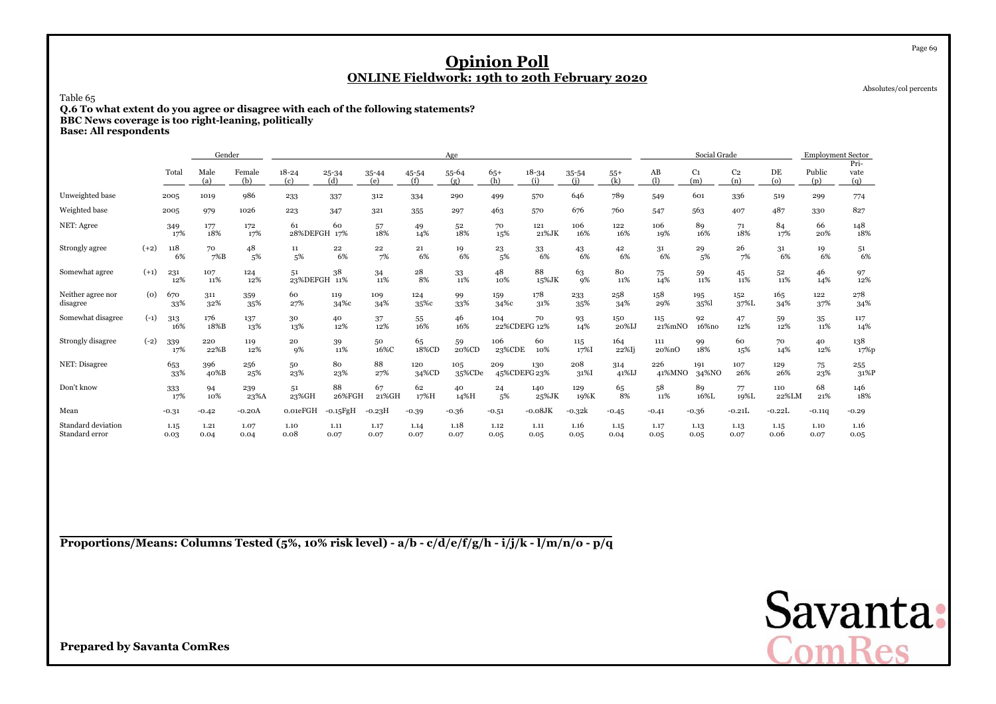Absolutes/col percents

Page 69

Table 65

**Q.6 To what extent do you agree or disagree with each of the following statements? BBC News coverage is too right-leaning, politically**

**Base: All respondents**

|                                      |        |              | Gender       |               |                    |              |                  |              | Age           |               |                     |                  |              |               | Social Grade          |                       |               | <b>Employment Sector</b> |                     |
|--------------------------------------|--------|--------------|--------------|---------------|--------------------|--------------|------------------|--------------|---------------|---------------|---------------------|------------------|--------------|---------------|-----------------------|-----------------------|---------------|--------------------------|---------------------|
|                                      |        | Total        | Male<br>(a)  | Female<br>(b) | $18 - 24$<br>(c)   | 25-34<br>(d) | $35 - 44$<br>(e) | 45-54<br>(f) | 55-64<br>(g)  | $65+$<br>(h)  | $18 - 34$<br>(i)    | $35 - 54$<br>(i) | $55+$<br>(k) | AB<br>(1)     | C <sub>1</sub><br>(m) | C <sub>2</sub><br>(n) | DE<br>$\circ$ | Public<br>(p)            | Pri-<br>vate<br>(q) |
| Unweighted base                      |        | 2005         | 1019         | 986           | 233                | 337          | 312              | 334          | 290           | 499           | 570                 | 646              | 789          | 549           | 601                   | 336                   | 519           | 299                      | 774                 |
| Weighted base                        |        | 2005         | 979          | 1026          | 223                | 347          | 321              | 355          | 297           | 463           | 570                 | 676              | 760          | 547           | 563                   | 407                   | 487           | 330                      | 827                 |
| NET: Agree                           |        | 349<br>17%   | 177<br>18%   | 172<br>17%    | 61<br>28%DEFGH 17% | 60           | 57<br>18%        | 49<br>14%    | 52<br>18%     | 70<br>15%     | 121<br>21%JK        | 106<br>16%       | 122<br>16%   | 106<br>19%    | 89<br>16%             | 71<br>18%             | 84<br>17%     | 66<br>20%                | 148<br>18%          |
| Strongly agree                       | $(+2)$ | 118<br>6%    | 70<br>$7\%B$ | 48<br>5%      | 11<br>5%           | 22<br>6%     | 22<br>7%         | 21<br>6%     | 19<br>6%      | 23<br>5%      | 33<br>6%            | 43<br>6%         | 42<br>6%     | 31<br>6%      | 29<br>5%              | 26<br>7%              | 31<br>6%      | 19<br>6%                 | 51<br>6%            |
| Somewhat agree                       | $(+1)$ | 231<br>12%   | 107<br>11%   | 124<br>12%    | 51<br>23%DEFGH     | 38<br>11%    | 34<br>11%        | 28<br>8%     | 33<br>11%     | 48<br>10%     | 88<br>15%JK         | 63<br>9%         | 80<br>11%    | 75<br>14%     | 59<br>11%             | 45<br>11%             | 52<br>11%     | 46<br>14%                | 97<br>12%           |
| Neither agree nor<br>disagree        | (0)    | 670<br>33%   | 311<br>32%   | 359<br>35%    | 60<br>27%          | 119<br>34%с  | 109<br>34%       | 124<br>35%c  | 99<br>33%     | 159<br>34%с   | 178<br>31%          | 233<br>35%       | 258<br>34%   | 158<br>29%    | 195<br>35%            | 152<br>37%L           | 165<br>34%    | 122<br>37%               | 278<br>34%          |
| Somewhat disagree                    | $(-1)$ | 313<br>16%   | 176<br>18%B  | 137<br>13%    | 30<br>13%          | 40<br>12%    | 37<br>12%        | 55<br>16%    | 46<br>16%     | 104           | 70<br>22%CDEFG 12%  | 93<br>14%        | 150<br>20%IJ | 115<br>21%mNO | 92<br>16%no           | 47<br>12%             | 59<br>12%     | 35<br>11%                | 117<br>14%          |
| Strongly disagree                    | $(-2)$ | 339<br>17%   | 220<br>22%B  | 119<br>12%    | 20<br>9%           | 39<br>11%    | 50<br>16%C       | 65<br>18%CD  | 59<br>20%CD   | 106<br>23%CDE | 60<br>10%           | 115<br>17%I      | 164<br>22%Ij | 111<br>20%nO  | 99<br>18%             | 60<br>15%             | 70<br>14%     | 40<br>12%                | 138<br>17%p         |
| NET: Disagree                        |        | 653<br>33%   | 396<br>40%B  | 256<br>25%    | 50<br>23%          | 80<br>23%    | 88<br>27%        | 120<br>34%CD | 105<br>35%CDe | 209           | 130<br>45%CDEFG 23% | 208<br>31%I      | 314<br>41%IJ | 226<br>41%MNO | 191<br>34%NO          | 107<br>26%            | 129<br>26%    | 75<br>23%                | 255<br>31%P         |
| Don't know                           |        | 333<br>17%   | 94<br>10%    | 239<br>23%A   | 51<br>23%GH        | 88<br>26%FGH | 67<br>21%GH      | 62<br>17%H   | 40<br>14%H    | 24<br>5%      | 140<br>25%JK        | 129<br>19%K      | 65<br>8%     | 58<br>11%     | 89<br>16%L            | 77<br>19%L            | 110<br>22%LM  | 68<br>21%                | 146<br>18%          |
| Mean                                 |        | $-0.31$      | $-0.42$      | $-0.20A$      | 0.01eFGH           | $-0.15$ FgH  | $-0.23H$         | $-0.39$      | $-0.36$       | $-0.51$       | $-0.08$ JK          | $-0.32k$         | $-0.45$      | $-0.41$       | $-0.36$               | $-0.21L$              | $-0.22L$      | $-0.11q$                 | $-0.29$             |
| Standard deviation<br>Standard error |        | 1.15<br>0.03 | 1.21<br>0.04 | 1.07<br>0.04  | 1.10<br>0.08       | 1.11<br>0.07 | 1.17<br>0.07     | 1.14<br>0.07 | 1.18<br>0.07  | 1.12<br>0.05  | 1.11<br>0.05        | 1.16<br>0.05     | 1.15<br>0.04 | 1.17<br>0.05  | 1.13<br>0.05          | 1.13<br>0.07          | 1.15<br>0.06  | 1.10<br>0.07             | 1.16<br>0.05        |

**Proportions/Means: Columns Tested (5%, 10% risk level) - a/b - c/d/e/f/g/h - i/j/k - l/m/n/o - p/q**

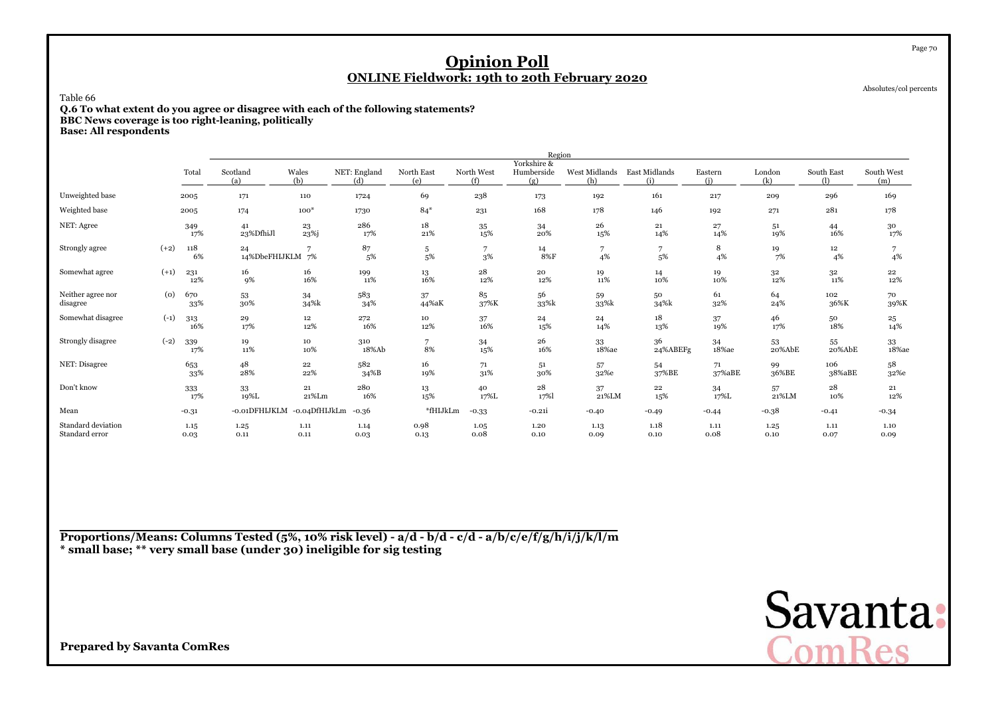Absolutes/col percents

Page 70

#### Table 66

 **Q.6 To what extent do you agree or disagree with each of the following statements?BBC News coverage is too right-leaning, politically**

**Base: All respondents**

|                                      |        |              |                        |                         |                     |                   |                   | Region                           |                      |                      |                 |               |                   |                      |
|--------------------------------------|--------|--------------|------------------------|-------------------------|---------------------|-------------------|-------------------|----------------------------------|----------------------|----------------------|-----------------|---------------|-------------------|----------------------|
|                                      |        | Total        | Scotland<br>(a)        | Wales<br>(b)            | NET: England<br>(d) | North East<br>(e) | North West<br>(f) | Yorkshire &<br>Humberside<br>(g) | West Midlands<br>(h) | East Midlands<br>(i) | Eastern<br>(i)  | London<br>(k) | South East<br>(1) | South West<br>(m)    |
| Unweighted base                      |        | 2005         | 171                    | 110                     | 1724                | 69                | 238               | 173                              | 192                  | 161                  | 217             | 209           | 296               | 169                  |
| Weighted base                        |        | 2005         | 174                    | $100*$                  | 1730                | $84*$             | 231               | 168                              | 178                  | 146                  | 192             | 271           | 281               | 178                  |
| NET: Agree                           |        | 349<br>17%   | 41<br>23%DfhiJl        | 23<br>23%j              | 286<br>17%          | 18<br>21%         | 35<br>15%         | 34<br>20%                        | 26<br>15%            | 21<br>14%            | 27<br>14%       | 51<br>19%     | 44<br>16%         | 30<br>17%            |
| Strongly agree                       | $(+2)$ | 118<br>6%    | 24<br>14%DbeFHIJKLM 7% | 7                       | 87<br>5%            | 5<br>5%           | 7<br>3%           | 14<br><b>8%F</b>                 | 7<br>4%              | 5%                   | 8<br>4%         | 19<br>7%      | 12<br>4%          | 4%                   |
| Somewhat agree                       | $(+1)$ | 231<br>12%   | 16<br>9%               | 16<br>16%               | 199<br>11%          | 13<br>16%         | ${\bf 28}$<br>12% | 20<br>12%                        | 19<br>11%            | 14<br>10%            | 19<br>10%       | 32<br>12%     | 32<br>11%         | 22<br>12%            |
| Neither agree nor<br>disagree        | (0)    | 670<br>33%   | 53<br>30%              | 34<br>34%k              | 583<br>34%          | 37<br>44%aK       | 85<br>37%K        | 56<br>33%k                       | 59<br>33%k           | 50<br>34%k           | 61<br>32%       | 64<br>24%     | 102<br>36%K       | 70<br>39%K           |
| Somewhat disagree                    | $(-1)$ | 313<br>16%   | 29<br>17%              | $12\phantom{.0}$<br>12% | 272<br>16%          | 10<br>12%         | 37<br>16%         | 24<br>15%                        | 24<br>14%            | 18<br>13%            | 37<br>19%       | 46<br>17%     | 50<br>18%         | 25<br>14%            |
| Strongly disagree                    | $(-2)$ | 339<br>17%   | 19<br>11%              | 10<br>10%               | 310<br>18%Ab        | 7<br>8%           | 34<br>15%         | 26<br>16%                        | 33<br>$18\%$ ae      | 36<br>24%ABEFg       | 34<br>$18\%$ ae | 53<br>20%AbE  | 55<br>20%AbE      | $^{33}_{\rm 18\%ae}$ |
| NET: Disagree                        |        | 653<br>33%   | 48<br>28%              | 22<br>22%               | 582<br>34%B         | 16<br>19%         | 71<br>31%         | $5^{\rm 1}$<br>30%               | 57<br>32%e           | 54<br>37%BE          | 71<br>37%aBE    | 99<br>36%BE   | 106<br>38%aBE     | 58<br>32%e           |
| Don't know                           |        | 333<br>17%   | 33<br>19%L             | 21<br>21%Lm             | 280<br>16%          | 13<br>15%         | 40<br>17%L        | 28<br>17%1                       | 37<br>21%LM          | $\bf{22}$<br>15%     | 34<br>17%L      | 57<br>21%LM   | 28<br>10%         | 21<br>12%            |
| Mean                                 |        | $-0.31$      | -0.01DFHIJKLM          | -0.04DfHIJkLm           | $-0.36$             | *fHIJkLm          | $-0.33$           | $-0.21i$                         | $-0.40$              | $-0.49$              | $-0.44$         | $-0.38$       | $-0.41$           | $-0.34$              |
| Standard deviation<br>Standard error |        | 1.15<br>0.03 | 1.25<br>0.11           | 1.11<br>0.11            | 1.14<br>0.03        | 0.98<br>0.13      | 1.05<br>0.08      | 1.20<br>0.10                     | 1.13<br>0.09         | 1.18<br>0.10         | 1.11<br>0.08    | 1.25<br>0.10  | 1.11<br>0.07      | 1.10<br>0.09         |

**Proportions/Means: Columns Tested (5%, 10% risk level) - a/d - b/d - c/d - a/b/c/e/f/g/h/i/j/k/l/m\* small base; \*\* very small base (under 30) ineligible for sig testing**

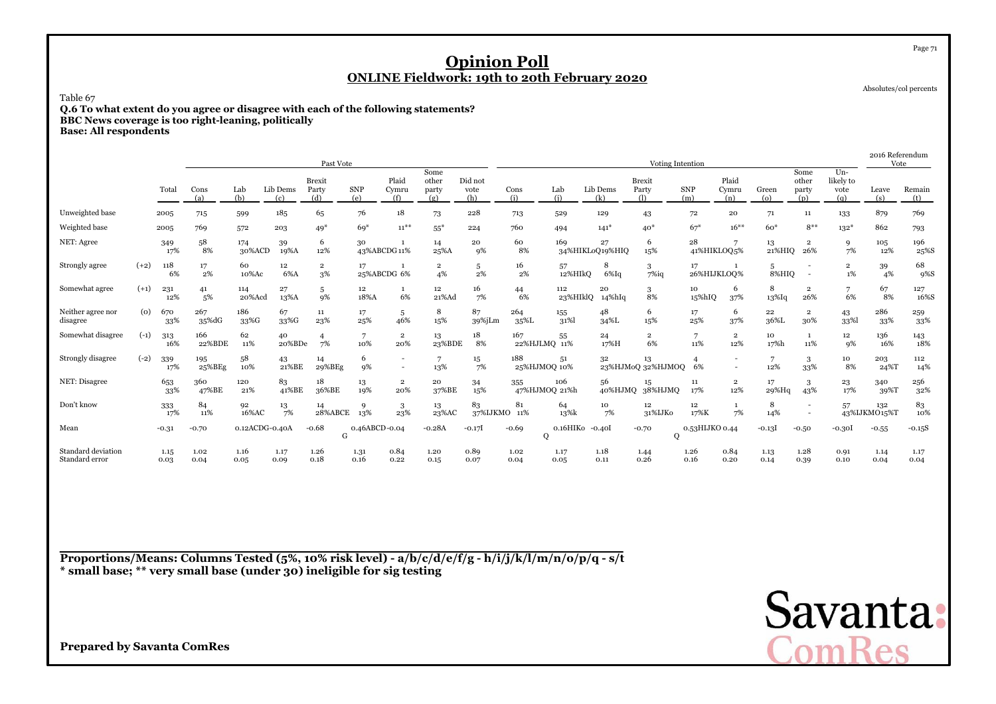Table 67

 **Q.6 To what extent do you agree or disagree with each of the following statements?BBC News coverage is too right-leaning, politically**

**Base: All respondents**

|                                      |        |              |                           |                |                 | Past Vote                     |                   |                          |                               |                        |                          |                 |                       | Voting Intention              |                       |                                                      |                             |                                                      |                                    | 2016 Referendum<br>Vote |                           |
|--------------------------------------|--------|--------------|---------------------------|----------------|-----------------|-------------------------------|-------------------|--------------------------|-------------------------------|------------------------|--------------------------|-----------------|-----------------------|-------------------------------|-----------------------|------------------------------------------------------|-----------------------------|------------------------------------------------------|------------------------------------|-------------------------|---------------------------|
|                                      |        | Total        | Cons<br>(a)               | Lab<br>(b)     | Lib Dems<br>(c) | <b>Brexit</b><br>Party<br>(d) | <b>SNP</b><br>(e) | Plaid<br>Cymru<br>(f)    | Some<br>other<br>party<br>(g) | Did not<br>vote<br>(h) | Cons<br>(i)              | Lab<br>(i)      | Lib Dems<br>(k)       | <b>Brexit</b><br>Party<br>(1) | <b>SNP</b><br>(m)     | Plaid<br>Cymru<br>(n)                                | Green<br>$\left( 0 \right)$ | Some<br>other<br>party<br>(p)                        | $Un -$<br>likely to<br>vote<br>(a) | Leave<br>(s)            | Remain<br>(t)             |
| Unweighted base                      |        | 2005         | 715                       | 599            | 185             | 65                            | 76                | 18                       | 73                            | 228                    | 713                      | 529             | 129                   | 43                            | 72                    | 20                                                   | 71                          | 11                                                   | 133                                | 879                     | 769                       |
| Weighted base                        |        | 2005         | 769                       | 572            | 203             | $49*$                         | $69*$             | $11^{**}$                | $55*$                         | 224                    | 760                      | 494             | $141*$                | $40*$                         | $67*$                 | $16***$                                              | $60*$                       | $8***$                                               | $132*$                             | 862                     | 793                       |
| NET: Agree                           |        | 349<br>17%   | 58<br>8%                  | 174<br>30%ACD  | 39<br>19%A      | 6<br>12%                      | 30                | 43%ABCDG11%              | 14<br>25%A                    | 20<br>9%               | 60<br>8%                 | 169             | 27<br>34%HIKLoQ19%HIQ | 6<br>15%                      | $\bf{^{28}}$          | 41%HIKLOQ5%                                          | 13<br>21%HIQ                | $\overline{\mathbf{2}}$<br>26%                       | 9<br>7%                            | 105<br>12%              | 196<br>25%S               |
| Strongly agree                       | $(+2)$ | 118<br>6%    | 17<br>2%                  | 60<br>10%Ac    | 12<br>6%A       | $\overline{2}$<br>3%          | 17                | 25%ABCDG 6%              | $\overline{\mathbf{2}}$<br>4% | 5<br>2%                | 16<br>2%                 | 57<br>12%HIkO   | 8<br>$6\%$ Iq         | 3<br>$7\%$ iq                 | 17                    | 26%HIJKLOQ%                                          | 5<br>8%HIQ                  | $\overline{\phantom{a}}$<br>$\overline{\phantom{a}}$ | $\overline{2}$<br>1%               | 39<br>4%                | 68<br>9%S                 |
| Somewhat agree                       | $(+1)$ | 231<br>12%   | 41<br>5%                  | 114<br>20%Acd  | 27<br>13%A      | 5<br>9%                       | 12<br>18%A        | 6%                       | $12\phantom{.0}$<br>21%Ad     | 16<br>7%               | 44<br>6%                 | 112<br>23%HIklQ | 20<br>$14\%$ hIq      | 3<br>8%                       | 10<br>15%hIQ          | 6<br>37%                                             | 8<br>13%Iq                  | $\overline{2}$<br>26%                                | 7<br>6%                            | 67<br>8%                | 127<br>16%S               |
| Neither agree nor<br>disagree        | (0)    | 670<br>33%   | 267<br>$35\% \mathrm{dG}$ | 186<br>33%G    | 67<br>33%G      | 11<br>23%                     | 17<br>25%         | -5<br>46%                | 8<br>15%                      | 87<br>39%jLm           | 264<br>$35\% \mathrm{L}$ | 155<br>31%      | 48<br>34%L            | 6<br>15%                      | 17<br>25%             | 6<br>37%                                             | 22<br>36%L                  | $\overline{2}$<br>30%                                | 43<br>33%                          | 286<br>33%              | 259<br>33%                |
| Somewhat disagree                    | $(-1)$ | 313<br>16%   | 166<br>22%BDE             | 62<br>11%      | 40<br>20%BDe    | 4<br>7%                       | 7<br>10%          | $\overline{2}$<br>20%    | 13<br>23%BDE                  | 18<br>8%               | 167<br>22%HJLMQ 11%      | 55              | 24<br>17%H            | $\mathbf 2$<br>6%             | $\overline{7}$<br>11% | $\overline{2}$<br>12%                                | 10<br>17%h                  | 1<br>11%                                             | $12\phantom{.0}$<br>9%             | 136<br>16%              | $\underset{18\%}{^{143}}$ |
| Strongly disagree                    | $(-2)$ | 339<br>17%   | 195<br>25%BEg             | 58<br>10%      | 43<br>21%BE     | 14<br>29%BEg                  | 6<br>9%           | $\overline{\phantom{a}}$ | 7<br>13%                      | $\frac{15}{7\%}$       | 188<br>25%HJMOQ 10%      | 51              | 32                    | 13<br>23%HJMoQ 32%HJMOQ       | 6%                    | $\overline{\phantom{a}}$<br>$\overline{\phantom{a}}$ | 7<br>12%                    | 3<br>33%                                             | 10<br>8%                           | 203<br>24%T             | 112<br>14%                |
| NET: Disagree                        |        | 653<br>33%   | 360<br>47%BE              | 120<br>21%     | 83<br>41%BE     | 18<br>36%BE                   | 13<br>19%         | $\overline{2}$<br>20%    | 20<br>37%BE                   | 34<br>15%              | 355<br>47%HJMOQ 21%h     | 106             | 56<br>40%HJMQ         | 15<br>38%HJMQ                 | 11<br>17%             | $\overline{2}$<br>12%                                | 17<br>29%Hq                 | 3<br>43%                                             | 23<br>17%                          | 340<br>39%T             | 256<br>32%                |
| Don't know                           |        | 333<br>17%   | 84<br>11%                 | 92<br>16%AC    | 13<br>7%        | 14<br>28%ABCE                 | 9<br>13%          | 3<br>23%                 | 13<br>23%AC                   | 83<br>37%IJKMO 11%     | 81                       | 64<br>13%k      | 10<br>7%              | 12<br>31%IJKo                 | 12<br>17%K            | 7%                                                   | 8<br>14%                    | $\overline{\phantom{a}}$                             | 57                                 | 132<br>43%IJKMO15%T     | 83<br>10%                 |
| Mean                                 |        | $-0.31$      | $-0.70$                   | 0.12ACDG-0.40A |                 | $-0.68$<br>G                  | 0.46ABCD-0.04     |                          | $-0.28A$                      | $-0.17$                | $-0.69$<br>О             | 0.16HIK0 -0.40I |                       | $-0.70$<br>$\mathbf 0$        | 0.53HIJKO 0.44        |                                                      | $-0.13$                     | $-0.50$                                              | $-0.30I$                           | $-0.55$                 | $-0.15S$                  |
| Standard deviation<br>Standard error |        | 1.15<br>0.03 | 1.02<br>0.04              | 1.16<br>0.05   | 1.17<br>0.09    | 1.26<br>0.18                  | 1.31<br>0.16      | 0.84<br>0.22             | 1.20<br>0.15                  | 0.89<br>0.07           | 1.02<br>0.04             | 1.17<br>0.05    | 1.18<br>0.11          | 1.44<br>0.26                  | 1.26<br>0.16          | 0.84<br>0.20                                         | 1.13<br>0.14                | 1.28<br>0.39                                         | 0.91<br>0.10                       | 1.14<br>0.04            | 1.17<br>0.04              |

**Proportions/Means: Columns Tested (5%, 10% risk level) - a/b/c/d/e/f/g - h/i/j/k/l/m/n/o/p/q - s/t \* small base; \*\* very small base (under 30) ineligible for sig testing**



Absolutes/col percents

**Prepared by Savanta ComRes**

Page 71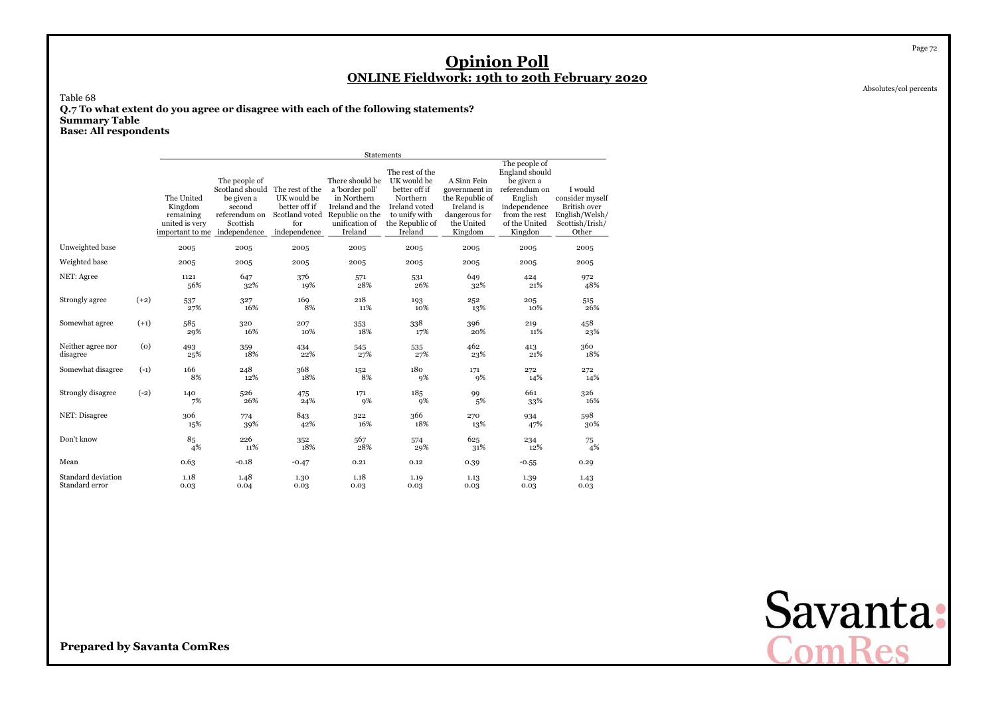Absolutes/col percents

Page 72

Table 68 **Q.7 To what extent do you agree or disagree with each of the following statements?Summary Table**

**Base: All respondents**

|                                      |        |                                                                                      |                                                                                                       |                                                                       | <b>Statements</b>                                                                                                    |                                                                                                                             |                                                                                                         |                                                                                                                                        |                                                                                                 |
|--------------------------------------|--------|--------------------------------------------------------------------------------------|-------------------------------------------------------------------------------------------------------|-----------------------------------------------------------------------|----------------------------------------------------------------------------------------------------------------------|-----------------------------------------------------------------------------------------------------------------------------|---------------------------------------------------------------------------------------------------------|----------------------------------------------------------------------------------------------------------------------------------------|-------------------------------------------------------------------------------------------------|
|                                      |        | The United<br>Kingdom<br>remaining<br>united is very<br>important to me independence | The people of<br>Scotland should The rest of the<br>be given a<br>second<br>referendum on<br>Scottish | UK would be<br>better off if<br>Scotland voted<br>for<br>independence | There should be<br>a 'border poll'<br>in Northern<br>Ireland and the<br>Republic on the<br>unification of<br>Ireland | The rest of the<br>UK would be<br>better off if<br>Northern<br>Ireland voted<br>to unify with<br>the Republic of<br>Ireland | A Sinn Fein<br>government in<br>the Republic of<br>Ireland is<br>dangerous for<br>the United<br>Kingdom | The people of<br>England should<br>be given a<br>referendum on<br>English<br>independence<br>from the rest<br>of the United<br>Kingdon | I would<br>consider myself<br><b>British over</b><br>English/Welsh/<br>Scottish/Irish/<br>Other |
| Unweighted base                      |        | 2005                                                                                 | 2005                                                                                                  | 2005                                                                  | 2005                                                                                                                 | 2005                                                                                                                        | 2005                                                                                                    | 2005                                                                                                                                   | 2005                                                                                            |
| Weighted base                        |        | 2005                                                                                 | 2005                                                                                                  | 2005                                                                  | 2005                                                                                                                 | 2005                                                                                                                        | 2005                                                                                                    | 2005                                                                                                                                   | 2005                                                                                            |
| NET: Agree                           |        | 1121<br>56%                                                                          | 647<br>32%                                                                                            | 376<br>19%                                                            | 571<br>28%                                                                                                           | 531<br>26%                                                                                                                  | 649<br>32%                                                                                              | 424<br>21%                                                                                                                             | 972<br>48%                                                                                      |
| Strongly agree                       | $(+2)$ | 537<br>27%                                                                           | 327<br>16%                                                                                            | 169<br>8%                                                             | 218<br>11%                                                                                                           | 193<br>10%                                                                                                                  | 252<br>13%                                                                                              | 205<br>10%                                                                                                                             | 515<br>26%                                                                                      |
| Somewhat agree                       | $(+1)$ | 585<br>29%                                                                           | 320<br>16%                                                                                            | 207<br>10%                                                            | 353<br>18%                                                                                                           | 338<br>17%                                                                                                                  | 396<br>20%                                                                                              | 219<br>11%                                                                                                                             | 458<br>23%                                                                                      |
| Neither agree nor<br>disagree        | (0)    | 493<br>25%                                                                           | 359<br>18%                                                                                            | 434<br>22%                                                            | 545<br>27%                                                                                                           | 535<br>27%                                                                                                                  | 462<br>23%                                                                                              | 413<br>21%                                                                                                                             | 360<br>18%                                                                                      |
| Somewhat disagree                    | $(-1)$ | 166<br>8%                                                                            | 248<br>12%                                                                                            | 368<br>18%                                                            | 152<br>8%                                                                                                            | 180<br>9%                                                                                                                   | 171<br>9%                                                                                               | 272<br>14%                                                                                                                             | 272<br>14%                                                                                      |
| Strongly disagree                    | $(-2)$ | 140<br>7%                                                                            | 526<br>26%                                                                                            | 475<br>24%                                                            | 171<br>9%                                                                                                            | 185<br>9%                                                                                                                   | 99<br>5%                                                                                                | 661<br>33%                                                                                                                             | 326<br>16%                                                                                      |
| NET: Disagree                        |        | 306<br>15%                                                                           | 774<br>39%                                                                                            | 843<br>42%                                                            | 322<br>16%                                                                                                           | 366<br>18%                                                                                                                  | 270<br>13%                                                                                              | 934<br>47%                                                                                                                             | 598<br>30%                                                                                      |
| Don't know                           |        | 85<br>4%                                                                             | 226<br>11%                                                                                            | 352<br>18%                                                            | 567<br>28%                                                                                                           | 574<br>29%                                                                                                                  | 625<br>31%                                                                                              | 234<br>12%                                                                                                                             | 75<br>4%                                                                                        |
| Mean                                 |        | 0.63                                                                                 | $-0.18$                                                                                               | $-0.47$                                                               | 0.21                                                                                                                 | 0.12                                                                                                                        | 0.39                                                                                                    | $-0.55$                                                                                                                                | 0.29                                                                                            |
| Standard deviation<br>Standard error |        | 1.18<br>0.03                                                                         | 1.48<br>0.04                                                                                          | 1.30<br>0.03                                                          | 1.18<br>0.03                                                                                                         | 1.19<br>0.03                                                                                                                | 1.13<br>0.03                                                                                            | 1.39<br>0.03                                                                                                                           | 1.43<br>0.03                                                                                    |

Savanta:<br>ComRes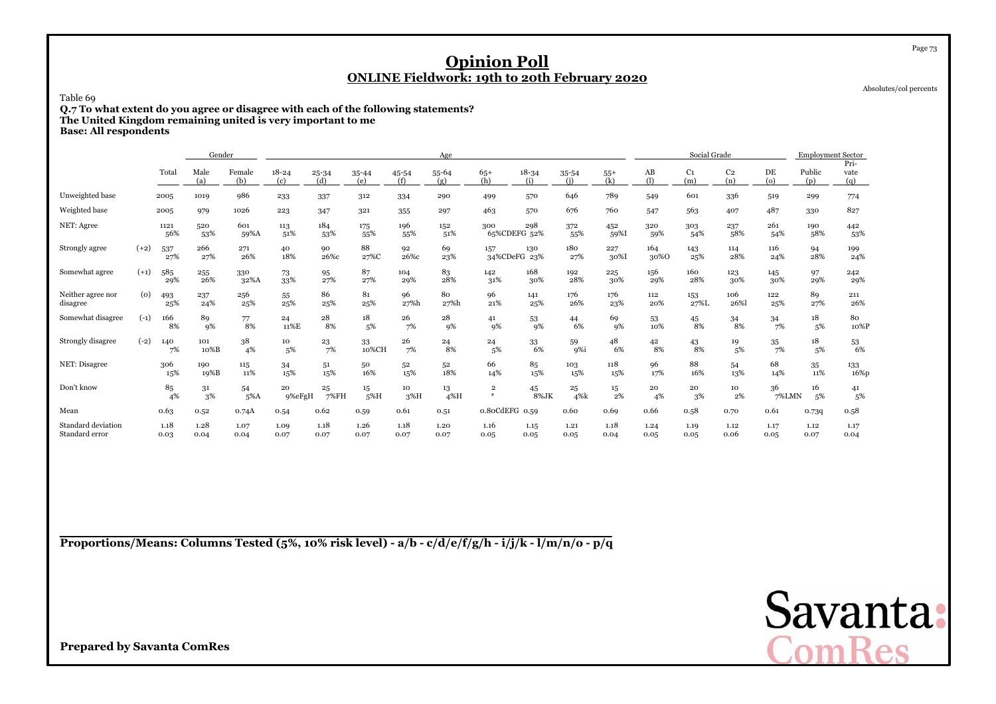Absolutes/col percents

Page 73

Table 69

 **Q.7 To what extent do you agree or disagree with each of the following statements?The United Kingdom remaining united is very important to me**

**Base: All respondents**

|                                      |        |              | Gender       |               |                  |                  |              |              | Age           |                              |                  |              |              |              | Social Grade          |                       |              | <b>Employment Sector</b> |                     |
|--------------------------------------|--------|--------------|--------------|---------------|------------------|------------------|--------------|--------------|---------------|------------------------------|------------------|--------------|--------------|--------------|-----------------------|-----------------------|--------------|--------------------------|---------------------|
|                                      |        | Total        | Male<br>(a)  | Female<br>(b) | $18 - 24$<br>(c) | $25 - 34$<br>(d) | 35-44<br>(e) | 45-54<br>(f) | 55-64<br>(g)  | $65+$<br>(h)                 | $18 - 34$<br>(i) | 35-54<br>(i) | $55+$<br>(k) | AB<br>(1)    | C <sub>1</sub><br>(m) | C <sub>2</sub><br>(n) | DE<br>(o)    | Public<br>(p)            | Pri-<br>vate<br>(q) |
| Unweighted base                      |        | 2005         | 1019         | 986           | 233              | 337              | 312          | 334          | 290           | 499                          | 570              | 646          | 789          | 549          | 601                   | 336                   | 519          | 299                      | 774                 |
| Weighted base                        |        | 2005         | 979          | 1026          | 223              | 347              | 321          | 355          | 297           | 463                          | 570              | 676          | 760          | 547          | 563                   | 407                   | 487          | 330                      | 827                 |
| NET: Agree                           |        | 1121<br>56%  | 520<br>53%   | 601<br>59%A   | 113<br>51%       | 184<br>53%       | 175<br>55%   | 196<br>55%   | 152<br>51%    | 300<br>65%CDEFG 52%          | 298              | 372<br>55%   | 452<br>59%I  | 320<br>59%   | 303<br>54%            | 237<br>58%            | 261<br>54%   | 190<br>58%               | 442<br>53%          |
| Strongly agree                       | $(+2)$ | 537<br>27%   | 266<br>27%   | 271<br>26%    | 40<br>18%        | 90<br>26%с       | 88<br>27%C   | 92<br>26%с   | 69<br>23%     | 157<br>34%CDeFG 23%          | 130              | 180<br>27%   | 227<br>30%I  | 164<br>30%0  | 143<br>25%            | 114<br>28%            | 116<br>24%   | 94<br>28%                | 199<br>24%          |
| Somewhat agree                       | $(+1)$ | 585<br>29%   | 255<br>26%   | 330<br>32%A   | 73<br>33%        | 95<br>27%        | 87<br>27%    | 104<br>29%   | 83<br>28%     | 142<br>31%                   | 168<br>30%       | 192<br>28%   | 225<br>30%   | 156<br>29%   | 160<br>28%            | 123<br>30%            | 145<br>30%   | 97<br>29%                | 242<br>29%          |
| Neither agree nor<br>disagree        | (o)    | 493<br>25%   | 237<br>24%   | 256<br>25%    | 55<br>25%        | 86<br>25%        | 81<br>25%    | 96<br>27%h   | 80<br>27%h    | 96<br>21%                    | 141<br>25%       | 176<br>26%   | 176<br>23%   | 112<br>20%   | 153<br>27%L           | 106<br>26%            | 122<br>25%   | 89<br>27%                | 211<br>26%          |
| Somewhat disagree                    | $(-1)$ | 166<br>8%    | 89<br>9%     | 77<br>8%      | 24<br>11%E       | 28<br>8%         | 18<br>5%     | 26<br>7%     | 28<br>9%      | 41<br>9%                     | 53<br>9%         | 44<br>6%     | 69<br>9%     | 53<br>10%    | 45<br>8%              | 34<br>8%              | 34<br>7%     | 18<br>5%                 | 80<br>10%P          |
| Strongly disagree                    | $(-2)$ | 140<br>7%    | 101<br>10%B  | 38<br>4%      | 10<br>5%         | 23<br>7%         | 33<br>10%CH  | 26<br>7%     | 24<br>8%      | 24<br>5%                     | 33<br>6%         | 59<br>9%i    | 48<br>6%     | 42<br>8%     | $^{43}_{\ 8\%}$       | 19<br>5%              | 35<br>7%     | 18<br>5%                 | $^{53}_{\ 6\%}$     |
| NET: Disagree                        |        | 306<br>15%   | 190<br>19%B  | 115<br>11%    | 34<br>15%        | 51<br>15%        | 50<br>16%    | 52<br>15%    | 52<br>18%     | 66<br>14%                    | 85<br>15%        | 103<br>15%   | 118<br>15%   | 96<br>17%    | 88<br>16%             | 54<br>13%             | 68<br>14%    | 35<br>11%                | 133<br>16%p         |
| Don't know                           |        | 85<br>4%     | 31<br>3%     | 54<br>5%A     | 20<br>9%eFgH     | 25<br>7%FH       | 15<br>5%H    | 10<br>$3\%H$ | 13<br>$4\%$ H | $\overline{\mathbf{2}}$<br># | 45<br>8%JK       | 25<br>4%k    | $15\,$<br>2% | 20<br>4%     | 20<br>3%              | 10<br>2%              | 36<br>7%LMN  | 16<br>5%                 | 41<br>5%            |
| Mean                                 |        | 0.63         | 0.52         | 0.74A         | 0.54             | 0.62             | 0.59         | 0.61         | 0.51          | 0.80CdEFG 0.59               |                  | 0.60         | 0.69         | 0.66         | 0.58                  | 0.70                  | 0.61         | 0.739                    | 0.58                |
| Standard deviation<br>Standard error |        | 1.18<br>0.03 | 1.28<br>0.04 | 1.07<br>0.04  | 1.09<br>0.07     | 1.18<br>0.07     | 1.26<br>0.07 | 1.18<br>0.07 | 1.20<br>0.07  | 1.16<br>0.05                 | 1.15<br>0.05     | 1.21<br>0.05 | 1.18<br>0.04 | 1.24<br>0.05 | 1.19<br>0.05          | 1.12<br>0.06          | 1.17<br>0.05 | 1.12<br>0.07             | 1.17<br>0.04        |

**Proportions/Means: Columns Tested (5%, 10% risk level) - a/b - c/d/e/f/g/h - i/j/k - l/m/n/o - p/q**

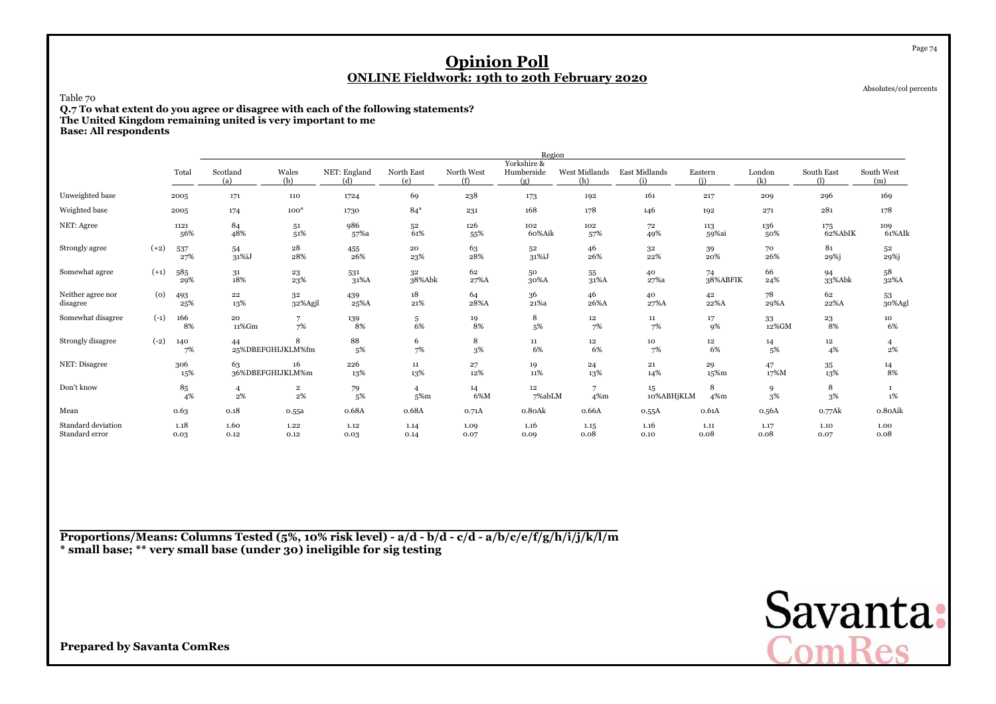Absolutes/col percents

Page 74

Table 70

 **Q.7 To what extent do you agree or disagree with each of the following statements?The United Kingdom remaining united is very important to me**

**Base: All respondents**

|                                      |        |              |                 |                               |                      |                          |                   | Region                           |                          |                      |                |               |                 |                   |
|--------------------------------------|--------|--------------|-----------------|-------------------------------|----------------------|--------------------------|-------------------|----------------------------------|--------------------------|----------------------|----------------|---------------|-----------------|-------------------|
|                                      |        | Total        | Scotland<br>(a) | Wales<br>(b)                  | NET: England<br>(d)  | North East<br>(e)        | North West<br>(f) | Yorkshire &<br>Humberside<br>(g) | West Midlands<br>(h)     | East Midlands<br>(i) | Eastern<br>(i) | London<br>(k) | South East<br>ጠ | South West<br>(m) |
| Unweighted base                      |        | 2005         | 171             | 110                           | 1724                 | 69                       | 238               | 173                              | 192                      | 161                  | 217            | 209           | 296             | 169               |
| Weighted base                        |        | 2005         | 174             | $100*$                        | 1730                 | $84*$                    | 231               | 168                              | 178                      | 146                  | 192            | 271           | 281             | 178               |
| NET: Agree                           |        | 1121<br>56%  | 84<br>48%       | 51<br>51%                     | 986<br>57%a          | 52<br>61%                | 126<br>55%        | 102<br>60%Aik                    | 102<br>57%               | 72<br>49%            | 113<br>59%ai   | 136<br>50%    | 175<br>62%AbIK  | 109<br>61%AIk     |
| Strongly agree                       | $(+2)$ | 537<br>27%   | 54<br>31%iJ     | 28<br>28%                     | 455<br>26%           | 20<br>23%                | 63<br>28%         | 52<br>31%iJ                      | 46<br>26%                | $^{\rm 32}$<br>22%   | 39<br>20%      | 70<br>26%     | 81<br>29%j      | 52<br>29%j        |
| Somewhat agree                       | $(+1)$ | 585<br>29%   | 31<br>18%       | 23<br>23%                     | 531<br>31%A          | 32<br>38%Abk             | 62<br>27%A        | 50<br>30%A                       | 55<br>31%A               | 40<br>27%a           | 74<br>38%ABFIK | 66<br>24%     | 94<br>33%Abk    | 58<br>32%A        |
| Neither agree nor<br>disagree        | (0)    | 493<br>25%   | 22<br>13%       | 32<br>32%Agjl                 | 439<br>25%A          | 18<br>21%                | 64<br>28%A        | 36<br>$21\%$ a $\,$              | 46<br>26%A               | 40<br>27%A           | 42<br>22%A     | 78<br>29%A    | 62<br>22%A      | 53<br>30%Agl      |
| Somewhat disagree                    | $(-1)$ | 166<br>8%    | 20<br>11%Gm     | 7%                            | $^{139}_{\qquad8\%}$ | 5<br>6%                  | $\frac{19}{8\%}$  | 8<br>5%                          | 12<br>7%                 | 11<br>7%             | 17<br>9%       | 33<br>12%GM   | $^{23}_{\ 8\%}$ | 10<br>6%          |
| Strongly disagree                    | $(-2)$ | 140<br>7%    | 44              | 8<br>25%DBEFGHIJKLM%fm        | 88<br>5%             | 6<br>7%                  | 8<br>3%           | 11<br>6%                         | $12\phantom{.0}$<br>6%   | 10<br>7%             | 12<br>6%       | 14<br>5%      | $\bf{12}$<br>4% | 4<br>2%           |
| NET: Disagree                        |        | 306<br>15%   | 63              | 16<br>36%DBEFGHIJKLM%m        | 226<br>13%           | 11<br>13%                | 27<br>12%         | 19<br>11%                        | 24<br>13%                | 21<br>14%            | 29<br>15%m     | 47<br>17%M    | $35\,$<br>13%   | $\frac{14}{8\%}$  |
| Don't know                           |        | 85<br>4%     | 4<br>$2\%$      | $\overline{\mathbf{2}}$<br>2% | 79<br>5%             | $\overline{4}$<br>$5%$ m | 14<br>6%M         | 12<br>7%abLM                     | $\overline{7}$<br>$4\%m$ | 15<br>10%ABHjKLM     | 8<br>4%m       | 9<br>3%       | 8<br>3%         | 1%                |
| Mean                                 |        | 0.63         | 0.18            | o.55a                         | 0.68A                | 0.68A                    | 0.71A             | o.8oAk                           | 0.66A                    | 0.55A                | 0.61A          | 0.56A         | 0.77Ak          | 0.80Aik           |
| Standard deviation<br>Standard error |        | 1.18<br>0.03 | 1.60<br>0.12    | 1.22<br>0.12                  | 1.12<br>0.03         | 1.14<br>0.14             | 1.09<br>0.07      | 1.16<br>0.09                     | 1.15<br>0.08             | 1.16<br>0.10         | 1.11<br>0.08   | 1.17<br>0.08  | 1.10<br>0.07    | 1.00<br>0.08      |

**Proportions/Means: Columns Tested (5%, 10% risk level) - a/d - b/d - c/d - a/b/c/e/f/g/h/i/j/k/l/m\* small base; \*\* very small base (under 30) ineligible for sig testing**

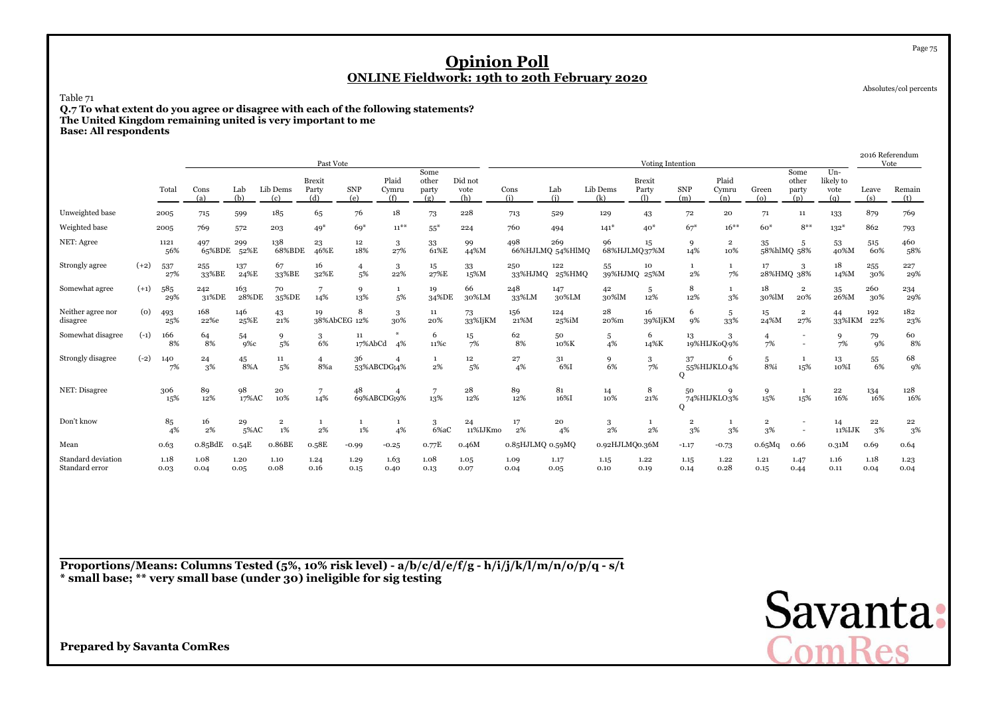Absolutes/col percents

Page 75

Table 71

 **Q.7 To what extent do you agree or disagree with each of the following statements?The United Kingdom remaining united is very important to me**

**Base: All respondents**

|                                      |        |              |               |              |                 | Past Vote                     |                      |                       |                               |                        |                  |                         |                    | Voting Intention              |                               |                                |                               |                                |                                 | 2016 Referendum<br>Vote |                    |
|--------------------------------------|--------|--------------|---------------|--------------|-----------------|-------------------------------|----------------------|-----------------------|-------------------------------|------------------------|------------------|-------------------------|--------------------|-------------------------------|-------------------------------|--------------------------------|-------------------------------|--------------------------------|---------------------------------|-------------------------|--------------------|
|                                      |        | Total        | Cons<br>(a)   | Lab<br>(b)   | Lib Dems<br>(c) | <b>Brexit</b><br>Party<br>(d) | <b>SNP</b><br>(e)    | Plaid<br>Cymru<br>(f) | Some<br>other<br>party<br>(g) | Did not<br>vote<br>(h) | Cons<br>(i)      | Lab<br>(i)              | Lib Dems<br>(k)    | <b>Brexit</b><br>Party<br>(1) | <b>SNP</b><br>(m)             | Plaid<br>Cymru<br>(n)          | Green<br>(0)                  | Some<br>other<br>party<br>(p)  | Un-<br>likely to<br>vote<br>(q) | Leave<br>(s)            | Remain<br>(t)      |
| Unweighted base                      |        | 2005         | 715           | 599          | 185             | 65                            | 76                   | 18                    | 73                            | 228                    | 713              | 529                     | 129                | 43                            | 72                            | 20                             | 71                            | 11                             | 133                             | 879                     | 769                |
| Weighted base                        |        | 2005         | 769           | 572          | 203             | $49*$                         | $69*$                | $11^{**}$             | $55*$                         | 224                    | 760              | 494                     | $141*$             | $40*$                         | $67*$                         | $16***$                        | $60*$                         | $8**$                          | $132*$                          | 862                     | 793                |
| NET: Agree                           |        | 1121<br>56%  | 497<br>65%BDE | 299<br>52%E  | 138<br>68%BDE   | 23<br>46%E                    | 12<br>18%            | 3<br>27%              | 33<br>61%E                    | 99<br>44%M             | 498              | 269<br>66%HJLMQ 54%HlMQ | 96<br>68%HJLMQ37%M | 15                            | 9<br>14%                      | $\overline{\mathbf{2}}$<br>10% | 35                            | 5<br>58%hlMQ 58%               | 53<br>40%M                      | 515<br>60%              | 460<br>58%         |
| Strongly agree                       | $(+2)$ | 537<br>27%   | 255<br>33%BE  | 137<br>24%E  | 67<br>33%BE     | 16<br>32%E                    | $\overline{4}$<br>5% | 3<br>22%              | 15<br>27%E                    | 33<br>15%M             | 250<br>33%HJMQ   | 122<br>25%HMQ           | 55<br>39%HJMQ 25%M | 10                            | 1<br>2%                       | 1<br>7%                        | 17                            | 3<br>28%HMQ 38%                | 18<br>14%M                      | 255<br>30%              | 227<br>29%         |
| Somewhat agree                       | $(+1)$ | 585<br>29%   | 242<br>31%DE  | 163<br>28%DE | 70<br>35%DE     | 14%                           | 9<br>13%             | 5%                    | 19<br>34%DE                   | 66<br>30%LM            | 248<br>33%LM     | 147<br>30%LM            | 42<br>30%lM        | 5<br>12%                      | 8<br>12%                      | $\mathbf{1}$<br>3%             | 18<br>30%lM                   | $\overline{\mathbf{2}}$<br>20% | 35<br>26%M                      | 260<br>30%              | 234<br>29%         |
| Neither agree nor<br>disagree        | (0)    | 493<br>25%   | 168<br>22%e   | 146<br>25%E  | 43<br>21%       | 19                            | 8<br>38%AbCEG 12%    | 3<br>30%              | 11<br>20%                     | 73<br>33%IjKM          | 156<br>21%M      | 124<br>25%iM            | 28<br>20%m         | 16<br>39%IjKM                 | 6<br>9%                       | 5<br>33%                       | 15<br>24%M                    | $\overline{2}$<br>27%          | 44<br>33%IKM                    | 192<br>22%              | 182<br>23%         |
| Somewhat disagree                    | $(-1)$ | 166<br>8%    | 64<br>8%      | 54<br>9%c    | 9<br>5%         | 3<br>6%                       | $11\,$<br>17%AbCd    | #<br>4%               | 6<br>11%с                     | 15<br>7%               | 62<br>8%         | 50<br>10%K              | 5<br>4%            | 6<br>14%K                     | 13                            | 3<br>19%HIJKoQ.9%              | $\overline{4}$<br>7%          |                                | 9<br>7%                         | 79<br>9%                | 60<br>8%           |
| Strongly disagree                    | $(-2)$ | 140<br>7%    | 24<br>3%      | 45<br>8%A    | $11\,$<br>5%    | 4<br>8%a                      | 36<br>53%ABCDG4%     |                       | 1<br>2%                       | 12<br>5%               | 27<br>4%         | 31<br>$6\%$ I           | 9<br>6%            | 3<br>7%                       | 37<br>$\Omega$                | 6<br>55%HIJKLO4%               | 5<br>8%i                      | <sup>1</sup><br>15%            | 13<br>10%I                      | $^{55}_{\ 6\%}$         | 68<br>9%           |
| NET: Disagree                        |        | 306<br>15%   | 89<br>12%     | 98<br>17%AC  | 20<br>10%       | 7<br>14%                      | 48<br>69%ABCDG39%    | 4                     | 7<br>13%                      | 28<br>12%              | 89<br>12%        | 81<br>16%I              | 14<br>10%          | 8<br>21%                      | 50<br>$\Omega$                | 9<br>74%HIJKLO3%               | 9<br>15%                      | $\mathbf{1}$<br>15%            | 22<br>16%                       | 134<br>16%              | 128<br>16%         |
| Don't know                           |        | 85<br>4%     | 16<br>2%      | 29<br>5%AC   | 2<br>1%         | 2%                            | 1<br>1%              | 4%                    | 3<br>6%aC                     | 24<br>11%IJKmo         | 17<br>2%         | 20<br>4%                | 3<br>2%            | $\mathbf{1}$<br>2%            | $\overline{\mathbf{2}}$<br>3% | 3%                             | $\overline{\mathbf{2}}$<br>3% | $\overline{\phantom{a}}$       | 14<br>11%IJK                    | 22<br>3%                | $\bf{^{22}}$<br>3% |
| Mean                                 |        | 0.63         | 0.85BdE       | 0.54E        | 0.86BE          | 0.58E                         | $-0.99$              | $-0.25$               | 0.77E                         | 0.46M                  | 0.85HJLMQ 0.59MQ |                         | 0.92HJLMQ0.36M     |                               | $-1.17$                       | $-0.73$                        | 0.65Mq                        | 0.66                           | 0.31M                           | 0.69                    | 0.64               |
| Standard deviation<br>Standard error |        | 1.18<br>0.03 | 1.08<br>0.04  | 1.20<br>0.05 | 1.10<br>0.08    | 1.24<br>0.16                  | 1.29<br>0.15         | 1.63<br>0.40          | 1.08<br>0.13                  | 1.05<br>0.07           | 1.09<br>0.04     | 1.17<br>0.05            | 1.15<br>0.10       | 1.22<br>0.19                  | 1.15<br>0.14                  | 1.22<br>0.28                   | 1.21<br>0.15                  | 1.47<br>0.44                   | 1.16<br>0.11                    | 1.18<br>0.04            | 1.23<br>0.04       |

**Proportions/Means: Columns Tested (5%, 10% risk level) - a/b/c/d/e/f/g - h/i/j/k/l/m/n/o/p/q - s/t\* small base; \*\* very small base (under 30) ineligible for sig testing**

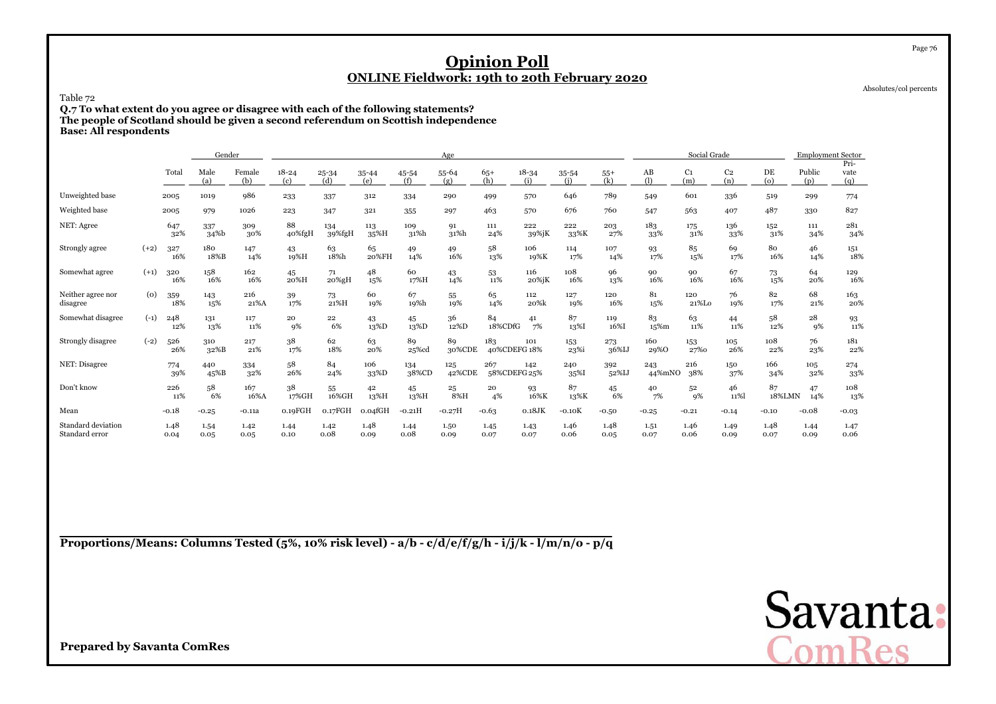Absolutes/col percents

Page 76

### Table 72

 **Q.7 To what extent do you agree or disagree with each of the following statements? The people of Scotland should be given a second referendum on Scottish independenceBase: All respondents**

|                                      |        |              | Gender                   |               |                  |                  |                  |              | Age           |                     |                  |                  |              |                               | Social Grade |                       |               | <b>Employment Sector</b> | Pri-         |
|--------------------------------------|--------|--------------|--------------------------|---------------|------------------|------------------|------------------|--------------|---------------|---------------------|------------------|------------------|--------------|-------------------------------|--------------|-----------------------|---------------|--------------------------|--------------|
|                                      |        | Total        | Male<br>(a)              | Female<br>(b) | $18 - 24$<br>(c) | $25 - 34$<br>(d) | $35 - 44$<br>(e) | 45-54<br>(f) | 55-64<br>(g)  | $65+$<br>(h)        | $18 - 34$<br>(i) | $35 - 54$<br>(i) | $55+$<br>(k) | $\mathbf{A}\mathbf{B}$<br>(1) | C1<br>(m)    | C <sub>2</sub><br>(n) | DE<br>$\circ$ | Public<br>(p)            | vate<br>(q)  |
| Unweighted base                      |        | 2005         | 1019                     | 986           | 233              | 337              | 312              | 334          | 290           | 499                 | 570              | 646              | 789          | 549                           | 601          | 336                   | 519           | 299                      | 774          |
| Weighted base                        |        | 2005         | 979                      | 1026          | 223              | 347              | 321              | 355          | 297           | 463                 | 570              | 676              | 760          | 547                           | 563          | 407                   | 487           | 330                      | 827          |
| NET: Agree                           |        | 647<br>32%   | 337<br>34 <sup>%</sup> b | 309<br>30%    | 88<br>40%fgH     | 134<br>39%fgH    | 113<br>35%H      | 109<br>31%h  | 91<br>31%h    | 111<br>24%          | 222<br>39%jK     | 222<br>33%K      | 203<br>27%   | 183<br>33%                    | 175<br>31%   | 136<br>33%            | 152<br>31%    | 111<br>34%               | 281<br>34%   |
| Strongly agree                       | $(+2)$ | 327<br>16%   | 180<br>18%B              | 147<br>14%    | 43<br>19%H       | 63<br>18%h       | 65<br>20%FH      | 49<br>14%    | 49<br>16%     | 58<br>13%           | 106<br>19%K      | 114<br>17%       | 107<br>14%   | 93<br>17%                     | 85<br>15%    | 69<br>17%             | 80<br>16%     | 46<br>14%                | 151<br>18%   |
| Somewhat agree                       | $(+1)$ | 320<br>16%   | 158<br>16%               | 162<br>16%    | 45<br>20%H       | 71<br>20%gH      | 48<br>15%        | 60<br>17%H   | 43<br>14%     | 53<br>11%           | 116<br>20%jK     | 108<br>16%       | 96<br>13%    | 90<br>16%                     | 90<br>16%    | 67<br>16%             | 73<br>15%     | 64<br>20%                | 129<br>16%   |
| Neither agree nor<br>disagree        | (0)    | 359<br>18%   | 143<br>15%               | 216<br>21%A   | 39<br>17%        | 73<br>21%H       | 60<br>19%        | 67<br>19%h   | 55<br>19%     | 65<br>14%           | 112<br>20%k      | 127<br>19%       | 120<br>16%   | 81<br>15%                     | 120<br>21%Lo | 76<br>19%             | 82<br>17%     | 68<br>21%                | 163<br>20%   |
| Somewhat disagree                    | $(-1)$ | 248<br>12%   | 131<br>13%               | 117<br>11%    | 20<br>9%         | 22<br>6%         | 43<br>13%D       | 45<br>13%D   | 36<br>12%D    | 84<br>18%CDfG       | 41<br>7%         | 87<br>13%I       | 119<br>16%I  | 83<br>15%m                    | 63<br>11%    | 44<br>11%             | 58<br>12%     | 28<br>9%                 | 93<br>11%    |
| Strongly disagree                    | $(-2)$ | 526<br>26%   | 310<br>32%B              | 217<br>21%    | 38<br>17%        | 62<br>18%        | 63<br>20%        | 89<br>25%cd  | 89<br>30%CDE  | 183<br>40%CDEFG 18% | 101              | 153<br>23%i      | 273<br>36%IJ | 160<br>29%0                   | 153<br>27%0  | 105<br>26%            | 108<br>22%    | 76<br>23%                | 181<br>22%   |
| NET: Disagree                        |        | 774<br>39%   | 440<br>45%B              | 334<br>32%    | 58<br>26%        | 84<br>24%        | 106<br>33%D      | 134<br>38%CD | 125<br>42%CDE | 267<br>58%CDEFG 25% | 142              | 240<br>35%I      | 392<br>52%IJ | 243<br>44%mNO                 | 216<br>38%   | 150<br>37%            | 166<br>34%    | 105<br>32%               | 274<br>33%   |
| Don't know                           |        | 226<br>11%   | 58<br>6%                 | 167<br>16%A   | 38<br>17%GH      | 55<br>16%GH      | 42<br>13%H       | 45<br>13%H   | 25<br>8%H     | 20<br>4%            | 93<br>16%K       | 87<br>13%K       | 45<br>6%     | 40<br>7%                      | 52<br>$q\%$  | 46<br>11%             | 87<br>18%LMN  | 47<br>14%                | 108<br>13%   |
| Mean                                 |        | $-0.18$      | $-0.25$                  | $-0.11a$      | 0.19FGH          | 0.17FGH          | 0.04fGH          | $-0.21H$     | $-0.27H$      | $-0.63$             | $0.18$ JK        | $-0.10K$         | $-0.50$      | $-0.25$                       | $-0.21$      | $-0.14$               | $-0.10$       | $-0.08$                  | $-0.03$      |
| Standard deviation<br>Standard error |        | 1.48<br>0.04 | 1.54<br>0.05             | 1.42<br>0.05  | 1.44<br>0.10     | 1.42<br>0.08     | 1.48<br>0.09     | 1.44<br>0.08 | 1.50<br>0.09  | 1.45<br>0.07        | 1.43<br>0.07     | 1.46<br>0.06     | 1.48<br>0.05 | 1.51<br>0.07                  | 1.46<br>0.06 | 1.49<br>0.09          | 1.48<br>0.07  | 1.44<br>0.09             | 1.47<br>0.06 |

**Proportions/Means: Columns Tested (5%, 10% risk level) - a/b - c/d/e/f/g/h - i/j/k - l/m/n/o - p/q**

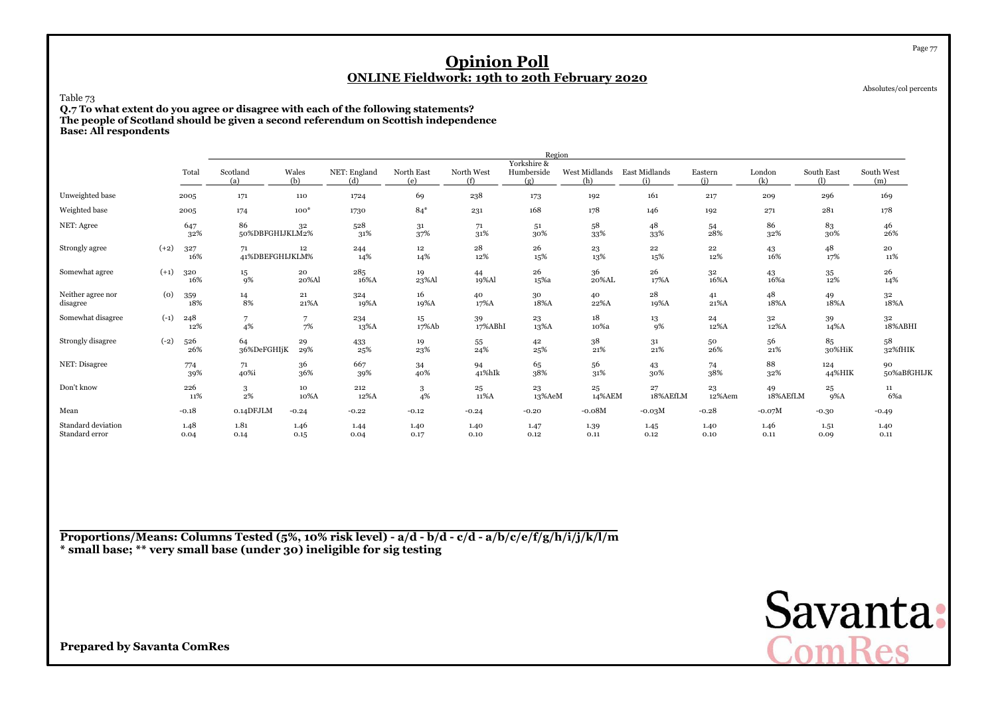Absolutes/col percents

Page 77

### Table 73

 **Q.7 To what extent do you agree or disagree with each of the following statements? The people of Scotland should be given a second referendum on Scottish independenceBase: All respondents**

|                                      |        |              |                       |              |                     |                   |                   | Region                           |                      |                      |                |                        |                   |                   |
|--------------------------------------|--------|--------------|-----------------------|--------------|---------------------|-------------------|-------------------|----------------------------------|----------------------|----------------------|----------------|------------------------|-------------------|-------------------|
|                                      |        | Total        | Scotland<br>(a)       | Wales<br>(b) | NET: England<br>(d) | North East<br>(e) | North West<br>(f) | Yorkshire &<br>Humberside<br>(g) | West Midlands<br>(h) | East Midlands<br>(i) | Eastern<br>(i) | London<br>(k)          | South East<br>(1) | South West<br>(m) |
| Unweighted base                      |        | 2005         | 171                   | 110          | 1724                | 69                | 238               | 173                              | 192                  | 161                  | 217            | 209                    | 296               | 169               |
| Weighted base                        |        | 2005         | 174                   | $100*$       | 1730                | $84*$             | 231               | 168                              | 178                  | 146                  | 192            | 271                    | 281               | 178               |
| NET: Agree                           |        | 647<br>32%   | 86<br>50%DBFGHIJKLM2% | 32           | 528<br>31%          | 31<br>37%         | 71<br>31%         | 5 <sup>1</sup><br>30%            | 58<br>33%            | 48<br>33%            | 54<br>28%      | 86<br>32%              | 83<br>30%         | 46<br>26%         |
| Strongly agree                       | $(+2)$ | 327<br>16%   | 71<br>41%DBEFGHIJKLM% | 12           | 244<br>14%          | 12<br>14%         | 28<br>12%         | 26<br>15%                        | 23<br>13%            | 22<br>15%            | 22<br>12%      | 43<br>16%              | 48<br>17%         | 20<br>11%         |
| Somewhat agree                       | $(+1)$ | 320<br>16%   | $15\,$<br>9%          | 20<br>20%Al  | 285<br>16%A         | 19<br>23%Al       | 44<br>19%Al       | 26<br>15%a                       | 36<br>20%AL          | 26<br>17%A           | 32<br>16%A     | 43<br>16%a             | 35<br>12%         | 26<br>14%         |
| Neither agree nor<br>disagree        | (0)    | 359<br>18%   | 14<br>8%              | 21<br>21%A   | 324<br>19%A         | 16<br>19%A        | 40<br>17%A        | 30<br>18%A                       | 40<br>22%A           | 28<br>19%A           | 41<br>21%A     | 48<br>18%A             | 49<br>18%A        | 32<br>18%A        |
| Somewhat disagree                    | $(-1)$ | 248<br>12%   | 7<br>4%               | 7<br>7%      | 234<br>13%A         | 15<br>17%Ab       | 39<br>17%ABhI     | 23<br>13%A                       | 18<br>10%a           | 13<br>9%             | 24<br>12%A     | 3 <sup>2</sup><br>12%A | 39<br>14%A        | 32<br>18%ABHI     |
| Strongly disagree                    | $(-2)$ | 526<br>26%   | 64<br>36%DeFGHIjK     | 29<br>29%    | 433<br>25%          | 19<br>23%         | 55<br>24%         | 42<br>25%                        | 38<br>21%            | 31<br>21%            | 50<br>26%      | 56<br>21%              | 85<br>30%HiK      | 58<br>32%fHIK     |
| NET: Disagree                        |        | 774<br>39%   | 71<br>40%i            | 36<br>36%    | 667<br>39%          | 34<br>40%         | 94<br>41%hIk      | 65<br>38%                        | 56<br>31%            | 43<br>30%            | 74<br>38%      | 88<br>32%              | 124<br>44%HIK     | 90<br>50%aBfGHIJK |
| Don't know                           |        | 226<br>11%   | 3<br>$2\%$            | 10<br>10%A   | 212<br>12%A         | 3<br>4%           | 25<br>11%A        | 23<br>13%AeM                     | 25<br>14%AEM         | 27<br>18%AEfLM       | 23<br>12%Aem   | 49<br>18%AEfLM         | 25<br>9%A         | 11<br>6%a         |
| Mean                                 |        | $-0.18$      | 0.14DFJLM             | $-0.24$      | $-0.22$             | $-0.12$           | $-0.24$           | $-0.20$                          | $-0.08M$             | $-0.03M$             | $-0.28$        | $-0.07M$               | $-0.30$           | $-0.49$           |
| Standard deviation<br>Standard error |        | 1.48<br>0.04 | 1.81<br>0.14          | 1.46<br>0.15 | 1.44<br>0.04        | 1.40<br>0.17      | 1.40<br>0.10      | 1.47<br>0.12                     | 1.39<br>0.11         | 1.45<br>0.12         | 1.40<br>0.10   | 1.46<br>0.11           | 1.51<br>0.09      | 1.40<br>0.11      |

**Proportions/Means: Columns Tested (5%, 10% risk level) - a/d - b/d - c/d - a/b/c/e/f/g/h/i/j/k/l/m\* small base; \*\* very small base (under 30) ineligible for sig testing**

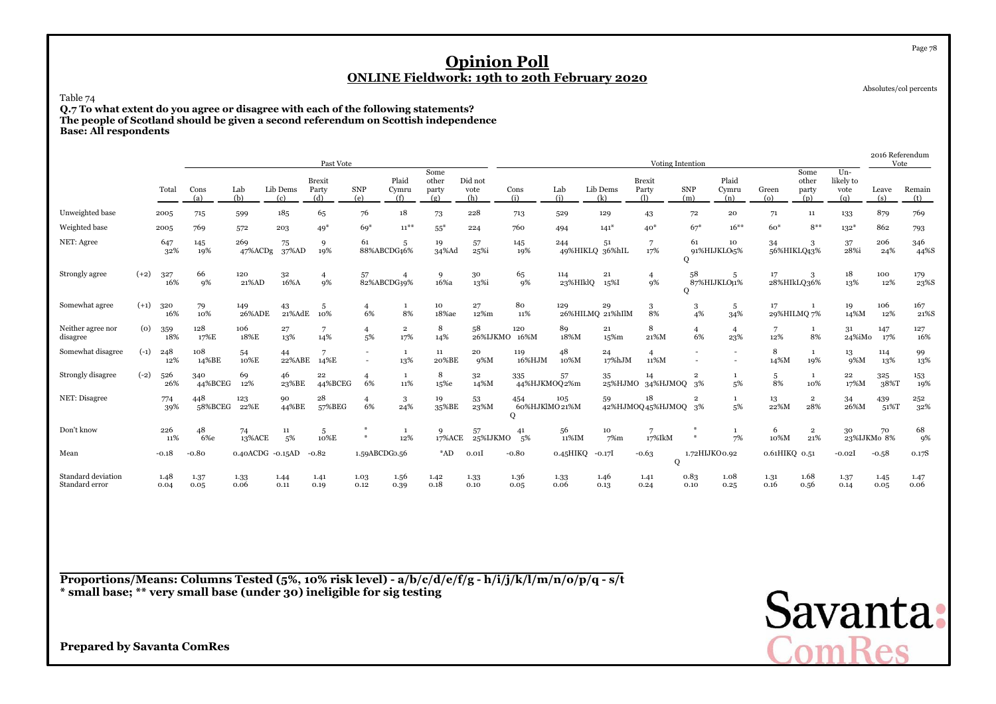Absolutes/col percents

Page 78

### Table 74

 **Q.7 To what extent do you agree or disagree with each of the following statements? The people of Scotland should be given a second referendum on Scottish independenceBase: All respondents**

|                                      |                    |              |                |                  |                 | Past Vote              |                                    |                                |                               |                        |                           |                        |                        | Voting Intention              |                          |                                |               |                               |                                   | Vote              | 2016 Referendum |
|--------------------------------------|--------------------|--------------|----------------|------------------|-----------------|------------------------|------------------------------------|--------------------------------|-------------------------------|------------------------|---------------------------|------------------------|------------------------|-------------------------------|--------------------------|--------------------------------|---------------|-------------------------------|-----------------------------------|-------------------|-----------------|
|                                      |                    | Total        | Cons<br>(a)    | Lab<br>(b)       | Lib Dems<br>(c) | Brexit<br>Party<br>(d) | <b>SNP</b><br>(e)                  | Plaid<br>Cymru<br>(f)          | Some<br>other<br>party<br>(g) | Did not<br>vote<br>(h) | Cons<br>(i)               | Lab<br>(i)             | Lib Dems<br>(k)        | <b>Brexit</b><br>Party<br>(1) | <b>SNP</b><br>(m)        | Plaid<br>Cymru<br>(n)          | Green<br>(o)  | Some<br>other<br>party<br>(p) | $Un-$<br>likely to<br>vote<br>(q) | Leave<br>(s)      | Remain<br>(t)   |
| Unweighted base                      |                    | 2005         | 715            | 599              | 185             | 65                     | 76                                 | 18                             | 73                            | 228                    | 713                       | 529                    | 129                    | 43                            | 72                       | 20                             | 71            | $11\,$                        | 133                               | 879               | 769             |
| Weighted base                        |                    | 2005         | 769            | 572              | 203             | $49*$                  | $69*$                              | $11***$                        | $55*$                         | 224                    | 760                       | 494                    | $141*$                 | $40*$                         | $67*$                    | $16***$                        | $60*$         | $8***$                        | $132*$                            | 862               | 793             |
| NET: Agree                           |                    | 647<br>32%   | 145<br>19%     | 269<br>47%ACDg   | 75<br>37%AD     | 9<br>19%               | 61<br>88%ABCDG46%                  | 5                              | 19<br>34%Ad                   | 57<br>25%i             | 145<br>19%                | 244<br>49%HIKLQ 36%hIL | 51                     | 7<br>17%                      | 61<br>Q                  | 10<br>91%HIJKLO <sub>5</sub> % | 34            | 3<br>56%HIKLQ43%              | 37<br>28%i                        | 206<br>24%        | 346<br>44%S     |
| Strongly agree                       | $(+2)$             | 327<br>16%   | 66<br>9%       | 120<br>21%AD     | 32<br>16%A      | 9%                     | 57<br>82%ABCDG39%                  |                                | 9<br>16%a                     | 30<br>13%i             | 65<br>9%                  | 114<br>23%HIklQ        | 21<br>15%I             | $\overline{4}$<br>9%          | 58<br>0                  | -5<br>87%HIJKLO31%             | 17            | 3<br>28%HIkLQ36%              | 18<br>13%                         | 100<br>12%        | 179<br>23%S     |
| Somewhat agree                       | $(+1)$             | 320<br>16%   | 79<br>10%      | 149<br>26%ADE    | 43<br>21%AdE    | 5<br>10%               | $\overline{4}$<br>6%               | 1<br>8%                        | 10<br>18%ae                   | 27<br>12%m             | 80<br>11%                 | 129                    | 29<br>26%HILMQ 21%hIlM | 3<br>8%                       | 3<br>4%                  | 5<br>34%                       | 17            | -1<br>29%HILMQ 7%             | 19<br>14%M                        | 106<br>12%        | 167<br>21%S     |
| Neither agree nor<br>disagree        | $\left( 0 \right)$ | 359<br>18%   | 128<br>17%E    | 106<br>18%E      | 27<br>13%       | 14%                    | $\overline{4}$<br>5%               | $\overline{\mathbf{2}}$<br>17% | 8<br>14%                      | 58<br>26%IJKMO 16%M    | 120                       | 89<br>18%M             | 21<br>15%m             | 8<br>21%M                     | $\overline{4}$<br>6%     | $\overline{4}$<br>23%          | 12%           | 1<br>8%                       | 31<br>24%iMo                      | 147<br>17%        | 127<br>16%      |
| Somewhat disagree                    | $(-1)$             | 248<br>12%   | 108<br>14%BE   | 54<br>10%E       | 44<br>22%ABE    | 14%E                   | $\overline{\phantom{a}}$<br>$\sim$ | -1<br>13%                      | 11<br>20%BE                   | 20<br>9%M              | 119<br>16%HJM             | 48<br>10%M             | 24<br>17%hJM           | $\overline{4}$<br>11%M        | $\overline{\phantom{a}}$ | $\overline{\phantom{a}}$       | 8<br>14%M     | $\mathbf{1}$<br>19%           | 13<br>$9\%M$                      | 114<br>13%        | 99<br>13%       |
| Strongly disagree                    | $(-2)$             | 526<br>26%   | 340<br>44%BCEG | 69<br>12%        | 46<br>23%BE     | 22<br>44%BCEG          | $\overline{4}$<br>6%               | -1<br>11%                      | 8<br>15%e                     | 32<br>14%M             | 335<br>44%HJKMOQ2%m       | 57                     | 35<br>25%HJMO          | 14<br>34%HJMOQ 3%             | $\overline{2}$           | 5%                             | 5<br>8%       | $\mathbf{1}$<br>10%           | 22<br>17%M                        | 325<br>38%T       | 153<br>19%      |
| NET: Disagree                        |                    | 774<br>39%   | 448<br>58%BCEG | 123<br>22%E      | 90<br>44%BE     | 28<br>57%BEG           | $\overline{4}$<br>6%               | 3<br>24%                       | 19<br>35%BE                   | 53<br>23%M             | 454<br>60%HJKlMO21%M<br>Q | 105                    | 59                     | 18<br>42%HJMOQ45%HJMOQ 3%     | $\overline{2}$           | 5%                             | 13<br>22%M    | $\overline{2}$<br>28%         | 34<br>26%M                        | 439<br>51%T       | 252<br>32%      |
| Don't know                           |                    | 226<br>11%   | 48<br>6%e      | 74<br>13%ACE     | 11<br>5%        | 5<br>10%E              | ₩<br>$\frac{M}{N}$                 | $\mathbf{1}$<br>12%            | 9<br>17%ACE                   | 57<br>25%IJKMO         | 41<br>.5%                 | 56<br>11%IM            | 10<br>7%m              | 7<br>17%IkM                   | 美<br>$\frac{M}{N}$       | 7%                             | 6<br>10%M     | $\overline{2}$<br>21%         | 30                                | 70<br>23%IJKMo 8% | 68<br>9%        |
| Mean                                 |                    | $-0.18$      | $-0.80$        | 0.40ACDG -0.15AD |                 | $-0.82$                | 1.59ABCDG0.56                      |                                | $*AD$                         | 0.01                   | $-0.80$                   | 0.45HIKQ               | -0.17I                 | $-0.63$<br>Q                  | 1.72HIJKO0.92            |                                | 0.61HIKQ 0.51 |                               | $-0.02$ <sup>I</sup>              | $-0.58$           | 0.17S           |
| Standard deviation<br>Standard error |                    | 1.48<br>0.04 | 1.37<br>0.05   | 1.33<br>0.06     | 1.44<br>0.11    | 1.41<br>0.19           | 1.03<br>0.12                       | 1.56<br>0.39                   | 1.42<br>0.18                  | 1.33<br>0.10           | 1.36<br>0.05              | 1.33<br>0.06           | 1.46<br>0.13           | 1.41<br>0.24                  | 0.83<br>0.10             | 1.08<br>0.25                   | 1.31<br>0.16  | 1.68<br>0.56                  | 1.37<br>0.14                      | 1.45<br>0.05      | 1.47<br>0.06    |

**Proportions/Means: Columns Tested (5%, 10% risk level) - a/b/c/d/e/f/g - h/i/j/k/l/m/n/o/p/q - s/t\* small base; \*\* very small base (under 30) ineligible for sig testing**

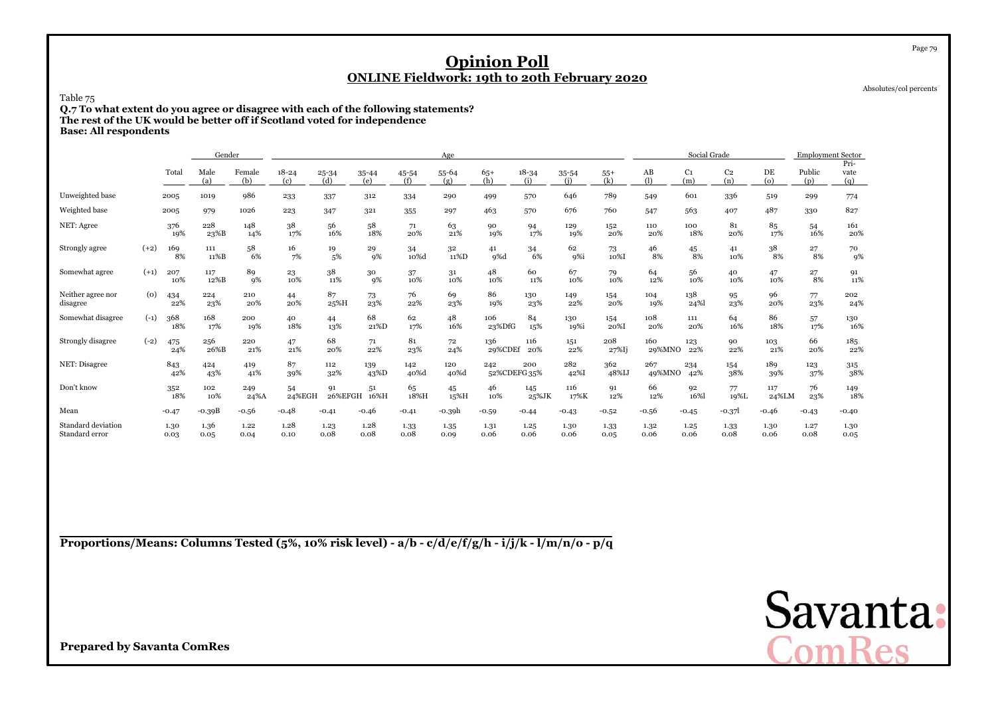Absolutes/col percents

Page 79

### Table 75

 **Q.7 To what extent do you agree or disagree with each of the following statements?The rest of the UK would be better off if Scotland voted for independenceBase: All respondents**

|                                      |        |              | Gender       |               |                  |               |              |              | Age          |                |                     |              |                  |                               | Social Grade          |                       |               | <b>Employment Sector</b> |                     |
|--------------------------------------|--------|--------------|--------------|---------------|------------------|---------------|--------------|--------------|--------------|----------------|---------------------|--------------|------------------|-------------------------------|-----------------------|-----------------------|---------------|--------------------------|---------------------|
|                                      |        | Total        | Male<br>(a)  | Female<br>(b) | $18 - 24$<br>(c) | 25-34<br>(d)  | 35-44<br>(e) | 45-54<br>(f) | 55-64<br>(g) | $65+$<br>(h)   | $18 - 34$<br>(i)    | 35-54<br>(i) | $55+$<br>(k)     | $\mathbf{A}\mathbf{B}$<br>(1) | C <sub>1</sub><br>(m) | C <sub>2</sub><br>(n) | DE<br>$\circ$ | Public<br>(p)            | Pri-<br>vate<br>(q) |
| Unweighted base                      |        | 2005         | 1019         | 986           | 233              | 337           | 312          | 334          | 290          | 499            | 570                 | 646          | 789              | 549                           | 601                   | 336                   | 519           | 299                      | 774                 |
| Weighted base                        |        | 2005         | 979          | 1026          | 223              | 347           | 321          | 355          | 297          | 463            | 570                 | 676          | 760              | 547                           | 563                   | 407                   | 487           | 330                      | 827                 |
| NET: Agree                           |        | 376<br>19%   | 228<br>23%B  | 148<br>14%    | 38<br>17%        | 56<br>16%     | 58<br>18%    | 71<br>20%    | 63<br>21%    | 90<br>19%      | 94<br>17%           | 129<br>19%   | 152<br>20%       | 110<br>20%                    | 100<br>18%            | 81<br>20%             | 85<br>17%     | 54<br>16%                | 161<br>20%          |
| Strongly agree                       | $(+2)$ | 169<br>8%    | 111<br>11%B  | 58<br>6%      | 16<br>7%         | 19<br>5%      | 29<br>9%     | 34<br>10%d   | 32<br>11%D   | 41<br>9%d      | 34<br>6%            | 62<br>9%i    | 73<br>10%I       | 46<br>8%                      | 45<br>8%              | 41<br>10%             | 38<br>8%      | 27<br>8%                 | 70<br>9%            |
| Somewhat agree                       | $(+1)$ | 207<br>10%   | 117<br>12%B  | 89<br>9%      | 23<br>10%        | 38<br>11%     | 30<br>9%     | 37<br>10%    | 31<br>10%    | 48<br>10%      | 60<br>11%           | 67<br>10%    | 79<br>10%        | 64<br>12%                     | 56<br>10%             | 40<br>10%             | 47<br>10%     | 27<br>8%                 | 91<br>11%           |
| Neither agree nor<br>disagree        | (0)    | 434<br>22%   | 224<br>23%   | 210<br>20%    | 44<br>20%        | 87<br>25%H    | 73<br>23%    | 76<br>22%    | 69<br>23%    | 86<br>19%      | 130<br>23%          | 149<br>22%   | 154<br>20%       | 104<br>19%                    | 138<br>24%            | 95<br>23%             | 96<br>20%     | 77<br>23%                | 202<br>24%          |
| Somewhat disagree                    | $(-1)$ | 368<br>18%   | 168<br>17%   | 200<br>19%    | 40<br>18%        | 44<br>13%     | 68<br>21%D   | 62<br>17%    | 48<br>16%    | 106<br>23%DfG  | 84<br>15%           | 130<br>19%i  | 154<br>20%I      | 108<br>20%                    | 111<br>20%            | 64<br>16%             | 86<br>18%     | 57<br>17%                | 130<br>16%          |
| Strongly disagree                    | $(-2)$ | 475<br>24%   | 256<br>26%B  | 220<br>21%    | 47<br>21%        | 68<br>20%     | 71<br>22%    | 81<br>23%    | 72<br>24%    | 136<br>29%CDEf | 116<br>20%          | 151<br>22%   | 208<br>$27\%$ Ij | 160<br>29%MNO                 | 123<br>22%            | 90<br>22%             | 103<br>21%    | 66<br>20%                | 185<br>22%          |
| NET: Disagree                        |        | 843<br>42%   | 424<br>43%   | 419<br>41%    | 87<br>39%        | 112<br>32%    | 139<br>43%D  | 142<br>40%d  | 120<br>40%d  | 242            | 200<br>52%CDEFG 35% | 282<br>42%I  | 362<br>48%IJ     | 267<br>49%MNO                 | 234<br>42%            | 154<br>38%            | 189<br>39%    | 123<br>37%               | 315<br>38%          |
| Don't know                           |        | 352<br>18%   | 102<br>10%   | 249<br>24%A   | 54<br>24%EGH     | 91<br>26%EFGH | 51<br>16%H   | 65<br>18%H   | 45<br>15%H   | 46<br>10%      | 145<br>25%JK        | 116<br>17%K  | 91<br>12%        | 66<br>12%                     | 92<br>16%             | 77<br>19%L            | 117<br>24%LM  | 76<br>23%                | 149<br>18%          |
| Mean                                 |        | $-0.47$      | $-0.39B$     | $-0.56$       | $-0.48$          | $-0.41$       | $-0.46$      | $-0.41$      | -0.39h       | $-0.59$        | $-0.44$             | $-0.43$      | $-0.52$          | $-0.56$                       | $-0.45$               | $-0.37$               | $-0.46$       | $-0.43$                  | $-0.40$             |
| Standard deviation<br>Standard error |        | 1.30<br>0.03 | 1.36<br>0.05 | 1.22<br>0.04  | 1.28<br>0.10     | 1.23<br>0.08  | 1.28<br>0.08 | 1.33<br>0.08 | 1.35<br>0.09 | 1.31<br>0.06   | 1.25<br>0.06        | 1.30<br>0.06 | 1.33<br>0.05     | 1.32<br>0.06                  | 1.25<br>0.06          | 1.33<br>0.08          | 1.30<br>0.06  | 1.27<br>0.08             | 1.30<br>0.05        |

**Proportions/Means: Columns Tested (5%, 10% risk level) - a/b - c/d/e/f/g/h - i/j/k - l/m/n/o - p/q**

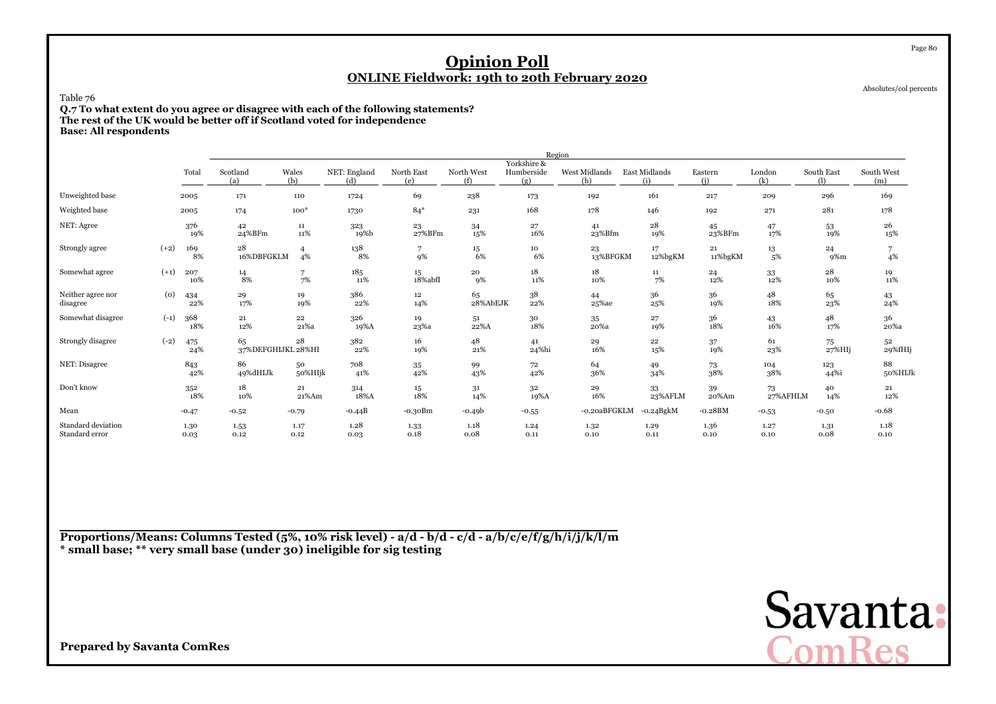Absolutes/col percents

Page 80

### Table 76

 **Q.7 To what extent do you agree or disagree with each of the following statements?The rest of the UK would be better off if Scotland voted for independenceBase: All respondents**

|                                      |        |              |                          |                      |                     |                   |                   |                                  | Region               |                      |                |                |                   |                   |
|--------------------------------------|--------|--------------|--------------------------|----------------------|---------------------|-------------------|-------------------|----------------------------------|----------------------|----------------------|----------------|----------------|-------------------|-------------------|
|                                      |        | Total        | Scotland<br>(a)          | Wales<br>(b)         | NET: England<br>(d) | North East<br>(e) | North West<br>(f) | Yorkshire &<br>Humberside<br>(g) | West Midlands<br>(h) | East Midlands<br>(i) | Eastern<br>(i) | London<br>(k)  | South East<br>(1) | South West<br>(m) |
| Unweighted base                      |        | 2005         | 171                      | 110                  | 1724                | 69                | 238               | 173                              | 192                  | 161                  | 217            | 209            | 296               | 169               |
| Weighted base                        |        | 2005         | 174                      | $100*$               | 1730                | $84*$             | 231               | 168                              | 178                  | 146                  | 192            | 271            | 281               | 178               |
| NET: Agree                           |        | 376<br>19%   | 42<br>24%BFm             | 11<br>11%            | 323<br>19%b         | 23<br>27%BFm      | 34<br>15%         | 27<br>16%                        | 41<br>23%Bfm         | 28<br>19%            | 45<br>23%BFm   | 47<br>17%      | 53<br>19%         | 26<br>15%         |
| Strongly agree                       | $(+2)$ | 169<br>8%    | 28<br>16%DBFGKLM         | $\overline{4}$<br>4% | 138<br>8%           | 9%                | $15\,$<br>6%      | 10<br>6%                         | 23<br>13%BFGKM       | 17<br>12%bgKM        | 21<br>11%bgKM  | 13<br>5%       | 24<br>9%m         | 4%                |
| Somewhat agree                       | $(+1)$ | 207<br>10%   | 14<br>8%                 | 7<br>7%              | 185<br>11%          | 15<br>18%abfI     | 20<br>9%          | 18<br>11%                        | 18<br>10%            | $11\,$<br>7%         | 24<br>12%      | 33<br>12%      | 28<br>10%         | 19<br>11%         |
| Neither agree nor<br>disagree        | (0)    | 434<br>22%   | 29<br>17%                | 19<br>19%            | 386<br>22%          | 12<br>14%         | 65<br>28%AbEJK    | 38<br>22%                        | 44<br>25%ae          | 36<br>25%            | 36<br>19%      | 48<br>18%      | 65<br>23%         | 43<br>24%         |
| Somewhat disagree                    | $(-1)$ | 368<br>18%   | $\bf 21$<br>12%          | $\bf{^{22}}$<br>21%a | 326<br>19%A         | 19<br>23%a        | 51<br>22%A        | $30\,$<br>18%                    | 35<br>20%a           | 27<br>19%            | 36<br>18%      | 43<br>16%      | 48<br>17%         | 36<br>$20\%$ a    |
| Strongly disagree                    | $(-2)$ | 475<br>24%   | 65<br>37%DEFGHIJKL 28%HI | 28                   | 382<br>22%          | 16<br>19%         | 48<br>21%         | 41<br>24%hi                      | 29<br>16%            | $\bf{^{22}}$<br>15%  | 37<br>19%      | 61<br>23%      | 75<br>$27\%$ HIj  | 52<br>29%fHIj     |
| NET: Disagree                        |        | 843<br>42%   | 86<br>49%dHIJk           | 50<br>50%HIjk        | 708<br>41%          | 35<br>42%         | 99<br>43%         | 72<br>42%                        | 64<br>36%            | 49<br>34%            | 73<br>38%      | 104<br>38%     | 123<br>44%i       | 88<br>50%HIJk     |
| Don't know                           |        | 352<br>18%   | 18<br>10%                | 21<br>21%Am          | 314<br>18%A         | 15<br>18%         | 31<br>14%         | 32<br>19%A                       | 29<br>16%            | 33<br>23%AFLM        | 39<br>20%Am    | 73<br>27%AFHLM | 40<br>14%         | 21<br>12%         |
| Mean                                 |        | $-0.47$      | $-0.52$                  | $-0.79$              | $-0.44B$            | $-0.30Bm$         | $-0.49b$          | $-0.55$                          | -0.20aBFGKLM         | $-0.24BgkM$          | $-0.28BM$      | $-0.53$        | $-0.50$           | $-0.68$           |
| Standard deviation<br>Standard error |        | 1.30<br>0.03 | 1.53<br>0.12             | 1.17<br>0.12         | 1.28<br>0.03        | 1.33<br>0.18      | 1.18<br>0.08      | 1.24<br>0.11                     | 1.32<br>0.10         | 1.29<br>0.11         | 1.36<br>0.10   | 1.27<br>0.10   | 1.31<br>0.08      | 1.18<br>0.10      |

**Proportions/Means: Columns Tested (5%, 10% risk level) - a/d - b/d - c/d - a/b/c/e/f/g/h/i/j/k/l/m\* small base; \*\* very small base (under 30) ineligible for sig testing**

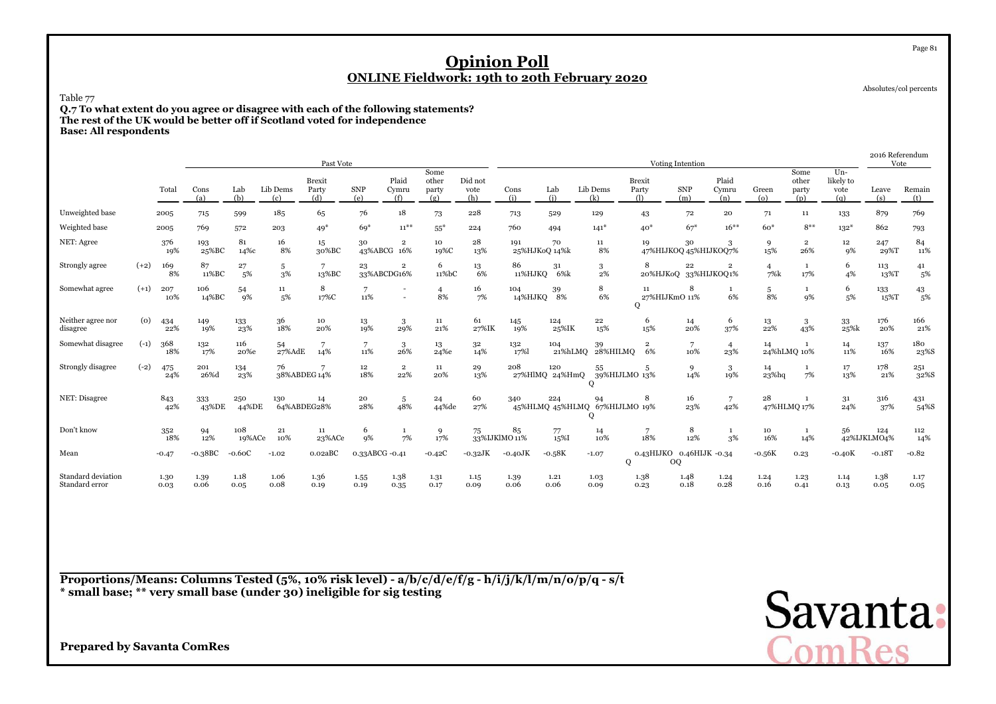Absolutes/col percents

Page 81

Table 77

 **Q.7 To what extent do you agree or disagree with each of the following statements?The rest of the UK would be better off if Scotland voted for independenceBase: All respondents**

|                                      |                    |              |              |               |                    | Past Vote                     |                   |                               |                               |                        |                      |                       |                                          |                                    | Voting Intention      |                               |                             |                               |                                   | 2016 Referendum<br>Vote |               |
|--------------------------------------|--------------------|--------------|--------------|---------------|--------------------|-------------------------------|-------------------|-------------------------------|-------------------------------|------------------------|----------------------|-----------------------|------------------------------------------|------------------------------------|-----------------------|-------------------------------|-----------------------------|-------------------------------|-----------------------------------|-------------------------|---------------|
|                                      |                    | Total        | Cons<br>(a)  | Lab<br>(b)    | Lib Dems<br>(c)    | <b>Brexit</b><br>Party<br>(d) | <b>SNP</b><br>(e) | Plaid<br>Cymru<br>(f)         | Some<br>other<br>party<br>(g) | Did not<br>vote<br>(h) | Cons<br>(i)          | Lab<br>(i)            | Lib Dems<br>(k)                          | <b>Brexit</b><br>Party<br>$\Omega$ | <b>SNP</b><br>(m)     | Plaid<br>Cymru<br>(n)         | Green<br>$\left( 0 \right)$ | Some<br>other<br>party<br>(p) | $Un-$<br>likely to<br>vote<br>(q) | Leave<br>(s)            | Remain<br>(t) |
| Unweighted base                      |                    | 2005         | 715          | 599           | 185                | 65                            | 76                | 18                            | 73                            | 228                    | 713                  | 529                   | 129                                      | 43                                 | 72                    | 20                            | 71                          | 11                            | 133                               | 879                     | 769           |
| Weighted base                        |                    | 2005         | 769          | 572           | 203                | $49*$                         | $69*$             | $11^{**}$                     | $55*$                         | 224                    | 760                  | 494                   | $141*$                                   | $40*$                              | $67*$                 | $16***$                       | $60*$                       | $8***$                        | $132*$                            | 862                     | 793           |
| NET: Agree                           |                    | 376<br>19%   | 193<br>25%BC | 81<br>14%с    | 16<br>8%           | 15<br>30%BC                   | 30                | $\overline{2}$<br>43%ABCG 16% | 10<br>19%C                    | 28<br>13%              | 191<br>25%HJKoQ 14%k | 70                    | 11<br>8%                                 | 19<br>47%HIJKOQ 45%HIJKOQ7%        | 30                    | 3                             | 9<br>15%                    | $\overline{2}$<br>26%         | 12<br>9%                          | 247<br>29%T             | 84<br>11%     |
| Strongly agree                       | $(+2)$             | 169<br>8%    | 87<br>11%BC  | 27<br>5%      | 5<br>3%            | $\overline{7}$<br>13%BC       | 23                | $\overline{2}$<br>33%ABCDG16% | 6<br>11%bC                    | 13<br>6%               | 86<br>11%HJKQ        | 31<br>6%k             | 3<br>2%                                  | 8<br>20%HJKoQ                      | 22                    | $\overline{2}$<br>33%HIJKOQ1% | $\overline{4}$<br>7%k       | $\mathbf{1}$<br>17%           | 6<br>4%                           | 113<br>13%T             | 41<br>5%      |
| Somewhat agree                       | $(+1)$             | 207<br>10%   | 106<br>14%BC | 54<br>9%      | 11<br>5%           | 8<br>17%C                     | 7<br>11%          |                               | $\overline{4}$<br>8%          | 16<br>7%               | 104<br>14%HJKQ 8%    | 39                    | 8<br>6%                                  | 11<br>27%HIJKmO 11%<br>$\circ$     | 8                     | 6%                            | 5<br>8%                     | $\mathbf{1}$<br>9%            | 6<br>5%                           | 133<br>15%T             | 43<br>5%      |
| Neither agree nor<br>disagree        | $\left( 0 \right)$ | 434<br>22%   | 149<br>19%   | 133<br>23%    | 36<br>18%          | 10<br>20%                     | 13<br>19%         | 3<br>29%                      | 11<br>21%                     | 61<br>27%IK            | 145<br>19%           | 124<br>25%IK          | 22<br>15%                                | 6<br>15%                           | 14<br>20%             | 6<br>37%                      | 13<br>22%                   | 3<br>43%                      | 33<br>25%k                        | 176<br>20%              | 166<br>21%    |
| Somewhat disagree                    | $(-1)$             | 368<br>18%   | 132<br>17%   | 116<br>20%e   | 54<br>27%AdE       | 14%                           | 7<br>11%          | 3<br>26%                      | 13<br>24%e                    | 32<br>14%              | 132<br>17%           | 104<br>21%hLMO        | 39<br>28%HILMQ                           | $\overline{2}$<br>6%               | $\overline{7}$<br>10% | $\overline{4}$<br>23%         | 14                          | <sup>1</sup><br>24%hLMQ 10%   | 14<br>11%                         | 137<br>16%              | 180<br>23%S   |
| Strongly disagree                    | $(-2)$             | 475<br>24%   | 201<br>26%d  | 134<br>23%    | 76<br>38%ABDEG 14% |                               | $12 \,$<br>18%    | $\,2\,$<br>22%                | 11<br>20%                     | 29<br>13%              | 208                  | 120<br>27%HlMQ 24%HmQ | 55<br>39%HIJLMO 13%<br>О                 | 5                                  | 9<br>14%              | 3<br>19%                      | 14<br>$23%$ hq              | 1<br>7%                       | 17<br>13%                         | 178<br>21%              | 251<br>32%S   |
| NET: Disagree                        |                    | 843<br>42%   | 333<br>43%DE | 250<br>44%DE  | 130<br>64%ABDEG28% | 14                            | 20<br>28%         | 5<br>48%                      | 24<br>44%de                   | 60<br>27%              | 340                  | 224                   | 94<br>45%HLMQ 45%HLMQ 67%HIJLMO 19%<br>о | 8                                  | 16<br>23%             | 7<br>42%                      | 28                          | -1<br>47%HLMQ 17%             | 31<br>24%                         | 316<br>37%              | 431<br>54%S   |
| Don't know                           |                    | 352<br>18%   | 94<br>12%    | 108<br>19%ACe | 21<br>10%          | 11<br>23%ACe                  | 6<br>9%           | -1<br>7%                      | 9<br>17%                      | 75                     | 85<br>33%IJKlMO 11%  | 77<br>15%I            | 14<br>10%                                | 7<br>18%                           | 8<br>12%              | $\mathbf{1}$<br>3%            | 10<br>16%                   | <sup>1</sup><br>14%           | 56                                | 124<br>42%IJKLMO4%      | 112<br>14%    |
| Mean                                 |                    | $-0.47$      | $-0.38BC$    | $-0.60C$      | $-1.02$            | 0.02aBC                       | 0.33ABCG -0.41    |                               | $-0.42C$                      | $-0.32\text{JK}$       | $-0.40$ JK           | $-0.58K$              | $-1.07$<br>Q                             | 0.43HIJKO<br><b>OQ</b>             | 0.46HIJK -0.34        |                               | $\text{-}0.56\mathrm{K}$    | 0.23                          | $-0.40K$                          | $-0.18T$                | $-0.82$       |
| Standard deviation<br>Standard error |                    | 1.30<br>0.03 | 1.39<br>0.06 | 1.18<br>0.05  | 1.06<br>0.08       | 1.36<br>0.19                  | 1.55<br>0.19      | 1.38<br>0.35                  | 1.31<br>0.17                  | 1.15<br>0.09           | 1.39<br>0.06         | 1.21<br>0.06          | 1.03<br>0.09                             | 1.38<br>0.23                       | 1.48<br>0.18          | 1.24<br>0.28                  | 1.24<br>0.16                | 1.23<br>0.41                  | 1.14<br>0.13                      | 1.38<br>0.05            | 1.17<br>0.05  |

**Proportions/Means: Columns Tested (5%, 10% risk level) - a/b/c/d/e/f/g - h/i/j/k/l/m/n/o/p/q - s/t\* small base; \*\* very small base (under 30) ineligible for sig testing**

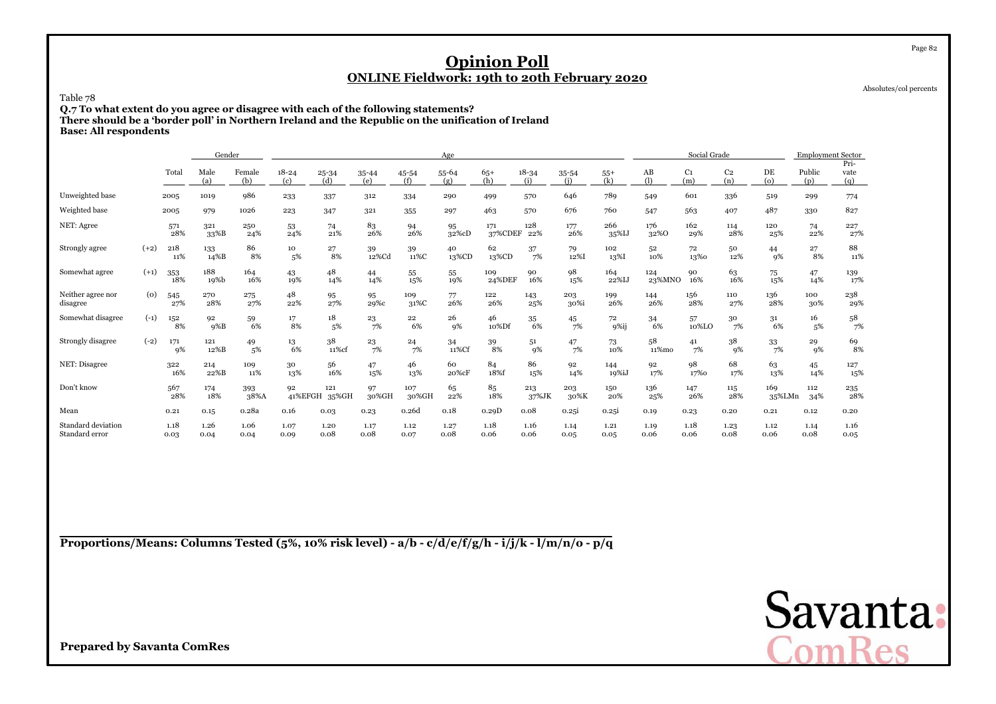Absolutes/col percents

Page 82

### Table 78

 **Q.7 To what extent do you agree or disagree with each of the following statements? There should be a 'border poll' in Northern Ireland and the Republic on the unification of IrelandBase: All respondents**

|                                      |        |              | Gender       |               |                  |                  |              |              | Age          |                        |                  |                  |              |                               | Social Grade          |                       |               | <b>Employment Sector</b> |                     |
|--------------------------------------|--------|--------------|--------------|---------------|------------------|------------------|--------------|--------------|--------------|------------------------|------------------|------------------|--------------|-------------------------------|-----------------------|-----------------------|---------------|--------------------------|---------------------|
|                                      |        | Total        | Male<br>(a)  | Female<br>(b) | $18 - 24$<br>(c) | $25 - 34$<br>(d) | 35-44<br>(e) | 45-54<br>(f) | 55-64<br>(g) | $65+$<br>(h)           | $18 - 34$<br>(i) | $35 - 54$<br>(i) | $55+$<br>(k) | $\mathbf{A}\mathbf{B}$<br>(1) | C <sub>1</sub><br>(m) | C <sub>2</sub><br>(n) | DE<br>(o)     | Public<br>(p)            | Pri-<br>vate<br>(q) |
| Unweighted base                      |        | 2005         | 1019         | 986           | 233              | 337              | 312          | 334          | 290          | 499                    | 570              | 646              | 789          | 549                           | 601                   | 336                   | 519           | 299                      | 774                 |
| Weighted base                        |        | 2005         | 979          | 1026          | 223              | 347              | 321          | 355          | 297          | 463                    | 570              | 676              | 760          | 547                           | 563                   | 407                   | 487           | 330                      | 827                 |
| NET: Agree                           |        | 571<br>28%   | 321<br>33%B  | 250<br>24%    | 53<br>24%        | 74<br>21%        | 83<br>26%    | 94<br>26%    | 95<br>32%cD  | 171<br>37%CDEF         | 128<br>22%       | 177<br>26%       | 266<br>35%IJ | 176<br>32%0                   | 162<br>29%            | 114<br>28%            | 120<br>25%    | 74<br>22%                | 227<br>27%          |
| Strongly agree                       | $(+2)$ | 218<br>11%   | 133<br>14%B  | 86<br>8%      | 10<br>5%         | 27<br>8%         | 39<br>12%Cd  | 39<br>11%C   | 40<br>13%CD  | 62<br>13%CD            | 37<br>7%         | 79<br>12%I       | 102<br>13%I  | 52<br>10%                     | 72<br>13%0            | 50<br>12%             | 44<br>9%      | 27<br>8%                 | 88<br>11%           |
| Somewhat agree                       | $(+1)$ | 353<br>18%   | 188<br>19%b  | 164<br>16%    | 43<br>19%        | 48<br>14%        | 44<br>14%    | 55<br>15%    | 55<br>19%    | 109<br>24%DEF          | 90<br>16%        | 98<br>15%        | 164<br>22%IJ | 124<br>23%MNO                 | 90<br>16%             | 63<br>16%             | 75<br>15%     | 47<br>14%                | 139<br>17%          |
| Neither agree nor<br>disagree        | (o)    | 545<br>27%   | 270<br>28%   | 275<br>27%    | 48<br>22%        | 95<br>27%        | 95<br>29%c   | 109<br>31%C  | 77<br>26%    | 122<br>26%             | 143<br>25%       | 203<br>30%i      | 199<br>26%   | 144<br>26%                    | 156<br>28%            | 110<br>27%            | 136<br>28%    | 100<br>30%               | 238<br>29%          |
| Somewhat disagree                    | $(-1)$ | 152<br>8%    | 92<br>$9\%B$ | 59<br>6%      | 17<br>8%         | 18<br>5%         | 23<br>7%     | 22<br>6%     | 26<br>9%     | 46<br>10%Df            | 35<br>6%         | 45<br>7%         | 72<br>9%ij   | 34<br>6%                      | 57<br>10%LO           | 30<br>7%              | 31<br>6%      | 16<br>5%                 | 58<br>7%            |
| Strongly disagree                    | $(-2)$ | 171<br>9%    | 121<br>12%B  | 49<br>5%      | 13<br>6%         | 38<br>11%cf      | 23<br>7%     | 24<br>7%     | 34<br>11%Cf  | $\substack{39 \\ 8\%}$ | 51<br>9%         | 47<br>7%         | 73<br>10%    | 58<br>11%mo                   | 41<br>7%              | 38<br>9%              | 33<br>7%      | 29<br>9%                 | 69<br>8%            |
| NET: Disagree                        |        | 322<br>16%   | 214<br>22%B  | 109<br>11%    | 30<br>13%        | 56<br>16%        | 47<br>15%    | 46<br>13%    | 60<br>20%cF  | 84<br>18%f             | 86<br>15%        | 92<br>14%        | 144<br>19%iJ | 92<br>17%                     | 98<br>17%0            | 68<br>17%             | 63<br>13%     | 45<br>14%                | 127<br>15%          |
| Don't know                           |        | 567<br>28%   | 174<br>18%   | 393<br>38%A   | 92<br>41%EFGH    | 121<br>35%GH     | 97<br>30%GH  | 107<br>30%GH | 65<br>22%    | 85<br>18%              | 213<br>37%JK     | 203<br>30%K      | 150<br>20%   | 136<br>25%                    | 147<br>26%            | 115<br>28%            | 169<br>35%LMn | 112<br>34%               | 235<br>28%          |
| Mean                                 |        | 0.21         | 0.15         | 0.28a         | 0.16             | 0.03             | 0.23         | 0.26d        | 0.18         | 0.29D                  | 0.08             | 0.25i            | 0.25i        | 0.19                          | 0.23                  | 0.20                  | 0.21          | 0.12                     | 0.20                |
| Standard deviation<br>Standard error |        | 1.18<br>0.03 | 1.26<br>0.04 | 1.06<br>0.04  | 1.07<br>0.09     | 1.20<br>0.08     | 1.17<br>0.08 | 1.12<br>0.07 | 1.27<br>0.08 | 1.18<br>0.06           | 1.16<br>0.06     | 1.14<br>0.05     | 1.21<br>0.05 | 1.19<br>0.06                  | 1.18<br>0.06          | 1.23<br>0.08          | 1.12<br>0.06  | 1.14<br>0.08             | 1.16<br>0.05        |

**Proportions/Means: Columns Tested (5%, 10% risk level) - a/b - c/d/e/f/g/h - i/j/k - l/m/n/o - p/q**

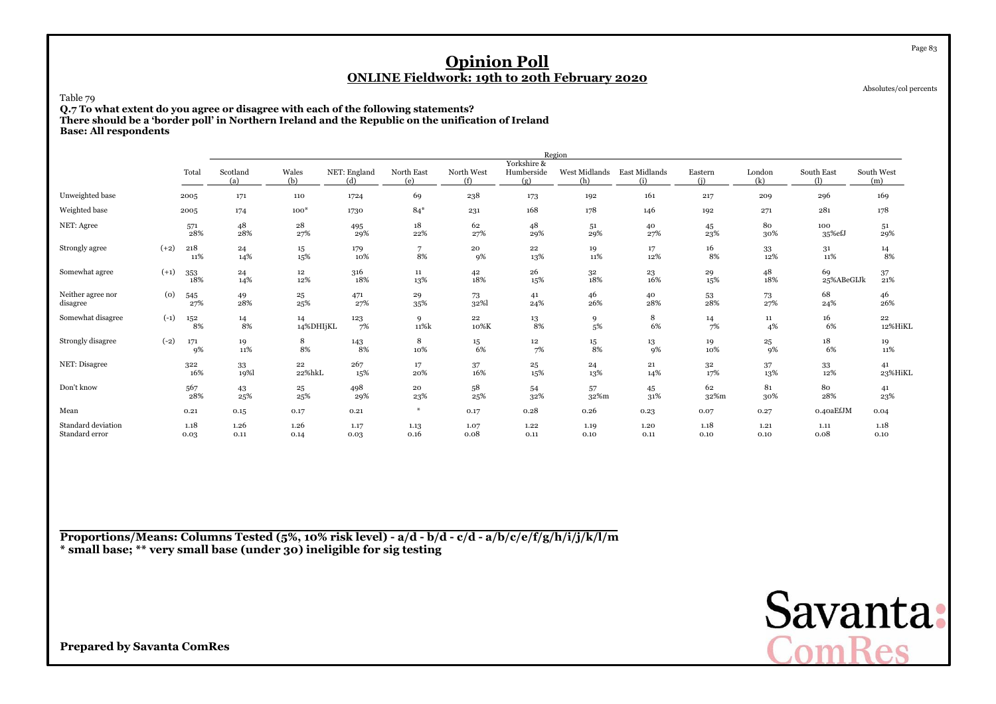Absolutes/col percents

Page 83

### Table 79

 **Q.7 To what extent do you agree or disagree with each of the following statements? There should be a 'border poll' in Northern Ireland and the Republic on the unification of IrelandBase: All respondents**

|                                      |        |              |                  |                     |                     |                      |                   |                                  | Region               |                      |                |               |                  |                   |
|--------------------------------------|--------|--------------|------------------|---------------------|---------------------|----------------------|-------------------|----------------------------------|----------------------|----------------------|----------------|---------------|------------------|-------------------|
|                                      |        | Total        | Scotland<br>(a)  | Wales<br>(b)        | NET: England<br>(d) | North East<br>(e)    | North West<br>(f) | Yorkshire &<br>Humberside<br>(g) | West Midlands<br>(h) | East Midlands<br>(i) | Eastern<br>(i) | London<br>(k) | South East       | South West<br>(m) |
| Unweighted base                      |        | 2005         | 171              | 110                 | 1724                | 69                   | 238               | 173                              | 192                  | 161                  | 217            | 209           | 296              | 169               |
| Weighted base                        |        | 2005         | 174              | $100*$              | 1730                | $84*$                | 231               | 168                              | 178                  | 146                  | 192            | 271           | 281              | 178               |
| NET: Agree                           |        | 571<br>28%   | 48<br>28%        | $\bf{^{28}}$<br>27% | 495<br>29%          | $18\,$<br>22%        | 62<br>27%         | 48<br>29%                        | 51<br>29%            | 40<br>27%            | 45<br>23%      | 80<br>30%     | 100<br>35%efJ    | 51<br>29%         |
| Strongly agree                       | $(+2)$ | 218<br>11%   | 24<br>14%        | 15<br>15%           | 179<br>10%          | $\overline{7}$<br>8% | 20<br>9%          | 22<br>13%                        | 19<br>11%            | 17<br>12%            | 16<br>8%       | 33<br>12%     | 31<br>11%        | $\frac{14}{8\%}$  |
| Somewhat agree                       | $(+1)$ | 353<br>18%   | 24<br>14%        | 12<br>12%           | 316<br>18%          | 11<br>13%            | 42<br>18%         | 26<br>15%                        | $32\,$<br>18%        | 23<br>16%            | 29<br>15%      | 48<br>18%     | 69<br>25%ABeGIJk | 37<br>21%         |
| Neither agree nor<br>disagree        | (0)    | 545<br>27%   | $\frac{49}{28%}$ | 25<br>25%           | 471<br>27%          | 29<br>35%            | 73<br>32%         | 41<br>24%                        | 46<br>26%            | 40<br>28%            | $^{53}_{28\%}$ | 73<br>27%     | 68<br>24%        | 46<br>26%         |
| Somewhat disagree                    | $(-1)$ | 152<br>8%    | $\frac{14}{8\%}$ | 14<br>14%DHIjKL     | 123<br>7%           | 9<br>11%k            | 22<br>10%K        | 13<br>8%                         | 9<br>5%              | 8<br>6%              | 14<br>7%       | 11<br>4%      | 16<br>6%         | 22<br>12%HiKL     |
| Strongly disagree                    | $(-2)$ | 171<br>9%    | 19<br>11%        | 8<br>8%             | 143<br>8%           | 8<br>10%             | 15<br>6%          | 12<br>7%                         | $15\,$<br>8%         | 13<br>9%             | 19<br>10%      | 25<br>9%      | 18<br>6%         | 19<br>11%         |
| NET: Disagree                        |        | 322<br>16%   | $33\,$<br>19%    | 22<br>22%hkL        | 267<br>15%          | 17<br>20%            | 37<br>16%         | 25<br>15%                        | 24<br>13%            | 21<br>14%            | 32<br>17%      | 37<br>13%     | 33<br>12%        | 41<br>23%HiKL     |
| Don't know                           |        | 567<br>28%   | 43<br>25%        | $^{25}$<br>25%      | 498<br>29%          | 20<br>23%            | 58<br>25%         | 54<br>32%                        | 57<br>32%m           | 45<br>31%            | 62<br>32%m     | 81<br>30%     | 80<br>28%        | 41<br>23%         |
| Mean                                 |        | 0.21         | 0.15             | 0.17                | 0.21                | $*$                  | 0.17              | 0.28                             | 0.26                 | 0.23                 | 0.07           | 0.27          | 0.40aEfJM        | 0.04              |
| Standard deviation<br>Standard error |        | 1.18<br>0.03 | 1.26<br>0.11     | 1.26<br>0.14        | 1.17<br>0.03        | 1.13<br>0.16         | 1.07<br>0.08      | 1.22<br>0.11                     | 1.19<br>0.10         | 1.20<br>0.11         | 1.18<br>0.10   | 1.21<br>0.10  | 1.11<br>0.08     | 1.18<br>0.10      |

**Proportions/Means: Columns Tested (5%, 10% risk level) - a/d - b/d - c/d - a/b/c/e/f/g/h/i/j/k/l/m\* small base; \*\* very small base (under 30) ineligible for sig testing**

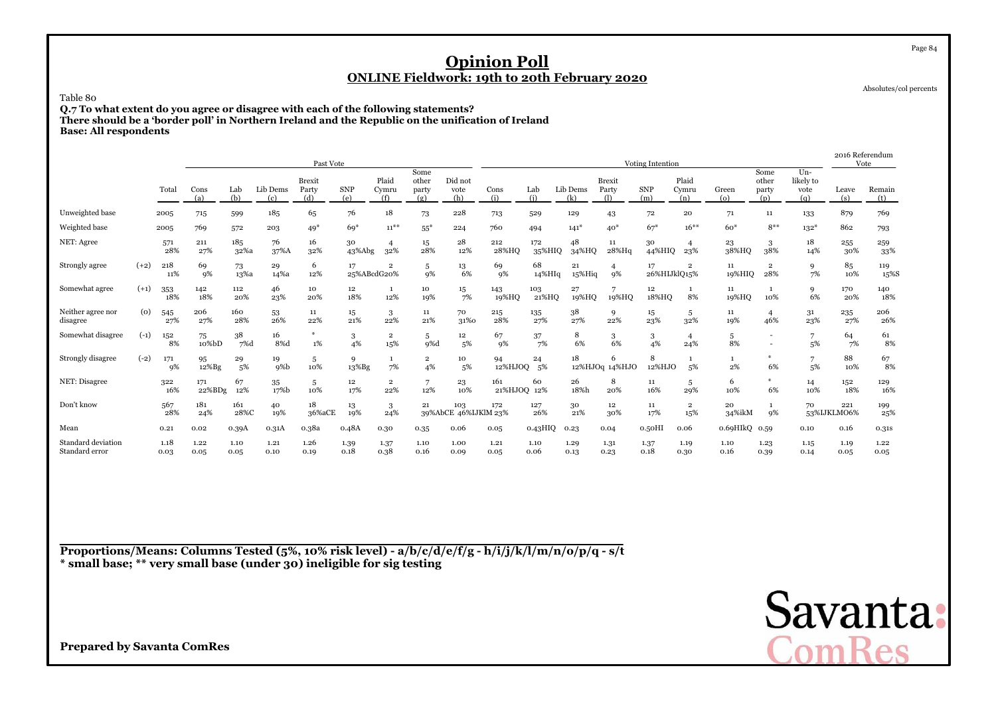Table 80

 **Q.7 To what extent do you agree or disagree with each of the following statements? There should be a 'border poll' in Northern Ireland and the Republic on the unification of IrelandBase: All respondents**

|                                      |        |              |               |              |                 | Past Vote                     |                   |                       |                               |                             |                    |               |                 |                                    | Voting Intention   |                       |                 |                               |                                   | 2016 Referendum    | Vote          |
|--------------------------------------|--------|--------------|---------------|--------------|-----------------|-------------------------------|-------------------|-----------------------|-------------------------------|-----------------------------|--------------------|---------------|-----------------|------------------------------------|--------------------|-----------------------|-----------------|-------------------------------|-----------------------------------|--------------------|---------------|
|                                      |        | Total        | Cons<br>(a)   | Lab<br>(b)   | Lib Dems<br>(c) | <b>Brexit</b><br>Party<br>(d) | <b>SNP</b><br>(e) | Plaid<br>Cymru<br>(f) | Some<br>other<br>party<br>(g) | Did not<br>vote<br>(h)      | Cons<br>(i)        | Lab<br>(i)    | Lib Dems<br>(k) | <b>Brexit</b><br>Party<br>$\Omega$ | <b>SNP</b><br>(m)  | Plaid<br>Cymru<br>(n) | Green<br>(o)    | Some<br>other<br>party<br>(p) | $Un-$<br>likely to<br>vote<br>(q) | Leave<br>(s)       | Remain<br>(t) |
| Unweighted base                      |        | 2005         | 715           | 599          | 185             | 65                            | 76                | 18                    | 73                            | 228                         | 713                | 529           | 129             | 43                                 | 72                 | 20                    | 71              | 11                            | 133                               | 879                | 769           |
| Weighted base                        |        | 2005         | 769           | 572          | 203             | $49*$                         | $69*$             | $11^{**}$             | $55*$                         | 224                         | 760                | 494           | $141*$          | $40*$                              | $67*$              | $16***$               | 60 <sup>*</sup> | $8**$                         | $132*$                            | 862                | 793           |
| NET: Agree                           |        | 571<br>28%   | 211<br>27%    | 185<br>32%a  | 76<br>37%A      | 16<br>32%                     | 30<br>43%Abg      | 4<br>32%              | 15<br>28%                     | 28<br>12%                   | 212<br>28%HQ       | 172<br>35%HIQ | 48<br>34%HQ     | 11<br>28%Hq                        | 30<br>44%HIQ       | $\overline{4}$<br>23% | 23<br>38%HQ     | 3<br>38%                      | 18<br>14%                         | 255<br>30%         | 259<br>33%    |
| Strongly agree                       | $(+2)$ | 218<br>11%   | 69<br>9%      | 73<br>13%a   | 29<br>14%a      | 6<br>12%                      | 17<br>25%ABcdG20% | $\overline{2}$        | 5<br>9%                       | 13<br>6%                    | 69<br>9%           | 68<br>14%HIq  | 21<br>15%Hiq    | $\overline{4}$<br>9%               | 17<br>26%HIJklQ15% | $\overline{2}$        | 11<br>19%HIQ    | $\overline{2}$<br>28%         | 9<br>7%                           | 85<br>10%          | 119<br>15%S   |
| Somewhat agree                       | $(+1)$ | 353<br>18%   | 142<br>18%    | 112<br>20%   | 46<br>23%       | 10<br>20%                     | 12<br>18%         | 12%                   | 10<br>19%                     | 15<br>7%                    | 143<br>19%HO       | 103<br>21%HQ  | 27<br>19%HO     | 7<br>19%HQ                         | 12<br>18%HQ        | $\mathbf{1}$<br>8%    | 11<br>19%HQ     | 1<br>10%                      | 9<br>6%                           | 170<br>20%         | 140<br>18%    |
| Neither agree nor<br>disagree        | (o)    | 545<br>27%   | 206<br>27%    | 160<br>28%   | 53<br>26%       | 11<br>22%                     | 15<br>21%         | 3<br>22%              | 11<br>21%                     | 70<br>31%0                  | 215<br>28%         | 135<br>27%    | 38<br>27%       | 9<br>22%                           | 15<br>23%          | 5<br>32%              | 11<br>19%       | $\overline{4}$<br>46%         | 31<br>23%                         | 235<br>27%         | 206<br>26%    |
| Somewhat disagree                    | $(-1)$ | 152<br>8%    | 75<br>10%bD   | 38<br>7%d    | 16<br>8%d       | 1%                            | 3<br>4%           | $\overline{2}$<br>15% | 5<br>9%d                      | 12<br>5%                    | 67<br>9%           | 37<br>7%      | 8<br>6%         | 3<br>6%                            | 3<br>4%            | $\overline{4}$<br>24% | 5<br>8%         |                               | 7<br>5%                           | 64<br>7%           | 61<br>8%      |
| Strongly disagree                    | $(-2)$ | 171<br>9%    | 95<br>12%Bg   | 29<br>5%     | 19<br>9%b       | 5<br>10%                      | 9<br>13%Bg        | 7%                    | $\overline{\mathbf{2}}$<br>4% | 10<br>5%                    | 94<br>12%HJOQ      | 24<br>5%      | 18              | 6<br>12%HJOq 14%HJO                | 8<br>12%HJO        | $\mathbf{1}$<br>5%    | 1<br>2%         | #<br>6%                       | $\overline{7}$<br>5%              | 88<br>10%          | $^{67}_{8\%}$ |
| NET: Disagree                        |        | 322<br>16%   | 171<br>22%BDg | 67<br>12%    | 35<br>17%b      | 5<br>10%                      | 12<br>17%         | $\overline{2}$<br>22% | 7<br>12%                      | 23<br>10%                   | 161<br>21%HJOQ 12% | 60            | 26<br>18%h      | 8<br>20%                           | 11<br>16%          | 5<br>29%              | 6<br>10%        | $\ast$<br>6%                  | 14<br>10%                         | 152<br>18%         | 129<br>16%    |
| Don't know                           |        | 567<br>28%   | 181<br>24%    | 161<br>28%C  | 40<br>19%       | 18<br>36%aCE                  | 13<br>19%         | 3<br>24%              | 21                            | 103<br>39%AbCE 46%IJKlM 23% | 172                | 127<br>26%    | 30<br>21%       | 12<br>30%                          | 11<br>17%          | $\,2$<br>15%          | 20<br>34%ikM    | 1<br>9%                       | 70                                | 221<br>53%IJKLMO6% | 199<br>25%    |
| Mean                                 |        | 0.21         | 0.02          | 0.39A        | 0.31A           | o.38a                         | 0.48A             | 0.30                  | 0.35                          | 0.06                        | 0.05               | $0.43H$ IQ    | 0.23            | 0.04                               | 0.50Hl             | 0.06                  | 0.69HIkQ 0.59   |                               | 0.10                              | 0.16               | 0.31s         |
| Standard deviation<br>Standard error |        | 1.18<br>0.03 | 1.22<br>0.05  | 1.10<br>0.05 | 1.21<br>0.10    | 1.26<br>0.19                  | 1.39<br>0.18      | 1.37<br>0.38          | 1.10<br>0.16                  | 1.00<br>0.09                | 1.21<br>0.05       | 1.10<br>0.06  | 1.29<br>0.13    | 1.31<br>0.23                       | 1.37<br>0.18       | 1.19<br>0.30          | 1.10<br>0.16    | 1.23<br>0.39                  | 1.15<br>0.14                      | 1.19<br>0.05       | 1.22<br>0.05  |

**Proportions/Means: Columns Tested (5%, 10% risk level) - a/b/c/d/e/f/g - h/i/j/k/l/m/n/o/p/q - s/t\* small base; \*\* very small base (under 30) ineligible for sig testing**



Absolutes/col percents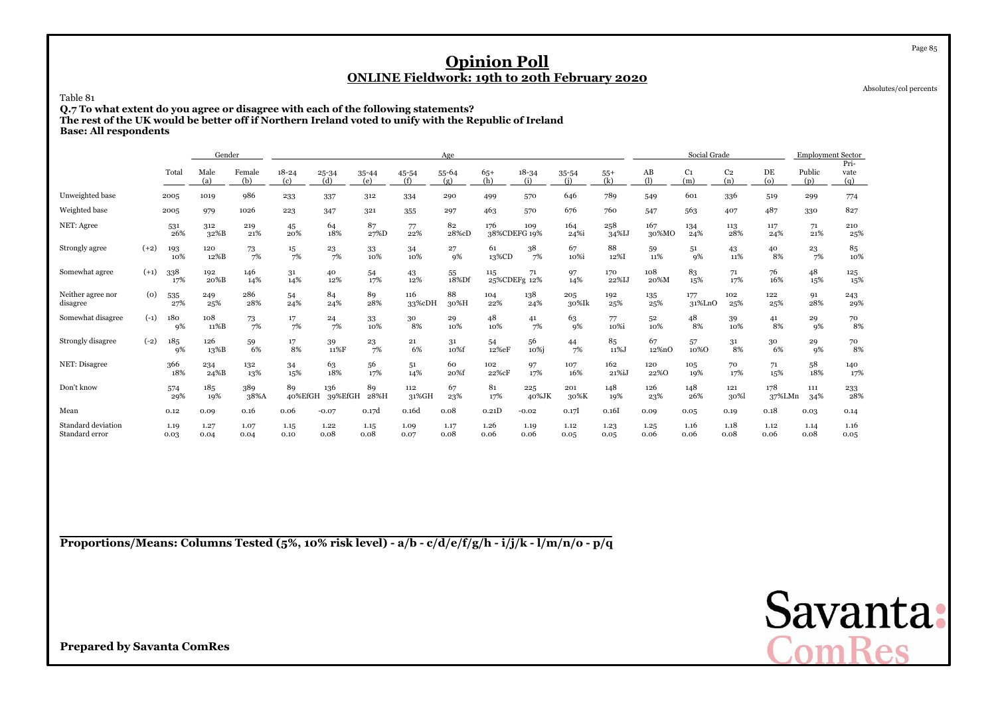Absolutes/col percents

Page 85

#### Table 81

 **Q.7 To what extent do you agree or disagree with each of the following statements?The rest of the UK would be better off if Northern Ireland voted to unify with the Republic of Ireland**

**Base: All respondents**

|                                      |        |              | Gender       |               |                  |                  |              |               | Age          |              |                     |              |              |              | Social Grade          |                       |                | <b>Employment Sector</b> |                                         |
|--------------------------------------|--------|--------------|--------------|---------------|------------------|------------------|--------------|---------------|--------------|--------------|---------------------|--------------|--------------|--------------|-----------------------|-----------------------|----------------|--------------------------|-----------------------------------------|
|                                      |        | Total        | Male<br>(a)  | Female<br>(b) | $18 - 24$<br>(c) | $25 - 34$<br>(d) | 35-44<br>(e) | 45-54<br>(f)  | 55-64<br>(g) | $65+$<br>(h) | $18 - 34$<br>(i)    | 35-54<br>(i) | $55+$<br>(k) | AB<br>(1)    | C <sub>1</sub><br>(m) | C <sub>2</sub><br>(n) | DE<br>$\omega$ | Public<br>(p)            | Pri-<br>vate<br>(q)                     |
| Unweighted base                      |        | 2005         | 1019         | 986           | 233              | 337              | 312          | 334           | 290          | 499          | 570                 | 646          | 789          | 549          | 601                   | 336                   | 519            | 299                      | 774                                     |
| Weighted base                        |        | 2005         | 979          | 1026          | 223              | 347              | 321          | 355           | 297          | 463          | 570                 | 676          | 760          | 547          | 563                   | 407                   | 487            | 330                      | 827                                     |
| NET: Agree                           |        | 531<br>26%   | 312<br>32%B  | 219<br>21%    | 45<br>20%        | 64<br>18%        | 87<br>27%D   | 77<br>22%     | 82<br>28%cD  | 176          | 109<br>38%CDEFG 19% | 164<br>24%i  | 258<br>34%IJ | 167<br>30%MO | 134<br>24%            | 113<br>28%            | 117<br>24%     | 71<br>21%                | 210<br>25%                              |
| Strongly agree                       | $(+2)$ | 193<br>10%   | 120<br>12%B  | 73<br>7%      | 15<br>7%         | 23<br>7%         | 33<br>10%    | 34<br>10%     | 27<br>9%     | 61<br>13%CD  | 38<br>7%            | 67<br>10%i   | 88<br>12%I   | 59<br>11%    | 51<br>9%              | 43<br>11%             | 40<br>8%       | 23<br>7%                 | 85<br>10%                               |
| Somewhat agree                       | $(+1)$ | 338<br>17%   | 192<br>20%B  | 146<br>14%    | 31<br>14%        | 40<br>12%        | 54<br>17%    | 43<br>12%     | 55<br>18%Df  | 115          | 71<br>25%CDEFg 12%  | 97<br>14%    | 170<br>22%IJ | 108<br>20%M  | 83<br>15%             | 71<br>17%             | 76<br>16%      | 48<br>15%                | 125<br>15%                              |
| Neither agree nor<br>disagree        | (0)    | 535<br>27%   | 249<br>25%   | 286<br>28%    | 54<br>24%        | 84<br>24%        | 89<br>28%    | 116<br>33%cDH | 88<br>30%H   | 104<br>22%   | 138<br>24%          | 205<br>30%Ik | 192<br>25%   | 135<br>25%   | 177<br>31%LnO         | 102<br>25%            | 122<br>25%     | 91<br>28%                | 243<br>29%                              |
| Somewhat disagree                    | $(-1)$ | 180<br>9%    | 108<br>11%B  | 73<br>7%      | $\frac{17}{7\%}$ | 24<br>7%         | 33<br>10%    | 30<br>8%      | 29<br>10%    | 48<br>10%    | 41<br>7%            | 63<br>9%     | 77<br>10%i   | 52<br>10%    | 48<br>8%              | 39<br>10%             | 41<br>8%       | 29<br>9%                 | $\begin{array}{c} 70 \ 8\% \end{array}$ |
| Strongly disagree                    | $(-2)$ | 185<br>9%    | 126<br>13%B  | 59<br>6%      | 17<br>8%         | 39<br>11%F       | 23<br>7%     | 21<br>6%      | 31<br>10%f   | 54<br>12%eF  | 56<br>10%i          | 44<br>7%     | 85<br>11%J   | 67<br>12%nO  | 57<br>10%0            | 31<br>8%              | 30<br>6%       | 29<br>9%                 | 70<br>8%                                |
| NET: Disagree                        |        | 366<br>18%   | 234<br>24%B  | 132<br>13%    | 34<br>15%        | 63<br>18%        | 56<br>17%    | 51<br>14%     | 60<br>20%f   | 102<br>22%cF | 97<br>17%           | 107<br>16%   | 162<br>21%iJ | 120<br>22%0  | 105<br>19%            | 70<br>17%             | 71<br>15%      | 58<br>18%                | 140<br>17%                              |
| Don't know                           |        | 574<br>29%   | 185<br>19%   | 389<br>38%A   | 89<br>40%EfGH    | 136<br>39%EfGH   | 89<br>28%H   | 112<br>31%GH  | 67<br>23%    | 81<br>17%    | 225<br>40%JK        | 201<br>30%K  | 148<br>19%   | 126<br>23%   | 148<br>26%            | 121<br>30%            | 178<br>37%LMn  | 111<br>34%               | 233<br>28%                              |
| Mean                                 |        | 0.12         | 0.09         | 0.16          | 0.06             | $-0.07$          | 0.17d        | 0.16d         | 0.08         | 0.21D        | $-0.02$             | 0.17         | 0.16I        | 0.09         | 0.05                  | 0.19                  | 0.18           | 0.03                     | 0.14                                    |
| Standard deviation<br>Standard error |        | 1.19<br>0.03 | 1.27<br>0.04 | 1.07<br>0.04  | 1.15<br>0.10     | 1.22<br>0.08     | 1.15<br>0.08 | 1.09<br>0.07  | 1.17<br>0.08 | 1.26<br>0.06 | 1.19<br>0.06        | 1.12<br>0.05 | 1.23<br>0.05 | 1.25<br>0.06 | 1.16<br>0.06          | 1.18<br>0.08          | 1.12<br>0.06   | 1.14<br>0.08             | 1.16<br>0.05                            |

**Proportions/Means: Columns Tested (5%, 10% risk level) - a/b - c/d/e/f/g/h - i/j/k - l/m/n/o - p/q**

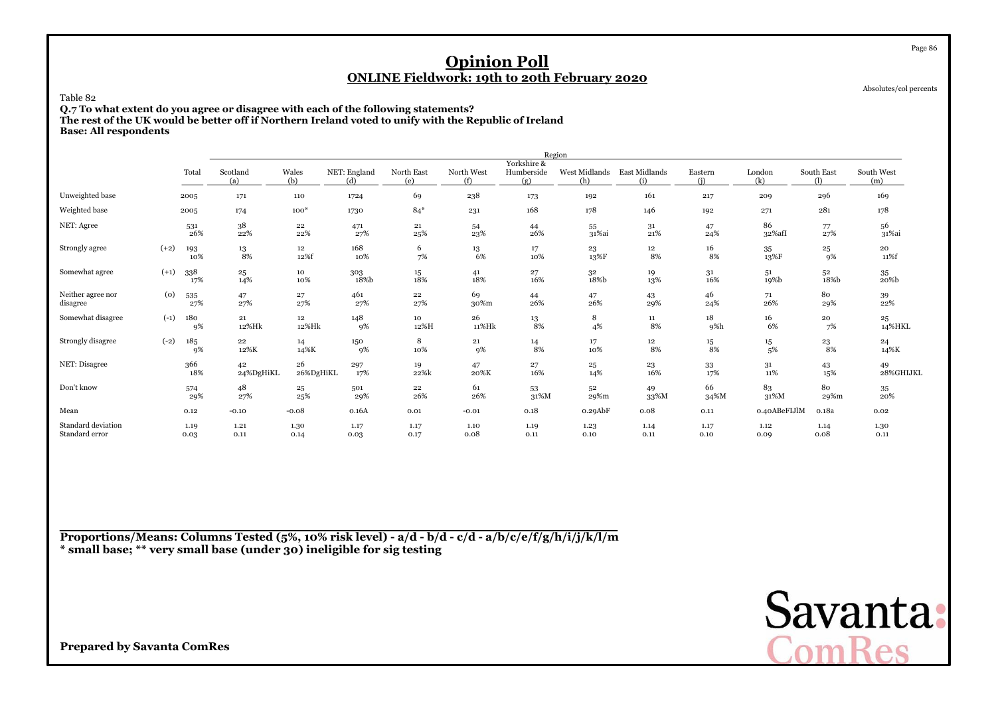Absolutes/col percents

Page 86

#### Table 82

 **Q.7 To what extent do you agree or disagree with each of the following statements? The rest of the UK would be better off if Northern Ireland voted to unify with the Republic of IrelandBase: All respondents**

|                                      |        |              |                        |                  |                     |                                           |                   |                                  | Region               |                      |                |               |                        |                     |
|--------------------------------------|--------|--------------|------------------------|------------------|---------------------|-------------------------------------------|-------------------|----------------------------------|----------------------|----------------------|----------------|---------------|------------------------|---------------------|
|                                      |        | Total        | Scotland<br>(a)        | Wales<br>(b)     | NET: England<br>(d) | North East<br>(e)                         | North West<br>(f) | Yorkshire &<br>Humberside<br>(g) | West Midlands<br>(h) | East Midlands<br>(i) | Eastern<br>(i) | London<br>(k) | South East<br>$\Omega$ | South West<br>(m)   |
| Unweighted base                      |        | 2005         | 171                    | 110              | 1724                | 69                                        | 238               | 173                              | 192                  | 161                  | 217            | 209           | 296                    | 169                 |
| Weighted base                        |        | 2005         | 174                    | $100*$           | 1730                | $84*$                                     | 231               | 168                              | 178                  | 146                  | 192            | 271           | 281                    | 178                 |
| NET: Agree                           |        | 531<br>26%   | $38\,$<br>22%          | 22<br>22%        | 471<br>27%          | 21<br>25%                                 | 54<br>23%         | 44<br>26%                        | 55<br>31%ai          | 31<br>21%            | 47<br>24%      | 86<br>32%afI  | 77<br>27%              | 56<br>31%ai         |
| Strongly agree                       | $(+2)$ | 193<br>10%   | $\substack{13 \\ 8\%}$ | 12<br>12%f       | 168<br>10%          | 6<br>7%                                   | 13<br>6%          | 17<br>10%                        | 23<br>13%F           | $12\,$<br>8%         | 16<br>8%       | 35<br>13%F    | 25<br>9%               | 20<br>11%f          |
| Somewhat agree                       | $(+1)$ | 338<br>17%   | $\bf{^{25}}$<br>14%    | 10<br>10%        | 303<br>18%b         | $\begin{array}{c} 15 \\ 18\% \end{array}$ | 41<br>$18\%$      | $_{\rm 16\%}^{\rm 27}$           | $32\,$<br>18%b       | 19<br>13%            | $31\,$<br>16%  | 51<br>19%b    | 52<br>18%b             | 35<br>$20\%{\rm b}$ |
| Neither agree nor<br>disagree        | (0)    | 535<br>27%   | 47<br>27%              | $\frac{27}{27%}$ | 461<br>27%          | 22<br>27%                                 | 69<br>30%m        | 44<br>26%                        | 47<br>26%            | 43<br>29%            | 46<br>24%      | 71<br>26%     | 80<br>29%              | 39<br>22%           |
| Somewhat disagree                    | $(-1)$ | 180<br>9%    | $\bf 21$<br>12%Hk      | 12<br>12%Hk      | 148<br>9%           | 10<br>12%H                                | 26<br>11%Hk       | 13<br>8%                         | 8<br>4%              | $11\,$<br>$8\%$      | 18<br>9%h      | 16<br>6%      | 20<br>7%               | 25<br>14%HKL        |
| Strongly disagree                    | $(-2)$ | 185<br>9%    | 22<br>12%K             | 14<br>14%K       | 150<br>9%           | 8<br>10%                                  | 21<br>9%          | 14<br>8%                         | 17<br>10%            | $12\,$<br>8%         | 15<br>8%       | 15<br>5%      | 23<br>8%               | 24<br>14%K          |
| NET: Disagree                        |        | 366<br>18%   | 42<br>24%DgHiKL        | 26<br>26%DgHiKL  | 297<br>17%          | 19<br>22%k                                | 47<br>20%K        | $_{\rm 16\%}^{\rm 27}$           | 25<br>14%            | 23<br>16%            | 33<br>17%      | 31<br>11%     | 43<br>15%              | 49<br>28%GHIJKL     |
| Don't know                           |        | 574<br>29%   | 48<br>27%              | $^{25}$<br>25%   | 501<br>29%          | 22<br>26%                                 | 61<br>26%         | 53<br>31%M                       | 52<br>29%m           | 49<br>33%M           | 66<br>34%M     | 83<br>31%M    | 80<br>29%m             | 35<br>20%           |
| Mean                                 |        | 0.12         | $-0.10$                | $-0.08$          | 0.16A               | 0.01                                      | $-0.01$           | 0.18                             | $0.29$ A $b$ F       | 0.08                 | 0.11           | 0.40ABeFIJlM  | 0.18a                  | 0.02                |
| Standard deviation<br>Standard error |        | 1.19<br>0.03 | 1.21<br>0.11           | 1.30<br>0.14     | 1.17<br>0.03        | 1.17<br>0.17                              | 1.10<br>0.08      | 1.19<br>0.11                     | 1.23<br>0.10         | 1.14<br>0.11         | 1.17<br>0.10   | 1.12<br>0.09  | 1.14<br>0.08           | 1.30<br>0.11        |

**Proportions/Means: Columns Tested (5%, 10% risk level) - a/d - b/d - c/d - a/b/c/e/f/g/h/i/j/k/l/m\* small base; \*\* very small base (under 30) ineligible for sig testing**

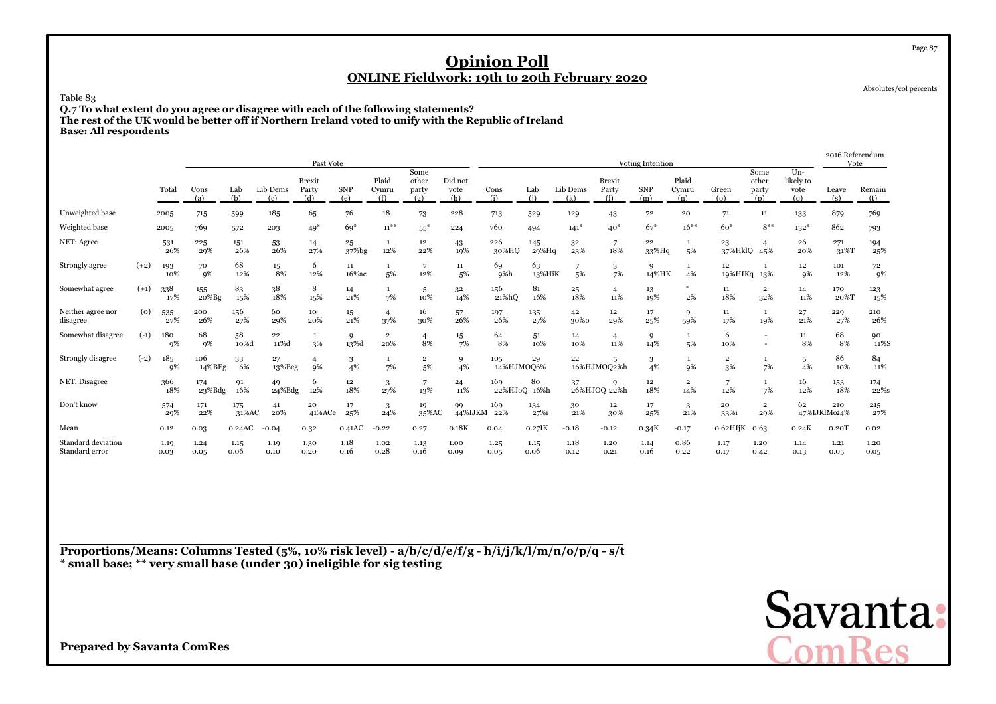Absolutes/col percents

Page 87

### Table 83

 **Q.7 To what extent do you agree or disagree with each of the following statements?The rest of the UK would be better off if Northern Ireland voted to unify with the Republic of Ireland**

**Base: All respondents**

|                                      |        |              |                  |              |                 | Past Vote                     |                   |                       |                               |                        |                    |                       |                 |                                    | <b>Voting Intention</b> |                                |                                  |                               |                                   | 2016 Referendum<br>Vote |               |
|--------------------------------------|--------|--------------|------------------|--------------|-----------------|-------------------------------|-------------------|-----------------------|-------------------------------|------------------------|--------------------|-----------------------|-----------------|------------------------------------|-------------------------|--------------------------------|----------------------------------|-------------------------------|-----------------------------------|-------------------------|---------------|
|                                      |        | Total        | Cons<br>(a)      | Lab<br>(b)   | Lib Dems<br>(c) | <b>Brexit</b><br>Party<br>(d) | <b>SNP</b><br>(e) | Plaid<br>Cymru<br>(f) | Some<br>other<br>party<br>(g) | Did not<br>vote<br>(h) | Cons<br>(i)        | Lab<br>(i)            | Lib Dems<br>(k) | <b>Brexit</b><br>Party<br>$\Omega$ | <b>SNP</b><br>(m)       | Plaid<br>Cymru<br>(n)          | Green<br>$\left( 0 \right)$      | Some<br>other<br>party<br>(p) | $Un-$<br>likely to<br>vote<br>(q) | Leave<br>(s)            | Remain<br>(t) |
| Unweighted base                      |        | 2005         | 715              | 599          | 185             | 65                            | 76                | 18                    | 73                            | 228                    | 713                | 529                   | 129             | 43                                 | 72                      | 20                             | 71                               | 11                            | 133                               | 879                     | 769           |
| Weighted base                        |        | 2005         | 769              | 572          | 203             | $49*$                         | $69*$             | $11^{***}$            | $55*$                         | 224                    | 760                | 494                   | $141*$          | $40*$                              | $67*$                   | $16***$                        | $60*$                            | $8***$                        | $132*$                            | 862                     | 793           |
| NET: Agree                           |        | 531<br>26%   | 225<br>29%       | 151<br>26%   | 53<br>26%       | 14<br>27%                     | 25<br>37%bg       | 12%                   | 12<br>22%                     | 43<br>19%              | 226<br>30%HQ       | 145<br>29%Hq          | 32<br>23%       | 7<br>18%                           | 22<br>33%Hq             | $\mathbf{1}$<br>5%             | 23<br>37%HklQ 45%                |                               | 26<br>20%                         | 271<br>31%T             | 194<br>25%    |
| Strongly agree                       | $(+2)$ | 193<br>10%   | 70<br>9%         | 68<br>12%    | 15<br>8%        | 6<br>12%                      | 11<br>16%ac       | 5%                    | 12%                           | $11\,$<br>5%           | 69<br>9%h          | 63<br>13%HiK          | 5%              | 3<br>7%                            | 9<br>14%HK              | 1<br>4%                        | 12<br>19%HIKq 13%                |                               | 12<br>9%                          | 101<br>12%              | 72<br>$q\%$   |
| Somewhat agree                       | $(+1)$ | 338<br>17%   | 155<br>$20%$ Bg  | 83<br>15%    | 38<br>18%       | 8<br>15%                      | 14<br>21%         | 7%                    | 5<br>10%                      | 32<br>14%              | 156<br>21%hQ       | 81<br>16%             | 25<br>18%       | 4<br>11%                           | 13<br>19%               | ₩<br>$2\%$                     | 11<br>18%                        | $\overline{2}$<br>32%         | 14<br>11%                         | 170<br>20%T             | 123<br>15%    |
| Neither agree nor<br>disagree        | (0)    | 535<br>27%   | 200<br>26%       | 156<br>27%   | 60<br>29%       | 10<br>20%                     | 15<br>21%         | $\overline{4}$<br>37% | 16<br>30%                     | 57<br>26%              | 197<br>26%         | 135<br>27%            | 42<br>30%0      | $12\phantom{.0}$<br>29%            | 17<br>25%               | 9<br>59%                       | 11<br>17%                        | -1<br>19%                     | 27<br>21%                         | 229<br>27%              | 210<br>26%    |
| Somewhat disagree                    | $(-1)$ | 180<br>9%    | 68<br>9%         | 58<br>10%d   | 22<br>11%d      | $\mathbf{1}$<br>3%            | 9<br>13%d         | $\overline{2}$<br>20% | 8%                            | 15<br>7%               | 64<br>8%           | 5 <sup>1</sup><br>10% | 14<br>10%       | 4<br>11%                           | 9<br>14%                | $\mathbf{1}$<br>5%             | 6<br>10%                         | $\overline{\phantom{a}}$      | 11<br>8%                          | 68<br>8%                | 90<br>11%S    |
| Strongly disagree                    | $(-2)$ | 185<br>9%    | 106<br>14%BEg    | 33<br>6%     | 27<br>13%Beg    | $\overline{4}$<br>9%          | 3<br>4%           | 7%                    | $\overline{\mathbf{2}}$<br>5% | 9<br>4%                | 105<br>14%HJMOQ6%  | 29                    | 22              | 5<br>16%HJMOQ2%h                   | 3<br>4%                 | $\mathbf{1}$<br>9%             | $\overline{\mathbf{2}}$<br>$3\%$ | 7%                            | 5<br>4%                           | 86<br>10%               | 84<br>11%     |
| NET: Disagree                        |        | 366<br>18%   | 174<br>$23%$ Bdg | 91<br>16%    | 49<br>24%Bdg    | 6<br>12%                      | 12<br>18%         | 3<br>27%              | 7<br>13%                      | 24<br>11%              | 169<br>22%HJoO     | 80<br>16%h            | 37              | 9<br>26%HJOQ 22%h                  | 12<br>18%               | $\overline{\mathbf{2}}$<br>14% | 7<br>12%                         | $\mathbf{1}$<br>7%            | 16<br>12%                         | 153<br>18%              | 174<br>22%s   |
| Don't know                           |        | 574<br>29%   | 171<br>22%       | 175<br>31%AC | 41<br>20%       | 20<br>41%ACe                  | 17<br>25%         | 3<br>24%              | 19<br>35%AC                   | 99                     | 169<br>44%IJKM 22% | 134<br>27%i           | 30<br>21%       | 12<br>30%                          | 17<br>25%               | 3<br>21%                       | 20<br>33%i                       | $\overline{2}$<br>29%         | 62                                | 210<br>47%IJKlM024%     | 215<br>27%    |
| Mean                                 |        | 0.12         | 0.03             | 0.24AC       | $-0.04$         | 0.32                          | 0.41AC            | $-0.22$               | 0.27                          | 0.18K                  | 0.04               | $0.27$ IK             | $-0.18$         | $-0.12$                            | 0.34K                   | $-0.17$                        | $0.62H$ IjK                      | 0.63                          | 0.24K                             | 0.20T                   | 0.02          |
| Standard deviation<br>Standard error |        | 1.19<br>0.03 | 1.24<br>0.05     | 1.15<br>0.06 | 1.19<br>0.10    | 1.30<br>0.20                  | 1.18<br>0.16      | 1.02<br>0.28          | 1.13<br>0.16                  | 1.00<br>0.09           | 1.25<br>0.05       | 1.15<br>0.06          | 1.18<br>0.12    | 1.20<br>0.21                       | 1.14<br>0.16            | 0.86<br>0.22                   | 1.17<br>0.17                     | 1.20<br>0.42                  | 1.14<br>0.13                      | 1.21<br>0.05            | 1.20<br>0.05  |

**Proportions/Means: Columns Tested (5%, 10% risk level) - a/b/c/d/e/f/g - h/i/j/k/l/m/n/o/p/q - s/t\* small base; \*\* very small base (under 30) ineligible for sig testing**

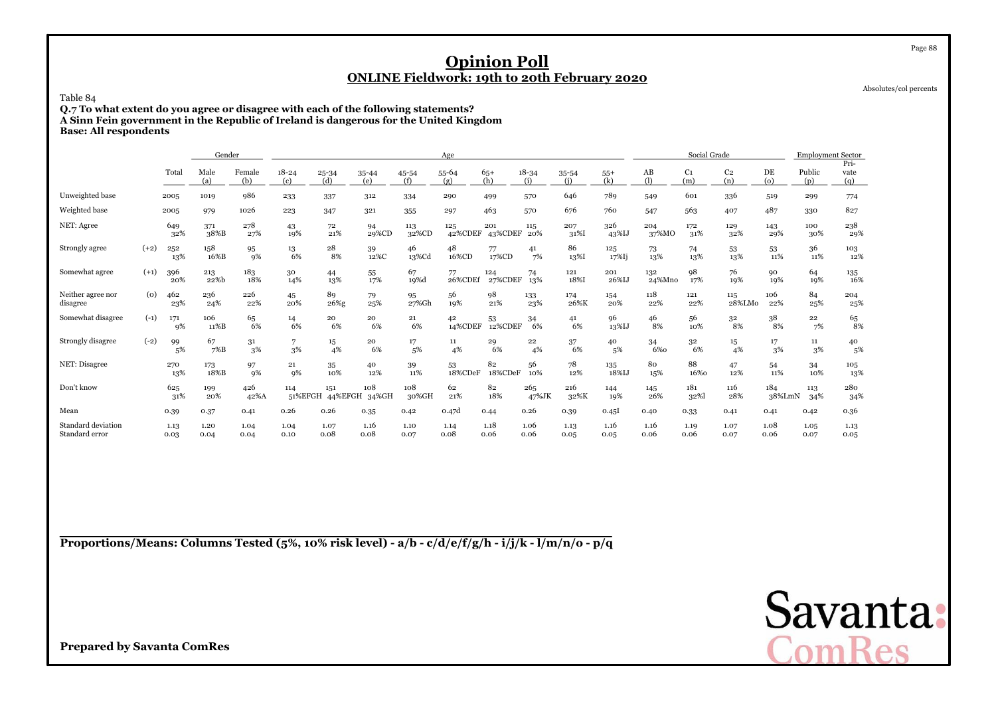Absolutes/col percents

Page 88

### Table 84

 **Q.7 To what extent do you agree or disagree with each of the following statements?A Sinn Fein government in the Republic of Ireland is dangerous for the United Kingdom**

**Base: All respondents**

|                                      |        |              | Gender       |               |                      |                |              |              | Age            |                |                  |              |                  |               | Social Grade          |                       |               | <b>Employment Sector</b> |                           |
|--------------------------------------|--------|--------------|--------------|---------------|----------------------|----------------|--------------|--------------|----------------|----------------|------------------|--------------|------------------|---------------|-----------------------|-----------------------|---------------|--------------------------|---------------------------|
|                                      |        | Total        | Male<br>(a)  | Female<br>(b) | $18 - 24$<br>(c)     | 25-34<br>(d)   | 35-44<br>(e) | 45-54<br>(f) | 55-64<br>(g)   | $65+$<br>(h)   | $18 - 34$<br>(i) | 35-54<br>(i) | $55+$<br>(k)     | AB<br>(1)     | C <sub>1</sub><br>(m) | C <sub>2</sub><br>(n) | DE<br>(o)     | Public<br>(p)            | Pri-<br>vate<br>(q)       |
| Unweighted base                      |        | 2005         | 1019         | 986           | 233                  | 337            | 312          | 334          | 290            | 499            | 570              | 646          | 789              | 549           | 601                   | 336                   | 519           | 299                      | 774                       |
| Weighted base                        |        | 2005         | 979          | 1026          | 223                  | 347            | 321          | 355          | 297            | 463            | 570              | 676          | 760              | 547           | 563                   | 407                   | 487           | 330                      | 827                       |
| NET: Agree                           |        | 649<br>32%   | 371<br>38%B  | 278<br>27%    | 43<br>19%            | 72<br>21%      | 94<br>29%CD  | 113<br>32%CD | 125<br>42%CDEF | 201<br>43%CDEF | 115<br>20%       | 207<br>31%I  | 326<br>43%IJ     | 204<br>37%MO  | 172<br>31%            | 129<br>32%            | 143<br>29%    | 100<br>30%               | 238<br>29%                |
| Strongly agree                       | $(+2)$ | 252<br>13%   | 158<br>16%B  | 95<br>9%      | 13<br>6%             | 28<br>8%       | 39<br>12%C   | 46<br>13%Cd  | 48<br>16%CD    | 77<br>17%CD    | 41<br>7%         | 86<br>13%I   | 125<br>$17\%$ Ij | 73<br>13%     | 74<br>13%             | 53<br>13%             | 53<br>11%     | 36<br>11%                | 103<br>12%                |
| Somewhat agree                       | $(+1)$ | 396<br>20%   | 213<br>22%b  | 183<br>18%    | 30<br>14%            | 44<br>13%      | 55<br>17%    | 67<br>19%d   | 77<br>26%CDEf  | 124<br>27%CDEF | 74<br>13%        | 121<br>18%I  | 201<br>26%IJ     | 132<br>24%Mno | 98<br>17%             | 76<br>19%             | 90<br>19%     | 64<br>19%                | $\underset{16\%}{^{135}}$ |
| Neither agree nor<br>disagree        | (0)    | 462<br>23%   | 236<br>24%   | 226<br>22%    | 45<br>20%            | 89<br>26%g     | 79<br>25%    | 95<br>27%Gh  | 56<br>19%      | 98<br>21%      | 133<br>23%       | 174<br>26%K  | 154<br>20%       | 118<br>22%    | 121<br>22%            | 115<br>28%LMo         | 106<br>22%    | 84<br>25%                | 204<br>25%                |
| Somewhat disagree                    | $(-1)$ | 171<br>9%    | 106<br>11%B  | 65<br>6%      | 14<br>6%             | 20<br>6%       | 20<br>6%     | 21<br>6%     | 42<br>14%CDEF  | 53<br>12%CDEF  | 34<br>6%         | 41<br>6%     | 96<br>13%IJ      | 46<br>8%      | 56<br>10%             | 32<br>8%              | 38<br>8%      | 22<br>7%                 | $\substack{65 \\ 8\%}$    |
| Strongly disagree                    | $(-2)$ | 99<br>5%     | 67<br>7%B    | 31<br>3%      | $\overline{7}$<br>3% | 15<br>4%       | 20<br>6%     | 17<br>5%     | 11<br>4%       | 29<br>6%       | 22<br>4%         | 37<br>6%     | 40<br>5%         | 34<br>6%0     | 32<br>6%              | 15<br>4%              | 17<br>3%      | 11<br>3%                 | 40<br>5%                  |
| NET: Disagree                        |        | 270<br>13%   | 173<br>18%B  | 97<br>9%      | 21<br>9%             | 35<br>10%      | 40<br>12%    | 39<br>11%    | 53<br>18%CDeF  | 82<br>18%CDeF  | 56<br>10%        | 78<br>12%    | 135<br>18%IJ     | 80<br>15%     | 88<br>16%0            | 47<br>12%             | 54<br>11%     | 34<br>10%                | 105<br>13%                |
| Don't know                           |        | 625<br>31%   | 199<br>20%   | 426<br>42%A   | 114<br>51%EFGH       | 151<br>44%EFGH | 108<br>34%GH | 108<br>30%GH | 62<br>21%      | 82<br>18%      | 265<br>47%JK     | 216<br>32%K  | 144<br>19%       | 145<br>26%    | 181<br>32%            | 116<br>28%            | 184<br>38%LmN | 113<br>34%               | 280<br>34%                |
| Mean                                 |        | 0.39         | 0.37         | 0.41          | 0.26                 | 0.26           | 0.35         | 0.42         | 0.47d          | 0.44           | 0.26             | 0.39         | 0.45I            | 0.40          | 0.33                  | 0.41                  | 0.41          | 0.42                     | 0.36                      |
| Standard deviation<br>Standard error |        | 1.13<br>0.03 | 1.20<br>0.04 | 1.04<br>0.04  | 1.04<br>0.10         | 1.07<br>0.08   | 1.16<br>0.08 | 1.10<br>0.07 | 1.14<br>0.08   | 1.18<br>0.06   | 1.06<br>0.06     | 1.13<br>0.05 | 1.16<br>0.05     | 1.16<br>0.06  | 1.19<br>0.06          | 1.07<br>0.07          | 1.08<br>0.06  | 1.05<br>0.07             | 1.13<br>0.05              |

**Proportions/Means: Columns Tested (5%, 10% risk level) - a/b - c/d/e/f/g/h - i/j/k - l/m/n/o - p/q**

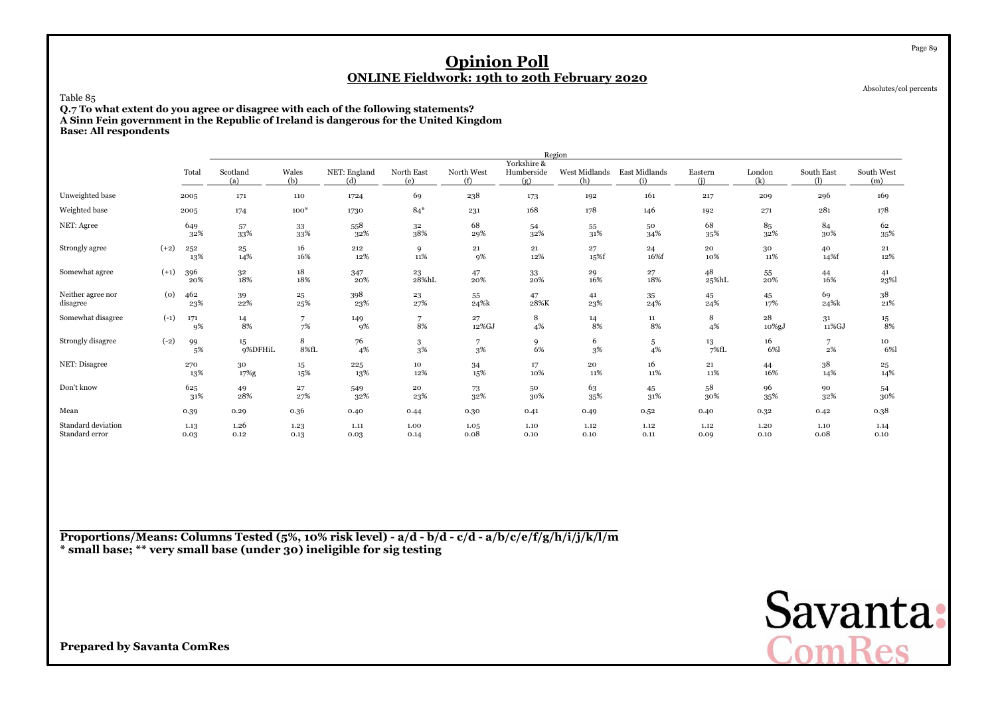Absolutes/col percents

Page 89

### Table 85

**Q.7 To what extent do you agree or disagree with each of the following statements?**

**A Sinn Fein government in the Republic of Ireland is dangerous for the United Kingdom**

**Base: All respondents**

|                                      |        |              |                   |               |                     |                   |                        |                                  | Region                             |                 |                |               |                         |                        |
|--------------------------------------|--------|--------------|-------------------|---------------|---------------------|-------------------|------------------------|----------------------------------|------------------------------------|-----------------|----------------|---------------|-------------------------|------------------------|
|                                      |        | Total        | Scotland<br>(a)   | Wales<br>(b)  | NET: England<br>(d) | North East<br>(e) | North West<br>(f)      | Yorkshire &<br>Humberside<br>(g) | West Midlands East Midlands<br>(h) | (i)             | Eastern<br>(i) | London<br>(k) | South East<br>(1)       | South West<br>(m)      |
| Unweighted base                      |        | 2005         | 171               | 110           | 1724                | 69                | 238                    | 173                              | 192                                | 161             | 217            | 209           | 296                     | 169                    |
| Weighted base                        |        | 2005         | 174               | $100*$        | 1730                | $84*$             | 231                    | 168                              | 178                                | 146             | 192            | 271           | 281                     | 178                    |
| NET: Agree                           |        | 649<br>32%   | 57<br>33%         | 33<br>33%     | 558<br>32%          | $32\,$<br>38%     | 68<br>29%              | 54<br>32%                        | 55<br>31%                          | 50<br>34%       | 68<br>35%      | 85<br>32%     | 84<br>30%               | 62<br>35%              |
| Strongly agree                       | $(+2)$ | 252<br>13%   | 25<br>14%         | 16<br>16%     | 212<br>12%          | 9<br>11%          | 21<br>9%               | 21<br>12%                        | 27<br>15%                          | 24<br>16%f      | 20<br>10%      | 30<br>11%     | 40<br>14%f              | 21<br>12%              |
| Somewhat agree                       | $(+1)$ | 396<br>20%   | $32\,$<br>18%     | $18\,$<br>18% | 347<br>20%          | 23<br>28%hL       | 47<br>20%              | 33<br>20%                        | 29<br>16%                          | $\bf 27$<br>18% | 48<br>25%hL    | 55<br>20%     | 44<br>16%               | 41<br>23%              |
| Neither agree nor<br>disagree        | (0)    | 462<br>23%   | $\frac{39}{22\%}$ | 25<br>25%     | 398<br>23%          | 23<br>27%         | 55<br>24%k             | 47<br>28%K                       | 41<br>23%                          | 35<br>24%       | 45<br>24%      | 45<br>17%     | 69<br>24%k              | 38<br>21%              |
| Somewhat disagree                    | $(-1)$ | 171<br>9%    | $\frac{14}{8\%}$  | 7<br>7%       | 149<br>9%           | 7<br>8%           | 27<br>$12\% \mbox{GJ}$ | 8<br>4%                          | 14<br>8%                           | 11<br>8%        | 8<br>4%        | 28<br>10%gJ   | 31<br>$11\% \rm{GJ}$    | $\substack{15 \\ 8\%}$ |
| Strongly disagree                    | $(-2)$ | 99<br>5%     | 15<br>9%DFHiL     | 8<br>$8\%$ fL | 76<br>4%            | $\sqrt{3}$<br>3%  | $3\%$                  | 9<br>6%                          | 6<br>3%                            | 5<br>4%         | 13<br>7%fL     | 16<br>6%1     | $\overline{7}$<br>$2\%$ | 10<br>6%l              |
| NET: Disagree                        |        | 270<br>13%   | 30<br>17%g        | 15<br>15%     | 225<br>13%          | 10<br>12%         | 34<br>15%              | $17\,$<br>10%                    | 20<br>11%                          | 16<br>11%       | 21<br>11%      | 44<br>16%     | 38<br>14%               | $\bf 25$<br>14%        |
| Don't know                           |        | 625<br>31%   | 49<br>28%         | 27<br>27%     | 549<br>32%          | 20<br>23%         | 73<br>32%              | 50<br>30%                        | 63<br>35%                          | 45<br>31%       | 58<br>30%      | 96<br>35%     | 90<br>32%               | $\frac{54}{30\%}$      |
| Mean                                 |        | 0.39         | 0.29              | 0.36          | 0.40                | 0.44              | 0.30                   | 0.41                             | 0.49                               | 0.52            | 0.40           | 0.32          | 0.42                    | 0.38                   |
| Standard deviation<br>Standard error |        | 1.13<br>0.03 | 1.26<br>0.12      | 1.23<br>0.13  | 1.11<br>0.03        | 1.00<br>0.14      | 1.05<br>0.08           | 1.10<br>0.10                     | 1.12<br>0.10                       | 1.12<br>0.11    | 1.12<br>0.09   | 1.20<br>0.10  | 1.10<br>0.08            | 1.14<br>0.10           |

**Proportions/Means: Columns Tested (5%, 10% risk level) - a/d - b/d - c/d - a/b/c/e/f/g/h/i/j/k/l/m\* small base; \*\* very small base (under 30) ineligible for sig testing**

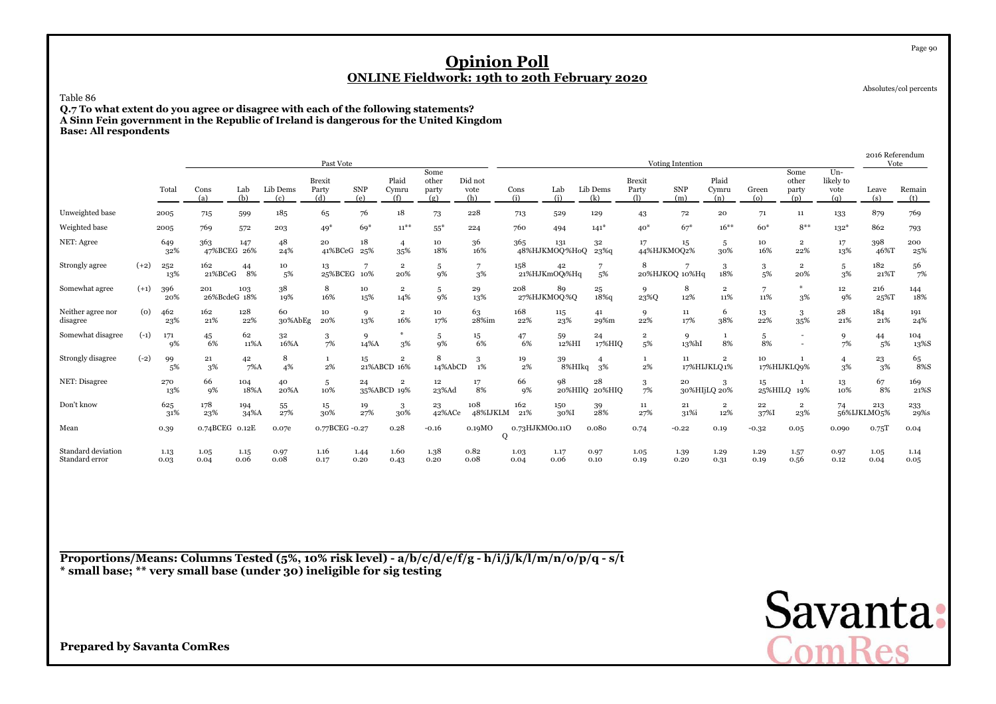Absolutes/col percents

Page 90

### Table 86

 **Q.7 To what extent do you agree or disagree with each of the following statements? A Sinn Fein government in the Republic of Ireland is dangerous for the United KingdomBase: All respondents**

|                                      |        |              |                     |               |                 | Past Vote                     |                   |                                        |                               |                        |                    |                      |                         |                               | Voting Intention  |                               |                             |                                |                                    | 2016 Referendum<br>Vote  |                      |
|--------------------------------------|--------|--------------|---------------------|---------------|-----------------|-------------------------------|-------------------|----------------------------------------|-------------------------------|------------------------|--------------------|----------------------|-------------------------|-------------------------------|-------------------|-------------------------------|-----------------------------|--------------------------------|------------------------------------|--------------------------|----------------------|
|                                      |        | Total        | Cons<br>(a)         | Lab<br>(b)    | Lib Dems<br>(c) | <b>Brexit</b><br>Party<br>(d) | <b>SNP</b><br>(e) | Plaid<br>Cymru<br>(f)                  | Some<br>other<br>party<br>(g) | Did not<br>vote<br>(h) | Cons<br>(i)        | Lab<br>(i)           | Lib Dems<br>(k)         | <b>Brexit</b><br>Party<br>(1) | <b>SNP</b><br>(m) | Plaid<br>Cymru<br>(n)         | Green<br>$\left( 0 \right)$ | Some<br>other<br>party<br>(p)  | $Un -$<br>likely to<br>vote<br>(a) | Leave<br>(s)             | Remain<br>(t)        |
| Unweighted base                      |        | 2005         | 715                 | 599           | 185             | 65                            | 76                | 18                                     | 73                            | 228                    | 713                | 529                  | 129                     | 43                            | 72                | 20                            | 71                          | 11                             | 133                                | 879                      | 769                  |
| Weighted base                        |        | 2005         | 769                 | 572           | 203             | $49*$                         | $69*$             | $11^{***}$                             | $55*$                         | 224                    | 760                | 494                  | $141*$                  | $40*$                         | $67*$             | $16***$                       | 60 <sup>*</sup>             | $8***$                         | $132*$                             | 862                      | 793                  |
| NET: Agree                           |        | 649<br>32%   | 363<br>47%BCEG 26%  | 147           | 48<br>24%       | 20<br>41%BCeG                 | 18<br>25%         | $\overline{4}$<br>35%                  | 10<br>18%                     | 36<br>16%              | 365                | 131<br>48%HJKMOQ%HoQ | 32<br>23 <sup>%</sup> q | 17<br>44%HJKMOQ2%             | 15                | 5<br>30%                      | 10<br>16%                   | $\overline{\mathbf{2}}$<br>22% | 17<br>13%                          | 398<br>46%T              | 200<br>25%           |
| Strongly agree                       | $(+2)$ | 252<br>13%   | 162<br>21%BCeG      | 44<br>8%      | 10<br>5%        | 13<br>25%BCEG 10%             |                   | $\overline{2}$<br>20%                  | 5<br>9%                       | 7<br>3%                | 158                | 42<br>21%HJKmOQ)%Hq  | 5%                      | 8                             | 20%HJKOQ 10%Hq    | 18%                           | 3<br>5%                     | $\mathbf{2}$<br>20%            | 5<br>3%                            | 182<br>21%T              | 56<br>7%             |
| Somewhat agree                       | $(+1)$ | 396<br>20%   | 201<br>26%BcdeG 18% | 103           | 38<br>19%       | 8<br>16%                      | 10<br>15%         | $\overline{2}$<br>14%                  | 5<br>9%                       | 29<br>13%              | 208<br>27%HJKMOQ%Q | 89                   | 25<br>$18\%$ q          | 9<br>23%Q                     | 8<br>12%          | $\overline{2}$<br>11%         | 7<br>11%                    | $\frac{1}{2}$<br>3%            | $12\phantom{.0}$<br>9%             | 216<br>25%T              | 144<br>18%           |
| Neither agree nor<br>disagree        | (0)    | 462<br>23%   | 162<br>21%          | 128<br>22%    | 60<br>30%AbEg   | 10<br>20%                     | 9<br>13%          | $\overline{2}$<br>16%                  | 10<br>17%                     | 63<br>28%im            | 168<br>22%         | 115<br>23%           | 41<br>29%m              | 9<br>22%                      | 11<br>17%         | 6<br>38%                      | 13<br>22%                   | 3<br>35%                       | 28<br>21%                          | 184<br>21%               | 191<br>24%           |
| Somewhat disagree                    | $(-1)$ | 171<br>9%    | 45<br>6%            | 62<br>11%A    | 32<br>16%A      | 3<br>7%                       | 9<br>14%A         | 3%                                     | 5<br>9%                       | 15<br>6%               | 47<br>6%           | 59<br>12%HI          | 24<br>17%HIQ            | $\overline{\mathbf{2}}$<br>5% | 9<br>13%hI        | 8%                            | 5<br>8%                     |                                | 9<br>7%                            | 44<br>5%                 | 104<br>13%S          |
| Strongly disagree                    | $(-2)$ | 99<br>5%     | 21<br>3%            | 42<br>$7\%$ A | 8<br>4%         | $\mathbf{1}$<br>2%            | 15                | $\overline{\mathbf{2}}$<br>21%ABCD 16% | 8<br>14%AbCD                  | 3<br>1%                | 19<br>2%           | 39<br>8%HIkq         | 3%                      | $\mathbf{1}$<br>2%            | 11                | $\overline{2}$<br>17%HIJKLQ1% | 10                          | 17%HIJKLO9%                    | 3%                                 | $^{23}_{\phantom{1}3\%}$ | $^{65}_{8\%{\rm S}}$ |
| NET: Disagree                        |        | 270<br>13%   | 66<br>9%            | 104<br>18%A   | 40<br>20%A      | 5<br>10%                      | 24                | $\mathbf 2$<br>35%ABCD 19%             | 12<br>23%Ad                   | 17<br>8%               | 66<br>9%           | 98<br>20%HIlO        | 28<br>20%HIO            | $\mathbf{3}$<br>7%            | 20                | 3<br>30%HIjLQ 20%             | 15                          | $\mathbf{1}$<br>25%HILQ 19%    | 13<br>10%                          | 67<br>8%                 | 169<br>21%S          |
| Don't know                           |        | 625<br>31%   | 178<br>23%          | 194<br>34%A   | 55<br>27%       | 15<br>30%                     | 19<br>27%         | 3<br>30%                               | 23<br>42%ACe                  | 108<br>48%IJKLM        | 162<br>21%         | 150<br>30%I          | 39<br>28%               | 11<br>27%                     | 21<br>31%i        | 2<br>12%                      | 22<br>37%I                  | $\mathbf 2$<br>23%             | 74                                 | 213<br>56%IJKLMO5%       | 233<br>29%s          |
| Mean                                 |        | 0.39         | 0.74BCEG 0.12E      |               | 0.07e           | 0.77BCEG -0.27                |                   | 0.28                                   | $-0.16$                       | 0.19MO<br>Q            | 0.73HJKMO0.11O     |                      | 0.080                   | 0.74                          | $-0.22$           | 0.19                          | $-0.32$                     | 0.05                           | 0.090                              | 0.75T                    | 0.04                 |
| Standard deviation<br>Standard error |        | 1.13<br>0.03 | 1.05<br>0.04        | 1.15<br>0.06  | 0.97<br>0.08    | 1.16<br>0.17                  | 1.44<br>0.20      | 1.60<br>0.43                           | 1.38<br>0.20                  | 0.82<br>0.08           | 1.03<br>0.04       | 1.17<br>0.06         | 0.97<br>0.10            | 1.05<br>0.19                  | 1.39<br>0.20      | 1.29<br>0.31                  | 1.29<br>0.19                | 1.57<br>0.56                   | 0.97<br>0.12                       | 1.05<br>0.04             | 1.14<br>0.05         |

**Proportions/Means: Columns Tested (5%, 10% risk level) - a/b/c/d/e/f/g - h/i/j/k/l/m/n/o/p/q - s/t \* small base; \*\* very small base (under 30) ineligible for sig testing**

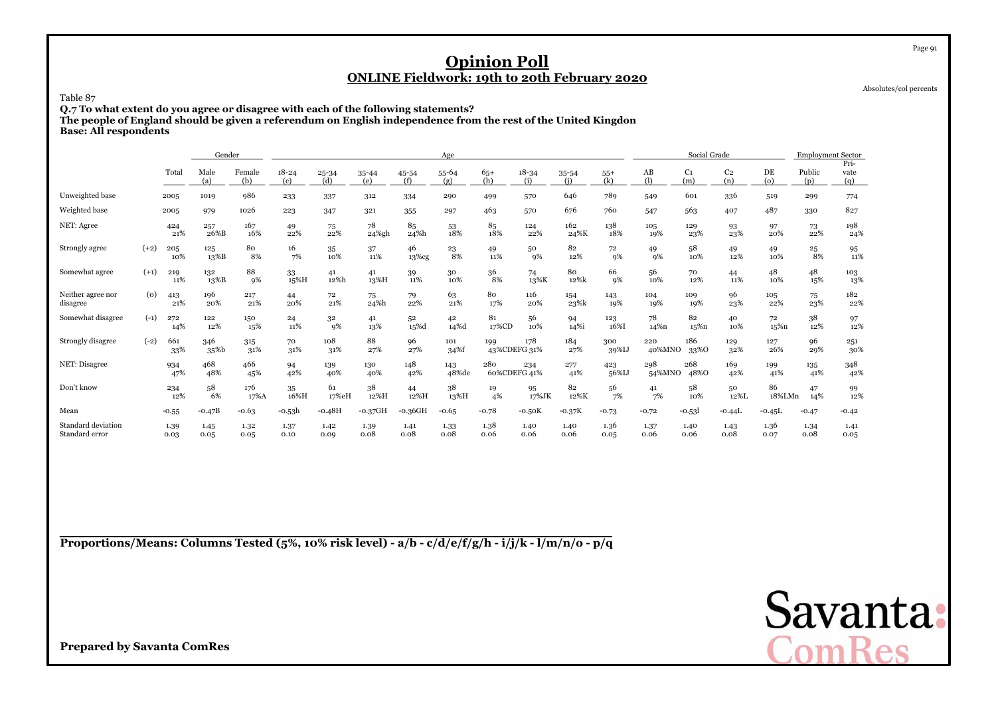Absolutes/col percents

Page 91

Table 87

**Q.7 To what extent do you agree or disagree with each of the following statements?**

**The people of England should be given a referendum on English independence from the rest of the United Kingdon**

**Base: All respondents**

|                                      |        |              | Gender       |               |                  |                  |                  |                          | Age              |              |                     |                  |              |               | Social Grade          |                       |              | <b>Employment Sector</b> |                     |
|--------------------------------------|--------|--------------|--------------|---------------|------------------|------------------|------------------|--------------------------|------------------|--------------|---------------------|------------------|--------------|---------------|-----------------------|-----------------------|--------------|--------------------------|---------------------|
|                                      |        | Total        | Male<br>(a)  | Female<br>(b) | $18 - 24$<br>(c) | $25 - 34$<br>(d) | $35 - 44$<br>(e) | 45-54<br>(f)             | $55 - 64$<br>(g) | $65+$<br>(h) | $18 - 34$<br>(i)    | $35 - 54$<br>(i) | $55+$<br>(k) | AB<br>(1)     | C <sub>1</sub><br>(m) | C <sub>2</sub><br>(n) | DE<br>(o)    | Public<br>(p)            | Pri-<br>vate<br>(q) |
| Unweighted base                      |        | 2005         | 1019         | 986           | 233              | 337              | 312              | 334                      | 290              | 499          | 570                 | 646              | 789          | 549           | 601                   | 336                   | 519          | 299                      | 774                 |
| Weighted base                        |        | 2005         | 979          | 1026          | 223              | 347              | 321              | 355                      | 297              | 463          | 570                 | 676              | 760          | 547           | 563                   | 407                   | 487          | 330                      | 827                 |
| NET: Agree                           |        | 424<br>21%   | 257<br>26%B  | 167<br>16%    | 49<br>22%        | 75<br>22%        | 78<br>24%gh      | 85<br>24%h               | 53<br>18%        | 85<br>18%    | 124<br>22%          | 162<br>24%K      | 138<br>18%   | 105<br>19%    | 129<br>23%            | 93<br>23%             | 97<br>20%    | 73<br>22%                | 198<br>24%          |
| Strongly agree                       | $(+2)$ | 205<br>10%   | 125<br>13%B  | 80<br>8%      | 16<br>7%         | 35<br>10%        | 37<br>11%        | 46<br>13%cg              | 23<br>8%         | 49<br>11%    | 50<br>9%            | 82<br>12%        | 72<br>9%     | 49<br>9%      | 58<br>10%             | 49<br>12%             | 49<br>10%    | 25<br>8%                 | 95<br>11%           |
| Somewhat agree                       | $(+1)$ | 219<br>11%   | 132<br>13%B  | 88<br>9%      | 33<br>15%H       | 41<br>12%h       | 41<br>13%H       | 39<br>11%                | 30<br>10%        | 36<br>8%     | 74<br>13%K          | 80<br>12%k       | 66<br>9%     | 56<br>10%     | 70<br>12%             | 44<br>11%             | 48<br>10%    | 48<br>15%                | 103<br>13%          |
| Neither agree nor<br>disagree        | (0)    | 413<br>21%   | 196<br>20%   | 217<br>21%    | 44<br>20%        | 72<br>21%        | 75<br>24%h       | 79<br>22%                | 63<br>21%        | 80<br>17%    | 116<br>20%          | 154<br>23%k      | 143<br>19%   | 104<br>19%    | 109<br>19%            | 96<br>23%             | 105<br>22%   | 75<br>23%                | 182<br>22%          |
| Somewhat disagree                    | $(-1)$ | 272<br>14%   | 122<br>12%   | 150<br>15%    | 24<br>11%        | 32<br>9%         | 41<br>13%        | 52<br>15%d               | 42<br>14%d       | 81<br>17%CD  | 56<br>10%           | 94<br>14%i       | 123<br>16%I  | 78<br>14%n    | 82<br>15%n            | 40<br>10%             | 72<br>15%n   | 38<br>12%                | 97<br>12%           |
| Strongly disagree                    | $(-2)$ | 661<br>33%   | 346<br>35%b  | 315<br>31%    | 70<br>31%        | 108<br>31%       | 88<br>27%        | 96<br>27%                | 101<br>34%f      | 199          | 178<br>43%CDEFG 31% | 184<br>27%       | 300<br>39%IJ | 220<br>40%MNO | 186<br>33%0           | 129<br>32%            | 127<br>26%   | 96<br>29%                | 251<br>30%          |
| NET: Disagree                        |        | 934<br>47%   | 468<br>48%   | 466<br>45%    | 94<br>42%        | 139<br>40%       | 130<br>40%       | 148<br>42%               | 143<br>48%de     | 280          | 234<br>60%CDEFG 41% | 277<br>41%       | 423<br>56%IJ | 298<br>54%MNO | 268<br>48%0           | 169<br>42%            | 199<br>41%   | 135<br>41%               | 348<br>42%          |
| Don't know                           |        | 234<br>12%   | 58<br>6%     | 176<br>17%A   | 35<br>16%H       | 61<br>17%eH      | 38<br>12%H       | 44<br>12%H               | 38<br>13%H       | 19<br>4%     | 95<br>17%JK         | 82<br>12%K       | 56<br>7%     | 41<br>7%      | 58<br>10%             | 50<br>12%L            | 86<br>18%LMn | 47<br>14%                | 99<br>12%           |
| Mean                                 |        | $-0.55$      | $-0.47B$     | $-0.63$       | -0.53h           | $-0.48H$         | $-0.37$ GH       | $\mbox{-}0.36\mbox{GHz}$ | $-0.65$          | $-0.78$      | $-0.50K$            | $-0.37K$         | $-0.73$      | $-0.72$       | $-0.531$              | $-0.44L$              | $-0.45L$     | $-0.47$                  | $-0.42$             |
| Standard deviation<br>Standard error |        | 1.39<br>0.03 | 1.45<br>0.05 | 1.32<br>0.05  | 1.37<br>0.10     | 1.42<br>0.09     | 1.39<br>0.08     | 1.41<br>0.08             | 1.33<br>0.08     | 1.38<br>0.06 | 1.40<br>0.06        | 1.40<br>0.06     | 1.36<br>0.05 | 1.37<br>0.06  | 1.40<br>0.06          | 1.43<br>0.08          | 1.36<br>0.07 | 1.34<br>0.08             | 1.41<br>0.05        |

**Proportions/Means: Columns Tested (5%, 10% risk level) - a/b - c/d/e/f/g/h - i/j/k - l/m/n/o - p/q**

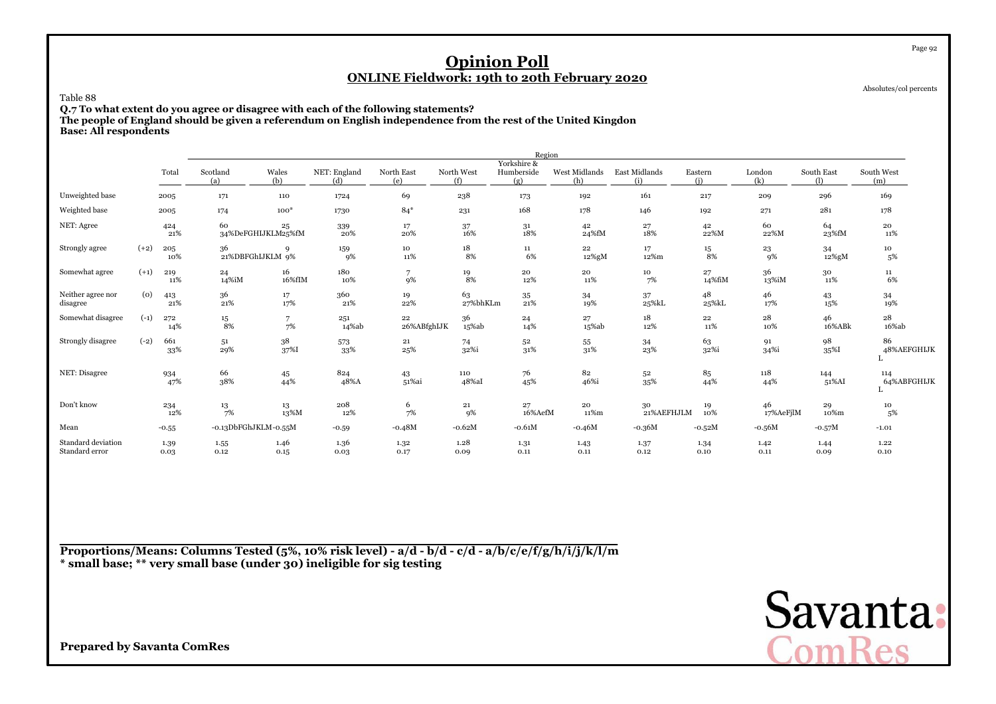Absolutes/col percents

Page 92

Table 88

**Q.7 To what extent do you agree or disagree with each of the following statements?**

**The people of England should be given a referendum on English independence from the rest of the United Kingdon**

**Base: All respondents**

|                                      |        |              |                        |                          |                     |                      |                   | Region                           |                      |                      |                  |                   |                   |                          |
|--------------------------------------|--------|--------------|------------------------|--------------------------|---------------------|----------------------|-------------------|----------------------------------|----------------------|----------------------|------------------|-------------------|-------------------|--------------------------|
|                                      |        | Total        | Scotland<br>(a)        | Wales<br>(b)             | NET: England<br>(d) | North East<br>(e)    | North West<br>(f) | Yorkshire &<br>Humberside<br>(g) | West Midlands<br>(h) | East Midlands<br>(i) | Eastern<br>(i)   | London<br>(k)     | South East<br>(1) | South West<br>(m)        |
| Unweighted base                      |        | 2005         | 171                    | 110                      | 1724                | 69                   | 238               | 173                              | 192                  | 161                  | 217              | 209               | 296               | 169                      |
| Weighted base                        |        | 2005         | 174                    | $100*$                   | 1730                | $84*$                | 231               | 168                              | 178                  | 146                  | 192              | 271               | 281               | 178                      |
| NET: Agree                           |        | 424<br>21%   | 60                     | 25<br>34%DeFGHIJKLM25%fM | 339<br>20%          | 17<br>20%            | 37<br>16%         | 31<br>18%                        | 42<br>24%fM          | 27<br>18%            | 42<br>22%M       | 60<br>22%M        | 64<br>23%fM       | 20<br>11%                |
| Strongly agree                       | $(+2)$ | 205<br>10%   | 36<br>21%DBFGhIJKLM 9% | Q                        | 159<br>9%           | 10<br>11%            | 18<br>8%          | 11<br>6%                         | $22\,$<br>12%gM      | 17<br>12%m           | 15<br>8%         | 23<br>9%          | 34<br>12%gM       | 10<br>5%                 |
| Somewhat agree                       | $(+1)$ | 219<br>11%   | 24<br>14%iM            | 16<br>16%fIM             | 180<br>10%          | $\overline{7}$<br>9% | 19<br>8%          | 20<br>12%                        | 20<br>11%            | 10<br>7%             | 27<br>14%fiM     | 36<br>13%iM       | 30<br>11%         | 11<br>6%                 |
| Neither agree nor<br>disagree        | (o)    | 413<br>21%   | 36<br>21%              | 17<br>17%                | 360<br>21%          | 19<br>22%            | 63<br>27%bhKLm    | 35<br>$21\%$                     | 34<br>19%            | 37<br>25%kL          | 48<br>25%kL      | 46<br>17%         | 43<br>15%         | 34<br>19%                |
| Somewhat disagree                    | $(-1)$ | 272<br>14%   | 15<br>8%               | 7<br>7%                  | 251<br>14%ab        | 22<br>26%ABfghIJK    | 36<br>$15\%ab$    | 24<br>14%                        | 27<br>$15\%ab$       | 18<br>12%            | $\bf{22}$<br>11% | ${\bf 28}$<br>10% | 46<br>16%ABk      | 28<br>$16\%ab$           |
| Strongly disagree                    | $(-2)$ | 661<br>33%   | 51<br>29%              | 38<br>37%I               | 573<br>33%          | 21<br>25%            | 74<br>32%i        | 52<br>$31\%$                     | 55<br>31%            | 34<br>23%            | 63<br>32%i       | 91<br>34%i        | 98<br>35%I        | 86<br>48%AEFGHIJK        |
| NET: Disagree                        |        | 934<br>47%   | 66<br>38%              | 45<br>44%                | 824<br>48%A         | 43<br>51%ai          | 110<br>48%aI      | 76<br>45%                        | 82<br>46%i           | 52<br>35%            | 85<br>44%        | 118<br>44%        | 144<br>51%AI      | 114<br>64%ABFGHIJK<br>т. |
| Don't know                           |        | 234<br>12%   | 13<br>7%               | 13<br>13%M               | 208<br>12%          | 6<br>7%              | 21<br>9%          | 27<br>16%AefM                    | 20<br>11%m           | 30<br>21%AEFHJLM     | 19<br>10%        | 46<br>17%AeFjlM   | 29<br>10%m        | 10<br>5%                 |
| Mean                                 |        | $-0.55$      | -0.13DbFGhJKLM-0.55M   |                          | $-0.59$             | $-0.48M$             | $-0.62M$          | $-0.61M$                         | $-0.46M$             | $-0.36M$             | $-0.52M$         | $-0.56M$          | $-0.57M$          | $-1.01$                  |
| Standard deviation<br>Standard error |        | 1.39<br>0.03 | 1.55<br>0.12           | 1.46<br>0.15             | 1.36<br>0.03        | 1.32<br>0.17         | 1.28<br>0.09      | 1.31<br>0.11                     | 1.43<br>0.11         | 1.37<br>0.12         | 1.34<br>0.10     | 1.42<br>0.11      | 1.44<br>0.09      | 1.22<br>0.10             |

**Proportions/Means: Columns Tested (5%, 10% risk level) - a/d - b/d - c/d - a/b/c/e/f/g/h/i/j/k/l/m\* small base; \*\* very small base (under 30) ineligible for sig testing**

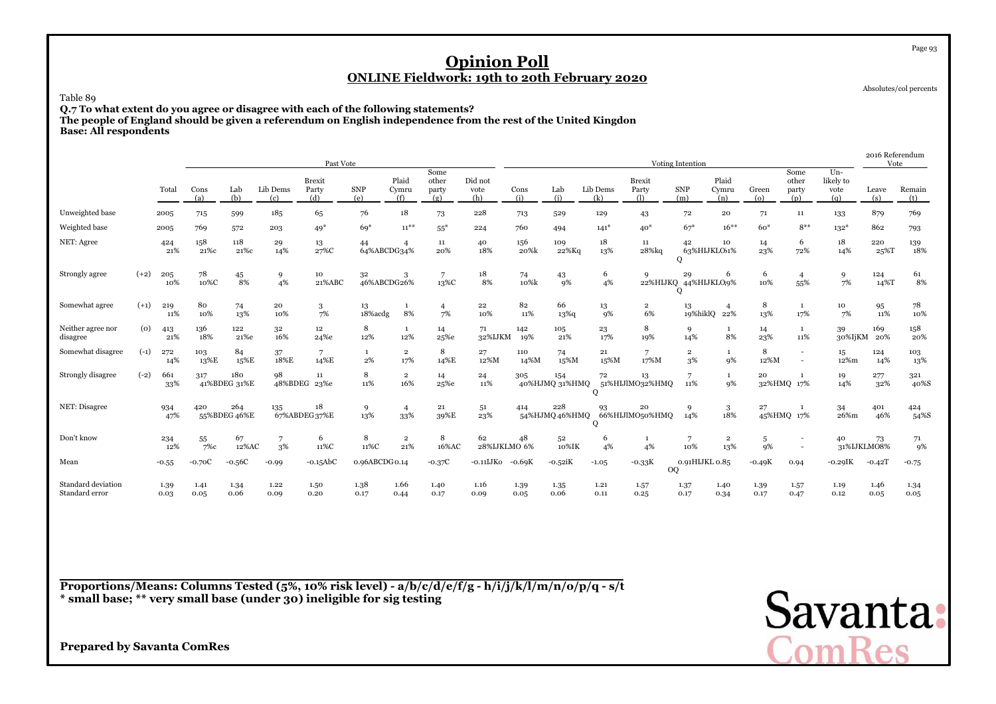Absolutes/col percents

Page 93

Table 89

**Q.7 To what extent do you agree or disagree with each of the following statements? The people of England should be given a referendum on English independence from the rest of the United Kingdon**

**Base: All respondents**

|                                      |        |              |              |                     |                 | Past Vote                 |                     |                       |                               |                        |              |                       |                 |                               | Voting Intention              |                       |                             |                               |                                   | 2016 Referendum<br>Vote |                           |
|--------------------------------------|--------|--------------|--------------|---------------------|-----------------|---------------------------|---------------------|-----------------------|-------------------------------|------------------------|--------------|-----------------------|-----------------|-------------------------------|-------------------------------|-----------------------|-----------------------------|-------------------------------|-----------------------------------|-------------------------|---------------------------|
|                                      |        | Total        | Cons<br>(a)  | Lab<br>(b)          | Lib Dems<br>(c) | Brexit<br>Party<br>(d)    | <b>SNP</b><br>(e)   | Plaid<br>Cymru<br>(f) | Some<br>other<br>party<br>(g) | Did not<br>vote<br>(h) | Cons<br>(i)  | Lab<br>(i)            | Lib Dems<br>(k) | <b>Brexit</b><br>Party<br>(1) | <b>SNP</b><br>(m)             | Plaid<br>Cymru<br>(n) | Green<br>$\left( 0 \right)$ | Some<br>other<br>party<br>(p) | $Un-$<br>likely to<br>vote<br>(q) | Leave<br>(s)            | Remain<br>(t)             |
| Unweighted base                      |        | 2005         | 715          | 599                 | 185             | 65                        | 76                  | 18                    | 73                            | 228                    | 713          | 529                   | 129             | 43                            | 72                            | 20                    | 71                          | 11                            | 133                               | 879                     | 769                       |
| Weighted base                        |        | 2005         | 769          | 572                 | 203             | $49*$                     | $69*$               | $11^{***}$            | $55*$                         | 224                    | 760          | 494                   | $141*$          | $40*$                         | $67*$                         | $16***$               | $60*$                       | $8***$                        | $132*$                            | 862                     | 793                       |
| NET: Agree                           |        | 424<br>21%   | 158<br>21%c  | 118<br>21%c         | 29<br>14%       | 13<br>27%C                | 44<br>64%ABCDG34%   |                       | 11<br>20%                     | 40<br>18%              | 156<br>20%k  | 109<br>22%Kg          | 18<br>13%       | $11\,$<br>28%kg               | 42<br>$\Omega$                | 10<br>63%HIJKLO51%    | 14<br>23%                   | 6<br>72%                      | 18<br>14%                         | 220<br>25%T             | $\underset{18\%}{^{139}}$ |
| Strongly agree                       | $(+2)$ | 205<br>10%   | 78<br>10%C   | 45<br>8%            | 9<br>4%         | 10<br>21%ABC              | 32<br>46%ABCDG26%   | 3                     | 13%C                          | 18<br>8%               | 74<br>10%k   | 43<br>9%              | 6<br>4%         | 9                             | 29<br>22%HIJKQ 44%HIJKLO9%    | 6                     | 6<br>10%                    | $\overline{4}$<br>55%         | 9<br>7%                           | 124<br>14%T             | 61<br>8%                  |
| Somewhat agree                       | $(+1)$ | 219<br>11%   | 80<br>10%    | 74<br>13%           | 20<br>10%       | 3<br>7%                   | 13<br>18% acdg      | $\mathbf{1}$<br>8%    | $\overline{4}$<br>7%          | $\bf{^{22}}$<br>10%    | 82<br>11%    | 66<br>13%             | 13<br>9%        | $\overline{2}$<br>6%          | 13                            | 19%hiklQ 22%          | 8<br>13%                    | <sup>1</sup><br>17%           | 10<br>7%                          | 95<br>11%               | 78<br>10%                 |
| Neither agree nor<br>disagree        | (0)    | 413<br>21%   | 136<br>18%   | 122<br>21%e         | 32<br>16%       | $12 \overline{ }$<br>24%e | 8<br>12%            | $\mathbf{1}$<br>12%   | 14<br>25%e                    | 71<br>32%IJKM          | 142<br>19%   | 105<br>21%            | 23<br>17%       | 8<br>19%                      | 9<br>14%                      | <sup>1</sup><br>8%    | 14<br>23%                   | $\mathbf{1}$<br>11%           | 39<br>30%IjKM                     | 169<br>20%              | 158<br>20%                |
| Somewhat disagree                    | $(-1)$ | 272<br>14%   | 103<br>13%E  | 84<br>15%E          | 37<br>18%E      | 7<br>14%E                 | 1<br>2%             | $\overline{2}$<br>17% | 8<br>14%E                     | 27<br>12%M             | 110<br>14%M  | 74<br>15%M            | 21<br>15%M      | 7<br>17%M                     | $\overline{\mathbf{2}}$<br>3% | -1<br>9%              | 8<br>12%M                   |                               | 15<br>12%m                        | 124<br>14%              | 103<br>13%                |
| Strongly disagree                    | $(-2)$ | 661<br>33%   | 317          | 180<br>41%BDEG 31%E | 98              | 11<br>48%BDEG 23%e        | 8<br>11%            | $\overline{2}$<br>16% | 14<br>25%e                    | 24<br>11%              | 305          | 154<br>40%HJMQ 31%HMQ | 72              | 13<br>51%HIJlMO32%HMQ         | $\overline{7}$<br>11%         | 1<br>9%               | 20                          | $\mathbf{1}$<br>32%HMQ 17%    | 19<br>14%                         | 277<br>32%              | 321<br>$40\%$ S           |
| NET: Disagree                        |        | 934<br>47%   | 420          | 264<br>55%BDEG 46%E | 135             | 18<br>67%ABDEG37%E        | 9<br>13%            | $\overline{4}$<br>33% | 21<br>39%E                    | 51<br>23%              | 414          | 228<br>54%HJMQ 46%HMQ | 93<br>$\Omega$  | 20<br>66%HIJlMO50%HMQ         | 9<br>14%                      | 3<br>18%              | 27                          | 1<br>45%HMQ 17%               | 34<br>26%m                        | 401<br>46%              | 424<br>54%S               |
| Don't know                           |        | 234<br>12%   | 55<br>$7\%c$ | 67<br>12%AC         | 3%              | 6<br>11%C                 | 8<br>11%C           | $\overline{2}$<br>21% | 8<br>16%AC                    | 62<br>28%IJKLMO 6%     | 48           | 52<br>10%IK           | 6<br>4%         | 1<br>4%                       | 10%                           | $\overline{2}$<br>13% | 5<br>9%                     |                               | 40                                | 73<br>31%IJKLMO8%       | 71<br><b>9%</b>           |
| Mean                                 |        | $-0.55$      | $-0.70C$     | $-0.56C$            | $-0.99$         | $\mbox{-} 0.15\mbox{AbC}$ | $0.96$ ABCDG $0.14$ |                       | $-0.37C$                      | -0.11IJKo              | $-0.69K$     | $-0.52$ i $K$         | $-1.05$         | $-0.33K$                      | 0.91HIJKL 0.85<br><b>OQ</b>   |                       | $-0.49K$                    | 0.94                          | $-0.29$ IK                        | $-0.42T$                | $-0.75$                   |
| Standard deviation<br>Standard error |        | 1.39<br>0.03 | 1.41<br>0.05 | 1.34<br>0.06        | 1.22<br>0.09    | 1.50<br>0.20              | 1.38<br>0.17        | 1.66<br>0.44          | 1.40<br>0.17                  | 1.16<br>0.09           | 1.39<br>0.05 | 1.35<br>0.06          | 1.21<br>0.11    | 1.57<br>0.25                  | 1.37<br>0.17                  | 1.40<br>0.34          | 1.39<br>0.17                | 1.57<br>0.47                  | 1.19<br>0.12                      | 1.46<br>0.05            | 1.34<br>0.05              |

**Proportions/Means: Columns Tested (5%, 10% risk level) - a/b/c/d/e/f/g - h/i/j/k/l/m/n/o/p/q - s/t\* small base; \*\* very small base (under 30) ineligible for sig testing**

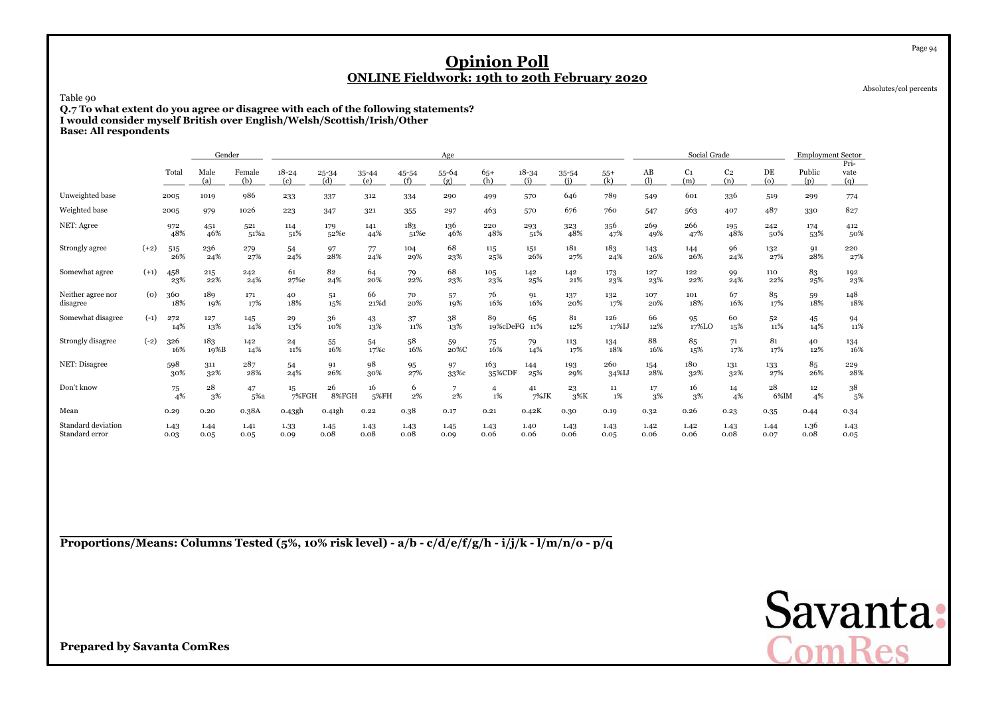Absolutes/col percents

Page 94

Table 90

 **Q.7 To what extent do you agree or disagree with each of the following statements?I would consider myself British over English/Welsh/Scottish/Irish/OtherBase: All respondents**

|                                      | Gender |              |              |               |                  |                  |                  |              | Age              |                      |                  |              |              |                               | Social Grade          |                       |                | <b>Employment Sector</b> | Pri-         |
|--------------------------------------|--------|--------------|--------------|---------------|------------------|------------------|------------------|--------------|------------------|----------------------|------------------|--------------|--------------|-------------------------------|-----------------------|-----------------------|----------------|--------------------------|--------------|
|                                      |        | Total        | Male<br>(a)  | Female<br>(b) | $18 - 24$<br>(c) | $25 - 34$<br>(d) | $35 - 44$<br>(e) | 45-54<br>(f) | $55 - 64$<br>(g) | $65+$<br>(h)         | $18 - 34$<br>(i) | 35-54<br>(i) | $55+$<br>(k) | $\mathbf{A}\mathbf{B}$<br>(1) | C <sub>1</sub><br>(m) | C <sub>2</sub><br>(n) | DE<br>$\omega$ | Public<br>(p)            | vate<br>(q)  |
| Unweighted base                      |        | 2005         | 1019         | 986           | 233              | 337              | 312              | 334          | 290              | 499                  | 570              | 646          | 789          | 549                           | 601                   | 336                   | 519            | 299                      | 774          |
| Weighted base                        |        | 2005         | 979          | 1026          | 223              | 347              | 321              | 355          | 297              | 463                  | 570              | 676          | 760          | 547                           | 563                   | 407                   | 487            | 330                      | 827          |
| NET: Agree                           |        | 972<br>48%   | 451<br>46%   | 521<br>51%a   | 114<br>51%       | 179<br>52%e      | 141<br>44%       | 183<br>51%e  | 136<br>46%       | 220<br>48%           | 293<br>51%       | 323<br>48%   | 356<br>47%   | 269<br>49%                    | 266<br>47%            | 195<br>48%            | 242<br>50%     | 174<br>53%               | 412<br>50%   |
| Strongly agree                       | $(+2)$ | 515<br>26%   | 236<br>24%   | 279<br>27%    | 54<br>24%        | 97<br>28%        | 77<br>24%        | 104<br>29%   | 68<br>23%        | 115<br>25%           | 151<br>26%       | 181<br>27%   | 183<br>24%   | 143<br>26%                    | 144<br>26%            | 96<br>24%             | 132<br>27%     | 91<br>28%                | 220<br>27%   |
| Somewhat agree                       | $(+1)$ | 458<br>23%   | 215<br>22%   | 242<br>24%    | 61<br>27%e       | 82<br>24%        | 64<br>20%        | 79<br>22%    | 68<br>23%        | 105<br>23%           | 142<br>25%       | 142<br>21%   | 173<br>23%   | 127<br>23%                    | 122<br>22%            | 99<br>24%             | 110<br>22%     | 83<br>25%                | 192<br>23%   |
| Neither agree nor<br>disagree        | (0)    | 360<br>18%   | 189<br>19%   | 171<br>17%    | 40<br>18%        | 51<br>15%        | 66<br>21%d       | 70<br>20%    | 57<br>19%        | 76<br>16%            | 91<br>16%        | 137<br>20%   | 132<br>17%   | 107<br>20%                    | 101<br>18%            | 67<br>16%             | 85<br>17%      | 59<br>18%                | 148<br>18%   |
| Somewhat disagree                    | $(-1)$ | 272<br>14%   | 127<br>13%   | 145<br>14%    | 29<br>13%        | 36<br>10%        | 43<br>13%        | 37<br>11%    | 38<br>13%        | 89<br>19%cDeFG       | 65<br>11%        | 81<br>12%    | 126<br>17%IJ | 66<br>12%                     | 95<br>17%LO           | 60<br>15%             | 52<br>11%      | 45<br>14%                | 94<br>11%    |
| Strongly disagree                    | $(-2)$ | 326<br>16%   | 183<br>19%B  | 142<br>14%    | 24<br>11%        | 55<br>16%        | 54<br>17%c       | 58<br>16%    | 59<br>20%C       | 75<br>16%            | 79<br>14%        | 113<br>17%   | 134<br>18%   | 88<br>16%                     | 85<br>15%             | 71<br>17%             | 81<br>17%      | 40<br>12%                | 134<br>16%   |
| NET: Disagree                        |        | 598<br>30%   | 311<br>32%   | 287<br>28%    | 54<br>24%        | 91<br>26%        | 98<br>30%        | 95<br>27%    | 97<br>33%с       | 163<br>35%CDF        | 144<br>25%       | 193<br>29%   | 260<br>34%IJ | 154<br>28%                    | 180<br>32%            | 131<br>32%            | 133<br>27%     | 85<br>26%                | 229<br>28%   |
| Don't know                           |        | 75<br>4%     | 28<br>3%     | 47<br>5%a     | 15<br>7%FGH      | 26<br>8%FGH      | 16<br>5%FH       | 6<br>2%      | 7<br>2%          | $\overline{4}$<br>1% | 41<br>7%JK       | 23<br>3%K    | 11<br>$1\%$  | 17<br>3%                      | 16<br>3%              | 14<br>4%              | 28<br>6%lM     | 12 <sup>12</sup><br>4%   | 38<br>5%     |
| Mean                                 |        | 0.29         | 0.20         | 0.38A         | 0.43gh           | 0.41gh           | 0.22             | 0.38         | 0.17             | 0.21                 | 0.42K            | 0.30         | 0.19         | 0.32                          | 0.26                  | 0.23                  | 0.35           | 0.44                     | 0.34         |
| Standard deviation<br>Standard error |        | 1.43<br>0.03 | 1.44<br>0.05 | 1.41<br>0.05  | 1.33<br>0.09     | 1.45<br>0.08     | 1.43<br>0.08     | 1.43<br>0.08 | 1.45<br>0.09     | 1.43<br>0.06         | 1.40<br>0.06     | 1.43<br>0.06 | 1.43<br>0.05 | 1.42<br>0.06                  | 1.42<br>0.06          | 1.43<br>0.08          | 1.44<br>0.07   | 1.36<br>0.08             | 1.43<br>0.05 |

**Proportions/Means: Columns Tested (5%, 10% risk level) - a/b - c/d/e/f/g/h - i/j/k - l/m/n/o - p/q**

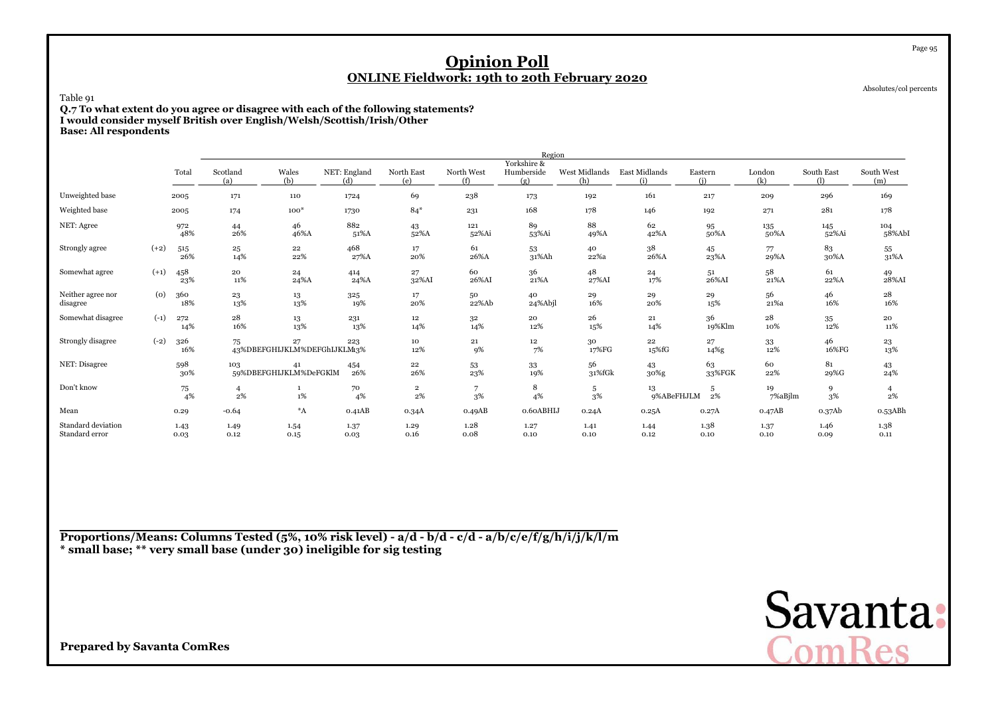Absolutes/col percents

Page 95

Table 91

 **Q.7 To what extent do you agree or disagree with each of the following statements?I would consider myself British over English/Welsh/Scottish/Irish/OtherBase: All respondents**

|                                      |        |               |                 |                                   |                     |                       |                   | Region                           |                      |                      |                |               |                          |                      |
|--------------------------------------|--------|---------------|-----------------|-----------------------------------|---------------------|-----------------------|-------------------|----------------------------------|----------------------|----------------------|----------------|---------------|--------------------------|----------------------|
|                                      |        | Total         | Scotland<br>(a) | Wales<br>(b)                      | NET: England<br>(d) | North East<br>(e)     | North West<br>(f) | Yorkshire &<br>Humberside<br>(g) | West Midlands<br>(h) | East Midlands<br>(i) | Eastern<br>(i) | London<br>(k) | <b>South East</b><br>(1) | South West<br>(m)    |
| Unweighted base                      |        | 2005          | 171             | 110                               | 1724                | 69                    | 238               | 173                              | 192                  | 161                  | 217            | 209           | 296                      | 169                  |
| Weighted base                        |        | 2005          | 174             | $100*$                            | 1730                | $84*$                 | 231               | 168                              | 178                  | 146                  | 192            | 271           | 281                      | 178                  |
| NET: Agree                           |        | 972<br>48%    | 44<br>26%       | 46<br>46%A                        | 882<br>51%A         | 43<br>52%A            | 121<br>52%Ai      | 89<br>53%Ai                      | 88<br>49%A           | 62<br>42%A           | 95<br>50%A     | 135<br>50%A   | 145<br>52%Ai             | 104<br>58%AbI        |
| Strongly agree                       | $(+2)$ | 515<br>26%    | $^{25}$<br>14%  | 22<br>22%                         | 468<br>27%A         | 17<br>20%             | 61<br>26%A        | 53<br>31%Ah                      | 40<br>22%a           | 38<br>26%A           | 45<br>23%A     | 77<br>29%A    | 83<br>30%A               | 55<br>31%A           |
| Somewhat agree                       | $(+1)$ | 458<br>23%    | 20<br>$11\%$    | 24<br>24%A                        | 414<br>24%A         | 27<br>32%AI           | 60<br>26%AI       | 36<br>21%A                       | 48<br>27%AI          | 24<br>17%            | 51<br>26%AI    | 58<br>21%A    | 61<br>22%A               | $^{49}_{\rm 28\%Al}$ |
| Neither agree nor<br>disagree        | (0)    | 360<br>18%    | 23<br>13%       | 13<br>13%                         | 325<br>19%          | 17<br>20%             | 50<br>22%Ab       | 40<br>24%Abjl                    | 29<br>16%            | 29<br>20%            | 29<br>15%      | 56<br>21%a    | 46<br>16%                | 28<br>16%            |
| Somewhat disagree                    | $(-1)$ | 272<br>14%    | 28<br>16%       | 13<br>13%                         | 231<br>13%          | 12<br>14%             | 32<br>14%         | 20<br>12%                        | 26<br>15%            | 21<br>14%            | 36<br>19%Klm   | 28<br>10%     | 35<br>12%                | 20<br>11%            |
| Strongly disagree                    | $(-2)$ | 326<br>16%    | 75              | 27<br>43%DBEFGHIJKLM%DEFGhIJKLMg% | 223                 | 10<br>12%             | 21<br>9%          | 12<br>7%                         | 30<br>17%FG          | 22<br>15%fG          | 27<br>14%g     | 33<br>12%     | 46<br>16%FG              | 23<br>13%            |
| NET: Disagree                        |        | 598<br>30%    | 103             | 41<br>59%DBEFGHIJKLM%DeFGKlM      | 454<br>26%          | 22<br>26%             | 53<br>23%         | 33<br>19%                        | 56<br>31%fGk         | 43<br>$30\%$ g       | 63<br>33%FGK   | 60<br>22%     | 81<br>29%G               | 43<br>24%            |
| Don't know                           |        | $^{75}_{4\%}$ | 4<br>2%         | $\mathbf{1}$<br>1%                | 70<br>4%            | $\mathbf{2}$<br>$2\%$ | 7<br>3%           | 8<br>4%                          | 5<br>$3\%$           | 13<br>9%ABeFHJLM     | 5<br>2%        | 19<br>7%aBjlm | 9<br>3%                  | 4<br>2%              |
| Mean                                 |        | 0.29          | $-0.64$         | $\,{}^\ast \! \! A$               | 0.41AB              | 0.34A                 | 0.49AB            | 0.60ABHIJ                        | 0.24A                | 0.25A                | 0.27A          | 0.47AB        | 0.37Ab                   | 0.53ABh              |
| Standard deviation<br>Standard error |        | 1.43<br>0.03  | 1.49<br>0.12    | 1.54<br>0.15                      | 1.37<br>0.03        | 1.29<br>0.16          | 1.28<br>0.08      | 1.27<br>0.10                     | 1.41<br>0.10         | 1.44<br>0.12         | 1.38<br>0.10   | 1.37<br>0.10  | 1.46<br>0.09             | 1.38<br>0.11         |

**Proportions/Means: Columns Tested (5%, 10% risk level) - a/d - b/d - c/d - a/b/c/e/f/g/h/i/j/k/l/m\* small base; \*\* very small base (under 30) ineligible for sig testing**